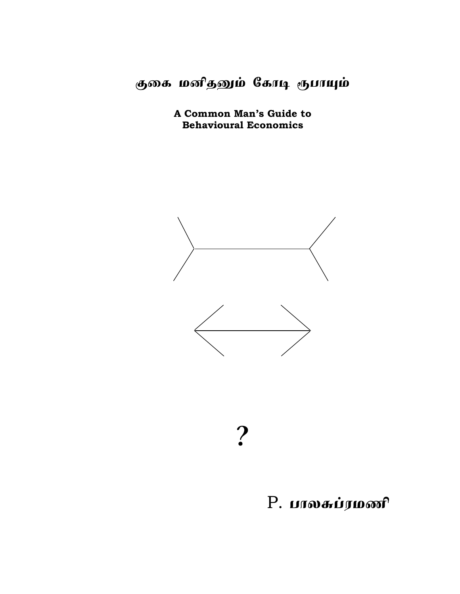குகை மனிதனும் கோடி ரூபாயும்

A Common Man's Guide to **Behavioural Economics** 



?

# P. பாலசுப்ரமணி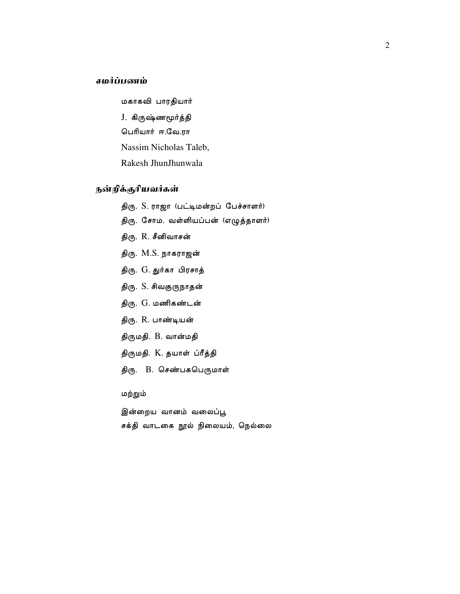# சமர்ப்பணம்

மகாகவி பாரதியார் J. கிருஷ்ணமூர்த்தி பெரியார் ஈ.வே.ரா Nassim Nicholas Taleb, Rakesh JhunJhunwala

# நன்றிக்குரியவர்கள்

- திரு. S. ராஜா (பட்டிமன்றப் பேச்சாளர்)
- திரு. சோம. வள்ளியப்பன் (எழுத்தாளர்)
- திரு. R. சீனிவாசன்
- திரு. M.S. நாகராஜன்
- திரு. G. துர்கா பிரசாத்
- திரு. S. சிவகுருநாதன்
- திரு. G. மணிகண்டன்
- திரு. R. பாண்டியன்
- திருமதி. B. வான்மதி
- திருமதி. K. தயாள் ப்ரீத்தி
- திரு. B. செண்பகபெருமாள்

மற்றும்

இன்றைய வானம் வலைப்பூ சக்தி வாடகை நூல் நிலையம், நெல்லை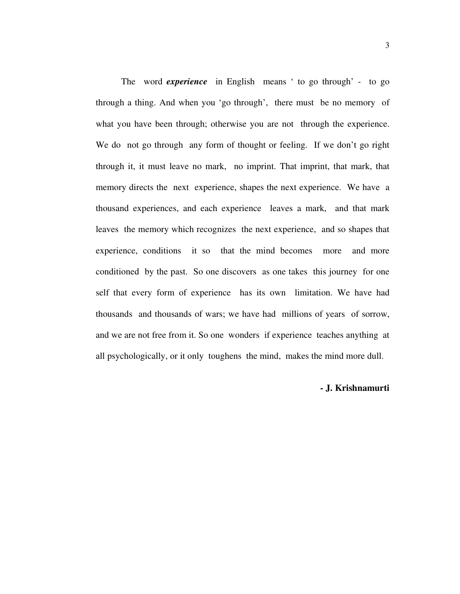The word *experience* in English means ' to go through' - to go through a thing. And when you 'go through', there must be no memory of what you have been through; otherwise you are not through the experience. We do not go through any form of thought or feeling. If we don't go right through it, it must leave no mark, no imprint. That imprint, that mark, that memory directs the next experience, shapes the next experience. We have a thousand experiences, and each experience leaves a mark, and that mark leaves the memory which recognizes the next experience, and so shapes that experience, conditions it so that the mind becomes more and more conditioned by the past. So one discovers as one takes this journey for one self that every form of experience has its own limitation. We have had thousands and thousands of wars; we have had millions of years of sorrow, and we are not free from it. So one wonders if experience teaches anything at all psychologically, or it only toughens the mind, makes the mind more dull.

# **- J. Krishnamurti**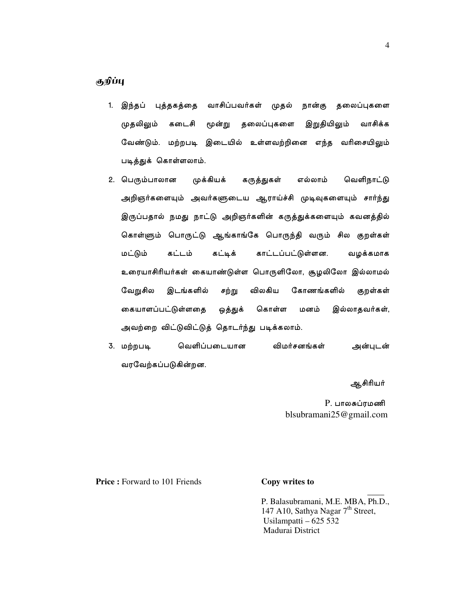- 1. இந்தப் புத்தகத்தை வாசிப்பவர்கள் முதல் நான்கு தலைப்புகளை முதலிலும் கடைசி மூன்று தலைப்புகளை இறுதியிலும் வாசிக்க வேண்டும். மற்றபடி இடையில் உள்ளவற்றினை எந்த வரிசையிலும் படித்துக் கொள்ளலாம்.
- 2. பெரும்பாலான முக்கியக் கருத்துகள் எல்லாம் வெளிநாட்டு அறிஞர்களையும் அவர்களுடைய ஆராய்ச்சி முடிவுகளையும் சார்ந்து இருப்பதால் நமது நாட்டு அறிஞர்களின் கருத்துக்களையும் கவனத்தில் கொள்ளும் பொருட்டு ஆங்காங்கே பொருந்தி வரும் சில குறள்கள் மட்டும் கட்டம் கட்டிக் காட்டப்பட்டுள்ளன. வழக்கமாக உரையாசிரியர்கள் கையாண்டுள்ள பொருளிலோ, சூழலிலோ இல்லாமல் வேறுசில விலகிய கோணங்களில் இடங்களில் சற்று குறள்கள் கையாளப்பட்டுள்ளதை ஒத்துக் கொள்ள மனம் இல்லாதவர்கள், அவற்றை விட்டுவிட்டுத் தொடர்ந்து படிக்கலாம்.
- 3. மற்றபடி வெளிப்படையான விமர்சனங்கள் அன்புடன் வரவேற்கப்படுகின்றன.

ஆசிரியர்

P. பாலசுப்ரமணி blsubramani $25@$ gmail.com

**Price:** Forward to 101 Friends

# Copy writes to

P. Balasubramani, M.E. MBA, Ph.D., 147 A10, Sathya Nagar  $7<sup>th</sup>$  Street, Usilampatti  $-625532$ Madurai District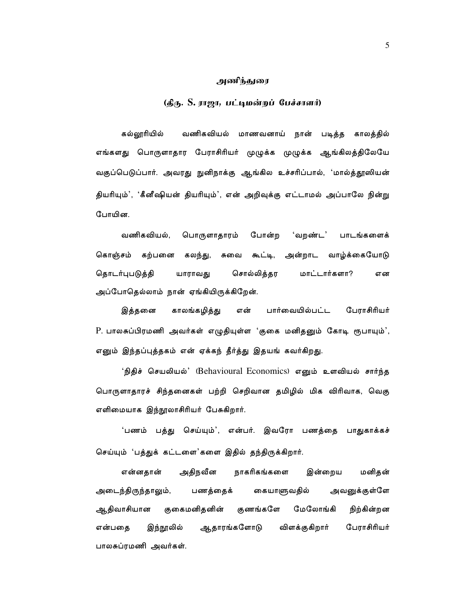#### அணிந்துரை

# (தீரு. S. ராஜா, பட்டிமன்றப் பேச்சாளர்)

கல்லாரியில் வணிகவியல் மாணவனாய் நான் படித்த காலத்தில் எங்களது பொருளாதார பேராசிரியர் முழுக்க முழுக்க ஆங்கிலத்திலேயே வகுப்பெடுப்பார். அவரது நுனிநாக்கு ஆங்கில உச்சரிப்பால், 'மால்த்தூஸியன் தியரியும்', 'கீனீஷியன் தியரியும்', என் அறிவுக்கு எட்டாமல் அப்பாலே நின்று போயின.

வணிகவியல், 'வறண்ட' பொருளாதாரம் போன்ற பாடங்களைக் கொஞ்சம் கற்பனை கலந்து, சுவை கூட்டி, அன்றாட வாழ்க்கையோடு தொடர்புபடுத்தி யாராவது சொல்லித்தர மாட்டார்களா? என அப்போதெல்லாம் நான் ஏங்கியிருக்கிறேன்.

காலங்கழித்து பார்வையில்பட்ட பேராசிரியர் இத்தனை என் P. பாலசுப்பிரமணி அவர்கள் எழுதியுள்ள 'குகை மனிதனும் கோடி ரூபாயும்', எனும் இந்தப்புத்தகம் என் ஏக்கந் தீர்த்து இதயங் கவர்கிறது.

'நிதிச் செயலியல்' (Behavioural Economics) எனும் உளவியல் சார்ந்த பொருளாதாரச் சிந்தனைகள் பற்றி செறிவான தமிழில் மிக விரிவாக, வெகு எளிமையாக இந்நூலாசிரியர் பேசுகிறார்.

'பணம் பத்து செய்யும்', என்பர். இவரோ பணத்தை பாதுகாக்கச் செய்யும் 'பத்துக் கட்டளை'களை இதில் தந்திருக்கிறார்.

மனிதன் என்னதான் அதிநவீன நாகரிகங்களை இன்றைய அடைந்திருந்தாலும், பணத்தைக் கையாளுவதில் அவனுக்குள்ளே ஆதிவாசியான குகைமனிதனின் குணங்களே மேலோங்கி நிற்கின்றன பேராசிரியர் என்பதை இந்நூலில் ஆதாரங்களோடு விளக்குகிறார் பாலசுப்ரமணி அவர்கள்.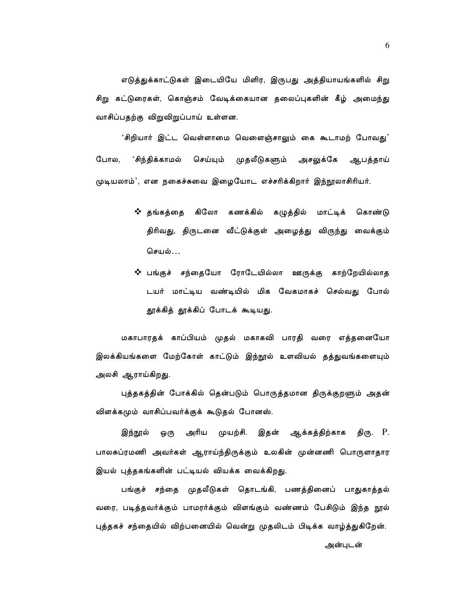எடுத்துக்காட்டுகள் இடையியே மிளிர, இருபது அத்தியாயங்களில் சிறு சிறு கட்டுரைகள், கொஞ்சம் வேடிக்கையான தலைப்புகளின் கீழ் அமைந்து வாசிப்பதற்கு விறுவிறுப்பாய் உள்ளன.

'சிறியார் இட்ட வெள்ளாமை வெளைஞ்சாலும் கை கூடாமற் போவது' போல, 'சிந்திக்காமல் செய்யும் முதலீடுகளும் அசலுக்கே ஆபத்தாய் முடியலாம்', என நகைச்சுவை இழையோட எச்சரிக்கிறார் இந்நூலாசிரியர்.

- ❖ தங்கத்தை கிலோ கணக்கில் கழுத்தில் மாட்டிக் கொண்டு திரிவது, திருடனை வீட்டுக்குள் அழைத்து விருந்து வைக்கும் செயல்…
- ❖ பங்குச் சந்தையோ ரோடேயில்லா ஊருக்கு காற்றேயில்லாத டயர் மாட்டிய வண்டியில் மிக வேகமாகச் செல்வது போல் தூக்கித் தூக்கிப் போடக் கூடியது.

மகாபாரதக் காப்பியம் முதல் மகாகவி பாரதி வரை எத்தனையோ இலக்கியங்களை மேற்கோள் காட்டும் இந்நூல் உளவியல் தத்துவங்களையும் அலசி ஆராய்கிறது.

புத்தகத்தின் போக்கில் தென்படும் பொருத்தமான திருக்குறளும் அதன் விளக்கமும் வாசிப்பவர்க்குக் கூடுதல் போனஸ்.

அரிய முயற்சி. இதன் ஆக்கத்திற்காக திரு. P. இந்நூல் ஒரு பாலசுப்ரமணி அவர்கள் ஆராய்ந்திருக்கும் உலகின் முன்னணி பொருளாதார இயல் புத்தகங்களின் பட்டியல் வியக்க வைக்கிறது.

பங்குச் சந்தை முதலீடுகள் தொடங்கி, பணத்தினைப் பாதுகாத்தல் வரை, படித்தவர்க்கும் பாமரர்க்கும் விளங்கும் வண்ணம் பேசிடும் இந்த நூல் புத்தகச் சந்தையில் விற்பனையில் வென்று முதலிடம் பிடிக்க வாழ்த்துகிறேன்.

6

அன்புடன்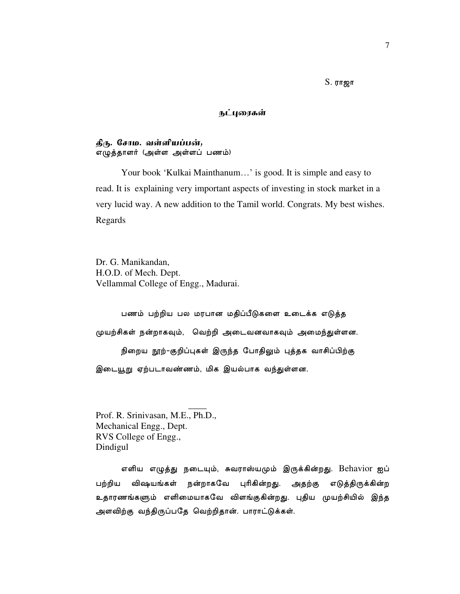$S.$  ராஜா

#### நட்புரைகள்

# தீரு. சோம. வள்ளியப்பன், எழுத்தாளர் (அள்ள அள்ளப் பணம்)

Your book 'Kulkai Mainthanum...' is good. It is simple and easy to read. It is explaining very important aspects of investing in stock market in a very lucid way. A new addition to the Tamil world. Congrats. My best wishes. Regards

Dr. G. Manikandan, H.O.D. of Mech. Dept. Vellammal College of Engg., Madurai.

பணம் பற்றிய பல மரபான மதிப்பீடுகளை உடைக்க எடுத்த முயற்சிகள் நன்றாகவும், வெற்றி அடைவனவாகவும் அமைந்துள்ளன. நிறைய நூற்-குறிப்புகள் இருந்த போதிலும் புத்தக வாசிப்பிற்கு இடையூறு ஏற்படாவண்ணம், மிக இயல்பாக வந்துள்ளன.

Prof. R. Srinivasan, M.E., Ph.D., Mechanical Engg., Dept. RVS College of Engg., Dindigul

எளிய எழுத்து நடையும், சுவராஸ்யமும் இருக்கின்றது. Behavior ஐப் விஷயங்கள் பற்றிய நன்றாகவே புரிகின்றது. அதற்கு எடுத்திருக்கின்ற உதாரணங்களும் எளிமையாகவே விளங்குகின்றது. புதிய முயற்சியில் இந்த அளவிற்கு வந்திருப்பதே வெற்றிதான். பாராட்டுக்கள்.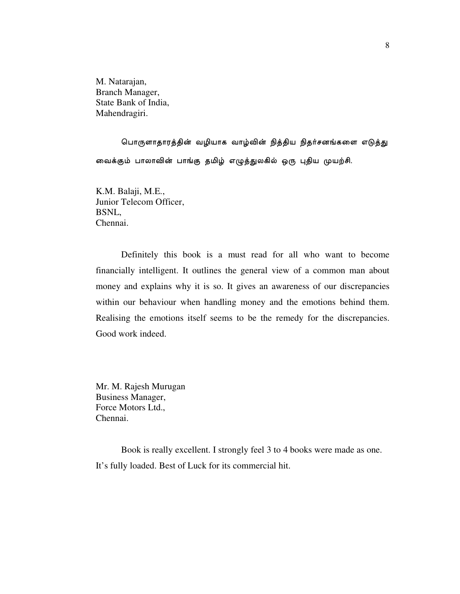M. Natarajan, Branch Manager, State Bank of India, Mahendragiri.

பொருளாதாரத்தின் வழியாக வாழ்வின் நித்திய நிதர்சனங்களை எடுத்து வைக்கும் பாலாவின் பாங்கு தமிழ் எழுத்துலகில் ஒரு புதிய முயற்சி.

K.M. Balaji, M.E., Junior Telecom Officer, BSNL, Chennai.

 Definitely this book is a must read for all who want to become financially intelligent. It outlines the general view of a common man about money and explains why it is so. It gives an awareness of our discrepancies within our behaviour when handling money and the emotions behind them. Realising the emotions itself seems to be the remedy for the discrepancies. Good work indeed.

Mr. M. Rajesh Murugan Business Manager, Force Motors Ltd., Chennai.

 Book is really excellent. I strongly feel 3 to 4 books were made as one. It's fully loaded. Best of Luck for its commercial hit.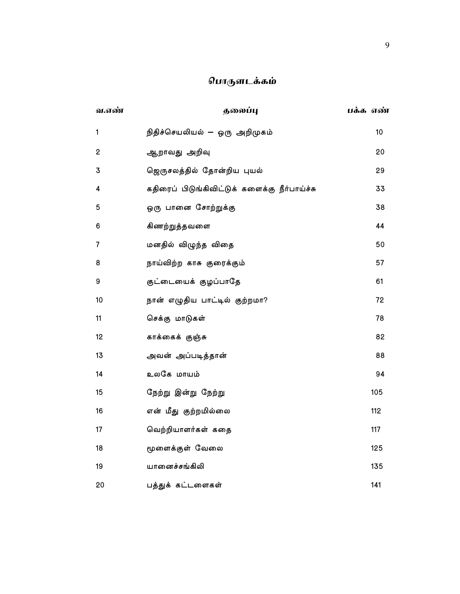# பொருளடக்கம்

| வ.எண்          | தலைப்பு                                       | பக்க எண் |
|----------------|-----------------------------------------------|----------|
| $\mathbf{1}$   | நிதிச்செயலியல் — ஒரு அறிமுகம்                 | 10       |
| $\mathbf 2$    | ஆறாவது அறிவு                                  | 20       |
| 3              | ஜெருசலத்தில் தோன்றிய புயல்                    | 29       |
| 4              | கதிரைப் பிடுங்கிவிட்டுக் களைக்கு நீர்பாய்ச்சு | 33       |
| 5              | ஒரு பானை சோற்றுக்கு                           | 38       |
| 6              | கிணற்றுத்தவளை                                 | 44       |
| $\overline{7}$ | மனதில் விழுந்த விதை                           | 50       |
| 8              | நாய்விற்ற காசு குரைக்கும்                     | 57       |
| 9              | குட்டையைக் குழப்பாதே                          | 61       |
| 10             | நான் எழுதிய பாட்டில் குற்றமா?                 | 72       |
| 11             | செக்கு மாடுகள்                                | 78       |
| 12             | காக்கைக் குஞ்சு                               | 82       |
| 13             | அவன் அப்படித்தான்                             | 88       |
| 14             | உலகே மாயம்                                    | 94       |
| 15             | நேற்று இன்று நேற்று                           | 105      |
| 16             | என் மீது குற்றமில்லை                          | 112      |
| 17             | வெற்றியாளர்கள் கதை                            | 117      |
| 18             | மூளைக்குள் வேலை                               | 125      |
| 19             | யானைச்சங்கிலி                                 | 135      |
| 20             | பத்துக் கட்டளைகள்                             | 141      |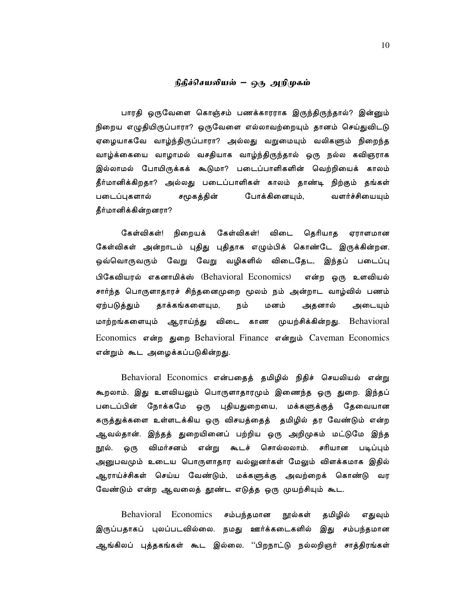#### நிதீச்செயலியல் – ஒரு அறிமுகம்

பாரதி ஒருவேளை கொஞ்சம் பணக்காரராக இருந்திருந்தால்? இன்னும் நிறைய எழுதியிருப்பாரா? ஒருவேளை எல்லாவற்றையும் தானம் செய்துவிடடு ஏழையாகவே வாழ்ந்திருப்பாரா? அல்லது வறுமையும் வலிகளும் நிறைந்த வாழ்க்கையை வாழாமல் வசதியாக வாழ்ந்திருந்தால் ஒரு நல்ல கவிஞராக இல்லாமல் போயிருக்கக் கூடுமா? படைப்பாளிகளின் வெற்றியைக் காலம் தீர்மானிக்கிறதா? அல்லது படைப்பாளிகள் காலம் தாண்டி நிற்கும் தங்கள் படைப்புகளால் சமூகத்தின் போக்கினையும், வளர்ச்சியையும் தீர்மானிக்கின்றனரா?

கேள்விகள்! நிறையக் கேள்விகள்! விடை தெரியாத ஏராளமான கேள்விகள் அன்றாடம் புதிது புதிதாக எழும்பிக் கொண்டே இருக்கின்றன. ஒவ்வொருவரும் வேறு வேறு வழிகளில் விடைதேட, இந்தப் படைப்பு பிகேவியரல் எகனாமிக்ஸ் (Behavioral Economics) என்ற ஒரு உளவியல் சார்ந்த பொருளாதாரச் சிந்தனைமுறை மூலம் நம் அன்றாட வாழ்வில் பணம் ஏற்படுத்தும் தாக்கங்களையும, நம் மனம் அதனால் அடையும் மாற்றங்களையும் ஆராய்ந்து விடை காண முயற்சிக்கின்றது. Behavioral Economics என்ற துறை Behavioral Finance என்றும் Caveman Economics என்றும் கூட அழைக்கப்படுகின்றது.

Behavioral Economics என்பதைத் தமிழில் நிதிச் செயலியல் என்று கூறலாம். இது உளவியலும் பொருளாதாரமும் இணைந்த ஒரு துறை. இந்தப் படைப்பின் நோக்கமே ஒரு புதியதுறையை, மக்களுக்குத் தேவையான கருத்துக்களை உள்ளடக்கிய ஒரு விசயத்தைத் தமிழில் தர வேண்டும் என்ற ஆவல்தான். இந்தத் துறையினைப் பற்றிய ஒரு அறிமுகம் மட்டுமே இந்த நூல். விமர்சனம் என்று கூடச் சொல்லலாம். சரியான படிப்பும் ஒரு அனுபவமும் உடைய பொருளாதார வல்லுனர்கள் மேலும் விளக்கமாக இதில் ஆராய்ச்சிகள் செய்ய வேண்டும், மக்களுக்கு அவற்றைக் கொண்டு வர வேண்டும் என்ற ஆவலைத் தூண்ட எடுத்த ஒரு முயற்சியும் கூட.

Behavioral Economics சம்பந்தமான நூல்கள் தமிழில் எதுவும் இருப்பதாகப் புலப்படவில்லை. நமது ஊர்க்கடைகளில் இது சம்பந்தமான ஆங்கிலப் புத்தகங்கள் கூட இல்லை. ''பிறநாட்டு நல்லறிஞர் சாத்திரங்கள்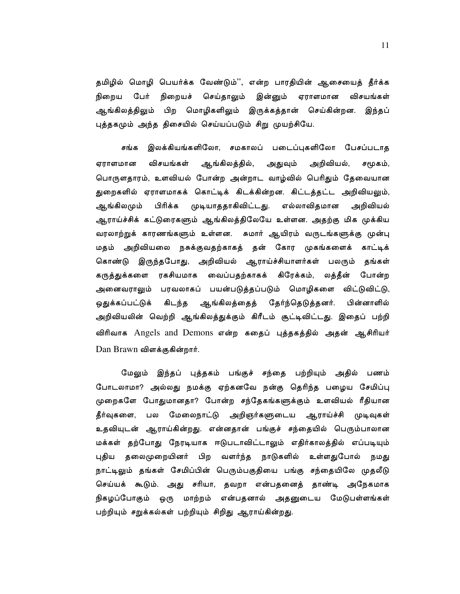தமிழில் மொழி பெயர்க்க வேண்டும்'', என்ற பாரதியின் ஆசையைத் தீர்க்க இன்னும் நிறைய பேர் நிறையச் செய்தாலும் ஏராளமான விசயங்கள் ஆங்கிலத்திலும் பிற மொழிகளிலும் இருக்கத்தான் செய்கின்றன. இந்தப் புத்தகமும் அந்த திசையில் செய்யப்படும் சிறு முயற்சியே.

சங்க இலக்கியங்களிலோ, சமகாலப் படைப்புகளிலோ பேசப்படாத விசயங்கள் ஆங்கிலத்தில், அறிவியல், ஏராளமான அதுவும் சமூகம், பொருளதாரம், உளவியல் போன்ற அன்றாட வாழ்வில் பெரிதும் தேவையான துறைகளில் ஏராளமாகக் கொட்டிக் கிடக்கின்றன. கிட்டத்தட்ட அறிவியலும், பிரிக்க முடியாததாகிவிட்டது. எல்லாவிதமான ஆங்கிலமும் அறிவியல் ஆராய்ச்சிக் கட்டுரைகளும் ஆங்கிலத்திலேயே உள்ளன. அதற்கு மிக முக்கிய வரலாற்றுக் காரணங்களும் உள்ளன. சுமார் ஆயிரம் வருடங்களுக்கு முன்பு மதம் அறிவியலை நசுக்குவதற்காகத் தன் கோர முகங்களைக் காட்டிக் கொண்டு இருந்தபோது, அறிவியல் ஆராய்ச்சியாளர்கள் பலரும் தங்கள் கருத்துக்களை ரகசியமாக வைப்பதற்காகக் கிரேக்கம், லத்தீன் போன்ற அனைவராலும் பரவலாகப் பயன்படுத்தப்படும் மொழிகளை விட்டுவிட்டு, ஒதுக்கப்பட்டுக் கிடந்த ஆங்கிலத்தைத் தேர்ந்தெடுத்தனர். பின்னாளில் அறிவியலின் வெற்றி ஆங்கிலத்துக்கும் கிரீடம் சூட்டிவிட்டது. இதைப் பற்றி விரிவாக Angels and Demons என்ற கதைப் புத்தகத்தில் அதன் ஆசிரியர் Dan Brawn விளக்குகின்றார்.

இந்தப் புத்தகம் பங்குச் சந்தை பற்றியும் அதில் பணம் மேலும் போடலாமா? அல்லது நமக்கு ஏற்கனவே நன்கு தெரிந்த பழைய சேமிப்பு முறைகளே போதுமானதா? போன்ற சந்தேகங்களுக்கும் உளவியல் ரீதியான தீர்வுகளை, பல மேலைநாட்டு அறிஞர்களுடைய ஆராய்ச்சி முடிவுகள் உதவியுடன் ஆராய்கின்றது. என்னதான் பங்குச் சந்தையில் பெரும்பாலான மக்கள் தற்போது நேரடியாக ஈடுபடாவிட்டாலும் எதிர்காலத்தில் எப்படியும் புதிய தலைமுறையினர் பிற வளர்ந்த நாடுகளில் உள்ளதுபோல் நமது நாட்டிலும் தங்கள் சேமிப்பின் பெரும்பகுதியை பங்கு சந்தையிலே முதலீடு செய்யக் கூடும். அது சரியா, தவறா என்பதனைத் தாண்டி அநேகமாக நிகழப்போகும் ஒரு மாற்றம் என்பதனால் அதனுடைய மேடுபள்ளங்கள் பற்றியும் சறுக்கல்கள் பற்றியும் சிறிது ஆராய்கின்றது.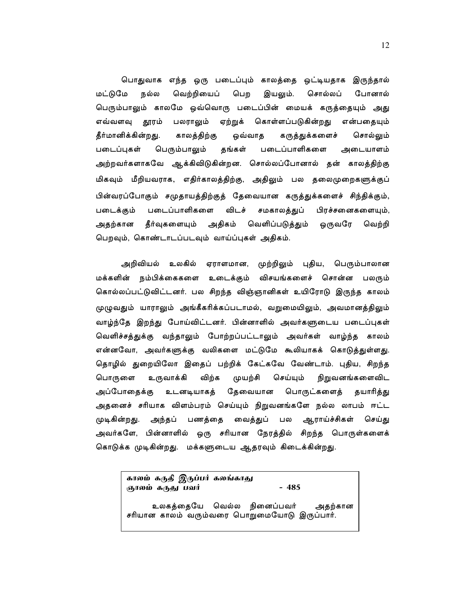பொதுவாக எந்த ஒரு படைப்பும் காலத்தை ஒட்டியதாக இருந்தால் வெற்றியைப் மட்டுமே நல்ல பெற இயலும். சொல்லப் போனால் பெரும்பாலும் காலமே ஒவ்வொரு படைப்பின் மையக் கருத்தையும் அது எவ்வளவு தூரம் பலராலும் ஏற்றுக் கொள்ளப்படுகின்றது என்பதையும் தீர்மானிக்கின்றது. காலத்திற்கு ஒவ்வாத கருத்துக்களைச் சொல்லும் படைப்புகள் பெரும்பாலும் தங்கள் படைப்பாளிகளை அடையாளம் அற்றவர்களாகவே ஆக்கிவிடுகின்றன. சொல்லப்போனால் தன் காலத்திற்கு மிகவும் மீறியவராக, எதிர்காலத்திற்கு, அதிலும் பல தலைமுறைகளுக்குப் பின்வரப்போகும் சமுதாயத்திற்குத் தேவையான கருத்துக்களைச் சிந்திக்கும், படைப்பாளிகளை விடச் சமகாலத்துப் பிரச்சனைகளையும், படைக்கும் அதற்கான தீர்வுகளையும் அதிகம் வெளிப்படுத்தும் ஒருவரே வெற்றி பெறவும், கொண்டாடப்படவும் வாய்ப்புகள் அதிகம்.

அறிவியல் உலகில் ஏராளமான, முற்றிலும் புதிய, பெரும்பாலான மக்களின் நம்பிக்கைகளை உடைக்கும் விசயங்களைச் சொன்ன பலரும் கொல்லப்பட்டுவிட்டனர். பல சிறந்த விஞ்ஞானிகள் உயிரோடு இருந்த காலம் முழுவதும் யாராலும் அங்கீகரிக்கப்படாமல், வறுமையிலும், அவமானத்திலும் வாழ்ந்தே இறந்து போய்விட்டனர். பின்னாளில் அவர்களுடைய படைப்புகள் வெளிச்சத்துக்கு வந்தாலும் போற்றப்பட்டாலும் அவர்கள் வாழ்ந்த காலம் என்னவோ, அவர்களுக்கு வலிகளை மட்டுமே கூலியாகக் கொடுத்துள்ளது. தொழில் துறையிலோ இதைப் பற்றிக் கேட்கவே வேண்டாம். புதிய, சிறந்த உருவாக்கி விற்க முயற்சி செய்யும் நிறுவனங்களைவிட பொருளை தேவையான பொருட்களைத் அப்போதைக்கு உடனடியாகத் தயாரித்து அதனைச் சரியாக விளம்பரம் செய்யும் நிறுவனங்களே நல்ல லாபம் ஈட்ட அந்தப் பணத்தை வைத்துப் பல ஆராய்ச்சிகள் செய்து முடிகின்றது. அவர்களே, பின்னாளில் ஒரு சரியான நேரத்தில் சிறந்த பொருள்களைக் கொடுக்க முடிகின்றது. மக்களுடைய ஆதரவும் கிடைக்கின்றது.

> காலம் கருதி இருப்பர் கலங்காது ஞாலம் கருது பவர்

 $-485$ 

உலகத்தையே வெல்ல நினைப்பவர் அதற்கான சரியான காலம் வரும்வரை பொறுமையோடு இருப்பார்.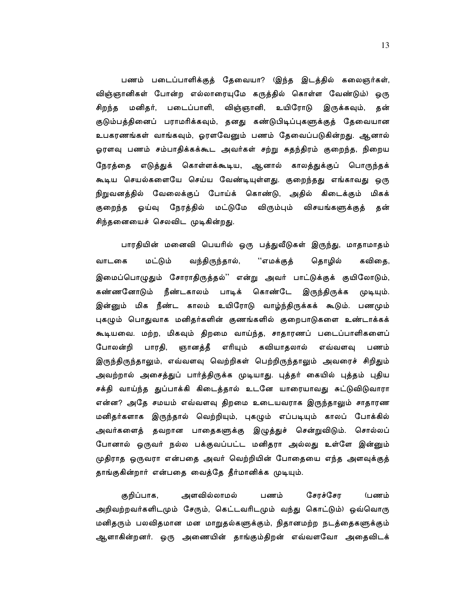பணம் படைப்பாளிக்குத் தேவையா? (இந்த இடத்தில் கலைஞர்கள், விஞ்ஞானிகள் போன்ற எல்லாரையுமே கருத்தில் கொள்ள வேண்டும்) ஒரு மனிதர், படைப்பாளி, விஞ்ஞானி, உயிரோடு இருக்கவும், தன் சிறந்த குடும்பத்தினைப் பராமரிக்கவும், தனது கண்டுபிடிப்புகளுக்குத் தேவையான உபகரணங்கள் வாங்கவும், ஓரளவேனும் பணம் தேவைப்படுகின்றது. ஆனால் ஓரளவு பணம் சம்பாதிக்கக்கூட அவர்கள் சற்று சுதந்திரம் குறைந்த, நிறைய நேரத்தை எடுத்துக் கொள்ளக்கூடிய, ஆனால் காலத்துக்குப் பொருந்தக் கூடிய செயல்களையே செய்ய வேண்டியுள்ளது. குறைந்தது எங்காவத<mark>ு</mark> ஒரு நிறுவனத்தில் வேலைக்குப் போய்க் கொண்டு, அதில் கிடைக்கும் மிகக் குறைந்த ஓய்வு நேரத்தில் மட்டுமே விரும்பும் விசயங்களுக்குத் தன் சிந்தனையைச் செலவிட முடிகின்றது.

பாரதியின் மனைவி பெயரில் ஒரு பத்துவீடுகள் இருந்து, மாதாமாதம் மட்டும் வந்திருந்தால், வாடகை ''எமக்குத் தொழில் கவிகை, இமைப்பொழுதும் சோராதிருத்தல்'' என்று அவர் பாட்டுக்குக் குயிலோடும், கண்ணனோடும் நீண்டகாலம் பாடிக் கொண்டே இருந்திருக்க முடியும். இன்னும் மிக நீண்ட காலம் உயிரோடு வாழ்ந்திருக்கக் கூடும். பணமும் புகழும் பொதுவாக மனிதர்களின் குணங்களில் குறைபாடுகளை உண்டாக்கக் கூடியவை. மற்ற, மிகவும் திறமை வாய்ந்த, சாதாரணப் படைப்பாளிகளைப் போலன்றி பாரதி, ஞானத்தீ எரியும் கவியாதலால் எவ்வளவு பணம் இருந்திருந்தாலும், எவ்வளவு வெற்றிகள் பெற்றிருந்தாலும் அவரைச் சிறிதும் அவற்றால் அசைத்துப் பார்த்திருக்க முடியாது. புத்தர் கையில் புத்தம் புதிய சக்தி வாய்ந்த துப்பாக்கி கிடைத்தால் உடனே யாரையாவது சுட்டுவிடுவாரா என்ன? அதே சமயம் எவ்வளவு திறமை உடையவராக இருந்தாலும் சாதாரண மனிதர்களாக இருந்தால் வெற்றியும், புகழும் எப்படியும் காலப் போக்கில் அவர்களைத் தவறான பாதைகளுக்கு இழுத்துச் சென்றுவிடும். சொல்லப் போனால் ஒருவர் நல்ல பக்குவப்பட்ட மனிதரா அல்லது உள்ளே இன்னும் முதிராத ஒருவரா என்பதை அவர் வெற்றியின் போதையை எந்த அளவுக்குத் தாங்குகின்றார் என்பதை வைத்தே தீர்மானிக்க முடியும்.

குறிப்பாக, அளவில்லாமல் சேரச்சேர பணம் (பணம் அறிவற்றவர்களிடமும் சேரும், கெட்டவரிடமும் வந்து கொட்டும்) ஒவ்வொரு மனிதரும் பலவிதமான மன மாறுதல்களுக்கும், நிதானமற்ற நடத்தைகளுக்கும் ஆளாகின்றனர். ஒரு அணையின் தாங்கும்திறன் எவ்வளவோ அதைவிடக்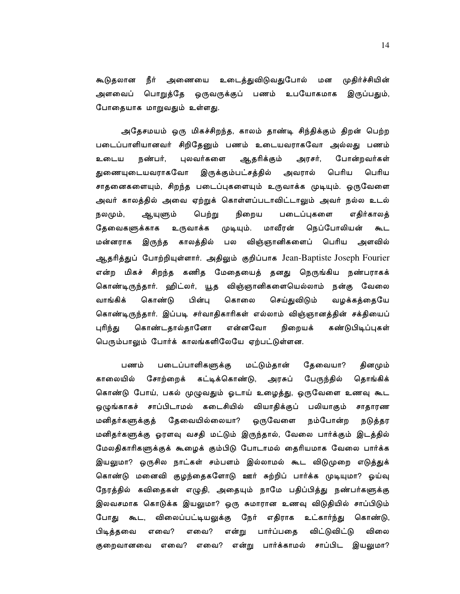நீர் அணையை உடைத்துவிடுவதுபோல் மன முதிர்ச்சியின் கூடுதலான அளவைப் பொறுத்தே ஒருவருக்குப் பணம் உபயோகமாக இருப்பதும், போதையாக மாறுவதும் உள்ளது.

அதேசமயம் ஒரு மிகச்சிறந்த, காலம் தாண்டி சிந்திக்கும் திறன் பெற்ற படைப்பாளியானவர் சிறிதேனும் பணம் உடையவராகவோ அல்லது பணம் நண்பர், புலவர்களை ஆதரிக்கும் போன்றவர்கள் உடைய அரசர், இருக்கும்பட்சத்தில் அவரால் பெரிய துணையுடையவராகவோ பெரிய சாதனைகளையும், சிறந்த படைப்புகளையும் உருவாக்க முடியும். ஒருவேளை அவர் காலத்தில் அவை ஏற்றுக் கொள்ளப்படாவிட்டாலும் அவர் நல்ல உடல் நலமும், ஆயுளும் பெற்று நிறைய படைப்புகளை எகிர்காலக் தேவைகளுக்காக உருவாக்க முடியும். மாவீரன் நெப்போலியன் கூட மன்னராக காலத்தில் பல விஞ்ஞானிகளைப் பெரிய அளவில் இருந்த ஆதரித்துப் போற்றியுள்ளார். அதிலும் குறிப்பாக Jean-Baptiste Joseph Fourier என்ற மிகச் சிறந்த கணித மேதையைத் தனது நெருங்கிய நண்பராகக் கொண்டிருந்தார். ஹிட்லர், யூத விஞ்ஞானிகளையெல்லாம் நன்கு வேலை வாங்கிக் கொண்டு பின்பு கொலை செய்துவிடும் வழக்கத்தையே கொண்டிருந்தார். இப்படி சர்வாதிகாரிகள் எல்லாம் விஞ்ஞானத்தின் சக்தியைப் என்னவோ கொண்டதால்தானோ நிறையக் கண்டுபிடிப்புகள் புரிந்து பெரும்பாலும் போர்க் காலங்களிலேயே ஏற்பட்டுள்ளன.

பணம் படைப்பாளிகளுக்கு மட்டும்தான் தேவையா? தினமும் காலையில் சோற்றைக் கட்டிக்கொண்டு, அரசுப் பேருந்தில் தொங்கிக் கொண்டு போய், பகல் முழுவதும் ஓடாய் உழைத்து, ஒருவேளை உணவு கூட ஒழுங்காகச் சாப்பிடாமல் கடைசியில் வியாதிக்குப் பலியாகும் சாதாரண தேவையில்லையா? ஒருவேளை மனிதர்களுக்குத் நம்போன்ற நடுத்தர மனிதர்களுக்கு ஓரளவு வசதி மட்டும் இருந்தால், வேலை பார்க்கும் இடத்தில் மேலதிகாரிகளுக்குக் கூழைக் கும்பிடு போடாமல் தைரியமாக வேலை பார்க்க இயலுமா? ஒருசில நாட்கள் சம்பளம் இல்லாமல் கூட விடுமுறை எடுத்துக் கொண்டு மனைவி குழந்தைகளோடு ஊர் சுற்றிப் பார்க்க முடியுமா? ஓய்வு நேரத்தில் கவிதைகள் எழுதி, அதையும் நாமே பதிப்பித்து நண்பர்களுக்கு இலவசமாக கொடுக்க இயலுமா? ஒரு சுமாரான உணவு விடுதியில் சாப்பிடும் விலைப்பட்டியலுக்கு நேர் எதிராக உட்கார்ந்து போது கூட, கொண்டு, பிடித்தவை எவை? எவை? என்று பார்ப்பதை விட்டுவிட்டு விலை குறைவானவை எவை? எவை? என்று பார்க்காமல் சாப்பிட இயலுமா?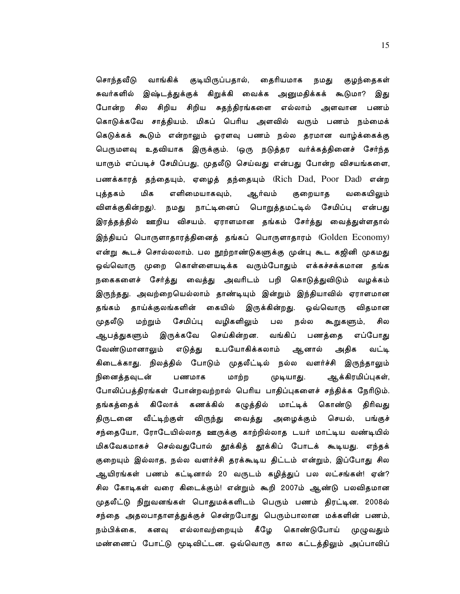சொந்தவீடு வாங்கிக் குடியிருப்பதால், தைரியமாக நமது குழந்தைகள் சுவர்களில் இஷ்டத்துக்குக் கிறுக்கி வைக்க அனுமதிக்கக் கூடுமா? இது சிறிய சிறிய சுதந்திரங்களை எல்லாம் அளவான பணம் போன்ற சில கொடுக்கவே சாத்தியம். மிகப் பெரிய அளவில் வரும் பணம் நம்மைக் கெடுக்கக் கூடும் என்றாலும் ஓரளவு பணம் நல்ல தரமான வாழ்க்கைக்கு பெருமளவு உதவியாக இருக்கும். (ஒரு நடுத்தர வர்க்கத்தினைச் சேர்ந்த யாரும் எப்படிச் சேமிப்பது, முதலீடு செய்வது என்பது போன்ற விசயங்களை, பணக்காரத் தந்தையும், ஏழைத் தந்தையும் (Rich Dad, Poor Dad) என்ற எளிமையாகவும், புத்தகம் மிக ஆர்வம் குறையாத வகையிலும் விளக்குகின்றது). நமது நாட்டினைப் பொறுத்தமட்டில் சேமிப்பு என்பது இரத்தத்தில் ஊறிய விசயம். ஏராளமான தங்கம் சேர்த்து வைத்துள்ளதால் இந்தியப் பொருளாதாரத்தினைத் தங்கப் பொருளாதாரம் (Golden Economy) என்று கூடச் சொல்லலாம். பல நூற்றாண்டுகளுக்கு முன்பு கூட கஜினி முகமது ஒவ்வொரு முறை கொள்ளையடிக்க வரும்போதும் எக்கச்சக்கமான தங்க நகைகளைச் சேர்த்து வைத்து அவரிடம் பறி கொடுத்துவிடும் வழக்கம் இருந்தது. அவற்றையெல்லாம் தாண்டியும் இன்றும் இந்தியாவில் ஏராளமான தங்கம் தாய்க்குலங்களின் கையில் இருக்கின்றது. ஒவ்வொரு விதமான சேமிப்பு வழிகளிலும் முதலீடு மற்றும் பல நல்ல கூறுகளும், சில ஆபத்துகளும் இருக்கவே செய்கின்றன. வங்கிப் பணத்தை எப்போது வேண்டுமானாலும் உபயோகிக்கலாம் ஆனால் எடுத்து அதிக வட்டி கிடைக்காது. நிலத்தில் போடும் முதலீட்டில் நல்ல வளர்ச்சி இருந்தாலும் நினைத்தவுடன் பணமாக மாற்ற முடியாது. ஆக்கிரமிப்புகள், போலிப்பத்திரங்கள் போன்றவற்றால் பெரிய பாதிப்புகளைச் சந்திக்க நேரிடும். தங்கத்தைக் கிலோக் கணக்கில் கழுத்தில் மாட்டிக் கொண்டு திரிவது திருடனை வீட்டிற்குள் விருந்து வைத்து அழைக்கும் செயல், பங்குச் சந்தையோ, ரோடேயில்லாத ஊருக்கு காற்றில்லாத டயர் மாட்டிய வண்டியில் மிகவேகமாகச் செல்வதுபோல் தூக்கித் தூக்கிப் போடக் கூடியது. எந்தக<mark>்</mark> குறையும் இல்லாத, நல்ல வளர்ச்சி தரக்கூடிய திட்டம் என்றும், இப்போது சில ஆயிரங்கள் பணம் கட்டினால் 20 வருடம் கழித்துப் பல லட்சங்கள்! ஏன்? சில கோடிகள் வரை கிடைக்கும்! என்றும் கூறி 2007ம் ஆண்டு பலவிதமான முதலீட்டு நிறுவனங்கள் பொதுமக்களிடம் பெரும் பணம் திரட்டின. 2008ல் சந்தை அதலபாதாளத்துக்குச் சென்றபோது பெரும்பாலான மக்களின் பணம், நம்பிக்கை, கனவு எல்லாவற்றையும் கீழே கொண்டுபோய் முழுவதும் மண்ணைப் போட்டு மூடிவிட்டன. ஒவ்வொரு கால கட்டத்திலும் அப்பாவிப்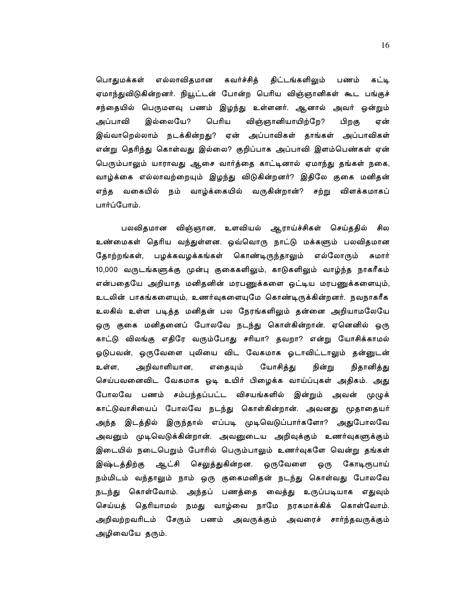பொதுமக்கள் எல்லாவிதமான கவர்ச்சித் திட்டங்களிலும் கட்டி பணம் ஏமாந்துவிடுகின்றனர். நியூட்டன் போன்ற பெரிய விஞ்ஞானிகள் கூட பங்குச் சந்தையில் பெருமளவு பணம் இழந்து உள்ளனர். ஆனால் அவர் ஒன்றும் இல்லையே? பெரிய விஞ்ஞானியாயிற்றே? அப்பாவி பிறகு ஏன் இவ்வாறெல்லாம் நடக்கின்றது? ஏன் அப்பாவிகள் தாங்கள் அப்பாவிகள் என்று தெரிந்து கொள்வது இல்லை? குறிப்பாக அப்பாவி இளம்பெண்கள் ஏன் பெரும்பாலும் யாராவது ஆசை வார்த்தை காட்டினால் ஏமாந்து தங்கள் நகை, வாழ்க்கை எல்லாவற்றையும் இழந்து விடுகின்றனர்? இதிலே குகை மனிதன் எந்த வகையில் நம் வாழ்க்கையில் வருகின்றான்? சற்று விளக்கமாகப் பார்ப்போம்.

பலவிதமான விஞ்ஞான, உளவியல் ஆராய்ச்சிகள் செய்ததில் சில உண்மைகள் தெரிய வந்துள்ளன. ஒவ்வொரு நாட்டு மக்களும் பலவிதமான தோற்றங்கள், பழக்கவழக்கங்கள் கொண்டிருந்தாலும் எல்லோரும் சுமார் 10,000 வருடங்களுக்கு முன்பு குகைகளிலும், காடுகளிலும் வாழ்ந்த நாகரீகம் என்பதையே அறியாத மனிதனின் மரபணுக்களை ஒட்டிய மரபணுக்களையும், உடலின் பாகங்களையும், உணர்வுகளையுமே கொண்டிருக்கின்றனர். நவநாகரீக உலகில் உள்ள படித்த மனிதன் பல நேரங்களிலும் தன்னை அறியாமலேயே ஒரு குகை மனிதனைப் போலவே நடந்து கொள்கின்றான். ஏனெனில் ஒரு காட்டு விலங்கு எதிரே வரும்போது சரியா? தவறா? என்று யோசிக்காமல் ஓடுபவன், ஒருவேளை புலியை விட வேகமாக ஓடாவிட்டாலும் தன்னுடன் எதையும் யோசித்து உள்ள, அறிவாளியான, நின்று நிதானித்து செய்பவனைவிட வேகமாக ஓடி உயிர் பிழைக்க வாய்ப்புகள் அதிகம். அது போலவே பணம் சம்பந்தப்பட்ட விசயங்களில் இன்றும் அவன் முழுக் காட்டுவாசியைப் போலவே நடந்து கொள்கின்றான். அவனது மூதாதையர் அந்த இடத்தில் இருந்தால் எப்படி முடிவெடுப்பார்களோ? அதுபோலவே அவனும் முடிவெடுக்கின்றான். அவனுடைய அறிவுக்கும் உணர்வுகளுக்கும் இடையில் நடைபெறும் போரில் பெரும்பாலும் உணர்வுகளே வென்று தங்கள் இஷ்டத்திற்கு ஆட்சி செலுத்துகின்றன. ஒருவேளை கோடிரூபாய் ஒரு நம்மிடம் வந்தாலும் நாம் ஒரு குகைமனிதன் நடந்து கொள்வது போலவே நடந்து கொள்வோம். அந்தப் பணத்தை வைத்து உருப்படியாக எதுவும் செய்யத் தெரியாமல் நமது வாழ்வை நாமே நரகமாக்கிக் கொள்வோம். அறிவற்றவரிடம் சேரும் பணம் அவருக்கும் அவரைச் சார்ந்தவருக்கும் அழிவையே தரும்.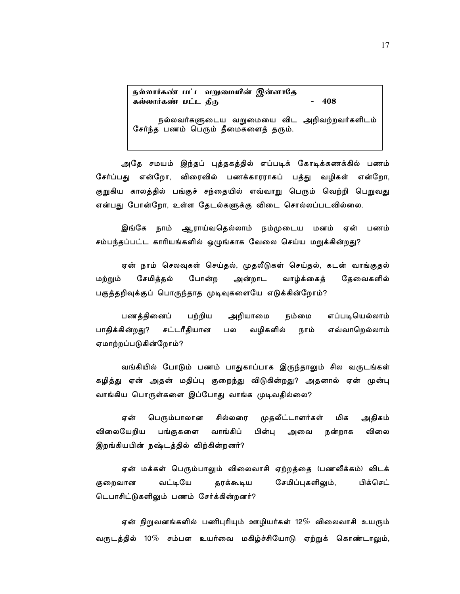|                      | நல்லார்கண் பட்ட வறுமையின் இன்னாதே |  |       |  |
|----------------------|-----------------------------------|--|-------|--|
| கல்லார்கண் பட்ட தீரு |                                   |  | - 408 |  |

நல்லவர்களுடைய வறுமையை விட அறிவற்றவர்களிடம் சேர்ந்த பணம் பெரும் தீமைகளைத் தரும்.

அதே சமயம் இந்தப் புத்தகத்தில் எப்படிக் கோடிக்கணக்கில் பணம் சேர்ப்பது என்றோ, விரைவில் பணக்காரராகப் பத்து வழிகள் என்றோ, குறுகிய காலத்தில் பங்குச் சந்தையில் எவ்வாறு பெரும் வெற்றி பெறுவது என்பது போன்றோ, உள்ள தேடல்களுக்கு விடை சொல்லப்படவில்லை.

இங்கே நாம் ஆராய்வதெல்லாம் நம்முடைய மனம் ஏன் பணம் சம்பந்தப்பட்ட காரியங்களில் ஒழுங்காக வேலை செய்ய மறுக்கின்றது?

ஏன் நாம் செலவுகள் செய்தல், முதலீடுகள் செய்தல், கடன் வாங்குதல் சேமிக்கல் போன்ற மற்றும் அன்றாட வாழ்க்கைத் கேவைகளில் பகுத்தறிவுக்குப் பொருந்தாத முடிவுகளையே எடுக்கின்றோம்?

பணத்தினைப் பற்றிய எப்படியெல்லாம் அறியாமை நம்மை வழிகளில் பாதிக்கின்றது? சட்டரீதியான எவ்வாறெல்லாம் பல நாம் ஏமாற்றப்படுகின்றோம்?

வங்கியில் போடும் பணம் பாதுகாப்பாக இருந்தாலும் சில வருடங்கள் கழித்து ஏன் அதன் மதிப்பு குறைந்து விடுகின்றது? அதனால் ஏன் முன்பு வாங்கிய பொருள்களை இப்போது வாங்க முடிவதில்லை?

பெரும்பாலான சில்லரை ஏன் முகலீட்டாளர்கள் மிக அதிகம் விலையேறிய விலை பங்குகளை வாங்கிப் பின்பு அவை நன்றாக இறங்கியபின் நஷ்டத்தில் விற்கின்றனர்?

ஏன் மக்கள் பெரும்பாலும் விலைவாசி ஏற்றத்தை (பணவீக்கம்) விடக் பிக்செட் குறைவான வட்டியே சேமிப்புகளிலும், தரக்கூடிய டெபாசிட்டுகளிலும் பணம் சேர்க்கின்றனர்?

ஏன் நிறுவனங்களில் பணிபுரியும் ஊழியர்கள் 12 $\%$  விலைவாசி உயரும் வருடத்தில் 10 $\%$  சம்பள உயர்வை மகிழ்ச்சியோடு ஏற்றுக் கொண்டாலும்,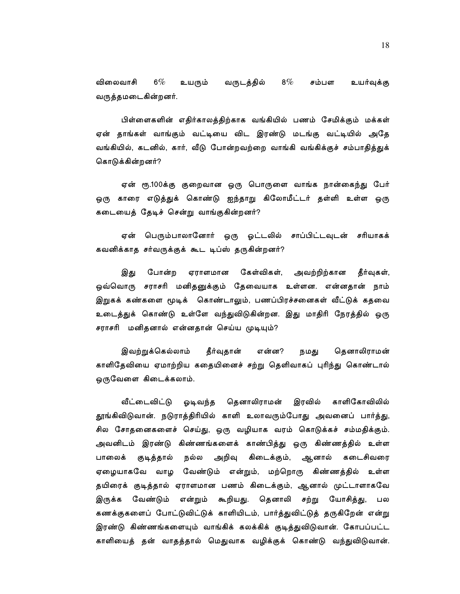$6\%$ 8%  $\%$ விலைவாசி உயரும் வருடத்தில் சம்பள உயர்வுக்கு வருத்தமடைகின்றனர்.

பிள்ளைகளின் எதிர்காலத்திற்காக வங்கியில் பணம் சேமிக்கும் மக்கள் ஏன் தாங்கள் வாங்கும் வட்டியை விட இரண்டு மடங்கு வட்டியில் அதே வங்கியில், கடனில், கார், வீடு போன்றவற்றை வாங்கி வங்கிக்குச் சம்பாதித்துக் கொடுக்கின்றனர்?

ஏன் ரூ.100க்கு குறைவான ஒரு பொருளை வாங்க நான்கைந்து பேர் .<br>ஒரு காரை எடுத்துக் கொண்டு ஐந்தாறு கிலோமீட்டர் தள்ளி உள்ள ஒரு கடையைத் தேடிச் சென்று வாங்குகின்றனர்?

பெரும்பாலானோர் ஒரு ஓட்டலில் சாப்பிட்டவுடன் சரியாகக் ஏன் கவனிக்காத சர்வருக்குக் கூட டிப்ஸ் தருகின்றனர்?

இது போன்ற ஏராளமான கேள்விகள், அவற்றிற்கான தீர்வுகள், ஒவ்வொரு சராசரி மனிதனுக்கும் தேவையாக உள்ளன. என்னதான் நாம் இறுகக் கண்களை மூடிக் கொண்டாலும், பணப்பிரச்சனைகள் வீட்டுக் கதவை உடைத்துக் கொண்டு உள்ளே வந்துவிடுகின்றன. இது மாதிரி நேரத்தில் ஒரு சராசரி மனிதனால் என்னதான் செய்ய முடியும்?

இவற்றுக்கெல்லாம் தீர்வுதான் என்ன? நமது தௌாலிராமன் காளிதேவியை ஏமாற்றிய கதையினைச் சற்று தெளிவாகப் புரிந்து கொண்டால் ஒருவேளை கிடைக்கலாம்.

வீட்டைவிட்டு ஓடிவந்த கௌாலிராமன் இரவில் காளிகோவிலில் தூங்கிவிடுவான். நடுராத்திரியில் காளி உலாவரும்போது அவனைப் பார்த்து, சில சோதனைகளைச் செய்து, ஒரு வழியாக வரம் கொடுக்கச் சம்மதிக்கும். அவனிடம் இரண்டு கிண்ணங்களைக் காண்பித்து ஒரு கிண்ணத்தில் உள்ள குடித்தால் பாலைக் நல்ல அறிவு கிடைக்கும், ஆனால் கடைசிவரை ஏழையாகவே வாழ வேண்டும் என்றும், மற்றொரு கிண்ணத்தில் உள்ள தயிரைக் குடித்தால் ஏராளமான பணம் கிடைக்கும், ஆனால் முட்டாளாகவே வேண்டும் என்றும் கூறியது. தெனாலி சற்று யோசித்து, இருக்க பல கணக்குகளைப் போட்டுவிட்டுக் காளியிடம், பார்த்துவிட்டுத் தருகிறேன் என்று இரண்டு கிண்ணங்களையும் வாங்கிக் கலக்கிக் குடித்துவிடுவான். கோபப்பட்ட காளியைத் தன் வாதத்தால் மெதுவாக வழிக்குக் கொண்டு வந்துவிடுவான்.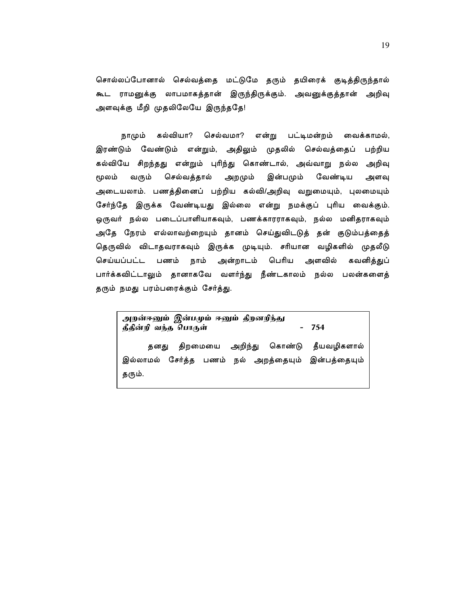சொல்லப்போனால் செல்வத்தை மட்டுமே தரும் தயிரைக் குடித்திருந்தால் கூட ராமனுக்கு லாபமாகத்தான் இருந்திருக்கும். அவனுக்குத்தான் அறிவு அளவுக்கு மீறி முதலிலேயே இருந்ததே!

கல்வியா? செல்வமா? நாமும் என்று பட்டிமன்றம் வைக்காமல், இரண்டும் வேண்டும் என்றும், அதிலும் முதலில் செல்வத்தைப் பற்றிய கல்வியே சிறந்தது என்றும் புரிந்து கொண்டால், அவ்வாறு நல்ல அறிவு மூலம் வரும் செல்வத்தால் அறமும் இன்பமும் வேண்டிய அளவு அடையலாம். பணத்தினைப் பற்றிய கல்வி/அறிவு வறுமையும், புலமையும் சேர்ந்தே இருக்க வேண்டியது இல்லை என்று நமக்குப் புரிய வைக்கும். ஒருவர் நல்ல படைப்பாளியாகவும், பணக்காரராகவும், நல்ல மனிதராகவும் அதே நேரம் எல்லாவற்றையும் தானம் செய்துவிடடுத் தன் குடும்பத்தைத் தெருவில் விடாதவராகவும் இருக்க முடியும். சரியான வழிகளில் முதலீடு செய்யப்பட்ட பணம் நாம் அன்றாடம் பெரிய அளவில் கவனித்துப் பார்க்கவிட்டாலும் தானாகவே வளர்ந்து நீண்டகாலம் நல்ல பலன்களைத் தரும் நமது பரம்பரைக்கும் சேர்த்து.

அறன்ஈனும் இன்பமும் ஈனும் திறனறிந்து  $-754$ தீதின்றி வந்த பொருள் திறமையை அறிந்து கொண்டு தீயவழிகளால் தனது இல்லாமல் சேர்த்த பணம் நல் அறத்தையும் இன்பத்தையும் தரும்.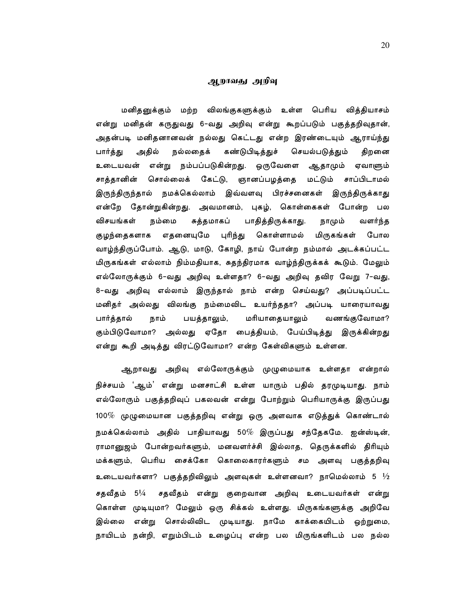#### ஆறாவது அறிவு

மனிதனுக்கும் மற்ற விலங்குகளுக்கும் உள்ள பெரிய வித்தியாசம் என்று மனிதன் கருதுவது 6-வது அறிவு என்று கூறப்படும் பகுத்தறிவுதான், அதன்படி மனிதனானவன் நல்லது கெட்டது என்ற இரண்டையும் ஆராய்ந்து அதில் கண்டுபிடித்துச் செயல்படுத்தும் பார்த்து நல்லதைக் திறனை உடையவன் என்று நம்பப்படுகின்றது. ஒருவேளை ஆதாமும் ஏவாளும் சொல்லைக் கேட்டு, ஞானப்பழத்தை மட்டும் சாப்பிடாமல் சாத்தானின் இருந்திருந்தால் நமக்கெல்லாம் இவ்வளவு பிரச்சனைகள் இருந்திருக்காது என்றே தோன்றுகின்றது. அவமானம், புகழ், கொள்கைகள் போன்ற பல பாதித்திருக்காது. விசயங்கள் நம்மை சுத்தமாகப் நாமும் வளர்ந்த எதனையுமே புரிந்து மிருகங்கள் குழந்தைகளாக கொள்ளாமல் போல வாழ்ந்திருப்போம். ஆடு, மாடு, கோழி, நாய் போன்ற நம்மால் அடக்கப்பட்ட மிருகங்கள் எல்லாம் நிம்மதியாக, சுதந்திரமாக வாழ்ந்திருக்கக் கூடும். மேலும் எல்லோருக்கும் 6-வது அறிவு உள்ளதா? 6-வது அறிவு தவிர வேறு 7-வது, 8-வது அறிவு எல்லாம் இருந்தால் நாம் என்ற செய்வது? அப்படிப்பட்ட மனிதர் அல்லது விலங்கு நம்மைவிட உயர்ந்ததா? அப்படி யாரையாவது மரியாதையாலும் பார்த்தால் நாம் பயத்தாலும், வணங்குவோமா? கும்பிடுவோமா? அல்லது ஏதோ பைத்தியம், பேய்பிடித்து இருக்கின்றது என்று கூறி அடித்து விரட்டுவோமா? என்ற கேள்விகளும் உள்ளன.

ஆறாவது அறிவு எல்லோருக்கும் முழுமையாக உள்ளதா என்றால் நிச்சயம் 'ஆம்' என்று மனசாட்சி உள்ள யாரும் பதில் தரமுடியாது. நாம் எல்லோரும் பகுத்தறிவுப் பகலவன் என்று போற்றும் பெரியாருக்கு இருப்பது 100 $\%$  முழுமையான பகுத்தறிவு என்று ஒரு அளவாக எடுத்துக் கொண்டால் நமக்கெல்லாம் அதில் பாதியாவது 50 $\%$  இருப்பது சந்தேகமே. ஐன்ஸ்டின், ராமானுஜம் போன்றவர்களும், மனவளர்ச்சி இல்லாத, தெருக்களில் திரியும் மக்களும், பெரிய சைக்கோ கொலைகாரர்களும் சம அளவு பகுத்தறிவு உடையவர்களா? பகுத்தறிவிலும் அளவுகள் உள்ளனவா? நாமெல்லாம் 5  $\frac{1}{2}$ சதவீதம் 5½ சதவீதம் என்று குறைவான அறிவு உடையவர்கள் என்று கொள்ள முடியுமா? மேலும் ஒரு சிக்கல் உள்ளது. மிருகங்களுக்கு அறிவே என்று சொல்லிவிட முடியாது. நாமே காக்கையிடம் ஒற்றுமை, இல்லை நாயிடம் நன்றி, எறும்பிடம் உழைப்பு என்ற பல மிருங்களிடம் பல நல்ல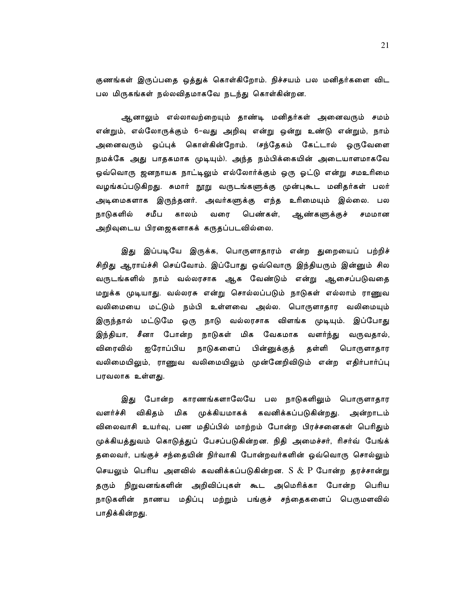குணங்கள் இருப்பதை ஒத்துக் கொள்கிறோம். நிச்சயம் பல மனிதர்களை விட பல மிருகங்கள் நல்லவிதமாகவே நடந்து கொள்கின்றன.

ஆனாலும் எல்லாவற்றையும் தாண்டி மனிதர்கள் அனைவரும் சமம் என்றும், எல்லோருக்கும் 6-வது அறிவு என்று ஒன்று உண்டு என்றும், நாம் அனைவரும் ஒப்புக் கொள்கின்றோம். (சந்தேகம் கேட்டால் ஒருவேளை நமக்கே அது பாதகமாக முடியும்). அந்த நம்பிக்கையின் அடையாளமாகவே ஒவ்வொரு ஜனநாயக நாட்டிலும் எல்லோர்க்கும் ஒரு ஓட்டு என்று சமஉரிமை வழங்கப்படுகிறது. சுமார் நூறு வருடங்களுக்கு முன்புகூட மனிதர்கள் பலர் அடிமைகளாக இருந்தனர். அவர்களுக்கு எந்த உரிமையும் இல்லை. பல நாடுகளில் சமீப காலம் பெண்கள், வரை ஆண்களுக்குச் சமமான அறிவுடைய பிரஜைகளாகக் கருதப்படவில்லை.

இது இப்படியே இருக்க, பொருளாதாரம் என்ற துறையைப் பற்றிச் சிறிது ஆராய்ச்சி செய்வோம். இப்போது ஒவ்வொரு இந்தியரும் இன்னும் சில வருடங்களில் நாம் வல்லரசாக ஆக வேண்டும் என்று ஆசைப்படுவதை மறுக்க முடியாது. வல்லரசு என்று சொல்லப்படும் நாடுகள் எல்லாம் ராணுவ வலிமையை மட்டும் நம்பி உள்ளவை அல்ல. பொருளாதார வலிமையும் இருந்தால் மட்டுமே ஒரு நாடு வல்லரசாக விளங்க முடியும். இப்போது இந்தியா, சீனா போன்ற நாடுகள் மிக வேகமாக வளர்ந்து வருவதால், விரைவில் ஐரோப்பிய நாடுகளைப் பின்னுக்குத் தள்ளி பொருளாதார வலிமையிலும், ராணுவ வலிமையிலும் முன்னேறிவிடும் என்ற எதிர்பார்ப்பு பரவலாக உள்ளது.

இது போன்ற காரணங்களாலேயே பல நாடுகளிலும் பொருளாதார வளர்ச்சி விகிதம் மிக முக்கியமாகக் கவனிக்கப்படுகின்றது. அன்றாடம் விலைவாசி உயர்வு, பண மதிப்பில் மாற்றம் போன்ற பிரச்சனைகள் பெரிதும் முக்கியத்துவம் கொடுத்துப் பேசப்படுகின்றன. நிதி அமைச்சர், ரிசர்வ் பேங்க் தலைவர், பங்குச் சந்தையின் நிர்வாகி போன்றவர்களின் ஒவ்வொரு சொல்லும் செயலும் பெரிய அளவில் கவனிக்கப்படுகின்றன. S & P போன்ற தரச்சான்று தரும் நிறுவனங்களின் அறிவிப்புகள் கூட அமெரிக்கா போன்ற பெரிய நாடுகளின் நாணய மதிப்பு மற்றும் பங்குச் சந்தைகளைப் பெருமளவில் பாதிக்கின்றது.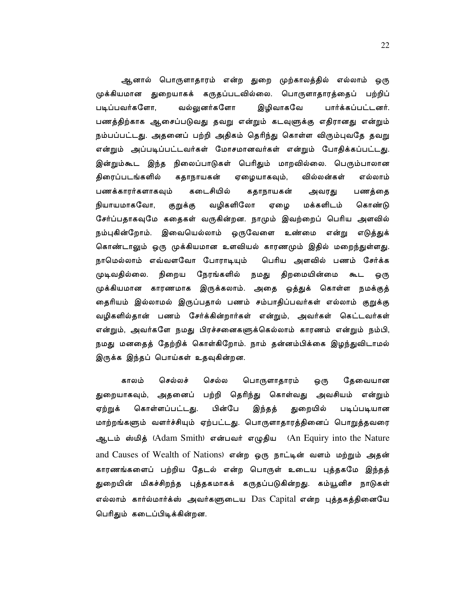ஆனால் பொருளாதாரம் என்ற துறை முற்காலத்தில் எல்லாம் ஒரு முக்கியமான துறையாகக் கருதப்படவில்லை. பொருளாதாரத்தைப் பற்றிப் வல்லுனர்களோ இழிவாகவே படிப்பவர்களோ, பார்க்கப்பட்டனர். பணத்திற்காக ஆசைப்படுவது தவறு என்றும் கடவுளுக்கு எதிரானது என்றும் நம்பப்பட்டது. அதனைப் பற்றி அதிகம் தெரிந்து கொள்ள விரும்புவதே தவறு என்றும் அப்படிப்பட்டவர்கள் மோசமானவர்கள் என்றும் போதிக்கப்பட்டது. இன்றும்கூட இந்த நிலைப்பாடுகள் பெரிதும் மாறவில்லை. பெரும்பாலான திரைப்படங்களில் கதாநாயகன் ஏழையாகவும், வில்லன்கள் எல்லாம் கடைசியில் பணக்காரர்களாகவும் கதாநாயகன் பணத்தை அவரது நியாயமாகவோ, குறுக்கு வழிகளிலோ ஏழை மக்களிடம் கொண்டு சேர்ப்பதாகவுமே கதைகள் வருகின்றன. நாமும் இவற்றைப் பெரிய அளவில் நம்புகின்றோம். இவையெல்லாம் ஒருவேளை உண்மை என்று எடுத்துக் கொண்டாலும் ஒரு முக்கியமான உளவியல் காரணமும் இதில் மறைந்துள்ளது. நாமெல்லாம் எவ்வளவோ போராடியும் பெரிய அளவில் பணம் சேர்க்க முடிவகில்லை. நிறைய நேரங்களில் நமது திறமையின்மை கூட ஒரு முக்கியமான காரணமாக இருக்கலாம். அதை ஒத்துக் கொள்ள நமக்குத் தைரியம் இல்லாமல் இருப்பதால் பணம் சம்பாதிப்பவர்கள் எல்லாம் குறுக்கு வழிகளில்தான் பணம் சேர்க்கின்றார்கள் என்றும், அவர்கள் கெட்டவர்கள் என்றும், அவர்களே நமது பிரச்சனைகளுக்கெல்லாம் காரணம் என்றும் நம்பி, நமது மனதைத் தேற்றிக் கொள்கிறோம். நாம் தன்னம்பிக்கை இழந்துவிடாமல் இருக்க இந்தப் பொய்கள் உதவுகின்றன.

தேவையான காலம் செல்லச் செல்ல பொருளாதாரம் ஒரு துறையாகவும், அதனைப் பற்றி தெரிந்து கொள்வது அவசியம் என்றும் பின்பே கொள்ளப்பட்டது. இந்தத் துறையில் படிப்படியான ஏற்றுக் மாற்றங்களும் வளர்ச்சியும் ஏற்பட்டது. பொருளாதாரத்தினைப் பொறுத்தவரை ஆடம் ஸ்மித் (Adam Smith) என்பவர் எழுதிய (An Equiry into the Nature and Causes of Wealth of Nations) என்ற ஒரு நாட்டின் வளம் மற்றும் அதன் காரணங்களைப் பற்றிய தேடல் என்ற பொருள் உடைய புத்தகமே இந்தத் துறையின் மிகச்சிறந்த புத்தகமாகக் கருதப்படுகின்றது. கம்யூனிச நாடுகள் எல்லாம் கார்ல்மார்க்ஸ் அவர்களுடைய Das Capital என்ற புத்தகத்தினையே பெரிதும் கடைப்பிடிக்கின்றன.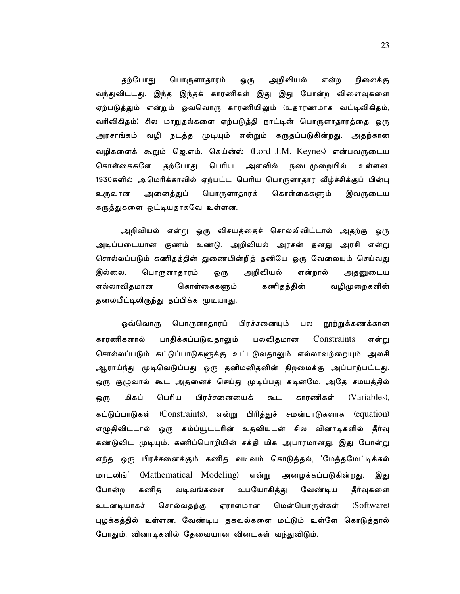தற்போது பொருளாதாரம் அறிவியல் என்ற நிலைக்கு ஒரு வந்துவிட்டது. இந்த இந்தக் காரணிகள் இது இது போன்ற விளைவுகளை ஏற்படுத்தும் என்றும் ஒவ்வொரு காரணியிலும் (உதாரணமாக வட்டிவிகிதம், வரிவிகிதம்) சில மாறுதல்களை ஏற்படுத்தி நாட்டின் பொருளாதாரத்தை ஒரு வழி நடத்த முடியும் என்றும் கருதப்படுகின்றது. அதற்கான அரசாங்கம் வழிகளைக் கூறும் ஜெ.எம். கெய்ன்ஸ் (Lord J.M. Keynes) என்பவருடைய கொள்கைகளே தற்போது பெரிய அளவில் நடைமுறையில் உள்ளன. 1930களில் அமெரிக்காவில் ஏற்பட்ட பெரிய பொருளாதார வீழ்ச்சிக்குப் பின்பு உருவான அனைத்துப் பொருளாதாரக் கொள்கைகளும் இவருடைய கருத்துகளை ஒட்டியதாகவே உள்ளன.

அறிவியல் என்று ஒரு விசயத்தைச் சொல்லிவிட்டால் அதற்கு ஒரு அடிப்படையான குணம் உண்டு. அறிவியல் அரசன் தனது அரசி என்று சொல்லப்படும் கணிதத்தின் துணையின்றித் தனியே ஒரு வேலையும் செய்வது இல்லை. பொருளாதாரம் ஒரு அறிவியல் என்றால் அதனுடைய எல்லாவிதமான கொள்கைகளும் கணிதத்தின் வழிமுறைகளின் தலையீட்டிலிருந்து தப்பிக்க முடியாது.

பொருளாதாரப் பிரச்சனையும் ஒவ்வொரு பல நூற்றுக்கணக்கான பலவிதமான காாணிகளால் பாதிக்கப்படுவதாலும் Constraints என்று சொல்லப்படும் கட்டுப்பாடுகளுக்கு உட்படுவதாலும் எல்லாவற்றையும் அலசி ஆராய்ந்து முடிவெடுப்பது ஒரு தனிமனிதனின் திறமைக்கு அப்பாற்பட்டது. ஒரு குழுவால் கூட அதனைச் செய்து முடிப்பது கடினமே. அதே சமயத்தில் பெரிய காரணிகள் (Variables). மிகப் பிரச்சனையைக் கூட ஒரு கட்டுப்பாடுகள் (Constraints), என்று பிரித்துச் சமன்பாடுகளாக (equation) எழுதிவிட்டால் ஒரு கம்ப்யூட்டரின் உதவியுடன் சில வினாடிகளில் தீர்வு கண்டுவிட முடியும். கணிப்பொறியின் சக்தி மிக அபாரமானது. இது போன்று எந்த ஒரு பிரச்சனைக்கும் கணித வடிவம் கொடுத்தல், 'மேத்தமேட்டிக்கல் மாடலிங்' (Mathematical Modeling) என்று அழைக்கப்படுகின்றது. இது போன்ற கணிக வடிவங்களை உபயோகித்து வேண்டிய தீர்வுகளை உடனடியாகச் சொல்வதற்கு ஏராளமான மென்பொருள்கள் (Software) புழக்கத்தில் உள்ளன. வேண்டிய தகவல்களை மட்டும் உள்ளே கொடுத்தால் போதும், வினாடிகளில் தேவையான விடைகள் வந்துவிடும்.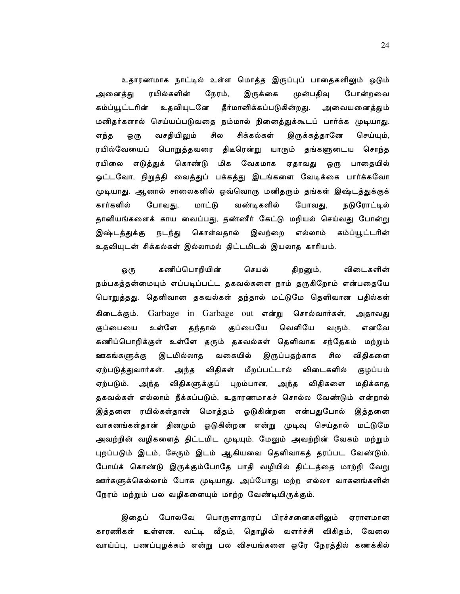உதாரணமாக நாட்டில் உள்ள மொத்த இருப்புப் பாதைகளிலும் ஓடும் அனைத்து ரயில்களின் நேரம், இருக்கை முன்பதிவு போன்றவை உதவியுடனே தீர்மானிக்கப்படுகின்றது. கம்ப்யூட்டரின் அவையனைத்தும் மனிதர்களால் செய்யப்படுவதை நம்மால் நினைத்துக்கூடப் பார்க்க முடியாது. வசதியிலும் சில சிக்கல்கள் எந்த இருக்கத்தானே செய்யும், ஒரு ரயில்வேயைப் பொறுத்தவரை திடீரென்று யாரும் தங்களுடைய சொந்த ரயிலை எடுத்துக் கொண்டு மிக வேகமாக ஏதாவது ஒரு பாதையில் ஓட்டவோ, நிறுத்தி வைத்துப் பக்கத்து இடங்களை வேடிக்கை பார்க்கவோ முடியாது. ஆனால் சாலைகளில் ஒவ்வொரு மனிதரும் தங்கள் இஷ்டத்துக்குக் கார்களில் போவது, மாட்டு வண்டிகளில் போவது, நடுரோட்டில் தானியங்களைக் காய வைப்பது, தண்ணீர் கேட்டு மறியல் செய்வது போன்று கொள்வதால் இவற்றை எல்லாம் கம்ப்யூட்டரின் இஷ்டத்துக்கு நடந்து உதவியுடன் சிக்கல்கள் இல்லாமல் திட்டமிடல் இயலாத காரியம்.

கணிப்பொறியின் செயல் திறனும், விடைகளின் ஒரு நம்பகத்தன்மையும் எப்படிப்பட்ட தகவல்களை நாம் தருகிறோம் என்பதையே பொறுத்தது. தெளிவான தகவல்கள் தந்தால் மட்டுமே தெளிவான பதில்கள் கிடைக்கும். Garbage in Garbage out என்று சொல்வார்கள், அதாவது உள்ளே தந்தால் குப்பையே வெளியே குப்பையை வரும். எனவே கணிப்பொறிக்குள் உள்ளே தரும் தகவல்கள் தெளிவாக சந்தேகம் மற்றும் ஊகங்களுக்கு இடமில்லாத வகையில் இருப்பதற்காக சில விதிகளை ஏற்படுத்துவார்கள். அந்த விதிகள் மீறப்பட்டால் விடைகளில் குழப்பம் ஏற்படும். அந்த விதிகளுக்குப் புறம்பான, அந்த விதிகளை மதிக்காத தகவல்கள் எல்லாம் நீக்கப்படும். உதாரணமாகச் சொல்ல வேண்டும் என்றால் இத்தனை ரயில்கள்தான் மொத்தம் ஓடுகின்றன என்பதுபோல் இத்தனை வாகனங்கள்தான் தினமும் ஓடுகின்றன என்று முடிவு செய்தால் மட்டுமே அவற்றின் வழிகளைத் திட்டமிட முடியும். மேலும் அவற்றின் வேகம் மற்றும் புறப்படும் இடம், சேரும் இடம் ஆகியவை தெளிவாகத் தரப்பட வேண்டும். போய்க் கொண்டு இருக்கும்போதே பாதி வழியில் திட்டத்தை மாற்றி வேறு ஊர்களுக்கெல்லாம் போக முடியாது. அப்போது மற்ற எல்லா வாகனங்களின் நேரம் மற்றும் பல வழிகளையும் மாற்ற வேண்டியிருக்கும்.

போலவே பொருளாதாரப் பிரச்சனைகளிலும் இதைப் ஏராளமான காரணிகள் உள்ளன. வட்டி வீதம், தொழில் வளர்ச்சி விகிதம், வேலை வாய்ப்பு, பணப்புழக்கம் என்று பல விசயங்களை ஒரே நேரத்தில் கணக்கில்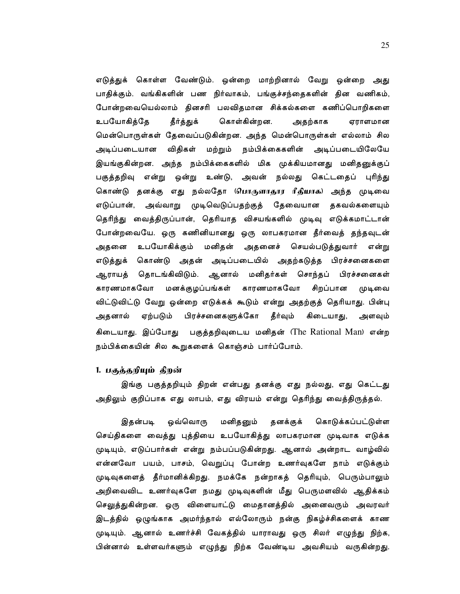எடுத்துக் கொள்ள வேண்டும். ஒன்றை மாற்றினால் வேறு ஒன்றை அது பாதிக்கும். வங்கிகளின் பண நிர்வாகம், பங்குச்சந்தைகளின் தின வணிகம், போன்றவையெல்லாம் தினசரி பலவிதமான சிக்கல்களை கணிப்பொறிகளை உபயோகித்தே கொள்கின்றன. தீர்த்துக் அதற்காக ஏராளமான மென்பொருள்கள் தேவைப்படுகின்றன. அந்த மென்பொருள்கள் எல்லாம் சில அடிப்படையான விதிகள் மற்றும் நம்பிக்கைகளின் அடிப்படையிலேயே இயங்குகின்றன. அந்த நம்பிக்கைகளில் மிக முக்கியமானது மனிதனுக்குப் பகுத்தறிவு என்று ஒன்று உண்டு, அவன் நல்லது கெட்டதைப் புரிந்து கொண்டு தனக்கு எது நல்லதோ (பொருளாதூர ரீதியாக) அந்த முடிவை எடுப்பான், அவ்வாறு முடிவெடுப்பதற்குத் தேவையான தகவல்களையும் தெரிந்து வைத்திருப்பான், தெரியாத விசயங்களில் முடிவு எடுக்கமாட்டான் போன்றவையே. ஒரு கணினியானது ஒரு லாபகரமான தீர்வைத் தந்தவுடன் உபயோகிக்கும் மனிதன் அதனைச் செயல்படுத்துவார் என்று அதனை எடுத்துக் கொண்டு அதன் அடிப்படையில் அதற்கடுத்த பிரச்சனைகளை ஆராயத் தொடங்கிவிடும். ஆனால் மனிதர்கள் சொந்தப் பிரச்சனைகள் காரணமாகவோ மனக்குழப்பங்கள் காரணமாகவோ சிறப்பான முடிவை விட்டுவிட்டு வேறு ஒன்றை எடுக்கக் கூடும் என்று அதற்குத் தெரியாது. பின்பு அதனால் ஏற்படும் பிரச்சனைகளுக்கோ தீர்வும் கிடையாது, அளவும் கிடையாது. இப்போது பகுத்தறிவுடைய மனிதன் (The Rational Man) என்ற நம்பிக்கையின் சில கூறுகளைக் கொஞ்சம் பார்ப்போம்.

# 1. பகுத்தறியும் திறன்

இங்கு பகுத்தறியும் திறன் என்பது தனக்கு எது நல்லது, எது கெட்டது அதிலும் குறிப்பாக எது லாபம், எது விரயம் என்று தெரிந்து வைத்திருத்தல்.

இகன்படி ஒவ்வொரு மனிதனும் தனக்குக் கொடுக்கப்பட்டுள்ள செய்திகளை வைத்து புத்தியை உபயோகித்து லாபகரமான முடிவாக எடுக்க முடியும், எடுப்பார்கள் என்று நம்பப்படுகின்றது. ஆனால் அன்றாட வாழ்வில் என்னவோ பயம், பாசம், வெறுப்பு போன்ற உணர்வுகளே நாம் எடுக்கும் முடிவுகளைத் தீர்மானிக்கிறது. நமக்கே நன்றாகத் தெரியும், பெரும்பாலும் அறிவைவிட உணர்வுகளே நமது முடிவுகளின் மீது பெருமளவில் ஆதிக்கம் செலுத்துகின்றன. ஒரு விளையாட்டு மைதானத்தில் அனைவரும் அவரவர் இடத்தில் ஒழுங்காக அமர்ந்தால் எல்லோரும் நன்கு நிகழ்ச்சிகளைக் காண முடியும். ஆனால் உணர்ச்சி வேகத்தில் யாராவது ஒரு சிலர் எழுந்து நிற்க, பின்னால் உள்ளவர்களும் எழுந்து நிற்க வேண்டிய அவசியம் வருகின்றது.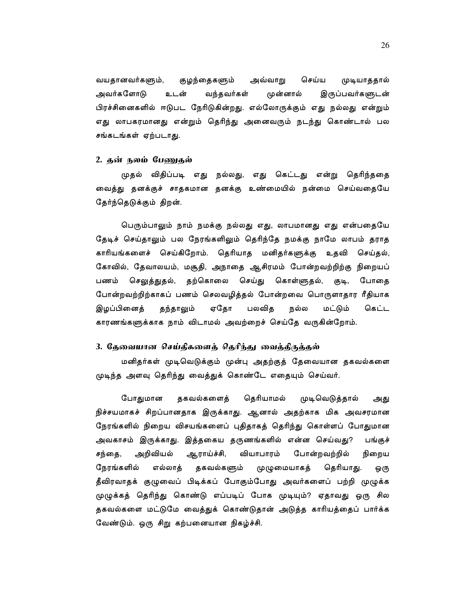செய்ய வயதானவர்களும், குழந்தைகளும் முடியாததால் அவ்வாறு அவர்களோடு உடன் வந்தவர்கள் முன்னால் இருப்பவர்களுடன் பிரச்சினைகளில் ஈடுபட நேரிடுகின்றது. எல்லோருக்கும் எது நல்லது என்றும் எது லாபகரமானது என்றும் தெரிந்து அனைவரும் நடந்து கொண்டால் பல சங்கடங்கள் ஏற்படாது.

## 2. தன் நலம் பேணுதல்

முதல் விதிப்படி எது நல்லது, எது கெட்டது என்று தெரிந்ததை வைத்து தனக்குச் சாதகமான தனக்கு உண்மையில் நன்மை செய்வதையே தேர்ந்தெடுக்கும் திறன்.

பெரும்பாலும் நாம் நமக்கு நல்லது எது, லாபமானது எது என்பதையே தேடிச் செய்தாலும் பல நேரங்களிலும் தெரிந்தே நமக்கு நாமே லாபம் தராத காரியங்களைச் செய்கிறோம். தெரியாத மனிதர்களுக்கு உதவி செய்தல், கோவில், தேவாலயம், மசூதி, அநாதை ஆசிரமம் போன்றவற்றிற்கு நிறையப் பணம் செலுத்துதல், தற்கொலை செய்து கொள்ளுதல், குடி, போதை போன்றவற்றிற்காகப் பணம் செலவழித்தல் போன்றவை பொருளாதார ரீதியாக ஏதோ பலவித மட்டும் இழப்பினைத் தந்தாலும் நல்ல கெட்ட காரணங்களுக்காக நாம் விடாமல் அவற்றைச் செய்தே வருகின்றோம்.

# 3. தேவையான செய்திகளைத் தெரிந்து வைத்திருக்கல்

மனிதர்கள் முடிவெடுக்கும் முன்பு அதற்குத் தேவையான தகவல்களை முடிந்த அளவு தெரிந்து வைத்துக் கொண்டே எதையும் செய்வர்.

தகவல்களைத் தெரியாமல் போதுமான முடிவெடுத்தால் அது நிச்சயமாகச் சிறப்பானதாக இருக்காது. ஆனால் அதற்காக மிக அவசரமான நேரங்களில் நிறைய விசயங்களைப் புதிதாகத் தெரிந்து கொள்ளப் போதுமான அவகாசம் இருக்காது. இத்தகைய தருணங்களில் என்ன செய்வது? பங்குச் அறிவியல் ஆராய்ச்சி, வியாபாரம் போன்றவற்றில் நிறைய சந்தை, நேரங்களில் எல்லாத் தகவல்களும் முழுமையாகத் தெரியாது. ஒரு தீவிரவாதக் குழுவைப் பிடிக்கப் போகும்போது அவர்களைப் பற்றி முழுக்க முழுக்கத் தெரிந்து கொண்டு எப்படிப் போக முடியும்? ஏதாவது ஒரு சில தகவல்களை மட்டுமே வைத்துக் கொண்டுதான் அடுத்த காரியத்தைப் பார்க்க வேண்டும். ஒரு சிறு கற்பனையான நிகழ்ச்சி.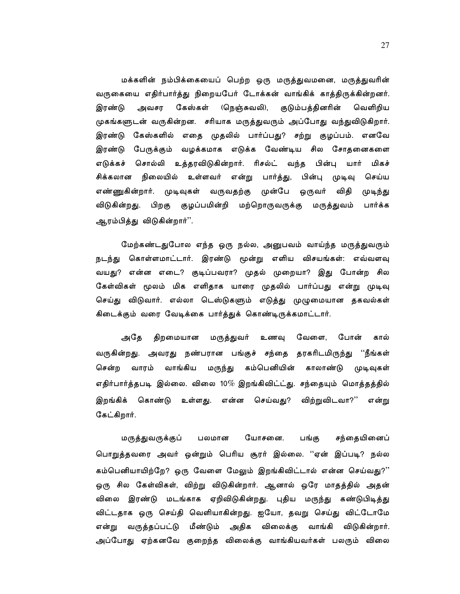மக்களின் நம்பிக்கையைப் பெற்ற ஒரு மருத்துவமனை, மருத்துவரின் வருகையை எதிர்பார்த்து நிறையபேர் டோக்கன் வாங்கிக் காத்திருக்கின்றனர். அவசர கேஸ்கள் இரண்டு (நெஞ்சுவலி), குடும்பத்தினரின் வெளிறிய முகங்களுடன் வருகின்றன. சரியாக மருத்துவரும் அப்போது வந்துவிடுகிறார். இரண்டு கேஸ்களில் எதை முதலில் பார்ப்பது? சற்று குழப்பம். எனவே இரண்டு பேருக்கும் வழக்கமாக எடுக்க வேண்டிய சில சோதனைகளை எடுக்கச் சொல்லி உத்தரவிடுகின்றார். ரிசல்ட் வந்த பின்பு யார் மிகச் சிக்கலான நிலையில் உள்ளவர் என்று பார்த்து, பின்பு முடிவு செய்ய எண்ணுகின்றார். முடிவுகள் வருவதற்கு முன்பே ஒருவர் விதி முடிந்து விடுகின்றது. பிறகு குழப்பமின்றி மற்றொருவருக்கு மருத்துவம் பார்க்க ஆரம்பித்து விடுகின்றார்''.

மேற்கண்டதுபோல எந்த ஒரு நல்ல, அனுபவம் வாய்ந்த மருத்துவரும் நடந்து கொள்ளமாட்டார். இரண்டு மூன்று எளிய விசயங்கள்: எவ்வளவு வயது? என்ன எடை? குடிப்பவரா? முதல் முறையா? இது போன்ற சில கேள்விகள் மூலம் மிக எளிதாக யாரை முதலில் பார்ப்பது என்று முடிவு செய்து விடுவார். எல்லா டெஸ்டுகளும் எடுத்து முழுமையான தகவல்கள் கிடைக்கும் வரை வேடிக்கை பார்த்துக் கொண்டிருக்கமாட்டார்.

திறமையான மருத்துவர் உணவு வேளை, அதே போன் கால் வருகின்றது. அவரது நண்பரான பங்குச் சந்தை தரகரிடமிருந்து ''நீங்கள் கம்பெனியின் காலாண்டு சென்ற வாரம் வாங்கிய மருந்து முடிவுகள் எதிர்பார்த்தபடி இல்லை. விலை 10 $\%$  இறங்கிவிட்ட்து. சந்தையும் மொத்தத்தில் இறங்கிக் கொண்டு உள்ளது. என்ன செய்வது? விற்றுவிடவா?'' என்று கேட்கிறார்.

யோசனை. சந்தையினைப் மருத்துவருக்குப் பலமான பங்கு பொறுத்தவரை அவர் ஒன்றும் பெரிய சூரர் இல்லை. ''ஏன் இப்படி? நல்ல கம்பெனியாயிற்றே? ஒரு வேளை மேலும் இறங்கிவிட்டால் என்ன செய்வது?'' ஒரு சில கேள்விகள், விற்று விடுகின்றார். ஆனால் ஒரே மாதத்தில் அதன<mark>்</mark> விலை இரண்டு மடங்காக ஏறிவிடுகின்றது. புதிய மருந்து கண்டுபிடித்து விட்டதாக ஒரு செய்தி வெளியாகின்றது. ஐயோ, தவறு செய்து விட்டோமே என்று வருத்தப்பட்டு மீண்டும் அதிக விலைக்கு வாங்கி விடுகின்றார். அப்போது ஏற்கனவே குறைந்த விலைக்கு வாங்கியவர்கள் பலரும் விலை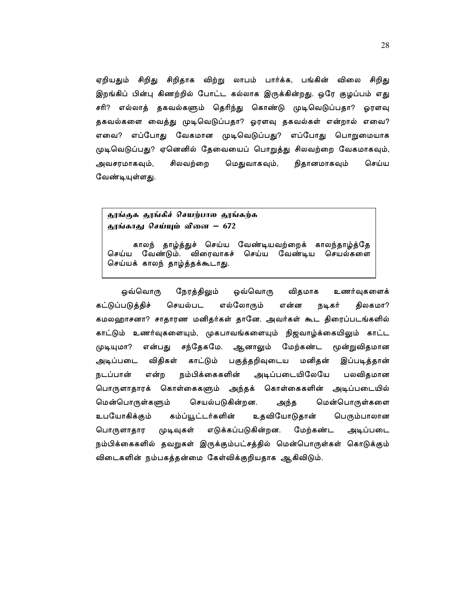ஏறியதும் சிறிது சிறிதாக விற்று லாபம் பார்க்க, பங்கின் விலை சிறிது இறங்கிப் பின்பு கிணற்றில் போட்ட கல்லாக இருக்கின்றது. ஒரே குழப்பம் எது சரி? எல்லாத் தகவல்களும் தெரிந்து கொண்டு முடிவெடுப்பதா? ஓரளவு தகவல்களை வைத்து முடிவெடுப்பதா? ஓரளவு தகவல்கள் என்றால் எவை? எவை? எப்போது வேகமான முடிவெடுப்பது? எப்போது பொறுமையாக முடிவெடுப்பது? ஏனெனில் தேவையைப் பொறுத்து சிலவற்றை வேகமாகவும், அவசரமாகவும், சிலவற்றை மெதுவாகவும், நிதானமாகவும் செய்ய வேண்டியுள்ளது.

தூங்குக தூங்கிச் செயற்பால தூங்கற்க தூங்காது செய்யும் வினை – 672

காலந் தாழ்த்துச் செய்ய வேண்டியவற்றைக் காலந்தாழ்த்தே செய்ய வேண்டும். விரைவாகச் செய்ய வேண்டிய செயல்களை செய்யக் காலந் தாழ்த்தக்கூடாது.

ஒவ்வொரு நேரத்திலும் ஒவ்வொரு விதமாக உணர்வுகளைக் கட்டுப்படுத்திச் செயல்பட திலகமா? எல்லோரும் என்ன நடிகர் கமலஹாசனா? சாதாரண மனிதர்கள் தானே. அவர்கள் கூட திரைப்படங்களில் காட்டும் உணர்வுகளையும், முகபாவங்களையும் நிஜவாழ்க்கையிலும் காட்ட முடியுமா? என்பது சந்தேகமே. ஆனாலும் மேற்கண்ட மூன்றுவிதமான அடிப்படை விதிகள் காட்டும் பகுத்தறிவுடைய மனிதன் இப்படித்தான் நம்பிக்கைகளின் அடிப்படையிலேயே நடப்பான் என்ற பலவிதமான பொருளாதாரக் கொள்கைகளும் அந்தக் கொள்கைகளின் அடிப்படையில் மென்பொருள்களும் செயல்படுகின்றன. மென்பொருள்களை அந்த உபயோகிக்கும் கம்ப்யூட்டர்களின் உதவியோடுதான் பெரும்பாலான பொருளாதார முடிவுகள் எடுக்கப்படுகின்றன. மேற்கண்ட அடிப்படை நம்பிக்கைகளில் தவறுகள் இருக்கும்பட்சத்தில் மென்பொருள்கள் கொடுக்கும் விடைகளின் நம்பகத்தன்மை கேள்விக்குறியதாக ஆகிவிடும்.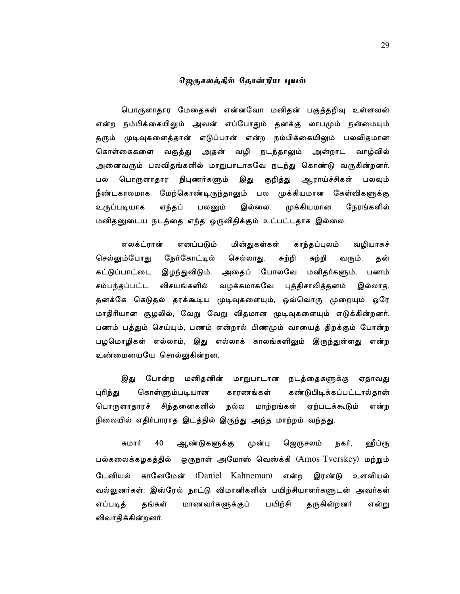# ஜெருசலக்கில் கோன்றிய புயல்

பொருளாதார மேதைகள் என்னவோ மனிதன் பகுத்தறிவு உள்ளவன் என்ற நம்பிக்கையிலும் அவன் எப்போதும் தனக்கு லாபமும் நன்மையும் தரும் முடிவுகளைத்தான் எடுப்பான் என்ற நம்பிக்கையிலும் பலவிதமான கொள்கைகளை வகுத்து அதன் வழி நடந்தாலும் அன்றாட வாழ்வில் அனைவரும் பலவிதங்களில் மாறுபாடாகவே நடந்து கொண்டு வருகின்றனர். பொருளாதார நிபுணர்களும் இது குறித்து ஆராய்ச்சிகள் பலவும் பல நீண்டகாலமாக மேற்கொண்டிருந்தாலும் பல முக்கியமான கேள்விகளுக்கு பலனும் இல்லை. முக்கியமான நேரங்களில் உருப்படியாக எந்தப் மனிதனுடைய நடத்தை எந்த ஒருவிதிக்கும் உட்பட்டதாக இல்லை.

எலக்ட்ரான் எனப்படும் மின்துகள்கள் காந்தப்புலம் வழியாகச் செல்லும்போது நேர்கோட்டில் செல்லாது, சுற்றி சுற்றி வரும். தன் இழந்துவிடும். அதைப் போலவே மனிதர்களும், கட்டுப்பாட்டை பணம் சம்பந்தப்பட்ட விசயங்களில் வழக்கமாகவே புத்திசாலித்தனம் இல்லாத, தனக்கே கெடுதல் தரக்கூடிய முடிவுகளையும், ஒவ்வொரு முறையும் ஒரே மாதிரியான சூழலில், வேறு வேறு விதமான முடிவுகளையும் எடுக்கின்றனர். பணம் பத்தும் செய்யும், பணம் என்றால் பிணமும் வாயைத் திறக்கும் போன்ற பழமொழிகள் எல்லாம், இது எல்லாக் காலங்களிலும் இருந்துள்ளது என்ற உண்மையையே சொல்லுகின்றன.

இது போன்ற மனிதனின் மாறுபாடான நடத்தைகளுக்கு ஏதாவது புரிந்து கொள்ளும்படியான காரணங்கள் கண்டுபிடிக்கப்பட்டால்தான் பொருளாதாரச் சிந்தனைகளில் நல்ல மாற்றங்கள் ஏற்படக்கூடும் என்ற நிலையில் எதிர்பாராத இடத்தில் இருந்து அந்த மாற்றம் வந்தது.

40 ஆண்டுகளுக்கு ஜெருசலம் சுமார் முன்பு நகர், ஹீப்ரூ பல்கலைக்கழகத்தில் ஒருநாள் அமோஸ் வெஸ்க்கி (Amos Tverskey) மற்றும் டேனியல் கானேமேன் (Daniel Kahneman) என்ற இரண்டு உளவியல் வல்லுனர்கள்: இஸ்ரேல் நாட்டு விமானிகளின் பயிற்சியாளர்களுடன் அவர்கள் பயிற்சி எப்படித் தங்கள் மாணவர்களுக்குப் தருகின்றனர் என்று விவாதிக்கின்றனர்.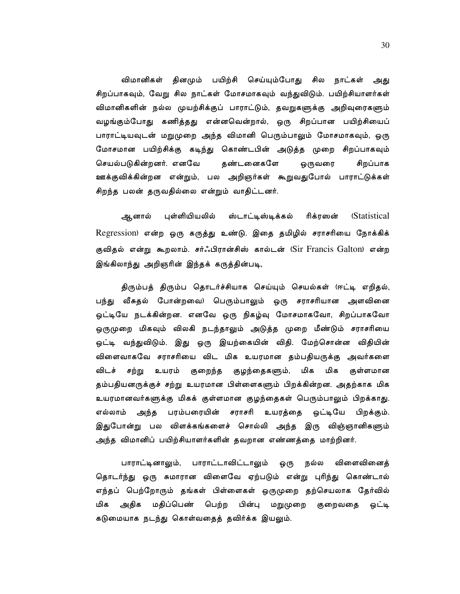விமானிகள் தினமும் பயிற்சி செய்யும்போது சில நாட்கள் அது சிறப்பாகவும், வேறு சில நாட்கள் மோசமாகவும் வந்துவிடும். பயிற்சியாளர்கள் விமானிகளின் நல்ல முயற்சிக்குப் பாராட்டும், தவறுகளுக்கு அறிவுரைகளும் வழங்கும்போது கணித்தது என்னவென்றால், ஒரு சிறப்பான பயிற்சியைப் பாராட்டியவுடன் மறுமுறை அந்த விமானி பெரும்பாலும் மோசமாகவும், ஒரு மோசமான பயிற்சிக்கு கடிந்து கொண்டபின் அடுத்த முறை சிறப்பாகவும் செயல்படுகின்றனர். எனவே தண்டனைகளே ஒருவரை சிறப்பாக ஊக்குவிக்கின்றன என்றும், பல அறிஞர்கள் கூறுவதுபோல் பாராட்டுக்கள் சிறந்த பலன் தருவதில்லை என்றும் வாதிட்டனர்.

ஆனால் புள்ளியியலில் ஸ்டாட்டிஸ்டிக்கல் ரிக்ரஸன் **(Statistical** Regression) என்ற ஒரு கருத்து உண்டு. இதை தமிழில் சராசரியை நோக்கிக் குவிதல் என்று கூறலாம். சர்ஃபிரான்சிஸ் கால்டன் (Sir Francis Galton) என்ற இங்கிலாந்து அறிஞரின் இந்தக் கருத்தின்படி,

திரும்பத் திரும்ப தொடர்ச்சியாக செய்யும் செயல்கள் (ஈட்டி எறிதல், பந்து வீசுதல் போன்றவை) பெரும்பாலும் ஒரு சராசரியான அளவினை ஒட்டியே நடக்கின்றன. எனவே ஒரு நிகழ்வு மோசமாகவோ, சிறப்பாகவோ ஒருமுறை மிகவும் விலகி நடந்தாலும் அடுத்த முறை மீண்டும் சராசரியை ஒட்டி வந்துவிடும். இது ஒரு இயற்கையின் விதி. மேற்சொன்ன விதியின் விளைவாகவே சராசரியை விட மிக உயரமான தம்பதியருக்கு அவர்களை விடச் சற்று உயரம் குறைந்த குழந்தைகளும், மிக மிக குள்ளமான தம்பதியனருக்குச் சற்று உயரமான பிள்ளைகளும் பிறக்கின்றன. அதற்காக மிக உயரமானவர்களுக்கு மிகக் குள்ளமான குழந்தைகள் பெரும்பாலும் பிறக்காது. எல்லாம் அந்த பரம்பரையின் சராசரி உயரத்தை ஒட்டியே பிறக்கும். இதுபோன்று பல விளக்கங்களைச் சொல்லி அந்த இரு விஞ்ஞானிகளும் அந்த விமானிப் பயிற்சியாளர்களின் தவறான எண்ணத்தை மாற்றினர்.

பாராட்டினாலும், பாராட்டாவிட்டாலும் நல்ல விளைவினைத் ஒரு தொடர்ந்து ஒரு சுமாரான விளைவே ஏற்படும் என்று புரிந்து கொண்டால் எந்தப் பெற்றோரும் தங்கள் பிள்ளைகள் ஒருமுறை தற்செயலாக தேர்வில் மதிப்பெண் பெற்ற பின்பு மறுமுறை குறைவதை ஒட்டி மிக அதிக கடுமையாக நடந்து கொள்வதைத் தவிர்க்க இயலும்.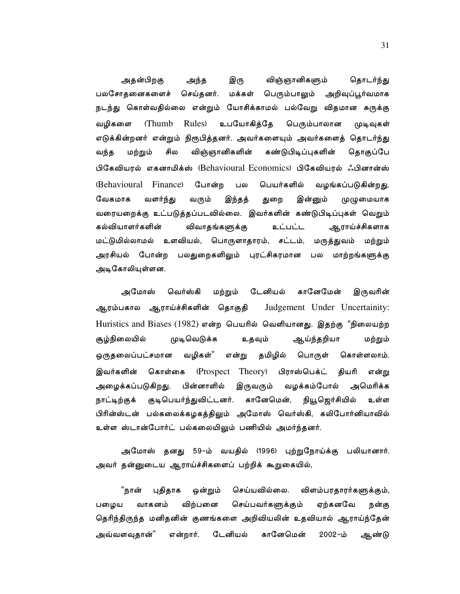அதன்பிறகு இரு விஞ்ஞானிகளும் அந்த தொடர்ந்து பலசோதனைகளைச் செய்தனர். மக்கள் பெரும்பாலும் அறிவுப்பூர்வமாக நடந்து கொள்வதில்லை என்றும் யோசிக்காமல் பல்வேறு விதமான சுருக்கு வழிகளை **Thumb** Rules) உபயோகித்தே பெரும்பாலான முடிவுகள் எடுக்கின்றனர் என்றும் நிரூபித்தனர். அவர்களையும் அவர்களைத் தொடர்ந்து விஞ்ஞானிகளின் கண்டுபிடிப்புகளின் வந்த மற்றும் சில தொகுப்பே பிகேவியரல் எகனாமிக்ஸ் (Behavioural Economics) பிகேவியரல் ஃபினான்ஸ் (Behavioural Finance) போன்ற பல பெயர்களில் வழங்கப்படுகின்றது. வேகமாக வளர்ந்து வரும் இந்தத் துறை இன்னும் முழுமையாக வரையறைக்கு உட்படுத்தப்படவில்லை. இவர்களின் கண்டுபிடிப்புகள் வெறும் கல்வியாளர்களின் விவாதங்களுக்கு உட்பட்ட ஆராய்ச்சிகளாக மட்டுமில்லாமல் உளவியல், பொருளாதாரம், சட்டம், மருத்துவம் மற்றும் அரசியல் போன்ற பலதுறைகளிலும் புரட்சிகரமான பல மாற்றங்களுக்கு அடிகோலியுள்ளன.

அமோஸ் வெர்ஸ்கி டேனியல் கானேமேன் மற்றும் இருவரின் ஆரம்பகால ஆராய்ச்சிகளின் தொகுதி Judgement Under Uncertainity: Huristics and Biases (1982) என்ற பெயரில் வெளியானது. இதற்கு "நிலையற்ற சூழ்நிலையில் உதவும் முடிவெடுக்க ஆய்ந்தறியா மற்றும் வழிகள்" தமிழில் ஒருதலைப்பட்சமான என்று பொருள் கொள்ளலாம். இவர்களின் கொள்கை (Prospect Theory) பிராஸ்பெக்ட் தியரி என்று வழக்கம்போல் அழைக்கப்படுகிறது. பின்னாளில் இருவரும் அமெரிக்க குடிபெயர்ந்துவிட்டனர். கானேமென், நியூஜெர்சியில் நாட்டிற்குக் உள்ள பிரின்ஸ்டன் பல்கலைக்கழகத்திலும் அமோஸ் வெர்ஸ்கி, கலிபோர்னியாவில் உள்ள ஸ்டான்போர்ட் பல்கலையிலும் பணியில் அமர்ந்தனர்.

அமோஸ் தனது 59-ம் வயதில் (1996) புற்றுநோய்க்கு பலியானார். அவர் தன்னுடைய ஆராய்ச்சிகளைப் பற்றிக் கூறுகையில்,

"நான் புதிதாக ஒன்றும் செய்யவில்லை. விளம்பரதாரர்களுக்கும், செய்பவர்களுக்கும் ஏற்கனவே வாகனம் விற்பனை பழைய நன்கு தெரிந்திருந்த மனிதனின் குணங்களை அறிவியலின் உதவியால் ஆராய்ந்தேன் அவ்வளவுதான்" டேனியல் கானேமென் ف–2002 ஆண்டு என்றார்.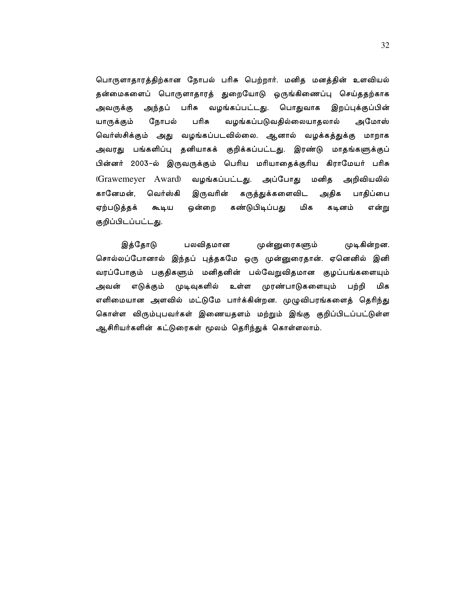பொருளாதாரத்திற்கான நோபல் பரிசு பெற்றார். மனித மனத்தின் உளவியல் தன்மைகளைப் பொருளாதாரத் துறையோடு ஒருங்கிணைப்பு செய்ததற்காக அந்தப் பரிசு வழங்கப்பட்டது. பொதுவாக அவருக்கு இறப்புக்குப்பின் யாருக்கும் நோபல் பரிசு வழங்கப்படுவதில்லையாதலால் அமோஸ் வெர்ஸ்சிக்கும் அது வழங்கப்படவில்லை. ஆனால் வழக்கத்துக்கு மாறாக அவரது பங்களிப்பு தனியாகக் குறிக்கப்பட்டது. இரண்டு மாதங்களுக்குப் பின்னர் 2003–ல் இருவருக்கும் பெரிய மரியாதைக்குரிய கிராமேயர் பரிசு (Grawemeyer Award) வழங்கப்பட்டது. அப்போது அறிவியலில் மனித அதிக கானேமன், வெர்ஸ்கி இருவரின் கருத்துக்களைவிட பாதிப்பை ஒன்றை கண்டுபிடிப்பது ஏற்படுத்தக் கூடிய மிக கடினம் என்று குறிப்பிடப்பட்டது.

இத்தோடு பலவிதமான முன்னுரைகளும் முடிகின்றன. சொல்லப்போனால் இந்தப் புத்தகமே ஒரு முன்னுரைதான். ஏனெனில் இனி வரப்போகும் பகுதிகளும் மனிதனின் பல்வேறுவிதமான குழப்பங்களையும் முரண்பாடுகளையும் அவன் எடுக்கும் முடிவுகளில் உள்ள பற்றி மிக எளிமையான அளவில் மட்டுமே பார்க்கின்றன. முழுவிபரங்களைத் தெரிந்து கொள்ள விரும்புபவர்கள் இணையதளம் மற்றும் இங்கு குறிப்பிடப்பட்டுள்ள ஆசிரியர்களின் கட்டுரைகள் மூலம் தெரிந்துக் கொள்ளலாம்.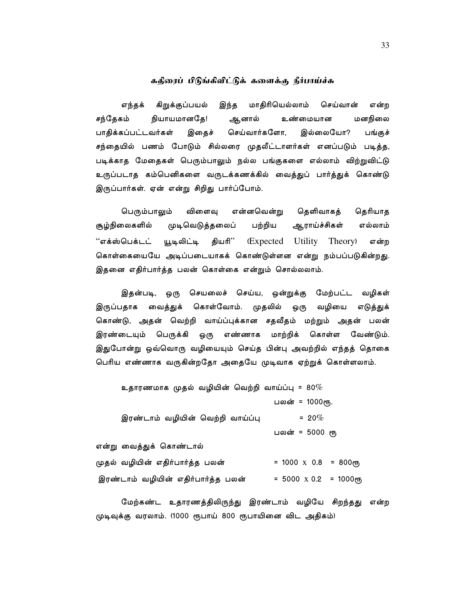## ககிரைப் பிடுங்கிவிட்டுக் களைக்கு நீர்பாய்ச்சு

செய்வான் கிறுக்குப்பயல் மாகிரியெல்லாம் எந்தக் இந்த என்ற சந்தேகம் நியாயமானதே! ஆனால் உண்மையான மனநிலை பாதிக்கப்பட்டவர்கள் இதைச் செய்வார்களோ, இல்லையோ? பங்குச் சந்தையில் பணம் போடும் சில்லரை முதலீட்டாளர்கள் எனப்படும் படித்த, படிக்காத மேதைகள் பெரும்பாலும் நல்ல பங்குகளை எல்லாம் விற்றுவிட்டு உருப்படாத கம்பெனிகளை வருடக்கணக்கில் வைத்துப் பார்த்துக் கொண்டு இருப்பார்கள். ஏன் என்று சிறிது பார்ப்போம்.

பெரும்பாலும் விளைவு என்னவென்று தெளிவாகத் தெரியாத முடிவெடுத்தலைப் பற்றிய சூழ்நிலைகளில் ஆராய்ச்சிகள் எல்லாம் ''எக்ஸ்பெக்டட் யூடிலிட்டி தியரி'' (Expected Utility Theory) என்ற கொள்கையையே அடிப்படையாகக் கொண்டுள்ளன என்று நம்பப்படுகின்றது. இதனை எதிர்பார்த்த பலன் கொள்கை என்றும் சொல்லலாம்.

இதன்படி, ஒரு செயலைச் செய்ய, ஒன்றுக்கு மேற்பட்ட வழிகள் இருப்பதாக வைத்துக் கொள்வோம். முதலில் ஒரு வழியை எடுத்துக் கொண்டு, அதன் வெற்றி வாய்ப்புக்கான சதவீதம் மற்றும் அதன் பலன் இரண்டையும் பெருக்கி ஒரு எண்ணாக மாற்றிக் கொள்ள வேண்டும். இதுபோன்று ஒவ்வொரு வழியையும் செய்த பின்பு அவற்றில் எந்தத் தொகை பெரிய எண்ணாக வருகின்றதோ அதையே முடிவாக ஏற்றுக் கொள்ளலாம்.

உதாரணமாக முதல் வழியின் வெற்றி வாய்ப்பு =  $80\%$ பலன் = 1000ரூ.  $= 20\%$ இரண்டாம் வழியின் வெற்றி வாய்ப்பு பலன் = 5000 ரூ என்று வைத்துக் கொண்டால் முதல் வழியின் எதிர்பார்த்த பலன்  $= 1000 \times 0.8 = 800$ erry  $= 5000 \times 0.2 = 1000$ erfy இரண்டாம் வழியின் எதிர்பார்த்த பலன்

மேற்கண்ட உதாரணத்திலிருந்து இரண்டாம் வழியே சிறந்தது என்ற முடிவுக்கு வரலாம். (1000 ரூபாய் 800 ரூபாயினை விட அதிகம்)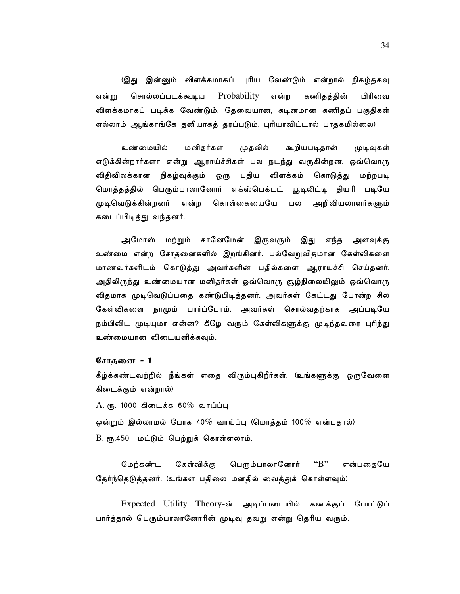(இது இன்னும் விளக்கமாகப் புரிய வேண்டும் என்றால் நிகழ்தகவு சொல்லப்படக்கூடிய  $Probability$ என்ற கணிதத்தின் பிரிவை என்று விளக்கமாகப் படிக்க வேண்டும். தேவையான, கடினமான கணிதப் பகுதிகள் எல்லாம் ஆங்காங்கே தனியாகத் தரப்படும். புரியாவிட்டால் பாதகமில்லை)

முதலில் உண்மையில் மனிதர்கள் கூறியபடிதான் முடிவுகள் எடுக்கின்றார்களா என்று ஆராய்ச்சிகள் பல நடந்து வருகின்றன. ஒவ்வொரு விதிவிலக்கான நிகழ்வுக்கும் ஒரு புதிய விளக்கம் கொடுத்து மற்றபடி மொத்தத்தில் பெரும்பாலானோர் எக்ஸ்பெக்டட் யூடிலிட்டி தியரி படியே முடிவெடுக்கின்றனர் என்ற கொள்கையையே பல அறிவியலாளர்களும் கடைப்பிடித்து வந்தனர்.

அமோஸ் மற்றும் கானேமேன் இருவரும் இது எந்த அளவுக்கு உண்மை என்ற சோதனைகளில் இறங்கினர். பல்வேறுவிதமான கேள்விகளை மாணவர்களிடம் கொடுத்து அவர்களின் பதில்களை ஆராய்ச்சி செய்தனர். அதிலிருந்து உண்மையான மனிதர்கள் ஒவ்வொரு சூழ்நிலையிலும் ஒவ்வொரு விதமாக முடிவெடுப்பதை கண்டுபிடித்தனர். அவர்கள் கேட்டது போன்ற சில கேள்விகளை நாமும் பார்ப்போம். அவர்கள் சொல்வதற்காக அப்படியே நம்பிவிட முடியுமா என்ன? கீழே வரும் கேள்விகளுக்கு முடிந்தவரை புரிந்து உண்மையான விடையளிக்கவும்.

சோகனை **-** 1

கீழ்க்கண்டவற்றில் நீங்கள் எதை விரும்புகிறீர்கள். (உங்களுக்கு ஒருவேளை கிடைக்கும் என்றால்)

 $A.$  ரூ. 1000 கிடைக்க 60% வாய்ப்பு

ஒன்றும் இல்லாமல் போக 40 $\%$  வாய்ப்பு (மொத்தம் 100 $\%$  என்பதால்) B. ரூ.450 மட்டும் பெற்றுக் கொள்ளலாம்.

மேர்கண்ட கேள்விக்கு பெரும்பாலானோர் " $B$ " என்பதையே தேர்ந்தெடுத்தனர். (உங்கள் பதிலை மனதில் வைத்துக் கொள்ளவும்)

Expected Utility Theory-ன் அடிப்படையில் கணக்குப் போட்டுப் பார்த்தால் பெரும்பாலானோரின் முடிவு தவறு என்று தெரிய வரும்.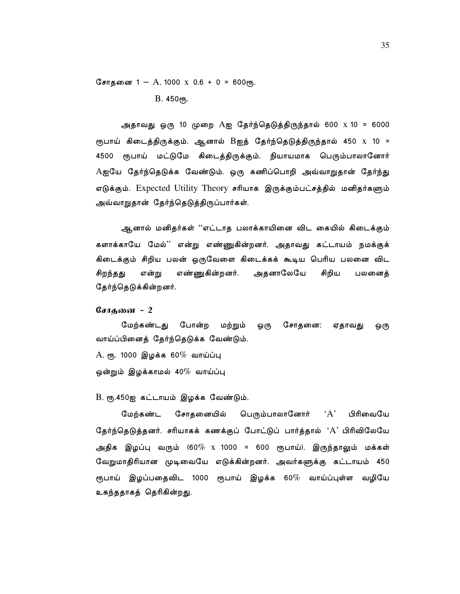சோதனை 1 - A. 1000 x 0.6 + 0 = 600ரூ. В. 450 ет.

அதாவது ஒரு 10 முறை Aஐ தேர்ந்தெடுத்திருந்தால் 600 x 10 = 6000 ரூபாய் கிடைத்திருக்கும். ஆனால் Bஐத் தேர்ந்தெடுத்திருந்தால் 450 x 10 = 4500 ரூபாய் மட்டுமே கிடைத்திருக்கும். நியாயமாக பெரும்பாலானோர் Aஐயே தேர்ந்தெடுக்க வேண்டும். ஒரு கணிப்பொறி அவ்வாறுதான் தேர்ந்து எடுக்கும். Expected Utility Theory சரியாக இருக்கும்பட்சத்தில் மனிதர்களும் அவ்வாறுதான் தேர்ந்தெடுத்திருப்பார்கள்.

ஆனால் மனிதர்கள் ''எட்டாத பலாக்காயினை விட கையில் கிடைக்கும் களாக்காயே மேல்'' என்று எண்ணுகின்றனர். அதாவது கட்டாயம் நமக்குக் கிடைக்கும் சிறிய பலன் ஒருவேளை கிடைக்கக் கூடிய பெரிய பலனை விட எண்ணுகின்றனர். அதனாலேயே சிறந்தது என்று சிறிய பலனைத் தேர்ந்தெடுக்கின்றனர்.

#### சோகனை - 2

மேற்கண்டது போன்ற மற்றும் சோதனை: ஒரு ஏதாவது ஒரு வாய்ப்பினைத் தேர்ந்தெடுக்க வேண்டும்.

 $A.$  ரூ. 1000 இழக்க 60% வாய்ப்பு ஒன்றும் இழக்காமல் 40 $\%$  வாய்ப்பு

#### B. ரூ.450ஐ கட்டாயம் இழக்க வேண்டும்.

 $\Delta$ பிரிவையே மேற்கண்ட சோதனையில் பெரும்பாலானோர் தேர்ந்தெடுத்தனர். சரியாகக் கணக்குப் போட்டுப் பார்த்தால் 'A' பிரிவிலேயே அதிக இழப்பு வரும் (60 $\%$  x 1000 = 600 ரூபாய்). இருந்தாலும் மக்கள் வேறுமாதிரியான முடிவையே எடுக்கின்றனர். அவர்களுக்கு கட்டாயம் 450 ரூபாய் இழப்பதைவிட 1000 ரூபாய் இழக்க 60 $\%$  வாய்ப்புள்ள வழியே உகந்ததாகத் தெரிகின்றது.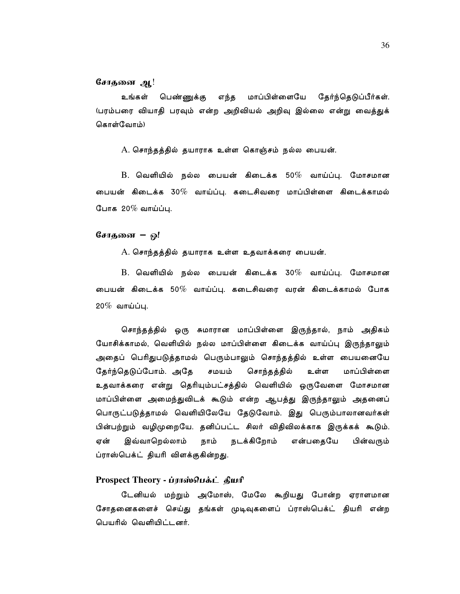## சோதனை ஆ!

உங்கள் எந்த மாப்பிள்ளையே தேர்ந்தெடுப்பீர்கள். பெண்ணுக்கு (பரம்பரை வியாதி பரவும் என்ற அறிவியல் அறிவு இல்லை என்று வைத்துக் கொள்வோம்)

A. சொந்தத்தில் தயாராக உள்ள கொஞ்சம் நல்ல பையன்.

 $\, {\bf B}.\,$  வெளியில் நல்ல பையன் கிடைக்க 50 $\%$  வாய்ப்பு. மோசமான பையன் கிடைக்க 30 $\%$  வாய்ப்பு. கடைசிவரை மாப்பிள்ளை கிடைக்காமல் போக 20 $\%$  வாய்ப்பு.

# சோதனை – ஒ!

A. சொந்தத்தில் தயாராக உள்ள உதவாக்கரை பையன்.

B. வெளியில் நல்ல பையன் கிடைக்க 30% வாய்ப்பு. மோசமான பையன் கிடைக்க 50 $\%$  வாய்ப்பு. கடைசிவரை வரன் கிடைக்காமல் போக  $20\%$  வாய்ப்பு.

சொந்தத்தில் ஒரு சுமாரான மாப்பிள்ளை இருந்தால், நாம் அதிகம் யோசிக்காமல், வெளியில் நல்ல மாப்பிள்ளை கிடைக்க வாய்ப்பு இருந்தாலும் அதைப் பெரிதுபடுத்தாமல் பெரும்பாலும் சொந்தத்தில் உள்ள பையனையே தேர்ந்தெடுப்போம். அதே சமயம் சொந்தத்தில் உள்ள மாப்பிள்ளை உதவாக்கரை என்று தெரியும்பட்சத்தில் வெளியில் ஒருவேளை மோசமான மாப்பிள்ளை அமைந்துவிடக் கூடும் என்ற ஆபத்து இருந்தாலும் அதனைப் பொருட்படுத்தாமல் வெளியிலேயே தேடுவோம். இது பெரும்பாலானவர்கள் பின்பற்றும் வழிமுறையே. தனிப்பட்ட சிலர் விதிவிலக்காக இருக்கக் கூடும். ஏன் இவ்வாறெல்லாம் நாம் நடக்கிறோம் என்பதையே பின்வரும் ப்ராஸ்பெக்ட் தியரி விளக்குகின்றது.

# Prospect Theory - ப்ராஸ்பெக்ட் தியரி

டேனியல் மற்றும் அமோஸ், மேலே கூறியது போன்ற ஏராளமான சோதனைகளைச் செய்து தங்கள் முடிவுகளைப் ப்ராஸ்பெக்ட் தியரி என்ற பெயரில் வெளியிட்டனர்.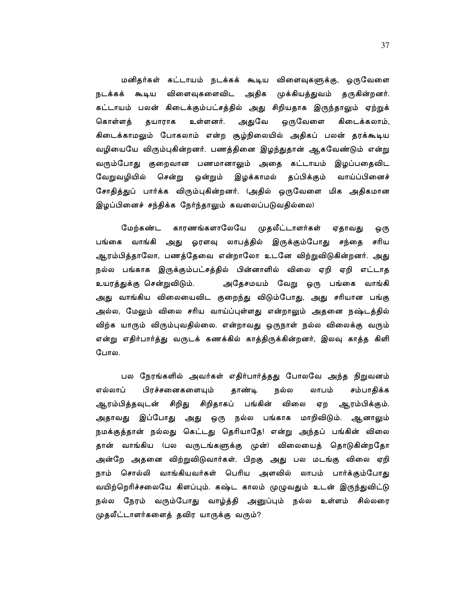மனிதர்கள் கட்டாயம் நடக்கக் கூடிய விளைவுகளுக்கு, ஒருவேளை நடக்கக் கூடிய விளைவுகளைவிட அதிக முக்கியத்துவம் தருகின்றனர். கட்டாயம் பலன் கிடைக்கும்பட்சத்தில் அது சிறியதாக இருந்தாலும் ஏற்றுக் உள்ளனர். அதுவே கொள்ளத் தயாராக ஒருவேளை கிடைக்கலாம், கிடைக்காமலும் போகலாம் என்ற சூழ்நிலையில் அதிகப் பலன் தரக்கூடிய வழியையே விரும்புகின்றனர். பணத்தினை இழந்துதான் ஆகவேண்டும் என்று வரும்போது குறைவான பணமானாலும் அதை கட்டாயம் இழப்பதைவிட வேறுவழியில் சென்று ஒன்றும் இழக்காமல் தப்பிக்கும் வாய்ப்பினைச் சோதித்துப் பார்க்க விரும்புகின்றனர். (அதில் ஒருவேளை மிக அதிகமான இழப்பினைச் சந்திக்க நேர்ந்தாலும் கவலைப்படுவதில்லை)

காரணங்களாலேயே முதலீட்டாளர்கள் மேற்கண்ட ஏதாவது ஒரு பங்கை வாங்கி அது ஓரளவு லாபத்தில் இருக்கும்போது சந்தை சரிய ஆரம்பித்தாலோ, பணத்தேவை என்றாலோ உடனே விற்றுவிடுகின்றனர். அது நல்ல பங்காக இருக்கும்பட்சத்தில் பின்னாளில் விலை ஏறி ஏறி எட்டாத உயரத்துக்கு சென்றுவிடும். அதேசமயம் வேறு ஒரு பங்கை வாங்கி அது வாங்கிய விலையைவிட குறைந்து விடும்போது, அது சரியான பங்கு அல்ல, மேலும் விலை சரிய வாய்ப்புள்ளது என்றாலும் அதனை நஷ்டத்தில் விற்க யாரும் விரும்புவதில்லை. என்றாவது ஒருநாள் நல்ல விலைக்கு வரும் என்று எதிர்பார்த்து வருடக் கணக்கில் காத்திருக்கின்றனர், இலவு காத்த கிளி போல.

பல நேரங்களில் அவர்கள் எதிர்பார்த்தது போலவே அந்த நிறுவனம் எல்லாப் பிரச்சனைகளையும் தாண்டி நல்ல லாபம் சம்பாதிக்க ஆரம்பித்தவுடன் சிறிது சிறிதாகப் பங்கின் விலை ஏற ஆரம்பிக்கும். மாறிவிடும். ஆனாலும் அதாவது இப்போது அது ஒரு நல்ல பங்காக நமக்குத்தான் நல்லது கெட்டது தெரியாதே! என்று அந்தப் பங்கின் விலை தான் வாங்கிய (பல வருடங்களுக்கு முன்) விலையைத் தொடுகின்றதோ அன்றே அதனை விற்றுவிடுவார்கள். பிறகு அது பல மடங்கு விலை ஏறி நாம் சொல்லி வாங்கியவர்கள் பெரிய அளவில் லாபம் பார்க்கும்போது வயிற்றெரிச்சலையே கிளப்பும். கஷ்ட காலம் முழுவதும் உடன் இருந்துவிட்டு நல்ல நேரம் வரும்போது வாழ்த்தி அனுப்பும் நல்ல உள்ளம் சில்லரை முதலீட்டாளர்களைத் தவிர யாருக்கு வரும்?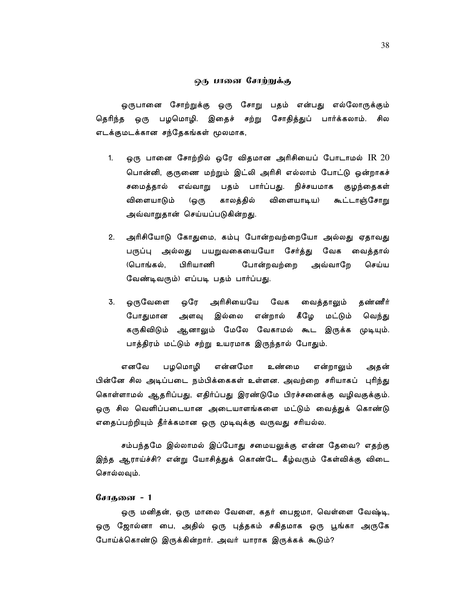#### ஒரு பானை சோற்றுக்கு

ஒருபானை சோற்றுக்கு ஒரு சோறு பதம் என்பது எல்லோருக்கும் தெரிந்த ஒரு பழமொழி. இதைச் சற்று சோதித்துப் பார்க்கலாம். சில எடக்குமடக்கான சந்தேகங்கள் மூலமாக,

- ஒரு பானை சோற்றில் ஒரே விதமான அரிசியைப் போடாமல்  $\operatorname{IR}$   $20$  $1.$ பொன்னி, குருணை மற்றும் இட்லி அரிசி எல்லாம் போட்டு ஒன்றாகச் சமைத்தால் எவ்வாறு பதம் பார்ப்பது. நிச்சயமாக குழந்தைகள் விளையாடும் காலத்தில் விளையாடிய) கூட்டாஞ்சோறு 'ஒரு அவ்வாறுதான் செய்யப்படுகின்றது.
- $2.$ அரிசியோடு கோதுமை, கம்பு போன்றவற்றையோ அல்லது ஏதாவது பருப்பு அல்லது பயறுவகையையோ சேர்த்து வேக வைத்தால் (பொங்கல், பிரியாணி போன்றவற்றை அவ்வாறே செய்ய வேண்டிவரும்) எப்படி பதம் பார்ப்பது.
- ஒருவேளை ஒரே அரிசியையே வேக வைத்தாலும் 3. தண்ணீர் போதுமான அளவு இல்லை என்றால் கீழே மட்டும் வெந்து கருகிவிடும் ஆனாலும் மேலே வேகாமல் கூட இருக்க முடியும். பாத்திரம் மட்டும் சற்று உயரமாக இருந்தால் போதும்.

எனவே பழமொழி என்னமோ என்றாலும் உண்மை அதன் பின்னே சில அடிப்படை நம்பிக்கைகள் உள்ளன. அவற்றை சரியாகப் புரிந்து கொள்ளாமல் ஆதரிப்பது, எதிர்ப்பது இரண்டுமே பிரச்சனைக்கு வழிவகுக்கும். ஒரு சில வெளிப்படையான அடையாளங்களை மட்டும் வைத்துக் கொண்டு எதைப்பற்றியும் தீர்க்கமான ஒரு முடிவுக்கு வருவது சரியல்ல.

சம்பந்தமே இல்லாமல் இப்போது சமையலுக்கு என்ன தேவை? எதற்கு இந்த ஆராய்ச்சி? என்று யோசித்துக் கொண்டே கீழ்வரும் கேள்விக்கு விடை சொல்லவும்.

## சோகனை **-** 1

ஒரு மனிதன், ஒரு மாலை வேளை, கதர் பைஜமா, வெள்ளை வேஷ்டி, ஒரு ஜோல்னா பை, அதில் ஒரு புத்தகம் சகிதமாக ஒரு பூங்கா அருகே போய்க்கொண்டு இருக்கின்றார். அவர் யாராக இருக்கக் கூடும்?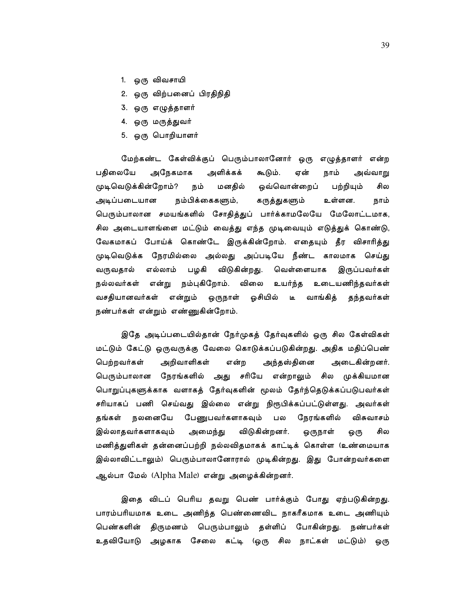- 1. ஒரு விவசாயி
- 2. ஒரு விற்பனைப் பிரதிநிதி
- 3. ஒரு எழுத்தாளர்
- 4. ஒரு மருத்துவர்
- 5. ஒரு பொறியாளர்

மேற்கண்ட கேள்விக்குப் பெரும்பாலானோர் ஒரு எழுத்தாளர் என்ற பகிலையே அநேகமாக அளிக்கக் கூடும். ஏன் நாம் அவ்வாறு முடிவெடுக்கின்றோம்? நம் மனதில் ஒவ்வொன்றைப் பற்றியும் சில நம்பிக்கைகளும், கருத்துகளும் அடிப்படையான உள்ளன. நாம் பெரும்பாலான சமயங்களில் சோதித்துப் பார்க்காமலேயே மேலோட்டமாக, சில அடையாளங்ளை மட்டும் வைத்து எந்த முடிவையும் எடுத்துக் கொண்டு, வேகமாகப் போய்க் கொண்டே இருக்கின்றோம். எதையும் தீர விசாரித்து முடிவெடுக்க நேரமில்லை அல்லது அப்படியே நீண்ட காலமாக செய்து வருவதால் எல்லாம் பழகி விடுகின்றது. வெள்ளையாக இருப்பவர்கள் நல்லவர்கள் என்று நம்புகிறோம். விலை உயர்ந்த உடையணிந்தவர்கள் டீ வாங்கித் வசதியானவர்கள் என்றும் ஒருநாள் ஓசியில் தந்தவர்கள் நண்பர்கள் என்றும் எண்ணுகின்றோம்.

இதே அடிப்படையில்தான் நேர்முகத் தேர்வுகளில் ஒரு சில கேள்விகள் மட்டும் கேட்டு ஒருவருக்கு வேலை கொடுக்கப்படுகின்றது. அதிக மதிப்பெண் பெற்றவர்கள் அறிவாளிகள் என்ற அந்தஸ்தினை அடைகின்றனர். பெரும்பாலான நேரங்களில் அது சரியே என்றாலும் சில முக்கியமான பொறுப்புகளுக்காக வளாகத் தேர்வுகளின் மூலம் தேர்ந்தெடுக்கப்படுபவர்கள் சரியாகப் பணி செய்வது இல்லை என்று நிரூபிக்கப்பட்டுள்ளது. அவர்கள் நலனையே பேணுபவர்களாகவும் நேரங்களில் விசுவாசம் கங்கள் பல இல்லாதவர்களாகவும் விடுகின்றனர். அமைந்து ஒருநாள் ஒரு சில மணித்துளிகள் தன்னைப்பற்றி நல்லவிதமாகக் காட்டிக் கொள்ள (உண்மையாக இல்லாவிட்டாலும்) பெரும்பாலானோரால் முடிகின்றது. இது போன்றவர்களை ஆல்பா மேல் (Alpha Male) என்று அழைக்கின்றனர்.

இதை விடப் பெரிய தவறு பெண் பார்க்கும் போது ஏற்படுகின்றது. பாரம்பரியமாக உடை அணிந்த பெண்ணைவிட நாகரீகமாக உடை அணியும் பெண்களின் திருமணம் பெரும்பாலும் தள்ளிப் போகின்றது. நண்பர்கள் உதவியோடு அழகாக சேலை கட்டி (ஒரு சில நாட்கள் மட்டும்) ஒரு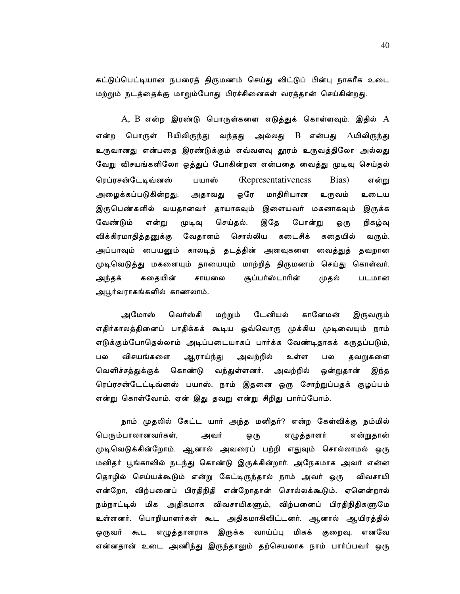கட்டுப்பெட்டியான நபரைத் திருமணம் செய்து விட்டுப் பின்பு நாகரீக உடை மற்றும் நடத்தைக்கு மாறும்போது பிரச்சினைகள் வரத்தான் செய்கின்றது.

 $A$ ,  $B$  என்ற இரண்டு பொருள்களை எடுத்துக் கொள்ளவும். இதில்  $A$ பொருள் Bயிலிருந்து வந்தது அல்லது  $B$  என்பது  $A$ யிலிருந்து என்ற உருவானது என்பதை இரண்டுக்கும் எவ்வளவு தூரம் உருவத்திலோ அல்லது வேறு விசயங்களிலோ ஒத்துப் போகின்றன என்பதை வைத்து முடிவு செய்தல் ரெப்ரசன்டேடிவ்னஸ் **(Representativeness)** Bias) பயாஸ் என்று ஒரே மாதிரியான அழைக்கப்படுகின்றது. உருவம் அதாவது உடைய இருபெண்களில் வயதானவர் தாயாகவும் இளையவர் மகனாகவும் இருக்க வேண்டும் என்று செய்தல். இதே போன்று முடிவு நிகழ்வு ஒரு விக்கிரமாதித்தனுக்கு வேதாளம் சொல்லிய கடைசிக் கதையில் வரும். அப்பாவும் பையனும் காலடித் தடத்தின் அளவுகளை வைத்துத் தவறான முடிவெடுத்து மகளையும் தாயையும் மாற்றித் திருமணம் செய்து கொள்வர். அந்தக் கதையின் சாயலை சூப்பர்ஸ்டாரின் முதல் படமான அபூர்வராகங்களில் காணலாம்.

அமோஸ் வெர்ஸ்கி மற்றும் டேனியல் கானேமன் இருவரும் எதிர்காலத்தினைப் பாதிக்கக் கூடிய ஒவ்வொரு முக்கிய முடிவையும் நாம் எடுக்கும்போதெல்லாம் அடிப்படையாகப் பார்க்க வேண்டிதாகக் கருதப்படும், பல விசயங்களை ஆராய்ந்து அவற்றில் உள்ள பல தவறுகளை வெளிச்சத்துக்குக் கொண்டு வந்துள்ளனர். அவற்றில் ஒன்றுதான் இந்த ரெப்ரசன்டேட்டிவ்னஸ் பயாஸ். நாம் இதனை ஒரு சோற்றுப்பதக் குழப்பம் என்று கொள்வோம். ஏன் இது தவறு என்று சிறிது பார்ப்போம்.

நாம் முதலில் கேட்ட யார் அந்த மனிதர்? என்ற கேள்விக்கு நம்மில் பெரும்பாலானவர்கள், அவர் ஒரு எழுத்தாளர் என்றுகான் முடிவெடுக்கின்றோம். ஆனால் அவரைப் பற்றி எதுவும் சொல்லாமல் ஒரு மனிதர் பூங்காவில் நடந்து கொண்டு இருக்கின்றார். அநேகமாக அவர் என்ன தொழில் செய்யக்கூடும் என்று கேட்டிருந்தால் நாம் அவர் ஒரு விவசாயி என்றோ, விற்பனைப் பிரதிநிதி என்றோதான் சொல்லக்கூடும். ஏனென்றால் நம்நாட்டில் மிக அதிகமாக விவசாயிகளும், விற்பனைப் பிரதிநிதிகளுமே உள்ளனர். பொறியாளர்கள் கூட அதிகமாகிவிட்டனர். ஆனால் ஆயிரத்தில் ஒருவர் கூட எழுத்தாளராக இருக்க வாய்ப்பு மிகக் குறைவு. எனவே என்னதான் உடை அணிந்து இருந்தாலும் தற்செயலாக நாம் பார்ப்பவர் ஒரு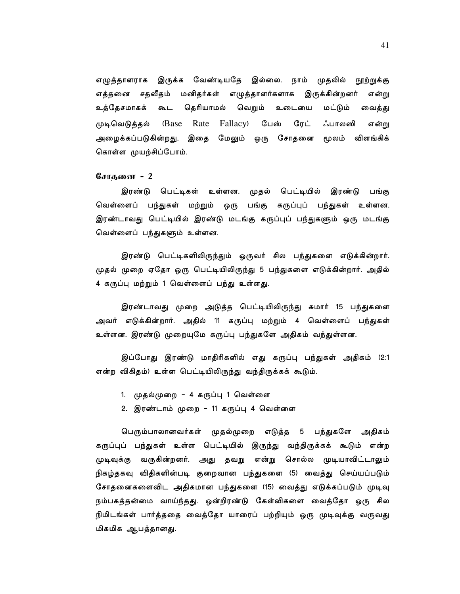முதலில் எழுத்தாளராக இருக்க வேண்டியதே இல்லை. நாம் நூற்றுக்கு எத்தனை சதவீதம் மனிதர்கள் எழுத்தாளர்களாக இருக்கின்றனர் என்று தெரியாமல் கூட வெறும் மட்டும் உத்தேசமாகக் உடையை வைத்து முடிவெடுத்தல் (Base Rate Fallacy) பேஸ் ரேட் ஃபாலஸி என்று அழைக்கப்படுகின்றது. இதை மேலும் ஒரு சோதனை மூலம் விளங்கிக் கொள்ள முயற்சிப்போம்.

# சோதனை - 2

இரண்டு பெட்டிகள் உள்ளன. முதல் பெட்டியில் இரண்டு பங்கு வெள்ளைப் பந்துகள் மற்றும் ஒரு பங்கு கருப்புப் பந்துகள் உள்ளன. இரண்டாவது பெட்டியில் இரண்டு மடங்கு கருப்புப் பந்துகளும் ஒரு மடங்கு வெள்ளைப் பந்துகளும் உள்ளன.

இரண்டு பெட்டிகளிலிருந்தும் ஒருவர் சில பந்துகளை எடுக்கின்றார். முதல் முறை ஏதோ ஒரு பெட்டியிலிருந்து 5 பந்துகளை எடுக்கின்றார். அதில் 4 கருப்பு மற்றும் 1 வெள்ளைப் பந்து உள்ளது.

இரண்டாவது முறை அடுத்த பெட்டியிலிருந்து சுமார் 15 பந்துகளை அவர் எடுக்கின்றார். அதில் 11 கருப்பு மற்றும் 4 வெள்ளைப் பந்துகள் உள்ளன. இரண்டு முறையுமே கருப்பு பந்துகளே அதிகம் வந்துள்ளன.

இப்போது இரண்டு மாதிரிகளில் எது கருப்பு பந்துகள் அதிகம் (2:1 என்ற விகிதம்) உள்ள பெட்டியிலிருந்து வந்திருக்கக் கூடும்.

- 1. முதல்முறை 4 கருப்பு 1 வெள்ளை
- 2. இரண்டாம் முறை 11 கருப்பு 4 வெள்ளை

பெரும்பாலானவர்கள் முதல்முறை எடுத்த 5 பந்துகளே அதிகம் கருப்புப் பந்துகள் உள்ள பெட்டியில் இருந்து வந்திருக்கக் கூடும் என்ற முடிவுக்கு வருகின்றனர். அது தவறு என்று சொல்ல முடியாவிட்டாலும் நிகழ்தகவு விதிகளின்படி குறைவான பந்துகளை (5) வைத்து செய்யப்படும் சோதனைகளைவிட அதிகமான பந்துகளை (15) வைத்து எடுக்கப்படும் முடிவு நம்பகத்தன்மை வாய்ந்தது. ஒன்றிரண்டு கேள்விகளை வைத்தோ ஒரு சில நிமிடங்கள் பார்த்ததை வைத்தோ யாரைப் பற்றியும் ஒரு முடிவுக்கு வருவது மிகமிக ஆபத்தானது.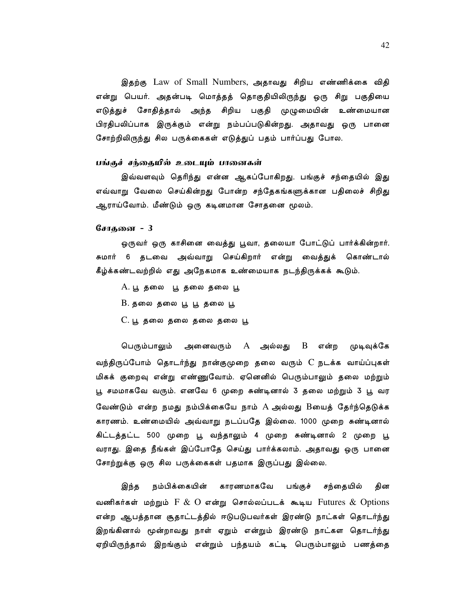இதற்கு Law of Small Numbers, அதாவது சிறிய எண்ணிக்கை விதி என்று பெயர். அதன்படி மொத்தத் தொகுதியிலிருந்து ஒரு சிறு பகுதியை எடுத்துச் சோதித்தால் அந்த சிறிய பகுதி முழுமையின் உண்மையான பிரதிபலிப்பாக இருக்கும் என்று நம்பப்படுகின்றது. அதாவது ஒரு பானை சோற்றிலிருந்து சில பருக்கைகள் எடுத்துப் பதம் பார்ப்பது போல.

#### பங்குச் சந்தையில் உடையும் பானைகள்

இவ்வளவும் தெரிந்து என்ன ஆகப்போகிறது. பங்குச் சந்தையில் இது எவ்வாறு வேலை செய்கின்றது போன்ற சந்தேகங்களுக்கான பதிலைச் சிறிது ஆராய்வோம். மீண்டும் ஒரு கடினமான சோதனை மூலம்.

#### சோதனை - 3

ஒருவர் ஒரு காசினை வைத்து பூவா, தலையா போட்டுப் பார்க்கின்றார். சுமார் 6 தடவை அவ்வாறு செய்கிறார் என்று வைத்துக் கொண்டால் கீழ்க்கண்டவற்றில் எது அநேகமாக உண்மையாக நடந்திருக்கக் கூடும்.

- A. பூ தலை பூ தலை தலை பூ
- $B.$  தலை தலை பூ பூ தலை பூ
- C. பூ தலை தலை தலை தலை பூ

அனைவரும்  $A$  அல்லது  $B$  என்ற முடிவுக்கே பெரும்பாலும் வந்திருப்போம் தொடர்ந்து நான்குமுறை தலை வரும் C நடக்க வாய்ப்புகள் மிகக் குறைவு என்று எண்ணுவோம். ஏனெனில் பெரும்பாலும் தலை மற்றும் பூ சமமாகவே வரும். எனவே 6 முறை சுண்டினால் 3 தலை மற்றும் 3 பூ வர வேண்டும் என்ற நமது நம்பிக்கையே நாம் A அல்லது Bயைத் தேர்ந்தெடுக்க காரணம். உண்மையில் அவ்வாறு நடப்பதே இல்லை. 1000 முறை சுண்டினால் கிட்டத்தட்ட 500 முறை பூ வந்தாலும் 4 முறை சுண்டினால் 2 முறை பூ வராது. இதை நீங்கள் இப்போதே செய்து பார்க்கலாம். அதாவது ஒரு பானை சோற்றுக்கு ஒரு சில பருக்கைகள் பதமாக இருப்பது இல்லை.

இந்த நம்பிக்கையின் காரணமாகவே பங்குச் சந்தையில் தின வணிகர்கள் மற்றும் F  $\&$  O என்று சொல்லப்படக் கூடிய Futures  $\&$  Options என்ற ஆபத்தான சூதாட்டத்தில் ஈடுபடுபவர்கள் இரண்டு நாட்கள் தொடர்ந்து இறங்கினால் மூன்றாவது நாள் ஏறும் என்றும் இரண்டு நாட்கள தொடர்ந்து ஏறியிருந்தால் இறங்கும் என்றும் பந்தயம் கட்டி பெரும்பாலும் பணத்தை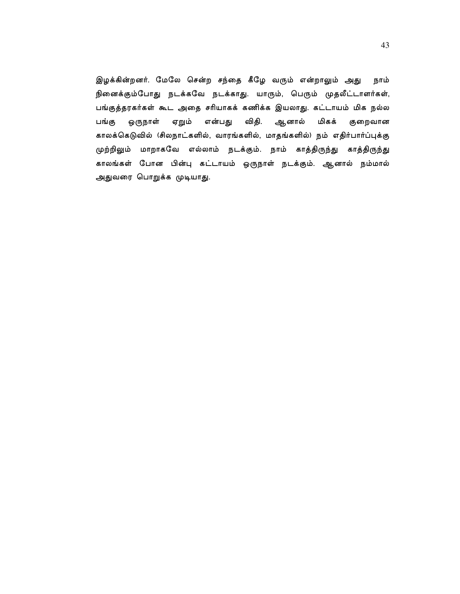இழக்கின்றனர். மேலே சென்ற சந்தை கீழே வரும் என்றாலும் அது நாம் நினைக்கும்போது நடக்கவே நடக்காது. யாரும், பெரும் முதலீட்டாளர்கள், பங்குத்தரகர்கள் கூட அதை சரியாகக் கணிக்க இயலாது. கட்டாயம் மிக நல்ல விதி. ஆனால் பங்கு ஒருநாள் ஏறும் என்பது மிகக் குறைவான காலக்கெடுவில் (சிலநாட்களில், வாரங்களில், மாதங்களில்) நம் எதிர்பார்ப்புக்கு முற்றிலும் மாறாகவே எல்லாம் நடக்கும். நாம் காத்திருந்து காத்திருந்து காலங்கள் போன பின்பு கட்டாயம் ஒருநாள் நடக்கும். ஆனால் நம்மால் அதுவரை பொறுக்க முடியாது.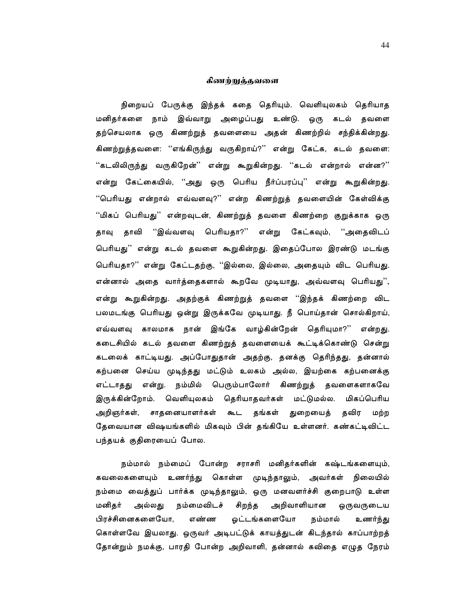## கிணற்றுத்தவளை

நிறையப் பேருக்கு இந்தக் கதை தெரியும். வெளியுலகம் தெரியாத மனிதர்களை நாம் இவ்வாறு அழைப்பது உண்டு. ஒரு கடல் தவளை தற்செயலாக ஒரு கிணற்றுத் தவளையை அதன் கிணற்றில் சந்திக்கின்றது. கிணற்றுத்தவளை: ''எங்கிருந்து வருகிறாய்?'' என்று கேட்க, கடல் தவளை: ''கடலிலிருந்து வருகிறேன்'' என்று கூறுகின்றது. ''கடல் என்றால் என்ன?'' என்று கேட்கையில், ''அது ஒரு பெரிய நீர்ப்பரப்பு'' என்று கூறுகின்றது. ''பெரியது என்றால் எவ்வளவு?'' என்ற கிணற்றுத் தவளையின் கேள்விக்கு ''மிகப் பெரியது'' என்றவுடன், கிணற்றுத் தவளை கிணற்றை குறுக்காக ஒரு தாவி ''இவ்வளவு பெரியதா?'' என்று கேட்கவும், ''அதைவிடப் தாவு பெரியது'' என்று கடல் தவளை கூறுகின்றது. இதைப்போல இரண்டு மடங்கு பெரியதா?'' என்று கேட்டதற்கு, ''இல்லை, இல்லை, அதையும் விட பெரியது. என்னால் அதை வார்த்தைகளால் கூறவே முடியாது, அவ்வளவு பெரியது'', என்று கூறுகின்றது. அதற்குக் கிணற்றுத் தவளை ''இந்தக் கிணற்றை விட பலமடங்கு பெரியது ஒன்று இருக்கவே முடியாது. நீ பொய்தான் சொல்கிறாய், எவ்வளவு காலமாக நான் இங்கே வாழ்கின்றேன் தெரியுமா?'' என்றது. கடைசியில் கடல் தவளை கிணற்றுத் தவளையைக் கூட்டிக்கொண்டு சென்று கடலைக் காட்டியது. அப்போதுதான் அதற்கு, தனக்கு தெரிந்தது, தன்னால் கற்பனை செய்ய முடிந்தது மட்டும் உலகம் அல்ல, இயற்கை கற்பனைக்கு எட்டாதது என்று. நம்மில் பெரும்பாலோர் கிணற்றுத் தவளைகளாகவே இருக்கின்றோம். வெளியுலகம் தெரியாதவர்கள் மட்டுமல்ல. மிகப்பெரிய அறிஞர்கள், சாதனையாளர்கள் கூட தங்கள் துறையைத் தவிர மற்ற தேவையான விஷயங்களில் மிகவும் பின் தங்கியே உள்ளனர். கண்கட்டிவிட்ட பந்தயக் குதிரையைப் போல.

நம்மால் நம்மைப் போன்ற சராசரி மனிதர்களின் கஷ்டங்களையும், கவலைகளையும் உணர்ந்து கொள்ள முடிந்தாலும், அவர்கள் நிலையில் நம்மை வைத்துப் பார்க்க முடிந்தாலும், ஒரு மனவளர்ச்சி குறைபாடு உள்ள சிறந்த அறிவாளியான ஒருவருடைய அல்லது நம்மைவிடச் மனிதர் பிரச்சினைகளையோ, **எண்ண** ஓட்டங்களையோ நம்மால் உணர்ந்து கொள்ளவே இயலாது. ஒருவர் அடிபட்டுக் காயத்துடன் கிடந்தால் காப்பாற்றத் தோன்றும் நமக்கு, பாரதி போன்ற அறிவாளி, தன்னால் கவிதை எழுத நேரம்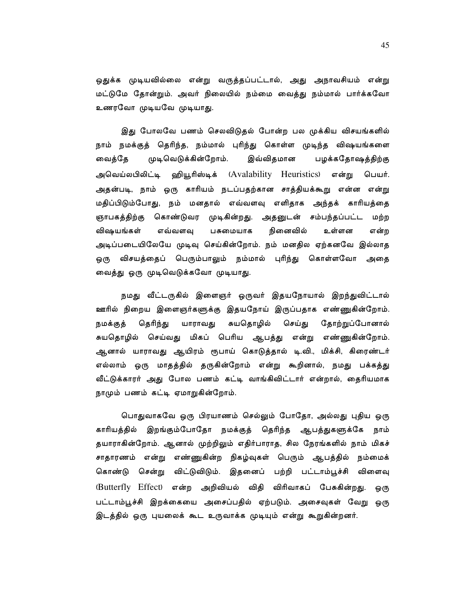ஒதுக்க முடியவில்லை என்று வருத்தப்பட்டால், அது அநாவசியம் என்<u>று</u> மட்டுமே தோன்றும். அவர் நிலையில் நம்மை வைத்து நம்மால் பார்க்கவோ உணரவோ முடியவே முடியாது.

இது போலவே பணம் செலவிடுதல் போன்ற பல முக்கிய விசயங்களில் நாம் நமக்குத் தெரிந்த, நம்மால் புரிந்து கொள்ள முடிந்த விஷயங்களை முடிவெடுக்கின்றோம். இவ்விதமான பழக்கதோஷத்திற்கு வைத்தே அவெய்லபிலிட்டி ஹியூரிஸ்டிக் (Avalability Heuristics) என்று பெயர். அதன்படி, நாம் ஒரு காரியம் நடப்பதற்கான சாத்தியக்கூறு என்ன என்று மதிப்பிடும்போது, நம் மனதால் எவ்வளவு எளிதாக அந்தக் காரியத்தை ஞாபகத்திற்கு கொண்டுவர முடிகின்றது. அதனுடன் சம்பந்தப்பட்ட மற்ற விஷயங்கள் எவ்வளவு பசுமையாக நினைவில் உள்ளன என்ற அடிப்படையிலேயே முடிவு செய்கின்றோம். நம் மனதில ஏற்கனவே இல்லாத ஒரு விசயத்தைப் பெரும்பாலும் நம்மால் புரிந்து கொள்ளவோ அதை வைத்து ஒரு முடிவெடுக்கவோ முடியாது.

நமது வீட்டருகில் இளைஞர் ஒருவர் இதயநோயால் இறந்துவிட்டால் ஊரில் நிறைய இளைஞர்களுக்கு இதயநோய் இருப்பதாக எண்ணுகின்றோம். தெரிந்து யாராவது சுயதொழில் செய்து தோற்றுப்போனால் நமக்குத் சுயதொழில் செய்வது மிகப் பெரிய ஆபத்து என்று எண்ணுகின்றோம். ஆனால் யாராவது ஆயிரம் ரூபாய் கொடுத்தால் டி.வி., மிக்சி, கிரைண்டர் எல்லாம் ஒரு மாதத்தில் தருகின்றோம் என்று கூறினால், நமது பக்கத்து வீட்டுக்காரர் அது போல பணம் கட்டி வாங்கிவிட்டார் என்றால், தைரியமாக நாமும் பணம் கட்டி ஏமாறுகின்றோம்.

பொதுவாகவே ஒரு பிரயாணம் செல்லும் போதோ, அல்லது புதிய ஒரு காரியத்தில் இறங்கும்போதோ நமக்குத் தெரிந்த ஆபத்துகளுக்கே நாம் தயாராகின்றோம். ஆனால் முற்றிலும் எதிர்பாராத, சில நேரங்களில் நாம் மிகச் சாதாரணம் என்று எண்ணுகின்ற நிகழ்வுகள் பெரும் ஆபத்தில் நம்மைக<mark>்</mark> விட்டுவிடும். இதனைப் பற்றி பட்டாம்பூச்சி விளைவு கொண்டு சென்று (Butterfly Effect) என்ற அறிவியல் விதி விரிவாகப் பேசுகின்றது. ஒரு பட்டாம்பூச்சி இறக்கையை அசைப்பதில் ஏற்படும். அசைவுகள் வேறு ஒரு இடத்தில் ஒரு புயலைக் கூட உருவாக்க முடியும் என்று கூறுகின்றனர்.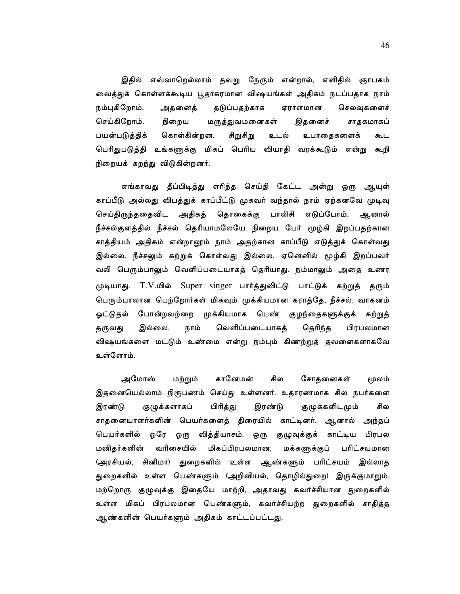இதில் எவ்வாறெல்லாம் தவறு நேரும் என்றால், எளிதில் ஞாபகம் வைத்துக் கொள்ளக்கூடிய பூதாகரமான விஷயங்கள் அதிகம் நடப்பதாக நாம் நம்புகிறோம். அதனைத் தடுப்பதற்காக ஏராளமான செலவுகளைச் செய்கிறோம். நிறைய மருத்துவமனைகள் இதனைச் சாதகமாகப் பயன்படுத்திக் சிறுசிறு கொள்கின்றன. உடல் உபாதைகளைக் கூட பெரிதுபடுத்தி உங்களுக்கு மிகப் பெரிய வியாதி வரக்கூடும் என்று கூறி நிறையக் கறந்து விடுகின்றனர்.

எங்காவது தீப்பிடித்து எரிந்த செய்தி கேட்ட அன்று ஒரு ஆயுள் காப்பீடு அல்லது விபத்துக் காப்பீட்டு முகவர் வந்தால் நாம் ஏற்கனவே முடிவு செய்திருந்ததைவிட அதிகத் தொகைக்கு பாலிசி எடுப்போம். ஆனால் நீச்சல்குளத்தில் நீச்சல் தெரியாமலேயே நிறைய பேர் மூழ்கி இறப்பதற்கான சாத்தியம் அதிகம் என்றாலூம் நாம் அதற்கான காப்பீடு எடுத்துக் கொள்வது இல்லை. நீச்சலும் கற்றுக் கொள்வது இல்லை. ஏனெனில் மூழ்கி இறப்பவர் வலி பெரும்பாலும் வெளிப்படையாகத் தெரியாது. நம்மாலும் அதை உணர முடியாது. T.V.யில் Super singer பார்த்துவிட்டு பாட்டுக் கற்றுத் தரும் பெரும்பாலான பெற்றோர்கள் மிகவும் முக்கியமான கராத்தே, நீச்சல், வாகனம் <u>ஓட்டுத</u>ல் போன்றவற்றை முக்கியமாக பெண் குழந்தைகளுக்குக் கற்றுத் வெளிப்படையாகத் தெரிந்த தருவது இல்லை. நாம் பிரபலமான விஷயங்களை மட்டும் உண்மை என்று நம்பும் கிணற்றுத் தவளைகளாகவே உள்ளோம்.

அமோஸ் மற்றும் கானேமன் சில சோதனைகள் மூலம் இதனையெல்லாம் நிரூபணம் செய்து உள்ளனர். உதாரணமாக சில நபர்களை பிரித்து இரண்டு குழுக்களாகப் இரண்டு குழுக்களிடமும் சில சாதனையாளர்களின் பெயர்களைத் திரையில் காட்டினர். ஆனால் அந்தப<mark>்</mark> பெயர்களில் ஒரே ஒரு வித்தியாசம். ஒரு குழுவுக்குக் காட்டிய பிரபல மிகப்பிரபலமான, மனிதர்களின் வரிசையில் மக்களுக்குப் பரிட்சயமான (அரசியல், சினிமா) துறைகளில் உள்ள ஆண்களும் பரிட்சயம் இல்லாத துறைகளில் உள்ள பெண்களும் (அறிவியல், தொழில்துறை) இருக்குமாறும், மற்றொரு குழுவுக்கு இதையே மாற்றி, அதாவது கவர்ச்சியான துறைகளில் உள்ள மிகப் பிரபலமான பெண்களும், கவர்ச்சியற்ற துறைகளில் சாதித்த ஆண்களின் பெயர்களும் அதிகம் காட்டப்பட்டது.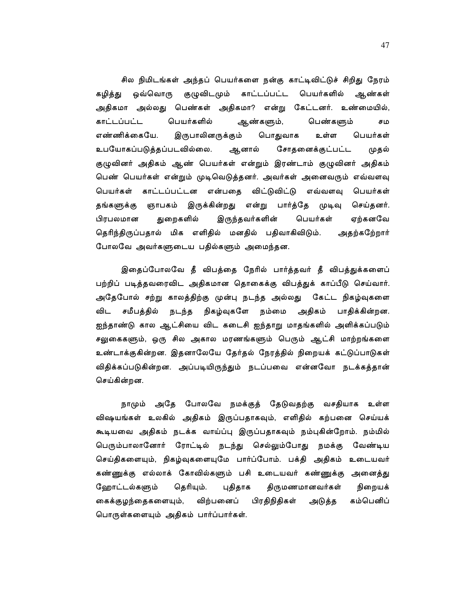சில நிமிடங்கள் அந்தப் பெயர்களை நன்கு காட்டிவிட்டுச் சிறிது நேரம் கழித்து ஒவ்வொரு குழுவிடமும் காட்டப்பட்ட பெயர்களில் ஆண்கள் அதிகமா அல்லது பெண்கள் அதிகமா? என்று கேட்டனர். உண்மையில், காட்டப்பட்ட பெயர்களில் ஆண்களும், பெண்களும் சம எண்ணிக்கையே. இருபாலினருக்கும் உள்ள பெயர்கள் பொதுவாக உபயோகப்படுத்தப்படவில்லை. ஆனால் சோதனைக்குட்பட்ட முதல் குழுவினர் அதிகம் ஆண் பெயர்கள் என்றும் இரண்டாம் குழுவினர் அதிகம் பெண் பெயர்கள் என்றும் முடிவெடுத்தனர். அவர்கள் அனைவரும் எவ்வளவு பெயர்கள் காட்டப்பட்டன என்பதை விட்டுவிட்டு எவ்வளவு பெயர்கள் தங்களுக்கு ஞாபகம் இருக்கின்றது என்று பார்த்தே முடிவு செய்தனர். இருந்தவர்களின் பெயர்கள் பிரபலமான துறைகளில் ஏற்கனவே தெரிந்திருப்பதால் மிக எளிதில் மனதில் பதிவாகிவிடும். அதற்கறே்றார் போலவே அவர்களுடைய பதில்களும் அமைந்தன.

இதைப்போலவே தீ விபத்தை நேரில் பார்த்தவர் தீ விபத்துக்களைப் பற்றிப் படித்தவரைவிட அதிகமான தொகைக்கு விபத்துக் காப்பீடு செய்வார். அதேபோல் சற்று காலத்திற்கு முன்பு நடந்த அல்லது கேட்ட நிகழ்வுகளை விட சமீபத்தில் நடந்த நிகழ்வுகளே நம்மை அதிகம் பாதிக்கின்றன. ஐந்தாண்டு கால ஆட்சியை விட கடைசி ஐந்தாறு மாதங்களில் அளிக்கப்படும் சலுகைகளும், ஒரு சில அகால மரணங்களும் பெரும் ஆட்சி மாற்றங்களை உண்டாக்குகின்றன. இதனாலேயே தேர்தல் நேரத்தில் நிறையக் கட்டுப்பாடுகள் விதிக்கப்படுகின்றன. அப்படியிருந்தும் நடப்பவை என்னவோ நடக்கத்தான் செய்கின்றன.

நாமும் அதே போலவே நமக்குத் தேடுவதற்கு வசதியாக உள்ள விஷயங்கள் உலகில் அதிகம் இருப்பதாகவும், எளிதில் கற்பனை செய்யக் கூடியவை அதிகம் நடக்க வாய்ப்பு இருப்பதாகவும் நம்புகின்றோம். நம்மில் பெரும்பாலானோர் ரோட்டில் நடந்து செல்லும்போது நமக்கு வேண்டிய செய்திகளையும், நிகழ்வுகளையுமே பார்ப்போம். பக்தி அதிகம் உடையவர் கண்ணுக்கு எல்லாக் கோவில்களும் பசி உடையவர் கண்ணுக்கு அனைத்து ஹோட்டல்களும் தெரியும். புதிதாக திருமணமானவர்கள் நிறையக் கைக்குழந்தைகளையும், விற்பனைப் பிரதிநிதிகள் கம்பெனிப் அடுத்த பொருள்களையும் அதிகம் பார்ப்பார்கள்.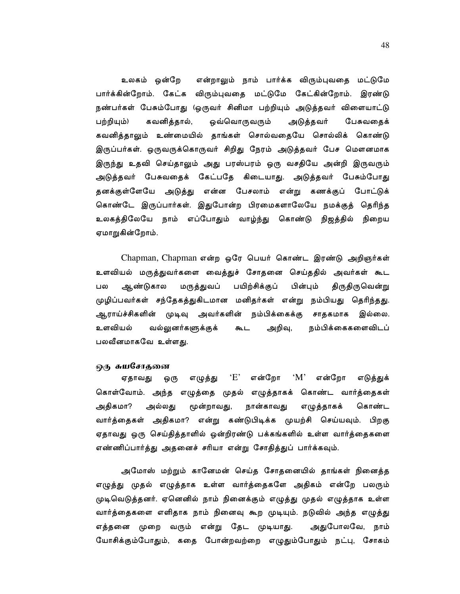உலகம் ஒன்றே என்றாலும் நாம் பார்க்க விரும்புவதை மட்டுமே பார்க்கின்றோம். கேட்க விரும்புவதை மட்டுமே கேட்கின்றோம். இரண்டு நண்பர்கள் பேசும்போது (ஒருவர் சினிமா பற்றியும் அடுத்தவர் விளையாட்டு கவனித்தால், ஒவ்வொருவரும் அடுத்தவர் பற்றியும்) பேசுவதைக் கவனித்தாலும் உண்மையில் தாங்கள் சொல்வதையே சொல்லிக் கொண்டு இருப்பர்கள். ஒருவருக்கொருவர் சிறிது நேரம் அடுத்தவர் பேச மௌனமாக இருந்து உதவி செய்தாலும் அது பரஸ்பரம் ஒரு வசதியே அன்றி இருவரும் அடுத்தவர் பேசுவதைக் கேட்பதே கிடையாது. அடுத்தவர் பேசும்போது தனக்குள்ளேயே அடுத்து என்ன பேசலாம் என்று கணக்குப் போட்டுக் கொண்டே இருப்பார்கள். இதுபோன்ற பிரமைகளாலேயே நமக்குத் தெரிந்த உலகத்திலேயே நாம் எப்போதும் வாழ்ந்து கொண்டு நிஜத்தில் நிறைய ஏமாறுகின்றோம்.

Chapman, Chapman என்ற ஒரே பெயர் கொண்ட இரண்டு அறிஞர்கள் உளவியல் மருத்துவர்களை வைத்துச் சோதனை செய்ததில் அவர்கள் கூட ஆண்டுகால மருத்துவப் பயிற்சிக்குப் பின்பும் திருதிருவென்று பல முழிப்பவர்கள் சந்தேகத்துகிடமான மனிதர்கள் என்று நம்பியது தெரிந்தது. ஆராய்ச்சிகளின் முடிவு அவர்களின் நம்பிக்கைக்கு சாதகமாக இல்லை. உளவியல் அறிவு, நம்பிக்கைகளைவிடப் வல்லுனர்களுக்குக் கூட பலவீனமாகவே உள்ளது.

### ஒரு சுயசோதனை

'E' என்றோ  $^{\circ}M^{\circ}$ என்றோ ஏதாவது ஒரு எழுத்து எடுத்துக் கொள்வோம். அந்த எழுத்தை முதல் எழுத்தாகக் கொண்ட வார்த்தைகள் அதிகமா? அல்லது மூன்றாவது, நான்காவது எழுத்தாகக் கொண்ட வார்த்தைகள் அதிகமா? என்று கண்டுபிடிக்க முயற்சி செய்யவும். பிறகு ஏதாவது ஒரு செய்தித்தாளில் ஒன்றிரண்டு பக்கங்களில் உள்ள வார்த்தைகளை எண்ணிப்பார்த்து அதனைச் சரியா என்று சோதித்துப் பார்க்கவும்.

அமோஸ் மற்றும் கானேமன் செய்த சோதனையில் தாங்கள் நினைத்த எழுத்து முதல் எழுத்தாக உள்ள வார்த்தைகளே அதிகம் என்றே பலரும் முடிவெடுத்தனர். ஏனெனில் நாம் நினைக்கும் எழுத்து முதல் எழுத்தாக உள்ள வார்த்தைகளை எளிதாக நாம் நினைவு கூற முடியும். நடுவில் அந்த எழுத்து எத்தனை முறை வரும் என்று தேட முடியாது. அதுபோலவே, நாம் யோசிக்கும்போதும், கதை போன்றவற்றை எழுதும்போதும் நட்பு, சோகம்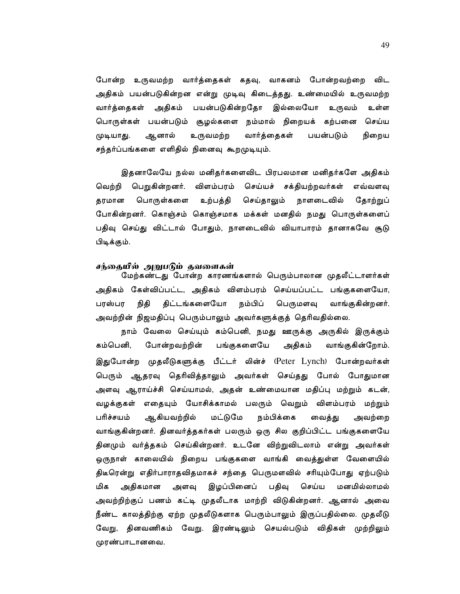போன்ற உருவமற்ற வார்த்தைகள் கதவு, வாகனம் போன்றவற்றை விட அதிகம் பயன்படுகின்றன என்று முடிவு கிடைத்தது. உண்மையில் உருவமற்ற அதிகம் பயன்படுகின்றதோ இல்லையோ உருவம் வார்த்தைகள் உள்ள பொருள்கள் பயன்படும் சூழல்களை நம்மால் நிறையக் கற்பனை செய்ய ஆனால் உருவமற்ற வார்த்தைகள் பயன்படும் நிறைய முடியாது. சந்தர்ப்பங்களை எளிதில் நினைவு கூறமுடியும்.

இதனாலேயே நல்ல மனிதர்களைவிட பிரபலமான மனிதர்களே அதிகம் வெற்றி பெறுகின்றனர். விளம்பரம் செய்யச் சக்தியற்றவர்கள் எவ்வளவு பொருள்களை செய்தாலும் தரமான உற்பத்தி நாளடைவில் தோற்றுப் போகின்றனர். கொஞ்சம் கொஞ்சமாக மக்கள் மனதில் நமது பொருள்களைப் பதிவு செய்து விட்டால் போதும், நாளடைவில் வியாபாரம் தானாகவே சூடு பிடிக்கும்.

# சந்தையில் அறுபடும் தவளைகள்

மேற்கண்டது போன்ற காரணங்களால் பெரும்பாலான முதலீட்டாளர்கள் அதிகம் கேள்விப்பட்ட, அதிகம் விளம்பரம் செய்யப்பட்ட பங்குகளையோ, பரஸ்பர நிதி திட்டங்களையோ நம்பிப் பெருமளவு வாங்குகின்றனர். அவற்றின் நிஜமதிப்பு பெரும்பாலும் அவர்களுக்குத் தெரிவதில்லை.

நாம் வேலை செய்யும் கம்பெனி, நமது ஊருக்கு அருகில் இருக்கும் கம்பெனி. போன்றவற்றின் பங்குகளையே அதிகம் வாங்குகின்றோம். இதுபோன்ற முதலீடுகளுக்கு பீட்டர் லின்ச் (Peter Lynch) போன்றவர்கள் பெரும் ஆதரவு தெரிவித்தாலும் அவர்கள் செய்தது போல் போதுமான அளவு ஆராய்ச்சி செய்யாமல், அதன் உண்மையான மதிப்பு மற்றும் கடன், வழக்குகள் எதையும் யோசிக்காமல் பலரும் வெறும் விளம்பரம் மற்றும் நம்பிக்கை பரிச்சயம் ஆகியவற்றில் மட்டுமே வைத்து அவற்றை வாங்குகின்றனர். தினவர்த்தகர்கள் பலரும் ஒரு சில குறிப்பிட்ட பங்குகளையே தினமும் வர்த்தகம் செய்கின்றனர். உடனே விற்றுவிடலாம் என்று அவர்கள் ஒருநாள் காலையில் நிறைய பங்குகளை வாங்கி வைத்துள்ள வேளையில் திடீரென்று எதிர்பாராதவிதமாகச் சந்தை பெருமளவில் சரியும்போது ஏற்படும் மிக இழப்பினைப் பதிவு செய்ய மனமில்லாமல் அதிகமான அளவு அவற்றிற்குப் பணம் கட்டி முதலீடாக மாற்றி விடுகின்றனர். ஆனால் அவை நீண்ட காலத்திற்கு ஏற்ற முதலீடுகளாக பெரும்பாலும் இருப்பதில்லை. முதலீடு வேறு, தினவணிகம் வேறு. இரண்டிலும் செயல்படும் விதிகள் முற்றிலும் முரண்பாடானவை.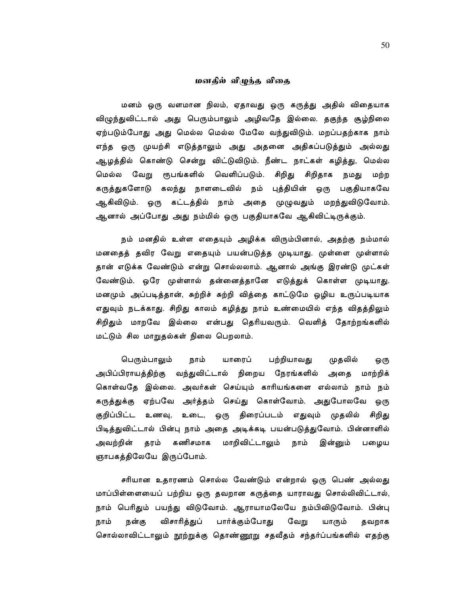## மனதில் விழுந்த விதை

மனம் ஒரு வளமான நிலம், ஏதாவது ஒரு கருத்து அதில் விதையாக விழுந்துவிட்டால் அது பெரும்பாலும் அழிவதே இல்லை. தகுந்த சூழ்நிலை ஏற்படும்போது அது மெல்ல மெல்ல மேலே வந்துவிடும். மறப்பதற்காக நாம் எந்த ஒரு முயற்சி எடுத்தாலும் அது அதனை அதிகப்படுத்தும் அல்லது ஆழத்தில் கொண்டு சென்று விட்டுவிடும். நீண்ட நாட்கள் கழித்து, மெல்ல ரூபங்களில் வெளிப்படும். சிறிது சிறிதாக மெல்ல வேறு நமது மற்ற கருத்துகளோடு கலந்து நாளடைவில் நம் புத்தியின் ஒரு பகுதியாகவே ஆகிவிடும். ஒரு கட்டத்தில் நாம் அதை முழுவதும் மறந்துவிடுவோம். ஆனால் அப்போது அது நம்மில் ஒரு பகுதியாகவே ஆகிவிட்டிருக்கும்.

நம் மனதில் உள்ள எதையும் அழிக்க விரும்பினால், அதற்கு நம்மால் மனதைத் தவிர வேறு எதையும் பயன்படுத்த முடியாது. முள்ளை முள்ளால் தான் எடுக்க வேண்டும் என்று சொல்லலாம். ஆனால் அங்கு இரண்டு முட்கள் வேண்டும். ஒரே முள்ளால் தன்னைத்தானே எடுத்துக் கொள்ள முடியாது. மனமும் அப்படித்தான், சுற்றிச் சுற்றி வித்தை காட்டுமே ஒழிய உருப்படியாக எதுவும் நடக்காது. சிறிது காலம் கழித்து நாம் உண்மையில் எந்த விதத்திலும் சிறிதும் மாறவே இல்லை என்பது தெரியவரும். வெளித் தோற்றங்களில் மட்டும் சில மாறுதல்கள் நிலை பெறலாம்.

பெரும்பாலும் பற்றியாவது நாம் யாரைப் முதலில் ஒரு அபிப்பிராயத்திற்கு வந்துவிட்டால் நிறைய நேரங்களில் அதை மாற்றிக் கொள்வதே இல்லை. அவர்கள் செய்யும் காரியங்களை எல்லாம் நாம் நம் கருத்துக்கு ஏற்பவே அர்த்தம் செய்து கொள்வோம். அதுபோலவே ஒரு குறிப்பிட்ட உணவு, உடை, ஒரு திரைப்படம் எதுவும் முதலில் சிறிது பிடித்துவிட்டால் பின்பு நாம் அதை அடிக்கடி பயன்படுத்துவோம். பின்னாளில் மாறிவிட்டாலும் நாம் இன்னும் பழைய அவற்றின் தரம் கணிசமாக ஞாபகத்திலேயே இருப்போம்.

சரியான உதாரணம் சொல்ல வேண்டும் என்றால் ஒரு பெண் அல்லது மாப்பிள்ளையைப் பற்றிய ஒரு தவறான கருத்தை யாராவது சொல்லிவிட்டால், நாம் பெரிதும் பயந்து விடுவோம். ஆராயாமலேயே நம்பிவிடுவோம். பின்பு விசாரித்துப் பார்க்கும்போது வேறு நாம் நன்கு யாரும் தவறாக சொல்லாவிட்டாலும் நூற்றுக்கு தொண்ணூறு சதவீதம் சந்தர்ப்பங்களில் எதற்கு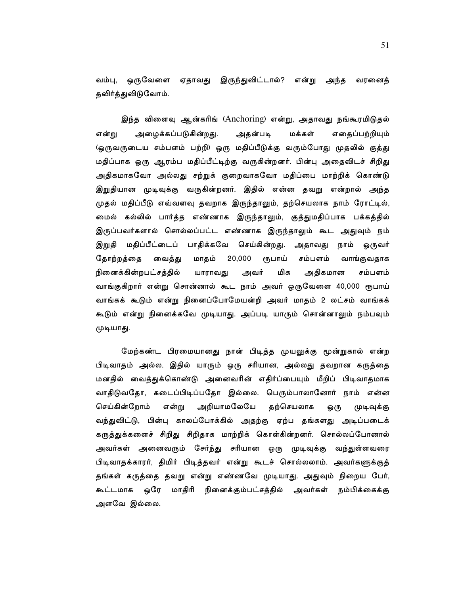வம்பு, ஒருவேளை ஏதாவது இருந்துவிட்டால்? என்று அந்த வரனைத் தவிர்த்துவிடுவோம்.

இந்த விளைவு ஆன்கரிங் (Anchoring) என்று, அதாவது நங்கூரமிடுதல் அழைக்கப்படுகின்றது. எதைப்பற்றியும் என்று அதன்படி மக்கள் (ஒருவருடைய சம்பளம் பற்றி) ஒரு மதிப்பீடுக்கு வரும்போது முதலில் குத்து மதிப்பாக ஒரு ஆரம்ப மதிப்பீட்டிற்கு வருகின்றனர். பின்பு அதைவிடச் சிறிது அதிகமாகவோ அல்லது சற்றுக் குறைவாகவோ மதிப்பை மாற்றிக் கொண்டு இறுதியான முடிவுக்கு வருகின்றனர். இதில் என்ன தவறு என்றால் அந்த முதல் மதிப்பீடு எவ்வளவு தவறாக இருந்தாலும், தற்செயலாக நாம் ரோட்டில், மைல் கல்லில் பார்த்த எண்ணாக இருந்தாலும், குத்துமதிப்பாக பக்கத்தில் இருப்பவர்களால் சொல்லப்பட்ட எண்ணாக இருந்தாலும் கூட அதுவும் நம் இறுதி மதிப்பீட்டைப் பாதிக்கவே செய்கின்றது. அதாவது நாம் ஒருவர் மாதம் 20,000 தோற்றத்தை வைத்து ரூபாய் சம்பளம் வாங்குவதாக நினைக்கின்றபட்சத்தில் யாராவது அவர் மிக அதிகமான சம்பளம் வாங்குகிறார் என்று சொன்னால் கூட நாம் அவர் ஒருவேளை 40,000 ரூபாய் வாங்கக் கூடும் என்று நினைப்போமேயன்றி அவர் மாதம் 2 லட்சம் வாங்கக் கூடும் என்று நினைக்கவே முடியாது. அப்படி யாரும் சொன்னாலும் நம்பவும் முடியாது.

மேற்கண்ட பிரமையானது நான் பிடித்த முயலுக்கு மூன்றுகால் என்ற பிடிவாதம் அல்ல. இதில் யாரும் ஒரு சரியான, அல்லது தவறான கருத்தை மனதில் வைத்துக்கொண்டு அனைவரின் எதிர்ப்பையும் மீறிப் பிடிவாதமாக வாதிடுவதோ, கடைப்பிடிப்பதோ இல்லை. பெரும்பாலானோர் நாம் என்ன செய்கின்றோம் என்று அறியாமலேயே தற்செயலாக ஒரு முடிவுக்கு வந்துவிட்டு, பின்பு காலப்போக்கில் அதற்கு ஏற்ப தங்களது அடிப்படைக் கருத்துக்களைச் சிறிது சிறிதாக மாற்றிக் கொள்கின்றனர். சொல்லப்போனால் அவர்கள் அனைவரும் சேர்ந்து சரியான ஒரு முடிவுக்கு வந்துள்ளவரை பிடிவாதக்காரர், திமிர் பிடித்தவர் என்று கூடச் சொல்லலாம். அவர்களுக்குத் தங்கள் கருத்தை தவறு என்று எண்ணவே முடியாது. அதுவும் நிறைய பேர், கூட்டமாக ஒரே மாதிரி நினைக்கும்பட்சத்தில் அவர்கள் நம்பிக்கைக்கு அளவே இல்லை.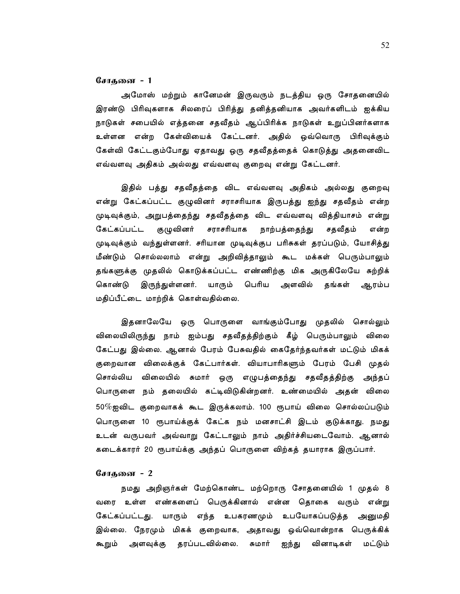#### சோகனை - 1

அமோஸ் மற்றும் கானேமன் இருவரும் நடத்திய ஒரு சோதனையில் இரண்டு பிரிவுகளாக சிலரைப் பிரித்து தனித்தனியாக அவர்களிடம் ஐக்கிய நாடுகள் சபையில் எத்தனை சதவீதம் ஆப்பிரிக்க நாடுகள் உறுப்பினர்களாக உள்ளன என்ற கேள்வியைக் கேட்டனர். அதில் ஒவ்வொரு பிரிவுக்கும் கேள்வி கேட்டகும்போது ஏதாவது ஒரு சதவீதத்தைக் கொடுத்து அதனைவிட எவ்வளவு அதிகம் அல்லது எவ்வளவு குறைவு என்று கேட்டனர்.

இதில் பத்து சதவீதத்தை விட எவ்வளவு அதிகம் அல்லது குறைவு என்று கேட்கப்பட்ட குழுவினர் சராசரியாக இருபத்து ஐந்து சதவீதம் என்ற முடிவுக்கும், அறுபத்தைந்து சதவீதத்தை விட எவ்வளவு வித்தியாசம் என்று குழுவினர் கேட்கப்பட்ட சராசரியாக நாற்பத்தைந்து சதவீதம் என்ற முடிவுக்கும் வந்துள்ளனர். சரியான முடிவுக்குப பரிசுகள் தரப்படும், யோசித்து மீண்டும் சொல்லலாம் என்று அறிவித்தாலும் கூட மக்கள் பெரும்பாலும் தங்களுக்கு முதலில் கொடுக்கப்பட்ட எண்ணிற்கு மிக அருகிலேயே சுற்றிக் யாரும் பெரிய அளவில் தங்கள் ஆரம்ப கொண்டு இருந்துள்ளனர். மதிப்பீட்டை மாற்றிக் கொள்வதில்லை.

இதனாலேயே ஒரு பொருளை வாங்கும்போது முதலில் சொல்லும் விலையிலிருந்து நாம் ஐம்பது சதவீதத்திற்கும் கீழ் பெரும்பாலும் விலை கேட்பது இல்லை. ஆனால் பேரம் பேசுவதில் கைதேர்ந்தவர்கள் மட்டும் மிகக் குறைவான விலைக்குக் கேட்பார்கள். வியாபாரிகளும் பேரம் பேசி முதல் சொல்லிய விலையில் சுமார் ஒரு எழுபத்தைந்து சதவீதத்திற்கு அந்தப் பொருளை நம் தலையில் கட்டிவிடுகின்றனர். உண்மையில் அதன் விலை  $50\%$ ஐவிட குறைவாகக் கூட இருக்கலாம். 100 ரூபாய் விலை சொல்லப்படும் பொருளை 10 ரூபாய்க்குக் கேட்க நம் மனசாட்சி இடம் குடுக்காது. நமது உடன் வருபவர் அவ்வாறு கேட்டாலும் நாம் அதிர்ச்சியடைவோம். ஆனால் கடைக்காரர் 20 ரூபாய்க்கு அந்தப் பொருளை விற்கத் தயாராக இருப்பார்.

## சோதனை - 2

நமது அறிஞர்கள் மேற்கொண்ட மற்றொரு சோதனையில் 1 முதல் 8 வரை உள்ள எண்களைப் பெருக்கினால் என்ன தொகை வரும் என்று கேட்கப்பட்டது. யாரும் எந்த உபகரணமும் உபயோகப்படுத்த அனுமதி இல்லை. நேரமும் மிகக் குறைவாக, அதாவது ஒவ்வொன்றாக பெருக்கிக் கூறும் அளவுக்கு தரப்படவில்லை. சுமார் ஐந்து வினாடிகள் மட்டும்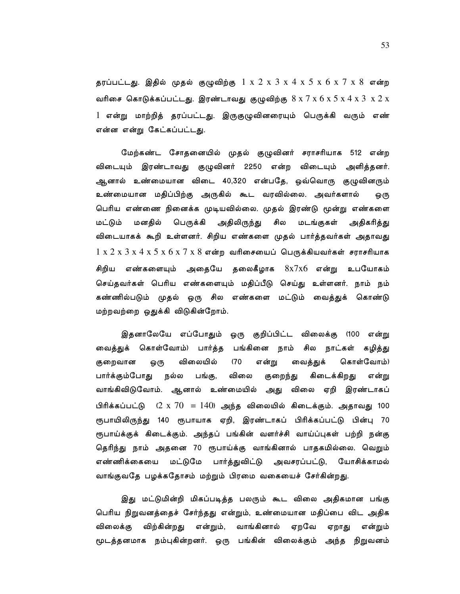தரப்பட்டது. இதில் முதல் குழுவிற்கு  $1 \times 2 \times 3 \times 4 \times 5 \times 6 \times 7 \times 8$  என்ற வரிசை கொடுக்கப்பட்டது. இரண்டாவது குழுவிற்கு  $8 \times 7 \times 6 \times 5 \times 4 \times 3 \times 2 \times 1$ 1 என்று மாற்றித் தரப்பட்டது. இருகுழுவினரையும் பெருக்கி வரும் எண் என்ன என்று கேட்கப்பட்டது.

மேற்கண்ட சோதனையில் முதல் குழுவினர் சராசரியாக 512 என்ற விடையும் இரண்டாவது குழுவினர் 2250 என்ற விடையும் அளித்தனர். ஆனால் உண்மையான விடை 40,320 என்பதே, ஒவ்வொரு குழுவினரும் உண்மையான மதிப்பிற்கு அருகில் கூட வரவில்லை. அவர்களால் ஒரு பெரிய எண்ணை நினைக்க முடியவில்லை. முதல் இரண்டு மூன்று எண்களை மட்டும் மனதில் பெருக்கி அதிலிருந்து சில மடங்குகள் அதிகரித்து விடையாகக் கூறி உள்ளனர். சிறிய எண்களை முதல் பார்த்தவர்கள் அதாவது  $1 \times 2 \times 3 \times 4 \times 5 \times 6 \times 7 \times 8$  என்ற வரிசையைப் பெருக்கியவர்கள் சராசரியாக சிறிய எண்களையும் அதையே தலைகீழாக  $8\mathrm{x}7\mathrm{x}6$  என்று உபயோகம் செய்தவர்கள் பெரிய எண்களையும் மதிப்பீடு செய்து உள்ளனர். நாம் நம் கண்ணில்படும் முதல் ஒரு சில எண்களை மட்டும் வைத்துக் கொண்டு மற்றவற்றை ஒதுக்கி விடுகின்றோம்.

இதனாலேயே எப்போதும் ஒரு குறிப்பிட்ட விலைக்கு (100 என்று வைத்துக் கொள்வோம்) பார்த்த பங்கினை நாம் சில நாட்கள் கழித்து விலையில்  $(70)$ கொள்வோம்) குறைவான ஒரு என்று வைத்துக் பங்கு, கிடைக்கிறது பார்க்கும்போது நல்ல விலை குறைந்து என்று வாங்கிவிடுவோம். ஆனால் உண்மையில் அது விலை ஏறி இரண்டாகப் பிரிக்கப்பட்டு  $(2 \times 70) = 140$ ) அந்த விலையில் கிடைக்கும். அதாவது 100 ரூபாயிலிருந்து 140 ரூபாயாக ஏறி, இரண்டாகப் பிரிக்கப்பட்டு பின்பு 70 ரூபாய்க்குக் கிடைக்கும். அந்தப் பங்கின் வளர்ச்சி வாய்ப்புகள் பற்றி நன்கு தெரிந்து நாம் அதனை 70 ரூபாய்க்கு வாங்கினால் பாதகமில்லை. வெறும் எண்ணிக்கையை மட்டுமே பார்த்துவிட்டு அவசரப்பட்டு, யோசிக்காமல் வாங்குவதே பழக்கதோசம் மற்றும் பிரமை வகையைச் சேர்கின்றது.

இது மட்டுமின்றி மிகப்படித்த பலரும் கூட விலை அதிகமான பங்கு பெரிய நிறுவனத்தைச் சேர்ந்தது என்றும், உண்மையான மதிப்பை விட அதிக விலைக்கு விற்கின்றது என்றும், வாங்கினால் ஏறவே ஏறாது என்றும் மூடத்தனமாக நம்புகின்றனர். ஒரு பங்கின் விலைக்கும் அந்த நிறுவனம்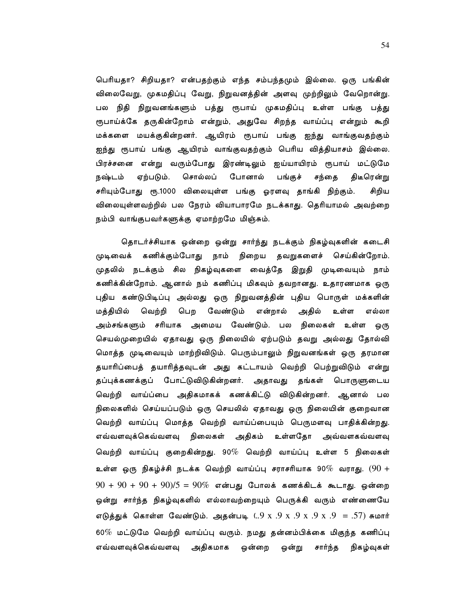பெரியதா? சிறியதா? என்பதற்கும் எந்த சம்பந்தமும் இல்லை. ஒரு பங்கின் விலைவேறு, முகமதிப்பு வேறு, நிறுவனத்தின் அளவு முற்றிலும் வேறொன்று. பல நிதி நிறுவனங்களும் பத்து ரூபாய் முகமதிப்பு உள்ள பங்கு பத்து ரூபாய்க்கே தருகின்றோம் என்றும், அதுவே சிறந்த வாய்ப்பு என்றும் கூறி மக்களை மயக்குகின்றனர். ஆயிரம் ரூபாய் பங்கு ஐந்து வாங்குவதற்கும் ஐந்து ரூபாய் பங்கு ஆயிரம் வாங்குவதற்கும் பெரிய வித்தியாசம் இல்லை. பிரச்சனை என்று வரும்போது இரண்டிலும் ஐய்யாயிரம் ரூபாய் மட்டுமே சொல்லப் போனால் நஷ்டம் ஏற்படும். பங்குச் சந்தை திடீரென்று சரியும்போது ரூ.1000 விலையுள்ள பங்கு ஓரளவு தாங்கி நிற்கும். சிறிய விலையுள்ளவற்றில் பல நேரம் வியாபாரமே நடக்காது. தெரியாமல் அவற்றை நம்பி வாங்குபவர்களுக்கு ஏமாற்றமே மிஞ்சும்.

தொடர்ச்சியாக ஒன்றை ஒன்று சார்ந்து நடக்கும் நிகழ்வுகளின் கடைசி முடிவைக் கணிக்கும்போது நாம் நிறைய தவறுகளைச் செய்கின்றோம். முதலில் நடக்கும் சில நிகழ்வுகளை வைத்தே இறுதி முடிவையும் நாம் கணிக்கின்றோம். ஆனால் நம் கணிப்பு மிகவும் தவறானது. உதாரணமாக ஒரு புதிய கண்டுபிடிப்பு அல்லது ஒரு நிறுவனத்தின் புதிய பொருள் மக்களின் மத்தியில் வெற்றி பெற வேண்டும் என்றால் அதில் உள்ள எல்லா அம்சங்களும் சரியாக அமைய வேண்டும். பல நிலைகள் உள்ள ஒரு செயல்முறையில் ஏதாவது ஒரு நிலையில் ஏற்படும் தவறு அல்லது தோல்வி மொத்த முடிவையும் மாற்றிவிடும். பெரும்பாலும் நிறுவனங்கள் ஒரு தரமான தயாரிப்பைத் தயாரித்தவுடன் அது கட்டாயம் வெற்றி பெற்றுவிடும் என்று தப்புக்கணக்குப் போட்டுவிடுகின்றனர். அதாவது தங்கள் பொருளுடைய வெற்றி வாய்ப்பை அதிகமாகக் கணக்கிட்டு விடுகின்றனர். ஆனால் பல நிலைகளில் செய்யப்படும் ஒரு செயலில் ஏதாவது ஒரு நிலையின் குறைவான வெற்றி வாய்ப்பு மொத்த வெற்றி வாய்ப்பையும் பெருமளவு பாதிக்கின்றது. எவ்வளவுக்கெவ்வளவு நிலைகள் அதிகம் உள்ளதோ அவ்வளகவ்வளவு வெற்றி வாய்ப்பு குறைகின்றது. 90 $\%$  வெற்றி வாய்ப்பு உள்ள 5 நிலைகள் உள்ள ஒரு நிகழ்ச்சி நடக்க வெற்றி வாய்ப்பு சராசரியாக 90 $\%$  வராது.  $(90$  +  $90 + 90 + 90 + 90$ )/5 =  $90\%$  என்பது போலக் கணக்கிடக் கூடாது. ஒன்றை ஒன்று சார்ந்த நிகழ்வுகளில் எல்லாவற்றையும் பெருக்கி வரும் எண்ணையே எடுத்துக் கொள்ள வேண்டும். அதன்படி (..9 x .9 x .9 x .9 x .9 = .57) சுமார் 60 $\%$  மட்டுமே வெற்றி வாய்ப்பு வரும். நமது தன்னம்பிக்கை மிகுந்த கணிப்பு எவ்வளவுக்கெவ்வளவு அதிகமாக ஒன்றை சார்ந்த நிகழ்வுகள் ஒன்று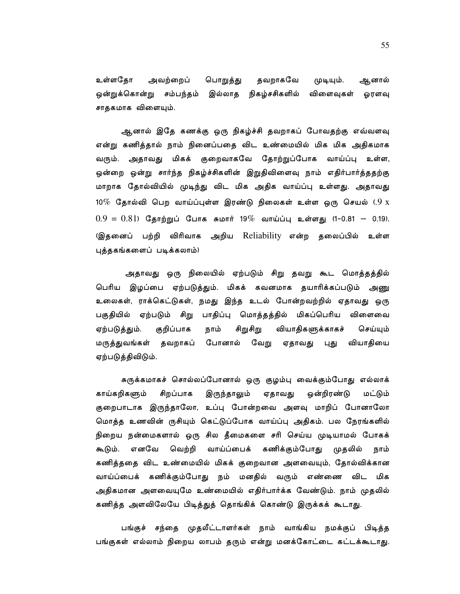உள்ளதோ அவற்றைப் தவறாகவே பொறுத்து ஆனால் முடியும். ஒன்றுக்கொன்று சம்பந்தம் இல்லாத நிகழ்சசிகளில் விளைவுகள் ஓரளவு சாதகமாக விளையும்.

ஆனால் இதே கணக்கு ஒரு நிகழ்ச்சி தவறாகப் போவதற்கு எவ்வளவு என்று கணித்தால் நாம் நினைப்பதை விட உண்மையில் மிக மிக அதிகமாக வரும். அதாவது மிகக் குறைவாகவே தோற்றுப்போக வாய்ப்பு உள்ள, ஒன்றை ஒன்று சார்ந்த நிகழ்ச்சிகளின் இறுதிவிளைவு நாம் எதிர்பார்த்ததற்கு மாறாக தோல்வியில் முடிந்து விட மிக அதிக வாய்ப்பு உள்ளது. அதாவது 10% தோல்வி பெற வாய்ப்புள்ள இரண்டு நிலைகள் உள்ள ஒரு செயல் (.9  $x$  $0.9 = 0.81$ ) தோற்றுப் போக சுமார் 19% வாய்ப்பு உள்ளது (1-0.81 - 0.19). இதனைப் பற்றி விரிவாக அறிய Reliability என்ற தலைப்பில் உள்ள புத்தகங்களைப் படிக்கலாம்)

அதாவது ஒரு நிலையில் ஏற்படும் சிறு தவறு கூட மொத்தத்தில் பெரிய இழப்பை ஏற்படுத்தும். மிகக் கவனமாக தயாரிக்கப்படும் அணு உலைகள், ராக்கெட்டுகள், நமது இந்த உடல் போன்றவற்றில் ஏதாவது ஒரு பகுதியில் ஏற்படும் சிறு பாதிப்பு மொத்தத்தில் மிகப்பெரிய விளைவை ஏற்படுத்தும். குறிப்பாக நாம் சிறுசிறு வியாதிகளுக்காகச் செய்யும் மருத்துவங்கள் தவறாகப் போனால் வேறு ஏதாவது புது வியாதியை ஏற்படுத்திவிடும்.

சுருக்கமாகச் சொல்லப்போனால் ஒரு குழம்பு வைக்கும்போது எல்லாக் காய்கறிகளும் சிறப்பாக இருந்தாலும் ஏதாவது ஒன்றிரண்டு மட்டும் குறைபாடாக இருந்தாலோ, உப்பு போன்றவை அளவு மாறிப் போனாலோ மொத்த உணவின் ருசியும் கெட்டுப்போக வாய்ப்பு அதிகம். பல நேரங்களில் நிறைய நன்மைகளால் ஒரு சில தீமைகளை சரி செய்ய முடியாமல் போகக் கூடும். எனவே வெற்றி வாய்ப்பைக் கணிக்கும்போது முதலில் நாம் கணித்ததை விட உண்மையில் மிகக் குறைவான அளவையும், தோல்விக்கான வாய்ப்பைக் கணிக்கும்போது நம் மனதில் வரும் எண்ணை விட மிக அதிகமான அளவையுமே உண்மையில் எதிர்பார்க்க வேண்டும். நாம் முதலில் கணித்த அளவிலேயே பிடித்துத் தொங்கிக் கொண்டு இருக்கக் கூடாது.

பங்குச் சந்தை முதலீட்டாளர்கள் நாம் வாங்கிய நமக்குப் பிடித்த பங்குகள் எல்லாம் நிறைய லாபம் தரும் என்று மனக்கோட்டை கட்டக்கூடாது.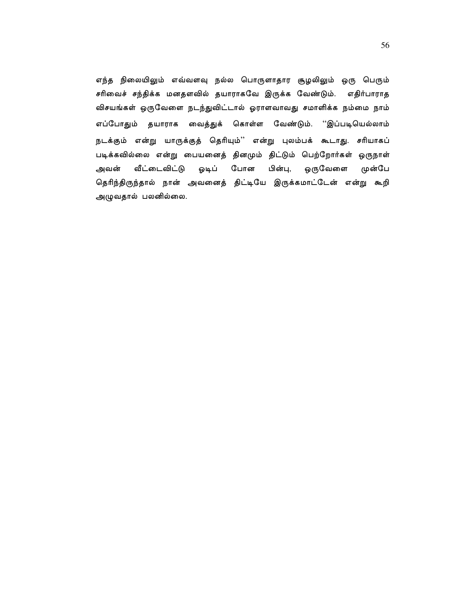எந்த நிலையிலும் எவ்வளவு நல்ல பொருளாதார சூழலிலும் ஒரு பெரும் சரிவைச் சந்திக்க மனதளவில் தயாராகவே இருக்க வேண்டும். எதிர்பாராத விசயங்கள் ஒருவேளை நடந்துவிட்டால் ஓராளவாவது சமாளிக்க நம்மை நாம் எப்போதும் தயாராக வைத்துக் கொள்ள வேண்டும். ''இப்படியெல்லாம் நடக்கும் என்று யாருக்குத் தெரியும்'' என்று புலம்பக் கூடாது. சரியாகப் படிக்கவில்லை என்று பையனைத் தினமும் திட்டும் பெற்றோர்கள் ஒருநாள் அவன் வீட்டைவிட்டு ஓடிப் போன பின்பு, ஒருவேளை முன்பே தெரிந்திருந்தால் நான் அவனைத் திட்டியே இருக்கமாட்டேன் என்று கூறி அழுவதால் பலனில்லை.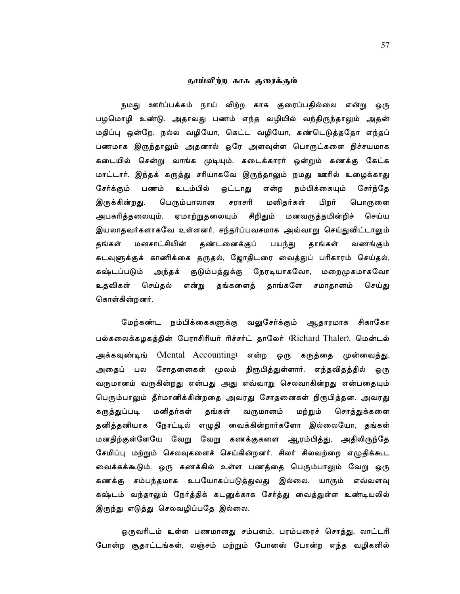## நாய்விற்ற காசு குரைக்கும்

நமது ஊர்ப்பக்கம் நாய் விற்ற காசு குரைப்பதில்லை என்று ஒரு பழமொழி உண்டு. அதாவது பணம் எந்த வழியில் வந்திருந்தாலும் அதன் மதிப்பு ஒன்றே. நல்ல வழியோ, கெட்ட வழியோ, கண்டெடுத்ததோ எந்தப் பணமாக இருந்தாலும் அதனால் ஒரே அளவுள்ள பொருட்களை நிச்சயமாக கடையில் சென்று வாங்க முடியும். கடைக்காரர் ஒன்றும் கணக்கு கேட்க மாட்டார். இந்தக் கருத்து சரியாகவே இருந்தாலும் நமது ஊரில் உழைக்காது சேர்க்கும் பணம் உடம்பில் ஒட்டாது என்ற நம்பிக்கையும் சேர்ந்தே இருக்கின்றது. பெரும்பாலான சராசரி மனிதர்கள் பிறர் பொருளை அபகரித்தலையும், ஏமாற்றுதலையும் சிறிதும் மனவருத்தமின்றிச் செய்ய இயலாதவர்களாகவே உள்ளனர். சந்தர்ப்பவசமாக அவ்வாறு செய்துவிட்டாலும் மனசாட்சியின் தண்டனைக்குப் பயந்து தாங்கள் தங்கள் வணங்கும் கடவுளுக்குக் காணிக்கை தருதல், ஜோதிடரை வைத்துப் பரிகாரம் செய்தல், கஷ்டப்படும் அந்தக் குடும்பத்துக்கு நேரடியாகவோ, மறைமுகமாகவோ உதவிகள் செய்தல் என்று தங்களைத் தாங்களே சமாதானம் செய்து கொள்கின்றனர்.

மேற்கண்ட நம்பிக்கைகளுக்கு வலுசேர்க்கும் ஆதாரமாக சிகாகோ பல்கலைக்கழகத்தின் பேராசிரியர் ரிச்சர்ட் தாலேர் (Richard Thaler), மென்டல் அக்கவுண்டிங் (Mental Accounting) என்ற ஒரு கருத்தை முன்வைத்து, அதைப் பல சோதனைகள் மூலம் நிரூபித்துள்ளார். எந்தவிதத்தில் ஒரு வருமானம் வருகின்றது என்பது அது எவ்வாறு செலவாகின்றது என்பதையும் பெரும்பாலும் தீர்மானிக்கின்றதை அவரது சோதனைகள் நிரூபித்தன. அவரது மனிதர்கள் கருத்துப்படி தங்கள் வருமானம் மற்றும் சொத்துக்களை தனித்தனியாக நோட்டில் எழுதி வைக்கின்றார்களோ இல்லையோ, தங்கள் மனதிற்குள்ளேயே வேறு வேறு கணக்குகளை ஆரம்பித்து, அதிலிருந்தே சேமிப்பு மற்றும் செலவுகளைச் செய்கின்றனர். சிலர் சிலவற்றை எழுதிக்கூட வைக்கக்கூடும். ஒரு கணக்கில் உள்ள பணத்தை பெரும்பாலும் வேறு ஒரு கணக்கு சம்பந்தமாக உபயோகப்படுத்துவது இல்லை. யாரும் எவ்வளவு கஷ்டம் வந்தாலும் நேர்த்திக் கடனுக்காக சேர்த்து வைத்துள்ள உண்டியலில் இருந்து எடுத்து செலவழிப்பதே இல்லை.

ஒருவரிடம் உள்ள பணமானது சம்பளம், பரம்பரைச் சொத்து, லாட்டரி போன்ற சூதாட்டங்கள், லஞ்சம் மற்றும் போனஸ் போன்ற எந்த வழிகளில்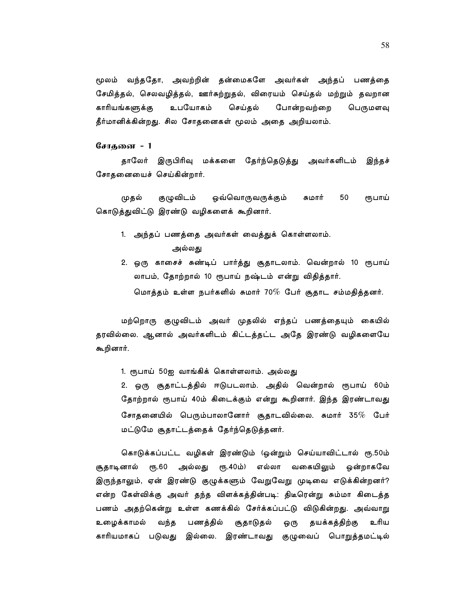மூலம் வந்ததோ, அவற்றின் தன்மைகளே அவர்கள் அந்தப் பணத்தை சேமித்தல், செலவழித்தல், ஊர்சுற்றுதல், விரையம் செய்தல் மற்றும் தவறான காரியங்களுக்கு உபயோகம் செய்தல் போன்றவற்றை பெருமளவு தீர்மானிக்கின்றது. சில சோதனைகள் மூலம் அதை அறியலாம்.

சோகனை - 1

தாலேர் இருபிரிவு மக்களை தேர்ந்தெடுத்து அவர்களிடம் இந்தச் சோதனையைச் செய்கின்றார்.

குழுவிடம் ஒவ்வொருவருக்கும் சுமார் 50 முதல் ரூபாய் கொடுத்துவிட்டு இரண்டு வழிகளைக் கூறினார்.

- 1. அந்தப் பணத்தை அவர்கள் வைத்துக் கொள்ளலாம். அல்லது
- 2. ஒரு காசைச் சுண்டிப் பார்த்து சூதாடலாம். வென்றால் 10 ரூபாய் லாபம், தோற்றால் 10 ரூபாய் நஷ்டம் என்று விதித்தார். மொத்தம் உள்ள நபர்களில் சுமார் 70% பேர் சூதாட சம்மதித்தனர்.

மற்றொரு குழுவிடம் அவர் முதலில் எந்தப் பணத்தையும் கையில் தரவில்லை. ஆனால் அவர்களிடம் கிட்டத்தட்ட அதே இரண்டு வழிகளையே கூறினார்.

1. ரூபாய் 50ஐ வாங்கிக் கொள்ளலாம். அல்லது

2. ஒரு சூதாட்டத்தில் ஈடுபடலாம். அதில் வென்றால் ரூபாய் 60ம் தோற்றால் ரூபாய் 40ம் கிடைக்கும் என்று கூறினார். இந்த இரண்டாவது சோதனையில் பெரும்பாலானோர் சூதாடவில்லை. சுமார் 35 $\%$  பேர் மட்டுமே சூதாட்டத்தைக் தேர்ந்தெடுத்தனர்.

கொடுக்கப்பட்ட வழிகள் இரண்டும் (ஒன்றும் செய்யாவிட்டால் ரூ.50ம் சூதாடினால் ரூ.60 அல்லது ரூ.40ம்) எல்லா வகையிலும் ஒன்றாகவே இருந்தாலும், ஏன் இரண்டு குழுக்களும் வேறுவேறு முடிவை எடுக்கின்றனர்? என்ற கேள்விக்கு அவர் தந்த விளக்கத்தின்படி: திடீரென்று சும்மா கிடைத்த பணம் அதற்கென்று உள்ள கணக்கில் சேர்க்கப்பட்டு விடுகின்றது. அவ்வாறு உழைக்காமல் வந்த பணத்தில் சூதாடுதல் ஒரு தயக்கத்திற்கு உரிய காரியமாகப் படுவது இல்லை. இரண்டாவது குழுவைப் பொறுத்தமட்டில்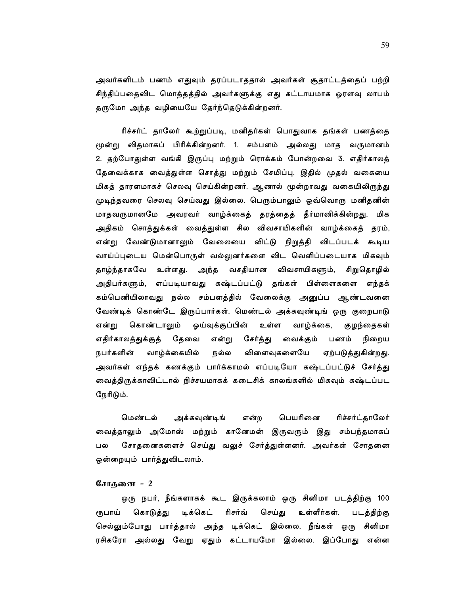அவர்களிடம் பணம் எதுவும் தரப்படாததால் அவர்கள் சூதாட்டத்தைப் பற்றி சிந்திப்பதைவிட மொத்தத்தில் அவர்களுக்கு எது கட்டாயமாக ஓரளவு லாபம் தருமோ அந்த வழியையே தேர்ந்தெடுக்கின்றனர்.

ரிச்சர்ட் தாலேர் கூற்றுப்படி, மனிதர்கள் பொதுவாக தங்கள் பணத்தை மூன்று விதமாகப் பிரிக்கின்றனர். 1. சம்பளம் அல்லது மாத வருமானம் 2. தற்போதுள்ள வங்கி இருப்பு மற்றும் ரொக்கம் போன்றவை 3. எதிர்காலத் தேவைக்காக வைத்துள்ள சொத்து மற்றும் சேமிப்பு. இதில் முதல் வகையை மிகத் தாரளமாகச் செலவு செய்கின்றனர். ஆனால் மூன்றாவது வகையிலிருந்து முடிந்தவரை செலவு செய்வது இல்லை. பெரும்பாலும் ஒவ்வொரு மனிதனின் மாதவருமானமே அவரவர் வாழ்க்கைத் தரத்தைத் தீர்மானிக்கின்றது. மிக அதிகம் சொத்துக்கள் வைத்துள்ள சில விவசாயிகளின் வாழ்க்கைத் தரம், என்று வேண்டுமானாலும் வேலையை விட்டு நிறுத்தி விடப்படக் கூடிய வாய்ப்புடைய மென்பொருள் வல்லுனர்களை விட வெளிப்படையாக மிகவும் தாழ்ந்தாகவே உள்ளது. அந்த வசதியான விவசாயிகளும், சிறுதொழில் அதிபர்களும், எப்படியாவது கஷ்டப்பட்டு தங்கள் பிள்ளைகளை எந்தக் கம்பெனியிலாவது நல்ல சம்பளத்தில் வேலைக்கு அனுப்ப ஆண்டவனை வேண்டிக் கொண்டே இருப்பார்கள். மெண்டல் அக்கவுண்டிங் ஒரு குறைபாடு கொண்டாலும் என்று ஓய்வுக்குப்பின் உள்ள வாழ்க்கை, குழந்தைகள் எதிர்காலத்துக்குத் தேவை என்று சேர்த்து வைக்கும் பணம் நிறைய நல்ல வாழ்க்கையில் விளைவுகளையே ஏற்படுத்துகின்றது. நபர்களின் அவர்கள் எந்தக் கணக்கும் பார்க்காமல் எப்படியோ கஷ்டப்பட்டுச் சேர்த்து வைத்திருக்காவிட்டால் நிச்சயமாகக் கடைசிக் காலங்களில் மிகவும் கஷ்டப்பட நேரிடும்.

பெயரினை மெண்டல் ரிச்சர்ட்காலேர் அக்கவுண்டிங் என்ற வைத்தாலும் அமோஸ் மற்றும் கானேமன் இருவரும் இது சம்பந்தமாகப் சோதனைகளைச் செய்து வலுச் சேர்த்துள்ளனர். அவர்கள் சோதனை பல ஒன்றையும் பார்த்துவிடலாம்.

# சோகனை - 2

ஒரு நபர், நீங்களாகக் கூட இருக்கலாம் ஒரு சினிமா படத்திற்கு 100 கொடுத்து டிக்கெட் ரிசர்வ் செய்து உள்ளீர்கள். படத்திற்கு ரூபாய் செல்லும்போது பார்த்தால் அந்த டிக்கெட் இல்லை. நீங்கள் ஒரு சினிமா ரசிகரோ அல்லது வேறு ஏதும் கட்டாயமோ இல்லை. இப்போது என்ன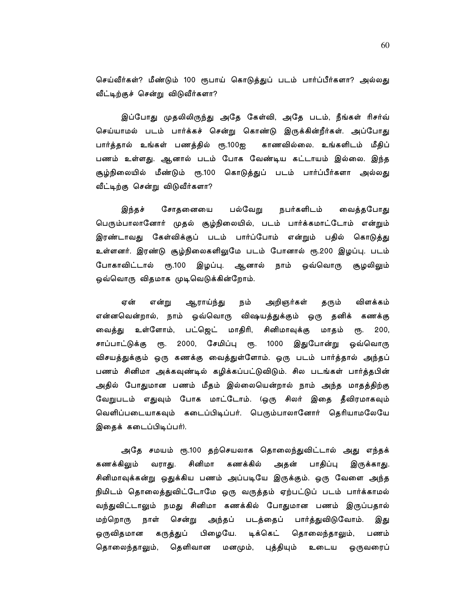செய்வீர்கள்? மீண்டும் 100 ரூபாய் கொடுத்துப் படம் பார்ப்பீர்களா? அல்லது வீட்டிற்குச் சென்று விடுவீர்களா?

இப்போது முதலிலிருந்து அதே கேள்வி, அதே படம், நீங்கள் ரிசர்வ் செய்யாமல் படம் பார்க்கச் சென்று கொண்டு இருக்கின்றீர்கள். அப்போது பார்த்தால் உங்கள் பணத்தில் ரூ.100ஐ காணவில்லை. உங்களிடம் மீதிப் பணம் உள்ளது. ஆனால் படம் போக வேண்டிய கட்டாயம் இல்லை. இந்த சூழ்நிலையில் மீண்டும் ரூ.100 கொடுத்துப் படம் பார்ப்பீர்களா அல்லது வீட்டிற்கு சென்று விடுவீர்களா?

இந்தச் சோதனையை பல்வேறு நபர்களிடம் வைத்தபோது பெரும்பாலானோர் முதல் சூழ்நிலையில், படம் பார்க்கமாட்டோம் என்றும் இரண்டாவது கேள்விக்குப் படம் பார்ப்போம் என்றும் பதில் கொடுத்து உள்ளனர். இரண்டு சூழ்நிலைகளிலுமே படம் போனால் ரூ.200 இழப்பு. படம் போகாவிட்டால் ரூ.100 இழப்பு. ஆனால் நாம் ஒவ்வொரு சூழலிலும் ஒவ்வொரு விதமாக முடிவெடுக்கின்றோம்.

அறிஞர்கள் விளக்கம் ஏன் என்று ஆராய்ந்து நம் தரும் என்னவென்றால், நாம் ஒவ்வொரு விஷயத்துக்கும் ஒரு தனிக் கணக்கு வைத்து உள்ளோம், பட்ஜெட் மாதிரி, சினிமாவுக்கு மாதம்  $200,$ ξҦ. ரூ. 2000, சேமிப்பு ரூ. 1000 சாப்பாட்டுக்கு இதுபோன்று ஒவ்வொரு விசயத்துக்கும் ஒரு கணக்கு வைத்துள்ளோம். ஒரு படம் பார்த்தால் அந்தப் பணம் சினிமா அக்கவுண்டில் கழிக்கப்பட்டுவிடும். சில படங்கள் பார்த்தபின் அதில் போதுமான பணம் மீதம் இல்லையென்றால் நாம் அந்த மாதத்திற்கு வேறுபடம் எதுவும் போக மாட்டோம். (ஒரு சிலர் இதை தீவிரமாகவும் வெளிப்படையாகவும் கடைப்பிடிப்பர். பெரும்பாலானோர் தெரியாமலேயே இதைக் கடைப்பிடிப்பர்).

அதே சமயம் ரூ.100 தற்செயலாக தொலைந்துவிட்டால் அது எந்தக் கணக்கிலும் சினிமா கணக்கில் அதன் பாதிப்பு வராது. இருக்காது. சினிமாவுக்கன்று ஒதுக்கிய பணம் அப்படியே இருக்கும். ஒரு வேளை அந்த நிமிடம் தொலைத்துவிட்டோமே ஒரு வருத்தம் ஏற்பட்டுப் படம் பார்க்காமல் வந்துவிட்டாலும் நமது சினிமா கணக்கில் போதுமான பணம் இருப்பதால் மற்றொரு நாள் சென்று அந்தப் படத்தைப் பார்த்துவிடுவோம். இது பிழையே. டிக்கெட் ஒருவிதமான கருத்துப் தொலைந்தாலும், பணம் மனமும், புத்தியும் உடைய ஒருவரைப் தெளிவான தொலைந்தாலும்,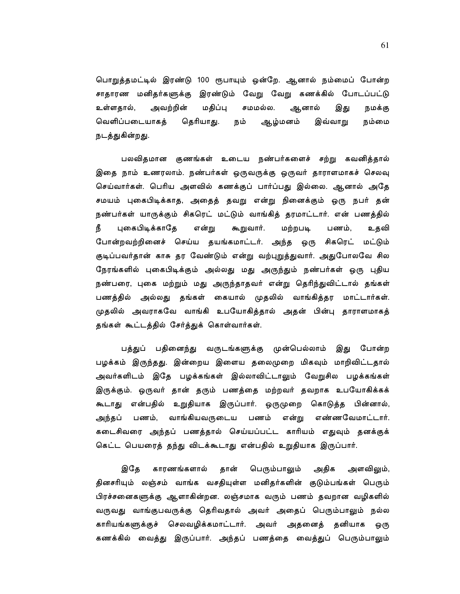பொறுத்தமட்டில் இரண்டு 100 ரூபாயும் ஒன்றே. ஆனால் நம்மைப் போன்ற சாதாரண மனிதர்களுக்கு இரண்டும் வேறு வேறு கணக்கில் போடப்பட்டு அவற்றின் மதிப்பு சமமல்ல. உள்ளதால், ஆனால் இது நமக்கு வெளிப்படையாகத் தெரியாது. நம் ஆழ்மனம் இவ்வாறு நம்மை நடத்துகின்றது.

பலவிதமான குணங்கள் உடைய நண்பர்களைச் சற்று கவனித்தால் இதை நாம் உணரலாம். நண்பர்கள் ஒருவருக்கு ஒருவர் தாராளமாகச் செலவு செய்வார்கள். பெரிய அளவில் கணக்குப் பார்ப்பது இல்லை. ஆனால் அதே சமயம் புகைபிடிக்காத, அதைத் தவறு என்று நினைக்கும் ஒரு நபர் தன் நண்பர்கள் யாருக்கும் சிகரெட் மட்டும் வாங்கித் தரமாட்டார். என் பணத்தில் நீ புகைபிடிக்காதே உதவி என்று கூறுவார். மற்றபடி பணம், போன்றவற்றினைச் செய்ய தயங்கமாட்டர். அந்த ஒரு சிகரெட் மட்டும் குடிப்பவர்தான் காசு தர வேண்டும் என்று வற்புறுத்துவார். அதுபோலவே சில நேரங்களில் புகைபிடிக்கும் அல்லது மது அருந்தும் நண்பர்கள் ஒரு புதிய நண்பரை, புகை மற்றும் மது அருந்தாதவர் என்று தெரிந்துவிட்டால் தங்கள் பணத்தில் அல்லது தங்கள் கையால் முதலில் வாங்கித்தர மாட்டார்கள். முதலில் அவராகவே வாங்கி உபயோகித்தால் அதன் பின்பு தாராளமாகத் தங்கள் கூட்டத்தில் சேர்த்துக் கொள்வார்கள்.

பத்துப் பதினைந்து வருடங்களுக்கு முன்பெல்லாம் இது போன்ற பழக்கம் இருந்தது. இன்றைய இளைய தலைமுறை மிகவும் மாறிவிட்டதால் அவர்களிடம் இதே பழக்கங்கள் இல்லாவிட்டாலும் வேறுசில பழக்கங்கள் இருக்கும். ஒருவர் தான் தரும் பணத்தை மற்றவர் தவறாக உபயோகிக்கக் கூடாது என்பதில் உறுதியாக இருப்பார். ஒருமுறை கொடுத்த பின்னால், அந்தப் பணம், வாங்கியவருடைய பணம் என்று எண்ணவேமாட்டார். கடைசிவரை அந்தப் பணத்தால் செய்யப்பட்ட காரியம் எதுவும் தனக்குக் கெட்ட பெயரைத் தந்து விடக்கூடாது என்பதில் உறுதியாக இருப்பார்.

இதே காரணங்களால் தான் பெரும்பாலும் அதிக அளவிலும், தினசரியும் லஞ்சம் வாங்க வசதியுள்ள மனிதர்களின் குடும்பங்கள் பெரும் பிரச்சனைகளுக்கு ஆளாகின்றன. லஞ்சமாக வரும் பணம் தவறான வழிகளில் வருவது வாங்குபவருக்கு தெரிவதால் அவர் அதைப் பெரும்பாலும் நல்ல காரியங்களுக்குச் செலவழிக்கமாட்டார். அவர் அதனைத் தனியாக ஒரு கணக்கில் வைத்து இருப்பார். அந்தப் பணத்தை வைத்துப் பெரும்பாலும்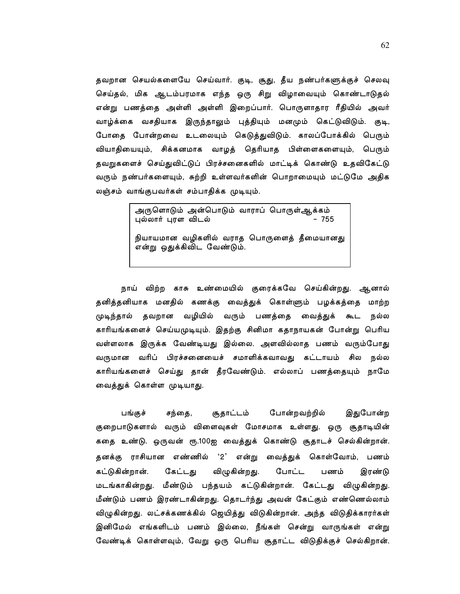தவறான செயல்களையே செய்வார். குடி, சூது, தீய நண்பர்களுக்குச் செலவு செய்தல், மிக ஆடம்பரமாக எந்த ஒரு சிறு விழாவையும் கொண்டாடுதல் என்று பணத்தை அள்ளி அள்ளி இறைப்பார். பொருளாதார ரீதியில் அவர் வாழ்க்கை வசதியாக இருந்தாலும் புத்தியும் மனமும் கெட்டுவிடும். குடி, போதை போன்றவை உடலையும் கெடுத்துவிடும். காலப்போக்கில் பெரும் வியாதியையும், சிக்கனமாக வாழத் தெரியாத பிள்ளைகளையும், பெரும் தவறுகளைச் செய்துவிட்டுப் பிரச்சனைகளில் மாட்டிக் கொண்டு உதவிகேட்டு வரும் நண்பர்களையும், சுற்றி உள்ளவர்களின் பொறாமையும் மட்டுமே அதிக லஞ்சம் வாங்குபவர்கள் சம்பாதிக்க முடியும்.

> அருளொடும் அன்பொடும் வாராப் பொருள்ஆக்கம்  $-755$ புல்லார் புரள விடல் நியாயமான வழிகளில் வராத பொருளைத் தீமையானது .<br>என்று ஒதுக்கிவிட வேண்டும்.

நாய் விற்ற காசு உண்மையில் குரைக்கவே செய்கின்றது. ஆனால் தனித்தனியாக மனதில் கணக்கு வைத்துக் கொள்ளும் பழக்கத்தை மாற்ற முடிந்தால் தவறான வழியில் வரும் பணத்தை வைத்துக் கூட நல்ல காரியங்களைச் செய்யமுடியும். இதற்கு சினிமா கதாநாயகன் போன்று பெரிய வள்ளலாக இருக்க வேண்டியது இல்லை. அளவில்லாத பணம் வரும்போது வருமான வரிப் பிரச்சனையைச் சமாளிக்கவாவது கட்டாயம் சில நல்ல காரியங்களைச் செய்து தான் தீரவேண்டும். எல்லாப் பணத்தையும் நாமே வைத்துக் கொள்ள முடியாது.

பங்குச் சந்தை, சூதாட்டம் போன்றவற்றில் இதுபோன்ற குறைபாடுகளால் வரும் விளைவுகள் மோசமாக உள்ளது. ஒரு சூதாடியின் கதை உண்டு. ஒருவன் ரூ.100ஐ வைத்துக் கொண்டு சூதாடச் செல்கின்றான். தனக்கு ராசியான எண்ணில் '2' என்று வைத்துக் கொள்வோம், பணம் கேட்டது கட்டுகின்றான். விழுகின்றது. போட்ட பணம் இரண்டு மடங்காகின்றது. மீண்டும் பந்தயம் கட்டுகின்றான். கேட்டது விழுகின்றது. மீண்டும் பணம் இரண்டாகின்றது. தொடர்ந்து அவன் கேட்கும் எண்ணெல்லாம் விழுகின்றது. லட்சக்கணக்கில் ஜெயித்து விடுகின்றான். அந்த விடுதிக்காரர்கள் இனிமேல் எங்களிடம் பணம் இல்லை, நீங்கள் சென்று வாருங்கள் என்று வேண்டிக் கொள்ளவும், வேறு ஒரு பெரிய சூதாட்ட விடுதிக்குச் செல்கிறான்.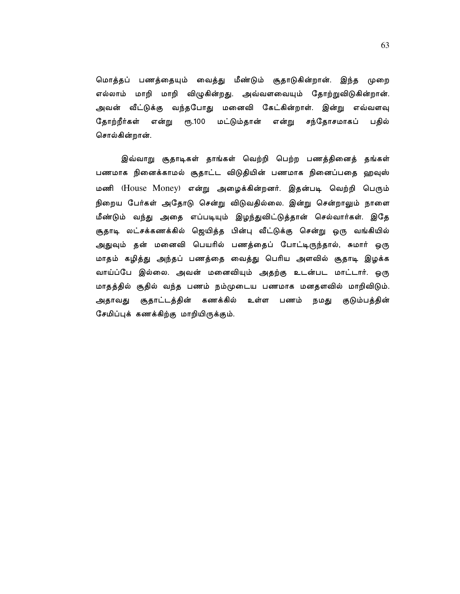மொத்தப் பணத்தையும் வைத்து மீண்டும் சூதாடுகின்றான். இந்த முறை எல்லாம் மாறி மாறி விழுகின்றது. அவ்வளவையும் தோற்றுவிடுகின்றான். அவன் வீட்டுக்கு வந்தபோது மனைவி கேட்கின்றாள். இன்று எவ்வளவு தோற்றீர்கள் என்று ரூ.100 மட்டும்தான் என்று சந்தோசமாகப் பதில் சொல்கின்றான்.

இவ்வாறு சூதாடிகள் தாங்கள் வெற்றி பெற்ற பணத்தினைத் தங்கள் பணமாக நினைக்காமல் சூதாட்ட விடுதியின் பணமாக நினைப்பதை ஹவுஸ் மணி (House Money) என்று அழைக்கின்றனர். இதன்படி வெற்றி பெரும் நிறைய பேர்கள் அதோடு சென்று விடுவதில்லை. இன்று சென்றாலும் நாளை மீண்டும் வந்து அதை எப்படியும் இழந்துவிட்டுத்தான் செல்வார்கள். இதே சூதாடி லட்சக்கணக்கில் ஜெயித்த பின்பு வீட்டுக்கு சென்று ஒரு வங்கியில் அதுவும் தன் மனைவி பெயரில் பணத்தைப் போட்டிருந்தால், சுமார் ஒரு மாதம் கழித்து அந்தப் பணத்தை வைத்து பெரிய அளவில் சூதாடி இழக்க வாய்ப்பே இல்லை. அவன் மனைவியும் அதற்கு உடன்பட மாட்டார். ஒரு மாதத்தில் சூதில் வந்த பணம் நம்முடைய பணமாக மனதளவில் மாறிவிடும். அதாவது சூதாட்டத்தின் கணக்கில் உள்ள பணம் நமது குடும்பத்தின் சேமிப்புக் கணக்கிற்கு மாறியிருக்கும்.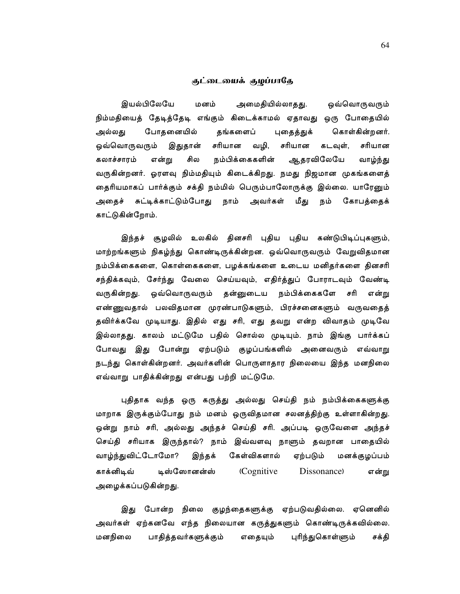#### குட்டையைக் குழப்பாதே

இயல்பிலேயே மனம் அமைதியில்லாதது. ஒவ்வொருவரும் நிம்மதியைத் தேடித்தேடி எங்கும் கிடைக்காமல் ஏதாவது ஒரு போதையில் போதனையில் தங்களைப் புதைத்துக் கொள்கின்றனர். அல்லது ஒவ்வொருவரும் இதுதான் சரியான வழி, சரியான கடவுள், சரியான நம்பிக்கைகளின் ஆதரவிலேயே கலாச்சாரம் என்று சில வாழ்ந்து வருகின்றனர். ஓரளவு நிம்மதியும் கிடைக்கிறது. நமது நிஜமான முகங்களைத் தைரியமாகப் பார்க்கும் சக்தி நம்மில் பெரும்பாலோருக்கு இல்லை. யாரேனும் அதைச் சுட்டிக்காட்டும்போது நாம் அவர்கள் மீது நம் கோபத்தைக் காட்டுகின்றோம்.

இந்தச் சூழலில் உலகில் தினசரி புதிய புதிய கண்டுபிடிப்புகளும், மாற்றங்களும் நிகழ்ந்து கொண்டிருக்கின்றன. ஒவ்வொருவரும் வேறுவிதமான நம்பிக்கைகளை, கொள்கைகளை, பழக்கங்களை உடைய மனிதர்களை தினசரி சந்திக்கவும், சேர்ந்து வேலை செய்யவும், எதிர்த்துப் போராடவும் வேண்டி ஒவ்வொருவரும் தன்னுடைய நம்பிக்கைகளே சரி என்று வருகின்றது. எண்ணுவதால் பலவிதமான முரண்பாடுகளும், பிரச்சனைகளும் வருவதைத் தவிர்க்கவே முடியாது. இதில் எது சரி, எது தவறு என்ற விவாதம் முடிவே இல்லாதது. காலம் மட்டுமே பதில் சொல்ல முடியும். நாம் இங்கு பார்க்கப் போவது இது போன்று ஏற்படும் குழப்பங்களில் அனைவரும் எவ்வாறு நடந்து கொள்கின்றனர். அவர்களின் பொருளாதார நிலையை இந்த மனநிலை எவ்வாறு பாதிக்கின்றது என்பது பற்றி மட்டுமே.

புதிதாக வந்த ஒரு கருத்து அல்லது செய்தி நம் நம்பிக்கைகளுக்கு மாறாக இருக்கும்போது நம் மனம் ஒருவிதமான சலனத்திற்கு உள்ளாகின்றது. ஒன்று நாம் சரி, அல்லது அந்தச் செய்தி சரி. அப்படி ஒருவேளை அந்தச் செய்தி சரியாக இருந்தால்? நாம் இவ்வளவு நாளும் தவறான பாதையில் வாழ்ந்துவிட்டோமோ? கேள்விகளால் இந்தக் ஏற்படும் மனக்குழப்பம் டிஸ்ஸோனன்ஸ் (Cognitive என்று காக்னிடிவ் Dissonance) அழைக்கப்படுகின்றது.

இது போன்ற நிலை குழந்தைகளுக்கு ஏற்படுவதில்லை. ஏனெனில் அவர்கள் ஏற்கனவே எந்த நிலையான கருத்துகளும் கொண்டிருக்கவில்லை. மனநிலை பாதித்தவர்களுக்கும் புரிந்துகொள்ளும் எதையும் சக்தி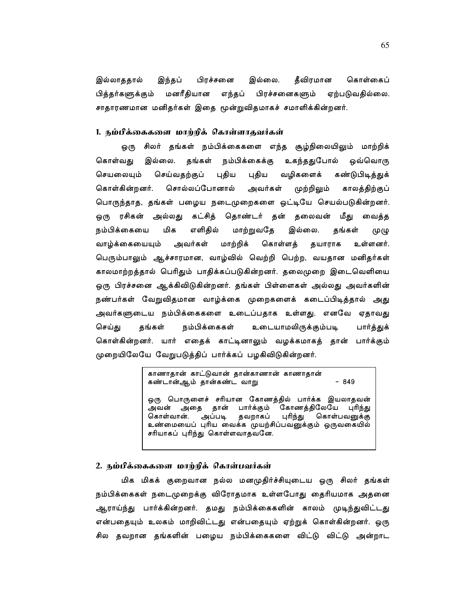தீவிரமான பிரச்சனை இல்லை. கொள்கைப் இல்லாததால் இந்தப் பித்தர்களுக்கும் மனரீதியான எந்தப் பிரச்சனைகளும் ஏற்படுவதில்லை. சாதாரணமான மனிதர்கள் இதை மூன்றுவிதமாகச் சமாளிக்கின்றனர்.

# 1. நம்பீக்கைகளை மாற்றிக் கொள்ளாதவர்கள்

ஒரு சிலர் தங்கள் நம்பிக்கைகளை எந்த சூழ்நிலையிலும் மாற்றிக் கொள்வது இல்லை. தங்கள் நம்பிக்கைக்கு உகந்ததுபோல் ஒவ்வொரு செயலையும் செய்வதற்குப் புதிய புதிய வழிகளைக் கண்டுபிடித்துக் கொள்கின்றனர். சொல்லப்போனால் அவர்கள் முற்றிலும் காலத்திற்குப் பொருந்தாத, தங்கள் பழைய நடைமுறைகளை ஒட்டியே செயல்படுகின்றனர். ஒரு ரசிகன் அல்லது கட்சித் தொண்டர் தன் தலைவன் மீது வைத்த நம்பிக்கையை மிக எளிகில் மாற்றுவதே இல்லை. கங்கள் (ሣ) ( வாழ்க்கையையும் அவர்கள் மாற்றிக் கொள்ளத் தயாராக உள்ளனர். பெரும்பாலும் ஆச்சாரமான, வாழ்வில் வெற்றி பெற்ற, வயதான மனிதர்கள் காலமாற்றத்தால் பெரிதும் பாதிக்கப்படுகின்றனர். தலைமுறை இடைவெளியை ஒரு பிரச்சனை ஆக்கிவிடுகின்றனர். தங்கள் பிள்ளைகள் அல்லது அவர்களின் நண்பர்கள் வேறுவிதமான வாழ்க்கை முறைகளைக் கடைப்பிடித்தால் அது அவர்களுடைய நம்பிக்கைகளை உடைப்பதாக உள்ளது. எனவே ஏதாவது நம்பிக்கைகள் உடையாமலிருக்கும்படி செய்து தங்கள் பார்த்துக் கொள்கின்றனர். யார் எதைக் காட்டினாலும் வழக்கமாகத் தான் பார்க்கும் முறையிலேயே வேறுபடுத்திப் பார்க்கப் பழகிவிடுகின்றனர்.

> காணாதான் காட்டுவான் தான்காணான் காணாதான் கண்டான்ஆம் தான்கண்ட வாறு  $-849$

ஒரு பொருளைச் சரியான கோணத்தில் பார்க்க இயலாதவன் அவன் அதை தான் பார்க்கும் கோணத்திலேயே புரிந்து கொள்வான். அப்படி தவறாகப் புரிந்து கொள்பவனுக்கு உண்மையைப் புரிய வைக்க முயற்சிப்பவனுக்கும் ஒருவகையில் சரியாகப் புரிந்து கொள்ளவாதவனே.

# 2. நம்பிக்கைகளை மாற்றிக் கொள்பவர்கள்

மிக மிகக் குறைவான நல்ல மனமுதிர்ச்சியுடைய ஒரு சிலர் தங்கள் நம்பிக்கைகள் நடைமுறைக்கு விரோதமாக உள்ளபோது தைரியமாக அதனை ஆராய்ந்து பார்க்கின்றனர். தமது நம்பிக்கைகளின் காலம் முடிந்துவிட்டது என்பதையும் உலகம் மாறிவிட்டது என்பதையும் ஏற்றுக் கொள்கின்றனர். ஒரு சில தவறான தங்களின் பழைய நம்பிக்கைகளை விட்டு விட்டு அன்றாட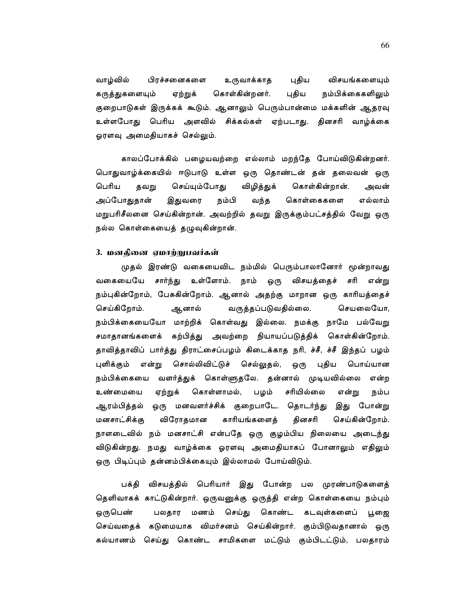வாழ்வில் பிரச்சனைகளை புதிய விசயங்களையும் உருவாக்காத கொள்கின்றனர். புதிய நம்பிக்கைகளிலும் கருத்துகளையும் ஏற்றுக் குறைபாடுகள் இருக்கக் கூடும். ஆனாலும் பெரும்பான்மை மக்களின் ஆதரவு உள்ளபோது பெரிய அளவில் சிக்கல்கள் ஏற்படாது. தினசரி வாழ்க்கை ஓரளவு அமைதியாகச் செல்லும்.

காலப்போக்கில் பழையவற்றை எல்லாம் மறந்தே போய்விடுகின்றனர். பொதுவாழ்க்கையில் ஈடுபாடு உள்ள ஒரு தொண்டன் தன் தலைவன் ஒரு கொள்கின்றான். பெரிய செய்யும்போது விழித்துக் தவறு அவன் அப்போதுதான் இதுவரை நம்பி வந்த கொள்கைகளை எல்லாம் மறுபரிசீலனை செய்கின்றான். அவற்றில் தவறு இருக்கும்பட்சத்தில் வேறு ஒரு நல்ல கொள்கையைத் தழுவுகின்றான்.

# 3. மனதினை ஏமாற்றுபவர்கள்

முதல் இரண்டு வகையைவிட நம்மில் பெரும்பாலானோர் மூன்றாவது வகையையே சார்ந்து உள்ளோம். நாம் ஒரு விசயத்தைச் சரி என்று நம்புகின்றோம், பேசுகின்றோம். ஆனால் அதற்கு மாறான ஒரு காரியத்தைச் செய்கிறோம். வருத்தப்படுவதில்லை. செயலையோ, ஆனால் நம்பிக்கையையோ மாற்றிக் கொள்வது இல்லை. நமக்கு நாமே பல்வேறு கற்பித்து அவற்றை நியாயப்படுத்திக் கொள்கின்றோம். சமாதானங்களைக் தாவித்தாவிப் பார்த்து திராட்சைப்பழம் கிடைக்காத நரி, ச்சீ, ச்சீ இந்தப் பழம் ஒரு புதிய பொய்யான புளிக்கும் என்று சொல்லிவிட்டுச் செல்லுதல், நம்பிக்கையை வளர்த்துக் கொள்ளுதலே. தன்னால் முடியவில்லை என்ற ஏற்றுக் கொள்ளாமல், சரியில்லை உண்மையை பழம் என்று நம்ப ஆரம்பித்தல் ஒரு மனவளர்ச்சிக் குறைபாடே. தொடர்ந்து இது போன்று காரியங்களைத் மனசாட்சிக்கு விரோதமான தினசரி செய்கின்றோம். நாளடைவில் நம் மனசாட்சி என்பதே ஒரு குழம்பிய நிலையை அடைந்து விடுகின்றது. நமது வாழ்க்கை ஓரளவு அமைதியாகப் போனாலும் எதிலும் ஒரு பிடிப்பும் தன்னம்பிக்கையும் இல்லாமல் போய்விடும்.

பக்தி விசயத்தில் பெரியார் இது போன்ற பல முரண்பாடுகளைத் தெளிவாகக் காட்டுகின்றார். ஒருவனுக்கு ஒருத்தி என்ற கொள்கையை நம்பும் ஒருபெண் செய்து கொண்ட பலதார மணம் கடவுள்களைப் பூஜை செய்வதைக் கடுமையாக விமர்சனம் செய்கின்றார். கும்பிடுவதானால் ஒரு கல்யாணம் செய்து கொண்ட சாமிகளை மட்டும் கும்பிடட்டும், பலதாரம்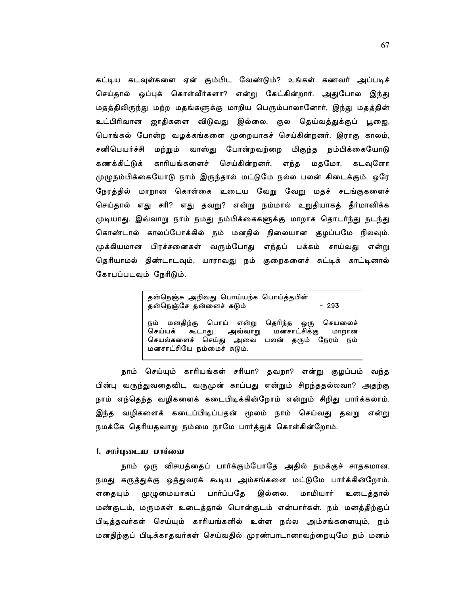கட்டிய கடவுள்களை ஏன் கும்பிட வேண்டும்? உங்கள் கணவர் அப்படிச் செய்தால் ஒப்புக் கொள்வீர்களா? என்று கேட்கின்றார். அதுபோல இந்து மதத்திலிருந்து மற்ற மதங்களுக்கு மாறிய பெரும்பாலானோர், இந்து மதத்தின் உட்பிரிவான ஜாதிகளை விடுவது இல்லை. குல தெய்வத்துக்குப் பூஜை, பொங்கல் போன்ற வழக்கங்களை முறையாகச் செய்கின்றனர். இராகு காலம், சனிபெயர்ச்சி மற்றும் வாஸ்து போன்றவற்றை மிகுந்த நம்பிக்கையோடு கணக்கிட்டுக் காரியங்களைச் செய்கின்றனர். மதமோ, எந்த கடவுளோ முழுநம்பிக்கையோடு நாம் இருந்தால் மட்டுமே நல்ல பலன் கிடைக்கும். ஒரே நேரத்தில் மாறான கொள்கை உடைய வேறு வேறு மதச் சடங்குகளைச் செய்தால் எது சரி? எது தவறு? என்று நம்மால் உறுதியாகத் தீர்மானிக்க முடியாது. இவ்வாறு நாம் நமது நம்பிக்கைகளுக்கு மாறாக தொடர்ந்து நடந்து கொண்டால் காலப்போக்கில் நம் மனதில் நிலையான குழப்பமே நிலவும். முக்கியமான பிரச்சனைகள் வரும்போது எந்தப் பக்கம் சாய்வது என்று தெரியாமல் திண்டாடவும், யாராவது நம் குறைகளைச் சுட்டிக் காட்டினால் கோபப்படவும் நேரிடும்.

> தன்நெஞ்சு அறிவது பொய்யற்க பொய்த்தபின் தன்நெஞ்சே தன்னைச் சுடும்  $-293$ நம் மனதிற்கு பொய் என்று தெரிந்த ஒரு செயலைச் அவ்வாறு செய்யக் கூடாது. மனசாட்சிக்கு மாறான செயல்களைச் செய்து அவை பலன் தரும் நேரம் நம் மனசாட்சியே நம்மைச் சுடும்.

நாம் செய்யும் காரியங்கள் சரியா? தவறா? என்று குழப்பம் வந்த பின்பு வருந்துவதைவிட வருமுன் காப்பது என்றும் சிறந்ததல்லவா? அதற்கு நாம் எந்தெந்த வழிகளைக் கடைபிடிக்கின்றோம் என்றும் சிறிது பார்க்கலாம். இந்த வழிகளைக் கடைப்பிடிப்பதன் மூலம் நாம் செய்வது தவறு என்று நமக்கே தெரியதவாறு நம்மை நாமே பார்த்துக் கொள்கின்றோம்.

### 1. சார்புடைய பார்வை

நாம் ஒரு விசயத்தைப் பார்க்கும்போதே அதில் நமக்குச் சாதகமான, நமது கருத்துக்கு ஒத்துவரக் கூடிய அம்சங்களை மட்டுமே பார்க்கின்றோம். எதையும் முழுமையாகப் பார்ப்பதே இல்லை. மாமியார் உடைத்தால் மண்குடம், மருமகள் உடைத்தால் பொன்குடம் என்பார்கள். நம் மனத்திற்குப் பிடித்தவர்கள் செய்யும் காரியங்களில் உள்ள நல்ல அம்சங்களையும், நம் மனதிற்குப் பிடிக்காதவர்கள் செய்வதில் முரண்பாடானாவற்றையுமே நம் மனம்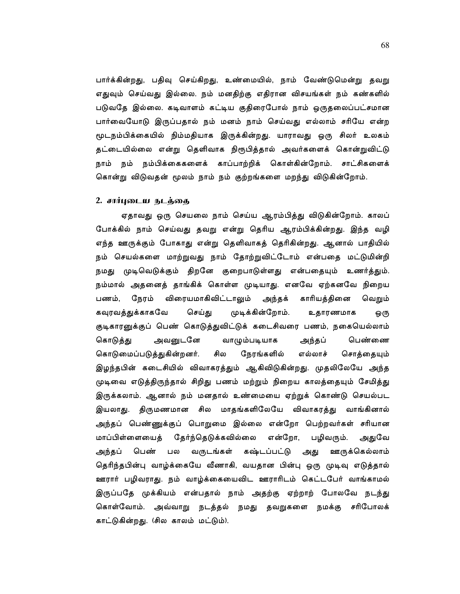பார்க்கின்றது, பதிவு செய்கிறது, உண்மையில், நாம் வேண்டுமென்று தவறு எதுவும் செய்வது இல்லை. நம் மனதிற்கு எதிரான விசயங்கள் நம் கண்களில் படுவதே இல்லை. கடிவாளம் கட்டிய குதிரைபோல் நாம் ஒருதலைப்பட்சமான பார்வையோடு இருப்பதால் நம் மனம் நாம் செய்வது எல்லாம் சரியே என்ற மூடநம்பிக்கையில் நிம்மதியாக இருக்கின்றது. யாராவது ஒரு சிலர் உலகம் தட்டையில்லை என்று தெளிவாக நிரூபித்தால் அவர்களைக் கொன்றுவிட்டு நாம் நம் நம்பிக்கைகளைக் காப்பாற்றிக் கொள்கின்றோம். சாட்சிகளைக் கொன்று விடுவதன் மூலம் நாம் நம் குற்றங்களை மறந்து விடுகின்றோம்.

## 2. சார்புடைய நடத்தை

ஏதாவது ஒரு செயலை நாம் செய்ய ஆரம்பித்து விடுகின்றோம். காலப் போக்கில் நாம் செய்வது தவறு என்று தெரிய ஆரம்பிக்கின்றது. இந்த வழி எந்த ஊருக்கும் போகாது என்று தெளிவாகத் தெரிகின்றது. ஆனால் பாதியில் நம் செயல்களை மாற்றுவது நாம் தோற்றுவிட்டோம் என்பதை மட்டுமின்றி நமது முடிவெடுக்கும் திறனே குறைபாடுள்ளது என்பதையும் உணர்த்தும். நம்மால் அதனைத் தாங்கிக் கொள்ள முடியாது. எனவே ஏற்கனவே நிறைய நேரம் விரையமாகிவிட்டாலும் அந்தக் காரியத்தினை பணம். வெறும் முடிக்கின்றோம். கவுரவத்துக்காகவே செய்து உதாரணமாக ஒரு குடிகாரனுக்குப் பெண் கொடுத்துவிட்டுக் கடைசிவரை பணம், நகையெல்லாம் கொடுத்து அவனுடனே வாழும்படியாக அந்தப் பெண்ணை கொடுமைப்படுத்துகின்றனர். சில நேரங்களில் எல்லாச் சொத்தையும் இழந்தபின் கடைசியில் விவாகரத்தும் ஆகிவிடுகின்றது. முதலிலேயே அந்த முடிவை எடுத்திருந்தால் சிறிது பணம் மற்றும் நிறைய காலத்தையும் சேமித்து இருக்கலாம். ஆனால் நம் மனதால் உண்மையை ஏற்றுக் கொண்டு செயல்பட இயலாது. திருமணமான சில மாதங்களிலேயே விவாகரத்து வாங்கினால் அந்தப் பெண்ணுக்குப் பொறுமை இல்லை என்றோ பெற்றவர்கள் சரியான மாப்பிள்ளையைத் தேர்ந்தெடுக்கவில்லை என்றோ, பழிவரும். அதுவே வருடங்கள் கஷ்டப்பட்டு அது அந்தப் பெண் பல ஊருக்கெல்லாம் தெரிந்தபின்பு வாழ்க்கையே வீணாகி, வயதான பின்பு ஒரு முடிவு எடுத்தால் ஊரார் பழிவராது. நம் வாழ்க்கையைவிட ஊராரிடம் கெட்டபேர் வாங்காமல் இருப்பதே முக்கியம் என்பதால் நாம் அதற்கு ஏற்றாற் போலவே நடந்து கொள்வோம். அவ்வாறு நடத்தல் நமது தவறுகளை நமக்கு சரிபோலக் காட்டுகின்றது. (சில காலம் மட்டும்).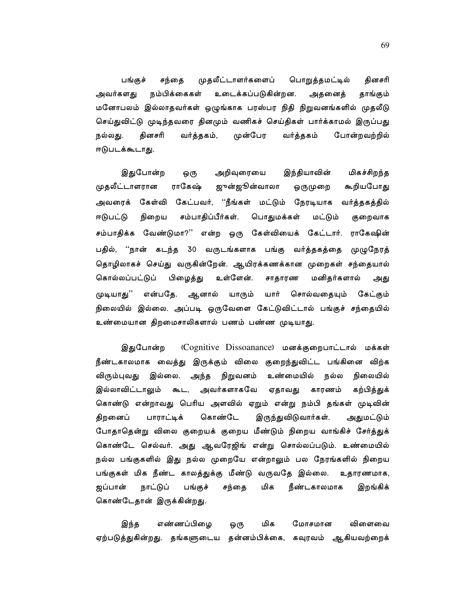முதலீட்டாளர்களைப் பொறுத்தமட்டில் தினசரி பங்குச் சந்தை நம்பிக்கைகள் உடைக்கப்படுகின்றன. அவர்களது அதனைத் தாங்கும் மனோபலம் இல்லாதவர்கள் ஒழுங்காக பரஸ்பர நிதி நிறுவனங்களில் முதலீடு செய்துவிட்டு முடிந்தவரை தினமும் வணிகச் செய்திகள் பார்க்காமல் இருப்பது தினசரி முன்பேர போன்றவற்றில் நல்லது. வர்த்தகம், வர்த்தகம் ஈடுபடக்கூடாது.

மிகச்சிறந்த இதுபோன்ற அறிவுரையை இந்தியாவின் ஒரு முதலீட்டாளரான ராகேஷ் ஜுன்ஜூன்வாலா கூறியபோது ஒருமுறை அவரைக் கேள்வி கேட்பவர், ''நீங்கள் மட்டும் நேரடியாக வர்த்தகத்தில் சம்பாதிப்பீர்கள். பொதுமக்கள் ஈடுபட்டு நிறைய மட்டும் குறைவாக சம்பாதிக்க வேண்டுமா?'' என்ற ஒரு கேள்வியைக் கேட்டார். ராகேஷின் பதில், ''நான் கடந்த 30 வருடங்களாக பங்கு வர்த்தகத்தை முழுநேரத் தொழிலாகச் செய்து வருகின்றேன். ஆயிரக்கணக்கான முறைகள் சந்தையால் கொல்லப்பட்டுப் பிழைத்து உள்ளேன். மனிதர்களால் சாதாரண அது ஆனால் முடியாகு'' என்பகே. யாரும் யார் சொல்வதையும் கேட்கும் நிலையில் இல்லை. அப்படி ஒருவேளை கேட்டுவிட்டால் பங்குச் சந்தையில் உண்மையான திறமைசாலிகளால் பணம் பண்ண முடியாது.

இதுபோன்ற (Cognitive Dissoanance) மனக்குறைபாட்டால் மக்கள் நீண்டகாலமாக வைத்து இருக்கும் விலை குறைந்துவிட்ட பங்கினை விற்க இல்லை. அந்த நிறுவனம் உண்மையில் விரும்புவது நல்ல நிலையில் கற்பித்துக் இல்லாவிட்டாலும் கூட, அவர்களாகவே ஏதாவது காரணம் கொண்டு என்றாவது பெரிய அளவில் ஏறும் என்று நம்பி தங்கள் முடிவின் கொண்டே திறனைப் பாராட்டிக் இருந்துவிடுவார்கள். அதுமட்டும் போதாதென்று விலை குறையக் குறைய மீண்டும் நிறைய வாங்கிச் சேர்த்துக் கொண்டே செல்வர். அது ஆவரேஜிங் என்று சொல்லப்படும். உண்மையில் நல்ல பங்குகளில் இது நல்ல முறையே என்றாலும் பல நேரங்களில் நிறைய பங்குகள் மிக நீண்ட காலத்துக்கு மீண்டு வருவதே இல்லை. உதாரணமாக, ஜப்பான் நாட்டுப் மிக பங்குச் சந்தை நீண்டகாலமாக இறங்கிக் கொண்டேதான் இருக்கின்றது.

மிக எண்ணப்பிழை மோசமான இந்த விளைவை ஒரு ஏற்படுத்துகின்றது. தங்களுடைய தன்னம்பிக்கை, கவுரவம் ஆகியவற்றைக்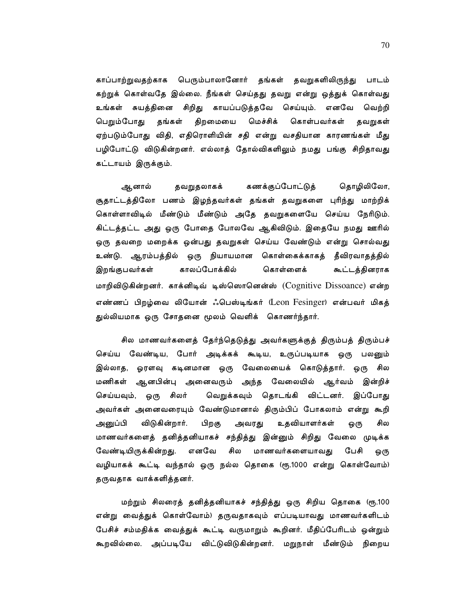காப்பாற்றுவதற்காக பெரும்பாலானோர் தங்கள் தவறுகளிலிருந்து பாடம் கற்றுக் கொள்வதே இல்லை. நீங்கள் செய்தது தவறு என்று ஒத்துக் கொள்வது உங்கள் சுயத்தினை சிறிது காயப்படுத்தவே செய்யும். எனவே வெற்றி தங்கள் திறமையை பெறும்போது மெச்சிக் கொள்பவர்கள் தவறுகள் ஏற்படும்போது விதி, எதிரொளியின் சதி என்று வசதியான காரணங்கள் மீது பழிபோட்டு விடுகின்றனர். எல்லாத் தோல்விகளிலும் நமது பங்கு சிறிதாவது கட்டாயம் இருக்கும்.

கணக்குப்போட்டுத் தொழிலிலோ, ஆனால் தவறுதலாகக் சூதாட்டத்திலோ பணம் இழந்தவர்கள் தங்கள் தவறுகளை புரிந்து மாற்றிக் கொள்ளாவிடில் மீண்டும் மீண்டும் அதே தவறுகளையே செய்ய நேரிடும். கிட்டத்தட்ட அது ஒரு போதை போலவே ஆகிவிடும். இதையே நமது ஊரில் ஒரு தவறை மறைக்க ஒன்பது தவறுகள் செய்ய வேண்டும் என்று சொல்வது உண்டு. ஆரம்பத்தில் ஒரு நியாயமான கொள்கைக்காகத் தீவிரவாதத்தில் இறங்குபவர்கள் காலப்போக்கில் கொள்ளைக் கூட்டத்தினராக மாறிவிடுகின்றனர். காக்னிடிவ் டிஸ்ஸொனென்ஸ் (Cognitive Dissoance) என்ற எண்ணப் பிறழ்வை லியோன் ஃபெஸ்டிங்கர் (Leon Fesinger) என்பவர் மிகத் துல்லியமாக ஒரு சோதனை மூலம் வெளிக் கொணர்ந்தார்.

சில மாணவர்களைத் தேர்ந்தெடுத்து அவர்களுக்குத் திரும்பத் திரும்பச் செய்ய வேண்டிய, போர் அடிக்கக் கூடிய, உருப்படியாக ஒரு பலனும் இல்லாத, ஓரளவு கடினமான ஒரு வேலையைக் கொடுத்தார். ஒரு சில மணிகள் ஆனபின்பு அனைவரும் அந்த வேலையில் ஆர்வம் இன்றிச் வெறுக்கவும் தொடங்கி விட்டனர். இப்போது செய்யவும், ஒரு சிலர் அவர்கள் அனைவரையும் வேண்டுமானால் திரும்பிப் போகலாம் என்று கூறி அனுப்பி விடுகின்றார். பிறகு அவரது உதவியாளர்கள் ஒரு சில மாணவர்களைத் தனித்தனியாகச் சந்தித்து இன்னும் சிறிது வேலை முடிக்க எனவே சில மாணவர்களையாவது பேசி வேண்டியிருக்கின்றது. ஒரு வழியாகக் கூட்டி வந்தால் ஒரு நல்ல தொகை (ரூ.1000 என்று கொள்வோம்) தருவதாக வாக்களித்தனர்.

மற்றும் சிலரைத் தனித்தனியாகச் சந்தித்து ஒரு சிறிய தொகை (ரூ.100 என்று வைத்துக் கொள்வோம்) தருவதாகவும் எப்படியாவது மாணவர்களிடம் பேசிச் சம்மதிக்க வைத்துக் கூட்டி வருமாறும் கூறினர். மீதிப்பேரிடம் ஒன்றும் கூறவில்லை. அப்படியே விட்டுவிடுகின்றனர். மறுநாள் மீண்டும் நிறைய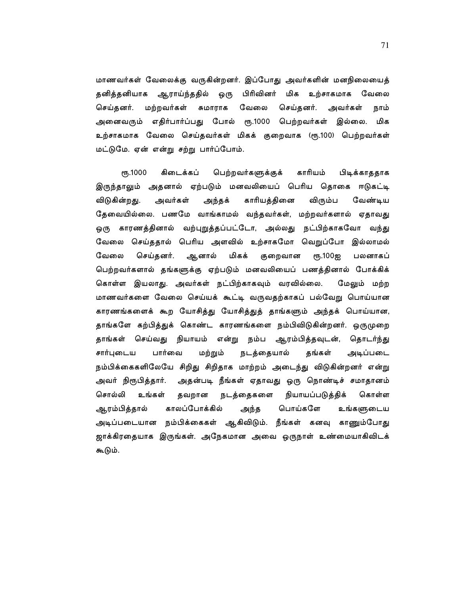மாணவர்கள் வேலைக்கு வருகின்றனர். இப்போது அவர்களின் மனநிலையைத் தனித்தனியாக ஆராய்ந்ததில் ஒரு பிரிவினர் மிக உற்சாகமாக வேலை மற்றவர்கள் சுமாராக வேலை செய்தனர். செய்தனர். அவர்கள் நாம் அனைவரும் எதிர்பார்ப்பது போல் ரூ.1000 பெற்றவர்கள் இல்லை. மிக உற்சாகமாக வேலை செய்தவர்கள் மிகக் குறைவாக (ரூ.100) பெற்றவர்கள் மட்டுமே. ஏன் என்று சற்று பார்ப்போம்.

**еть.1000** கிடைக்கப் பெற்றவர்களுக்குக் காரியம் பிடிக்காததாக இருந்தாலும் அதனால் ஏற்படும் மனவலியைப் பெரிய தொகை ஈடுகட்டி விடுகின்றது. அவர்கள் அந்தக் காரியத்தினை விரும்ப வேண்டிய தேவையில்லை. பணமே வாங்காமல் வந்தவர்கள், மற்றவர்களால் ஏதாவது ஒரு காரணத்தினால் வற்புறுத்தப்பட்டோ, அல்லது நட்பிற்காகவோ வந்து வேலை செய்ததால் பெரிய அளவில் உற்சாகமோ வெறுப்போ இல்லாமல் வேலை செய்தனர். ஆனால் மிகக் குறைவான ரு.100ஐ பலனாகப் பெற்றவர்களால் தங்களுக்கு ஏற்படும் மனவலியைப் பணத்தினால் போக்கிக் கொள்ள இயலாது. அவர்கள் நட்பிற்காகவும் வரவில்லை. மேலும் மற்ற மாணவர்களை வேலை செய்யக் கூட்டி வருவதற்காகப் பல்வேறு பொய்யான காரணங்களைக் கூற யோசித்து யோசித்துத் தாங்களும் அந்தக் பொய்யான, தாங்களே கற்பித்துக் கொண்ட காரணங்களை நம்பிவிடுகின்றனர். ஒருமுறை தாங்கள் செய்வது நியாயம் என்று நம்ப ஆரம்பித்தவுடன், தொடர்ந்து பார்வை தங்கள் சார்புடைய மற்றும் நடத்தையால் அடிப்படை நம்பிக்கைகளிலேயே சிறிது சிறிதாக மாற்றம் அடைந்து விடுகின்றனர் என்று அவர் நிரூபித்தார். அதன்படி நீங்கள் ஏதாவது ஒரு நொண்டிச் சமாதானம் சொல்லி உங்கள் நடத்தைகளை நியாயப்படுத்திக் தவறான கொள்ள காலப்போக்கில் பொய்களே ஆரம்பித்தால் அந்த உங்களுடைய அடிப்படையான நம்பிக்கைகள் ஆகிவிடும். நீங்கள் கனவு காணும்போது ஜாக்கிரதையாக இருங்கள். அநேகமான அவை ஒருநாள் உண்மையாகிவிடக் கூடும்.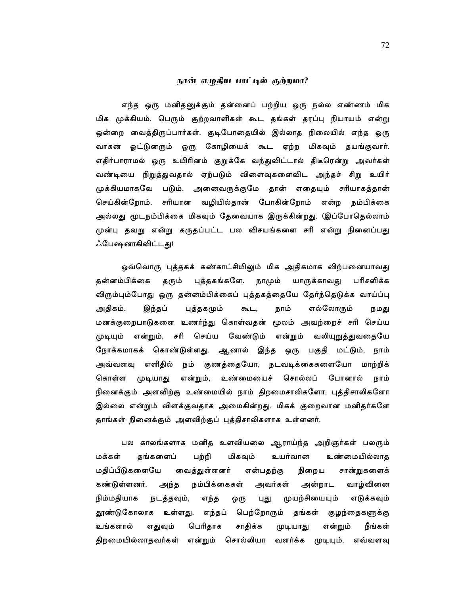## நான் எழுதிய பாட்டில் குற்றமா?

எந்த ஒரு மனிதனுக்கும் தன்னைப் பற்றிய ஒரு நல்ல எண்ணம் மிக மிக முக்கியம். பெரும் குற்றவாளிகள் கூட தங்கள் தரப்பு நியாயம் என்று ஒன்றை வைத்திருப்பார்கள். குடிபோதையில் இல்லாத நிலையில் எந்த ஒரு வாகன ஓட்டுனரும் ஒரு கோழியைக் கூட ஏற்ற மிகவும் தயங்குவார். எதிர்பாராமல் ஒரு உயிரினம் குறுக்கே வந்துவிட்டால் திடீரென்று அவர்கள் வண்டியை நிறுத்துவதால் ஏற்படும் விளைவுகளைவிட அந்தச் சிறு உயிர் முக்கியமாகவே படும். அனைவருக்குமே தான் எதையும் சரியாகத்தான் செய்கின்றோம். சரியான வழியில்தான் போகின்றோம் என்ற நம்பிக்கை அல்லது மூடநம்பிக்கை மிகவும் தேவையாக இருக்கின்றது. (இப்போதெல்லாம் முன்பு தவறு என்று கருதப்பட்ட பல விசயங்களை சரி என்று நினைப்பது ஃபேஷனாகிவிட்டது)

ஒவ்வொரு புத்தகக் கண்காட்சியிலும் மிக அதிகமாக விற்பனையாவது தன்னம்பிக்கை தரும் புத்தகங்களே. நாமும் யாருக்காவது பரிசளிக்க விரும்பும்போது ஒரு தன்னம்பிக்கைப் புத்தகத்தையே தேர்ந்தெடுக்க வாய்ப்பு அதிகம். இந்தப் புத்தகமும் கூட, நாம் எல்லோரும் நமது மனக்குறைபாடுகளை உணர்ந்து கொள்வதன் மூலம் அவற்றைச் சரி செய்ய முடியும் என்றும், சரி செய்ய வேண்டும் என்றும் வலியுறுத்துவதையே நோக்கமாகக் கொண்டுள்ளது. ஆனால் இந்த ஒரு பகுதி மட்டும், நாம் அவ்வளவு எளிதில் நம் குணத்தையோ, நடவடிக்கைகளையோ மாற்றிக் கொள்ள முடியாது என்றும், உண்மையைச் சொல்லப் போனால் நாம் நினைக்கும் அளவிற்கு உண்மையில் நாம் திறமைசாலிகளோ, புத்திசாலிகளோ இல்லை என்றும் விளக்குவதாக அமைகின்றது. மிகக் குறைவான மனிதர்களே தாங்கள் நினைக்கும் அளவிற்குப் புத்திசாலிகளாக உள்ளனர்.

பல காலங்களாக மனித உளவியலை ஆராய்ந்த அறிஞர்கள் பலரும் மக்கள் தங்களைப் பற்றி மிகவும் உயர்வான உண்மையில்லாத மதிப்பீடுகளையே வைத்துள்ளனர் நிறைய சான்றுகளைக் என்பதற்கு நம்பிக்கைகள் கண்டுள்ளனர். அந்த அவர்கள் அன்றாட வாழ்வினை நிம்மதியாக நடத்தவும், முயற்சியையும் எந்த புது எடுக்கவும் ஒரு உள்ளது. எந்தப் பெற்றோரும் தங்கள் குழந்தைகளுக்கு தூண்டுகோலாக பெரிதாக சாதிக்க உங்களால் எதுவும் முடியாது என்றும் நீங்கள் திறமையில்லாதவர்கள் என்றும் சொல்லியா வளர்க்க முடியும். எவ்வளவு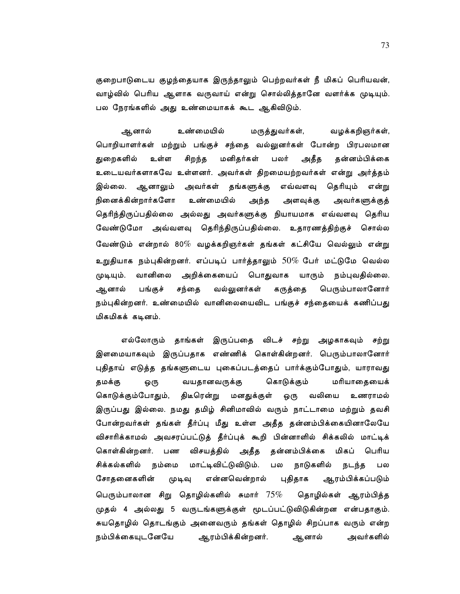குறைபாடுடைய குழந்தையாக இருந்தாலும் பெற்றவர்கள் நீ மிகப் பெரியவன், வாழ்வில் பெரிய ஆளாக வருவாய் என்று சொல்லித்தானே வளர்க்க முடியும். பல நேரங்களில் அது உண்மையாகக் கூட ஆகிவிடும்.

உண்மையில் ஆனால் மருத்துவர்கள், வழக்கறிஞர்கள், பொறியாளர்கள் மற்றும் பங்குச் சந்தை வல்லுனர்கள் போன்ற பிரபலமான உள்ள மனிதர்கள் பலர் அதீத தன்னம்பிக்கை துறைகளில் சிறந்த உடையவர்களாகவே உள்ளனர். அவர்கள் திறமையற்றவர்கள் என்று அர்த்தம் அவர்கள் இல்லை. ஆனாலும் தங்களுக்கு எவ்வளவு தெரியும் என்று நினைக்கின்றார்களோ உண்மையில் அந்த அளவுக்கு அவர்களுக்குத் தெரிந்திருப்பதில்லை அல்லது அவர்களுக்கு நியாயமாக எவ்வளவு தெரிய வேண்டுமோ அவ்வளவு தெரிந்திருப்பதில்லை. உதாரணத்திற்குச் சொல்ல வேண்டும் என்றால் 80 $\%$  வழக்கறிஞர்கள் தங்கள் கட்சியே வெல்லும் என்று உறுதியாக நம்புகின்றனர். எப்படிப் பார்த்தாலும்  $50\%$  பேர் மட்டுமே வெல்ல யாரும் நம்புவதில்லை. முடியும். வானிலை அறிக்கையைப் பொதுவாக வல்லுனர்கள் கருத்தை பெரும்பாலானோர் ஆனால் பங்குச் சந்தை நம்புகின்றனர். உண்மையில் வானிலையைவிட பங்குச் சந்தையைக் கணிப்பது மிகமிகக் கடினம்.

எல்லோரும் தாங்கள் இருப்பதை விடச் சற்று அழகாகவும் சற்று இளமையாகவும் இருப்பதாக எண்ணிக் கொள்கின்றனர். பெரும்பாலானோர் புதிதாய் எடுத்த தங்களுடைய புகைப்படத்தைப் பார்க்கும்போதும், யாராவது கொடுக்கும் தமக்கு ஒரு வயதானவருக்கு மரியாதையைக் கொடுக்கும்போதும், திடீரென்று மனதுக்குள் வலியை ஒரு உணராமல் இருப்பது இல்லை. நமது தமிழ் சினிமாவில் வரும் நாட்டாமை மற்றும் தவசி போன்றவர்கள் தங்கள் தீர்ப்பு மீது உள்ள அதீத தன்னம்பிக்கையினாலேயே விசாரிக்காமல் அவசரப்பட்டுத் தீர்ப்புக் கூறி பின்னாளில் சிக்கலில் மாட்டிக் பண விசயத்தில் அதீத தன்னம்பிக்கை மிகப் பெரிய கொள்கின்றனர். சிக்கல்களில் மாட்டிவிட்டுவிடும். நாடுகளில் நம்மை பல நடந்த பல சோதனைகளின் என்னவென்றால் புதிதாக ஆரம்பிக்கப்படும் முடிவு பெரும்பாலான சிறு தொழில்களில் சுமார்  $75\%$ தொழில்கள் ஆரம்பித்த முதல் 4 அல்லது 5 வருடங்களுக்குள் மூடப்பட்டுவிடுகின்றன என்பதாகும். சுயதொழில் தொடங்கும் அனைவரும் தங்கள் தொழில் சிறப்பாக வரும் என்ற அவர்களில் நம்பிக்கையுடனேயே ஆரம்பிக்கின்றனர். ஆனால்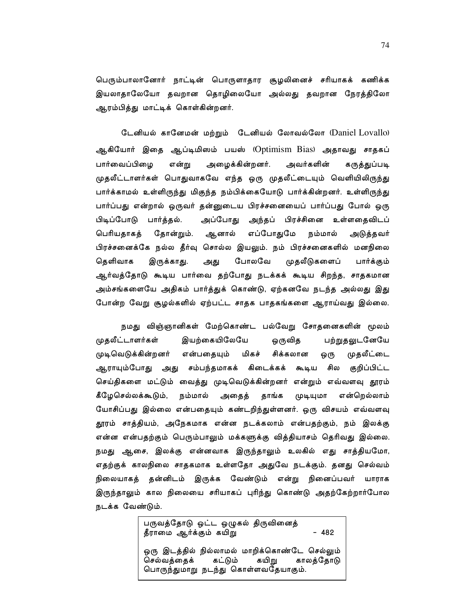பெரும்பாலானோர் நாட்டின் பொருளாதார சூழலினைச் சரியாகக் கணிக்க இயலாதாலேயோ தவறான தொழிலையோ அல்லது தவறான நேரத்திலோ ஆரம்பித்து மாட்டிக் கொள்கின்றனர்.

டேனியல் கானேமன் மற்றும் டேனியல் லோவல்லோ (Daniel Lovallo) ஆகியோர் இதை ஆப்டிமிஸம் பயஸ் (Optimism Bias) அதாவது சாதகப் பார்வைப்பிழை அழைக்கின்றனர். அவர்களின் கருத்துப்படி என்று முதலீட்டாளர்கள் பொதுவாகவே எந்த ஒரு முதலீட்டையும் வெளியிலிருந்து பார்க்காமல் உள்ளிருந்து மிகுந்த நம்பிக்கையோடு பார்க்கின்றனர். உள்ளிருந்து பார்ப்பது என்றால் ஒருவர் தன்னுடைய பிரச்சனையைப் பார்ப்பது போல் ஒரு பிடிப்போடு பார்த்தல். அப்போது அந்தப் பிரச்சினை உள்ளதைவிடப் எப்போதுமே பெரியதாகத் தோன்றும். ஆனால் நம்மால் அடுத்தவர் பிரச்சனைக்கே நல்ல தீர்வு சொல்ல இயலும். நம் பிரச்சனைகளில் மனநிலை தெளிவாக இருக்காது. போலவே முதலீடுகளைப் அது பார்க்கும் ஆர்வத்தோடு கூடிய பார்வை தற்போது நடக்கக் கூடிய சிறந்த, சாதகமான அம்சங்களையே அதிகம் பார்த்துக் கொண்டு, ஏற்கனவே நடந்த அல்லது இது போன்ற வேறு சூழல்களில் ஏற்பட்ட சாதக பாதகங்களை ஆராய்வது இல்லை.

நமது விஞ்ஞானிகள் மேற்கொண்ட பல்வேறு சோதனைகளின் மூலம் முதலீட்டாளர்கள் இயற்கையிலேயே ஒருவித பற்றுதலுடனேயே முதலீட்டை முடிவெடுக்கின்றனர் என்பதையும் மிகச் சிக்கலான ஒரு ஆராயும்போது அது சம்பந்தமாகக் கிடைக்கக் கூடிய சில குறிப்பிட்ட செய்திகளை மட்டும் வைத்து முடிவெடுக்கின்றனர் என்றும் எவ்வளவு தூரம் கீழேசெல்லக்கூடும், நம்மால் தாங்க என்றெல்லாம் அதைத் முடியுமா யோசிப்பது இல்லை என்பதையும் கண்டறிந்துள்ளனர். ஒரு விசயம் எவ்வளவு தூரம் சாத்தியம், அநேகமாக என்ன நடக்கலாம் என்பதற்கும், நம் இலக்கு என்ன என்பதற்கும் பெரும்பாலும் மக்களுக்கு வித்தியாசம் தெரிவது இல்லை. நமது ஆசை, இலக்கு என்னவாக இருந்தாலும் உலகில் எது சாத்தியமோ, எதற்குக் காலநிலை சாதகமாக உள்ளதோ அதுவே நடக்கும். தனது செல்வம் நிலையாகத் தன்னிடம் இருக்க வேண்டும் என்று நினைப்பவர் யாராக இருந்தாலும் கால நிலையை சரியாகப் புரிந்து கொண்டு அதற்கேற்றார்போல நடக்க வேண்டும்.

> பருவத்தோடு ஒட்ட ஒழுகல் திருவினைத்  $-482$ தீராமை ஆர்க்கும் கயிறு ஒரு இடத்தில் நில்லாமல் மாறிக்கொண்டே செல்லும் செல்வத்தைக் கட்டும் கயிறு காலத்தோடு பொருந்துமாறு நடந்து கொள்ளவதேயாகும்.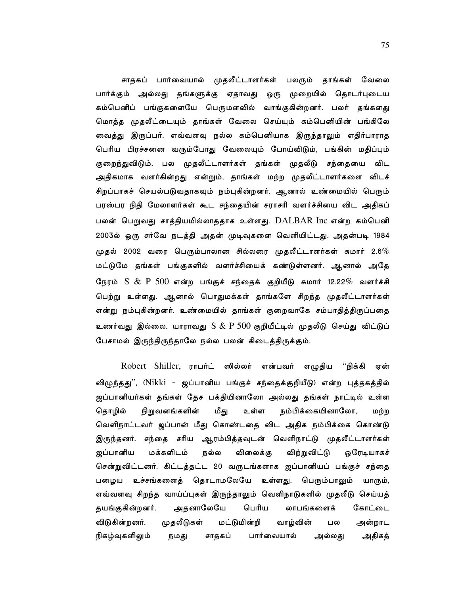சாதகப் பார்வையால் முதலீட்டாளர்கள் பலரும் தாங்கள் வேலை பார்க்கும் அல்லது தங்களுக்கு ஏதாவது ஒரு முறையில் தொடர்புடைய கம்பெனிப் பங்குகளையே பெருமளவில் வாங்குகின்றனர். பலர் தங்களது மொத்த முதலீட்டையும் தாங்கள் வேலை செய்யும் கம்பெனியின் பங்கிலே வைத்து இருப்பர். எவ்வளவு நல்ல கம்பெனியாக இருந்தாலும் எதிர்பாராத பெரிய பிரச்சனை வரும்போது வேலையும் போய்விடும், பங்கின் மதிப்பும் குறைந்துவிடும். பல முதலீட்டாளர்கள் தங்கள் முதலீடு சந்தையை விட அதிகமாக வளர்கின்றது என்றும், தாங்கள் மற்ற முதலீட்டாளர்களை விடச் சிறப்பாகச் செயல்படுவதாகவும் நம்புகின்றனர். ஆனால் உண்மையில் பெரும் பரஸ்பர நிதி மேலாளர்கள் கூட சந்தையின் சராசரி வளர்ச்சியை விட அதிகப் பலன் பெறுவது சாத்தியமில்லாததாக உள்ளது. DALBAR Inc என்ற கம்பெனி 2003ல் ஒரு சர்வே நடத்தி அதன் முடிவுகளை வெளியிட்டது. அதன்படி 1984 முதல் 2002 வரை பெரும்பாலான சில்லரை முதலீட்டாளர்கள் சுமார் 2.6 $\%$ மட்டுமே தங்கள் பங்குகளில் வளர்ச்சியைக் கண்டுள்ளனர். ஆனால் அதே நேரம்  $S$   $\&$   $P$   $500$  என்ற பங்குச் சந்தைக் குறியீடு சுமார் 12.22 $\%$  வளர்ச்சி பெற்று உள்ளது. ஆனால் பொதுமக்கள் தாங்களே சிறந்த முதலீட்டாளர்கள் என்று நம்புகின்றனர். உண்மையில் தாங்கள் குறைவாகே சம்பாதித்திருப்பதை உணர்வது இல்லை. யாராவது  $\text{S} \ \& \ \text{P} \ 500$  குறியீட்டில் முதலீடு செய்து விட்டுப் பேசாமல் இருந்திருந்தாலே நல்ல பலன் கிடைத்திருக்கும்.

Robert Shiller, ராபர்ட் ஸில்லர் என்பவர் எழுதிய ''நிக்கி ஏன் விழுந்தது'', (Nikki - ஜப்பானிய பங்குச் சந்தைக்குறியீடு) என்ற புத்தகத்தில் ஜப்பானியர்கள் தங்கள் தேச பக்தியினாலோ அல்லது தங்கள் நாட்டில் உள்ள நிறுவனங்களின் மீது உள்ள நம்பிக்கையினாலோ, தொழில் மற்ற வெளிநாட்டவர் ஜப்பான் மீது கொண்டதை விட அதிக நம்பிக்கை கொண்டு இருந்தனர். சந்தை சரிய ஆரம்பித்தவுடன் வெளிநாட்டு முதலீட்டாளர்கள் ஜப்பானிய மக்களிடம் நல்ல விலைக்கு விற்றுவிட்டு ஒரேடியாகச் சென்றுவிட்டனர். கிட்டத்தட்ட 20 வருடங்களாக ஜப்பானியப் பங்குச் சந்தை பழைய உச்சங்களைத் தொடாமலேயே உள்ளது. பெரும்பாலும் யாரும், எவ்வளவு சிறந்த வாய்ப்புகள் இருந்தாலும் வெளிநாடுகளில் முதலீடு செய்யத் அதனாலேயே பெரிய தயங்குகின்றனர். லாபங்களைக் கோட்டை விடுகின்றனர். முதலீடுகள் மட்டுமின்றி வாழ்வின் பல அன்றாட அதிகத் நிகழ்வுகளிலும் சாதகப் பார்வையால் நமது அல்லது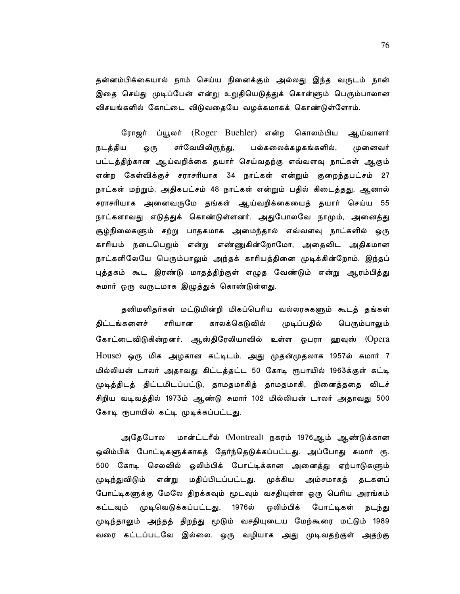தன்னம்பிக்கையால் நாம் செய்ய நினைக்கும் அல்லது இந்த வருடம் நான் இதை செய்து முடிப்பேன் என்று உறுதியெடுத்துக் கொள்ளும் பெரும்பாலான விசயங்களில் கோட்டை விடுவதையே வழக்கமாகக் கொண்டுள்ளோம்.

ரோஜர் ப்யூலர் (Roger Buehler) என்ற கொலம்பிய ஆய்வாளர் நடத்திய சர்வேயிலிருந்து, பல்கலைக்கழகங்களில், ஒரு முனைவர் பட்டத்திற்கான ஆய்வறிக்கை தயார் செய்வதற்கு எவ்வளவு நாட்கள் ஆகும் என்ற கேள்விக்குச் சராசரியாக 34 நாட்கள் என்றும் குறைந்தபட்சம் 27 நாட்கள் மற்றும், அதிகபட்சம் 48 நாட்கள் என்றும் பதில் கிடைத்தது. ஆனால் சராசரியாக அனைவருமே தங்கள் ஆய்வறிக்கையைத் தயார் செய்ய 55 நாட்களாவது எடுத்துக் கொண்டுள்ளனர். அதுபோலவே நாமும், அனைத்து சூழ்நிலைகளும் சற்று பாதகமாக அமைந்தால் எவ்வளவு நாட்களில் ஒரு காரியம் நடைபெறும் என்று எண்ணுகின்றோமோ, அதைவிட அதிகமான நாட்களிலேயே பெரும்பாலும் அந்தக் காரியத்தினை முடிக்கின்றோம். இந்தப் புத்தகம் கூட இரண்டு மாதத்திற்குள் எழுத வேண்டும் என்று ஆரம்பித்து சுமார் ஒரு வருடமாக இழுத்துக் கொண்டுள்ளது.

தனிமனிதர்கள் மட்டுமின்றி மிகப்பெரிய வல்லரசுகளும் கூடத் தங்கள் சரியான காலக்கெடுவில் திட்டங்களைச் முடிப்பதில் பெரும்பாலும் கோட்டைவிடுகின்றனர். ஆஸ்திரேலியாவில் உள்ள ஒபரா ஹவுஸ் (Opera House) ஒரு மிக அழகான கட்டிடம். அது முதன்முதலாக 1957ல் சுமார் 7 மில்லியன் டாலர் அதாவது கிட்டத்தட்ட 50 கோடி ரூபாயில் 1963க்குள் கட்டி முடித்திடத் திட்டமிடப்பட்டு, தாமதமாகித் தாமதமாகி, நினைத்ததை விடச் சிறிய வடிவத்தில் 1973ம் ஆண்டு சுமார் 102 மில்லியன் டாலர் அதாவது 500 கோடி ரூபாயில் கட்டி முடிக்கப்பட்டது.

அதேபோல மான்ட்டரீல் (Montreal) நகரம் 1976ஆம் ஆண்டுக்கான ஒலிம்பிக் போட்டிகளுக்காகத் தேர்ந்தெடுக்கப்பட்டது. அப்போது சுமார் ரூ. 500 கோடி செலவில் ஒலிம்பிக் போட்டிக்கான அனைத்து ஏற்பாடுகளும் முடிந்துவிடும் என்று மதிப்பிடப்பட்டது. முக்கிய அம்சமாகத் தடகளப் போட்டிகளுக்கு மேலே திறக்கவும் மூடவும் வசதியுள்ள ஒரு பெரிய அரங்கம் கட்டவும் முடிவெடுக்கப்பட்டது. 1976ல் ஒலிம்பிக் போட்டிகள் நடந்து முடிந்தாலும் அந்தத் திறந்து மூடும் வசதியுடைய மேற்கூரை மட்டும் 1989 வரை கட்டப்படவே இல்லை. ஒரு வழியாக அது முடிவதற்குள் அதற்கு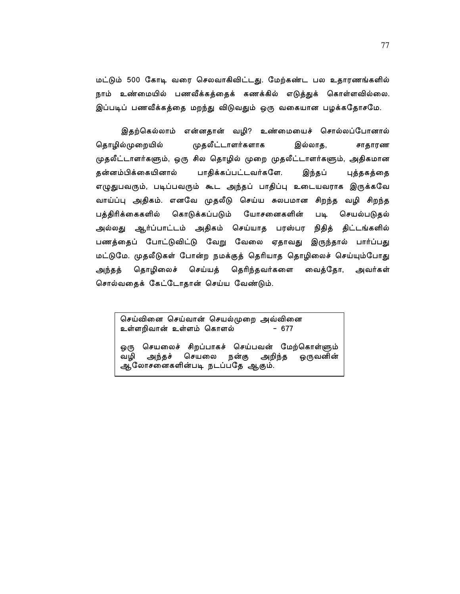மட்டும் 500 கோடி வரை செலவாகிவிட்டது. மேற்கண்ட பல உதாரணங்களில் நாம் உண்மையில் பணவீக்கத்தைக் கணக்கில் எடுத்துக் கொள்ளவில்லை. இப்படிப் பணவீக்கத்தை மறந்து விடுவதும் ஒரு வகையான பழக்கதோசமே.

இதற்கெல்லாம் என்னதான் வழி? உண்மையைச் சொல்லப்போனால் முதலீட்டாளர்களாக தொழில்முறையில் இல்லாத, சாதாரண முதலீட்டாளர்களும், ஒரு சில தொழில் முறை முதலீட்டாளர்களும், அதிகமான தன்னம்பிக்கையினால் பாதிக்கப்பட்டவர்களே. இந்தப் புத்தகத்தை எழுதுபவரும், படிப்பவரும் கூட அந்தப் பாதிப்பு உடையவராக இருக்கவே வாய்ப்பு அதிகம். எனவே முதலீடு செய்ய சுலபமான சிறந்த வழி சிறந்த பத்திரிக்கைகளில் கொடுக்கப்படும் யோசனைகளின் படி செயல்படுதல் அல்லது ஆர்ப்பாட்டம் அதிகம் செய்யாத பரஸ்பர நிதித் திட்டங்களில் பணத்தைப் போட்டுவிட்டு வேறு வேலை ஏதாவது இருந்தால் பார்ப்பது மட்டுமே. முதலீடுகள் போன்ற நமக்குத் தெரியாத தொழிலைச் செய்யும்போது தொழிலைச் செய்யத் தெரிந்தவர்களை அந்தத் வைத்தோ, அவர்கள் சொல்வதைக் கேட்டோதான் செய்ய வேண்டும்.

செய்வினை செய்வான் செயல்முறை அவ்வினை உள்ளறிவான் உள்ளம் கொளல்  $-677$ 

ஒரு செயலைச் சிறப்பாகச் செய்பவன் மேற்கொள்ளும் அறிந்த வழி அந்தச் செயலை நன்கு ஒருவனின் ஆலோசனைகளின்படி நடப்பதே ஆகும்.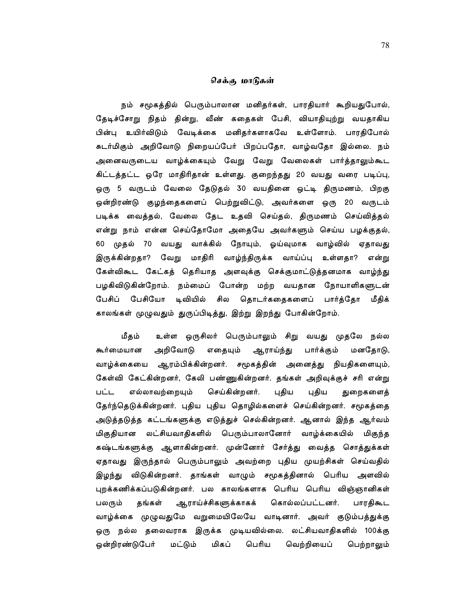## செக்கு மாடுகள்

நம் சமூகத்தில் பெரும்பாலான மனிதர்கள், பாரதியார் கூறியதுபோல், தேடிச்சோறு நிதம் தின்று, வீண் கதைகள் பேசி, வியாதியுற்று வயதாகிய பின்பு உயிர்விடும் வேடிக்கை மனிதர்களாகவே உள்ளோம். பாரதிபோல் சுடர்மிகும் அறிவோடு நிறையப்பேர் பிறப்பதோ, வாழ்வதோ இல்லை. நம் அனைவருடைய வாழ்க்கையும் வேறு வேறு வேலைகள் பார்த்தாலும்கூட கிட்டத்தட்ட ஒரே மாதிரிதான் உள்ளது. குறைந்தது 20 வயது வரை படிப்பு, ஒரு 5 வருடம் வேலை தேடுதல் 30 வயதினை ஒட்டி திருமணம், பிறகு ஒன்றிரண்டு குழந்தைகளைப் பெற்றுவிட்டு, அவர்களை ஒரு 20 வருடம் படிக்க வைத்தல், வேலை தேட உதவி செய்தல், திருமணம் செய்வித்தல் என்று நாம் என்ன செய்தோமோ அதையே அவர்களும் செய்ய பழக்குதல், 60 முதல் 70 வயது வாக்கில் நோயும், ஓய்வுமாக வாழ்வில் ஏதாவது இருக்கின்றதா? வேறு மாதிரி வாழ்ந்திருக்க வாய்ப்பு உள்ளதா? என்று கேள்விகூட கேட்கத் தெரியாத அளவுக்கு செக்குமாட்டுத்தனமாக வாழ்ந்து பழகிவிடுகின்றோம். நம்மைப் போன்ற மற்ற வயதான நோயாளிகளுடன் பேசிப் பேசியோ டிவியில் சில தொடர்கதைகளைப் பார்த்தோ மீதிக் காலங்கள் முழுவதும் துருப்பிடித்து, இற்று இறந்து போகின்றோம்.

உள்ள ஒருசிலர் பெரும்பாலும் சிறு வயது முதலே நல்ல மீதம் அறிவோடு எதையும் ஆராய்ந்து பார்க்கும் கூர்மையான மனதோடு, வாழ்க்கையை ஆரம்பிக்கின்றனர். சமூகத்தின் அனைத்து நியதிகளையும், கேள்வி கேட்கின்றனர், கேலி பண்ணுகின்றனர். தங்கள் அறிவுக்குச் சரி என்று பட்ட எல்லாவற்றையும் செய்கின்றனர். புதிய புதிய துறைகளைத் தேர்ந்தெடுக்கின்றனர். புதிய புதிய தொழில்களைச் செய்கின்றனர். சமூகத்தை அடுத்தடுத்த கட்டங்களுக்கு எடுத்துச் செல்கின்றனர். ஆனால் இந்த ஆர்வம் மிகுதியான லட்சியவாதிகளில் பெரும்பாலானோர் வாழ்க்கையில் மிகுந்த கஷ்டங்களுக்கு ஆளாகின்றனர். முன்னோர் சேர்த்து வைத்த சொத்துக்கள் ஏதாவது இருந்தால் பெரும்பாலும் அவற்றை புதிய முயற்சிகள் செய்வதில் இழந்து விடுகின்றனர். தாங்கள் வாழும் சமூகத்தினால் பெரிய அளவில் புறக்கணிக்கப்படுகின்றனர். பல காலங்களாக பெரிய பெரிய விஞ்ஞானிகள் கொல்லப்பட்டனர். பலரும் தங்கள் ஆராய்ச்சிகளுக்காகக் பாரதிகூட வாழ்க்கை முழுவதுமே வறுமையிலேயே வாடினார். அவர் குடும்பத்துக்கு ஒரு நல்ல தலைவராக இருக்க முடியவில்லை. லட்சியவாதிகளில் 100க்கு மிகப் ஒன்றிரண்டுபேர் மட்டும் பெரிய வெற்றியைப் பெற்றாலும்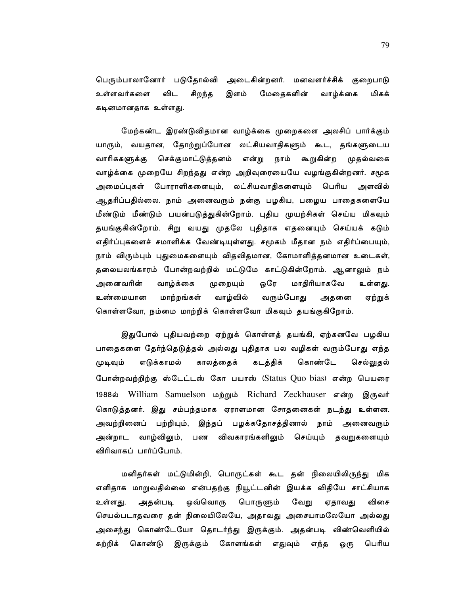பெரும்பாலானோர் படுதோல்வி அடைகின்றனர். மனவளர்ச்சிக் குறைபாடு உள்ளவர்களை விட சிறந்த இளம் மேதைகளின் வாழ்க்கை மிகக் கடினமானதாக உள்ளது.

மேற்கண்ட இரண்டுவிதமான வாழ்க்கை முறைகளை அலசிப் பார்க்கும் யாரும், வயதான, தோற்றுப்போன லட்சியவாதிகளும் கூட, தங்களுடைய வாரிசுகளுக்கு செக்குமாட்டுத்தனம் என்று நாம் கூறுகின்ற முதல்வகை வாழ்க்கை முறையே சிறந்தது என்ற அறிவுரையையே வழங்குகின்றனர். சமூக அமைப்புகள் போராளிகளையும், லட்சியவாதிகளையும் பெரிய அளவில் ஆதரிப்பதில்லை. நாம் அனைவரும் நன்கு பழகிய, பழைய பாதைகளையே மீண்டும் மீண்டும் பயன்படுத்துகின்றோம். புதிய முயற்சிகள் செய்ய மிகவும் தயங்குகின்றோம். சிறு வயது முதலே புதிதாக எதனையும் செய்யக் கடும் எதிர்ப்புகளைச் சமாளிக்க வேண்டியுள்ளது. சமூகம் மீதான நம் எதிர்ப்பையும், நாம் விரும்பும் புதுமைகளையும் விதவிதமான, கோமாளித்தனமான உடைகள், தலையலங்காரம் போன்றவற்றில் மட்டுமே காட்டுகின்றோம். ஆனாலும் நம் அனைவரின் வாழ்க்கை முறையும் ஒரே மாதிரியாகவே உள்ளது. உண்மையான மாற்றங்கள் வாழ்வில் வரும்போது அதனை ஏற்றுக் கொள்ளவோ, நம்மை மாற்றிக் கொள்ளவோ மிகவும் தயங்குகிறோம்.

இதுபோல் புதியவற்றை ஏற்றுக் கொள்ளத் தயங்கி, ஏற்கனவே பழகிய பாதைகளை தேர்ந்தெடுத்தல் அல்லது புதிதாக பல வழிகள் வரும்போது எந்த முடிவும் எடுக்காமல் காலத்தைக் கடத்திக் கொண்டே செல்லுதல் போன்றவற்றிற்கு ஸ்டேட்டஸ் கோ பயாஸ் (Status Quo bias) என்ற பெயரை 1988ல் William Samuelson மற்றும் Richard Zeckhauser என்ற இருவர் கொடுத்தனர். இது சம்பந்தமாக ஏராளமான சோதனைகள் நடந்து உள்ளன. அவற்றினைப் பற்றியும், இந்தப் பழக்கதோசத்தினால் நாம் அனைவரும் வாழ்விலும், பண விவகாரங்களிலும் செய்யும் தவறுகளையும் அன்றாட விரிவாகப் பார்ப்போம்.

மனிதர்கள் மட்டுமின்றி, பொருட்கள் கூட தன் நிலையிலிருந்து மிக எளிதாக மாறுவதில்லை என்பதற்கு நியூட்டனின் இயக்க விதியே சாட்சியாக ஒவ்வொரு பொருளும் விசை உள்ளது. அதன்படி வேறு ஏதாவது செயல்படாதவரை தன் நிலையிலேயே, அதாவது அசையாமலேயோ அல்லது அசைந்து கொண்டேயோ தொடர்ந்து இருக்கும். அதன்படி விண்வெளியில் சுற்றிக் கொண்டு இருக்கும் கோளங்கள் எதுவும் எந்த பெரிய ஒரு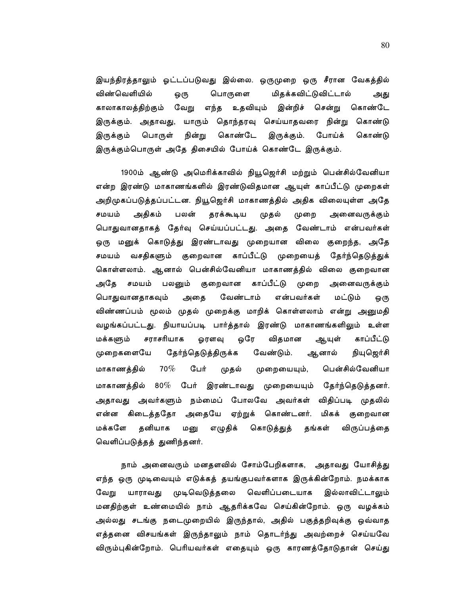இயந்திரத்தாலும் ஓட்டப்படுவது இல்லை. ஒருமுறை ஒரு சீரான வேகத்தில் விண்வெளியில் பொருளை மிதக்கவிட்டுவிட்டால் ஒரு அது காலாகாலத்திற்கும் வேறு எந்த உதவியும் இன்றிச் சென்று கொண்டே இருக்கும். அதாவது, யாரும் தொந்தரவு செய்யாதவரை நின்று கொண்டு கொண்டே இருக்கும் பொருள் நின்று இருக்கும். போய்க் கொண்டு இருக்கும்பொருள் அதே திசையில் போய்க் கொண்டே இருக்கும்.

1900ம் ஆண்டு அமெரிக்காவில் நியூஜெர்சி மற்றும் பென்சில்வேனியா என்ற இரண்டு மாகாணங்களில் இரண்டுவிதமான ஆயுள் காப்பீட்டு முறைகள் அறிமுகப்படுத்தப்பட்டன. நியூஜெர்சி மாகாணத்தில் அதிக விலையுள்ள அதே சமயம் அதிகம் தரக்கூடிய முறை பலன் முதல் அனைவருக்கும் பொதுவானதாகத் தேர்வு செய்யப்பட்டது. அதை வேண்டாம் என்பவர்கள் ஒரு மனுக் கொடுத்து இரண்டாவது முறையான விலை குறைந்த, அதே சமயம் வசதிகளும் குறைவான காப்பீட்டு முறையைத் தேர்ந்தெடுத்துக் கொள்ளலாம். ஆனால் பென்சில்வேனியா மாகாணத்தில் விலை குறைவான அதே சமயம் பலனும் குறைவான காப்பீட்டு முறை அனைவருக்கும் பொதுவானதாகவும் அதை வேண்டாம் என்பவர்கள் மட்டும் ஒரு விண்ணப்பம் மூலம் முதல் முறைக்கு மாறிக் கொள்ளலாம் என்று அனுமதி வழங்கப்பட்டது. நியாயப்படி பார்த்தால் இரண்டு மாகாணங்களிலும் உள்ள சராசரியாக விதமான மக்களும் ஒரே காப்பீட்டு ஓரளவு ஆயுள் தேர்ந்தெடுத்திருக்க வேண்டும். ஆனால் முறைகளையே நியுஜெர்சி  $70\%$ பென்சில்வேனியா மாகாணத்தில் பேர் முதல் முறையையும், மாகாணத்தில் 80% பேர் இரண்டாவது முறையையும் தேர்ந்தெடுத்தனர். அதாவது அவர்களும் நம்மைப் போலவே அவர்கள் விதிப்படி முதலில் என்ன கிடைத்ததோ அதையே ஏற்றுக் கொண்டனர். மிகக் குறைவான மக்களே தனியாக மனு எழுதிக் கொடுத்துத் தங்கள் விருப்பத்தை வெளிப்படுத்தத் துணிந்தனர்.

நாம் அனைவரும் மனதளவில் சோம்பேறிகளாக, அதாவது யோசித்து எந்த ஒரு முடிவையும் எடுக்கத் தயங்குபவர்களாக இருக்கின்றோம். நமக்காக முடிவெடுத்தலை வெளிப்படையாக இல்லாவிட்டாலும் வேறு யாராவகு மனதிற்குள் உண்மையில் நாம் ஆதரிக்கவே செய்கின்றோம். ஒரு வழக்கம் அல்லது சடங்கு நடைமுறையில் இருந்தால், அதில் பகுத்தறிவுக்கு ஒவ்வாத எத்தனை விசயங்கள் இருந்தாலும் நாம் தொடர்ந்து அவற்றைச் செய்யவே விரும்புகின்றோம். பெரியவர்கள் எதையும் ஒரு காரணத்தோடுதான் செய்து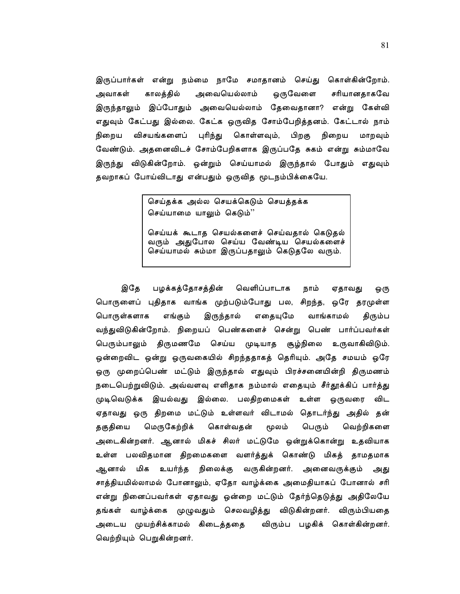இருப்பார்கள் என்று நம்மை நாமே சமாதானம் செய்து கொள்கின்றோம். அவாகள் காலத்தில் அவையெல்லாம் ஒருவேளை சரியானதாகவே இருந்தாலும் இப்போதும் அவையெல்லாம் தேவைதானா? என்று கேள்வி எதுவும் கேட்பது இல்லை. கேட்க ஒருவித சோம்பேறித்தனம். கேட்டால் நாம் விசயங்களைப் புரிந்து கொள்ளவும், பிறகு நிறைய நிறைய மாறவும் வேண்டும். அதனைவிடச் சோம்பேறிகளாக இருப்பதே சுகம் என்று சும்மாவே இருந்து விடுகின்றோம். ஒன்றும் செய்யாமல் இருந்தால் போதும் எதுவும் தவறாகப் போய்விடாது என்பதும் ஒருவித மூடநம்பிக்கையே.

> செய்தக்க அல்ல செயக்கெடும் செயத்தக்க செய்யாமை யாலும் கெடும்''

செய்யக் கூடாத செயல்களைச் செய்வதால் கெடுதல் வரும் அதுபோல செய்ய வேண்டிய செயல்களைச் செய்யாமல் சும்மா இருப்பதாலும் கெடுதலே வரும்.

இதே பழக்கத்தோசத்தின் வெளிப்பாடாக நாம் ஏதாவது ஒரு பொருளைப் புதிதாக வாங்க முற்படும்போது பல, சிறந்த, ஒரே தரமுள்ள பொருள்களாக எங்கும் இருந்தால் எதையுமே வாங்காமல் திரும்ப வந்துவிடுகின்றோம். நிறையப் பெண்களைச் சென்று பெண் பார்ப்பவர்கள் பெரும்பாலும் திருமணமே செய்ய முடியாத சூழ்நிலை உருவாகிவிடும். ஒன்றைவிட ஒன்று ஒருவகையில் சிறந்ததாகத் தெரியும். அதே சமயம் ஒரே ஒரு முறைப்பெண் மட்டும் இருந்தால் எதுவும் பிரச்சனையின்றி திருமணம் நடைபெற்றுவிடும். அவ்வளவு எளிதாக நம்மால் எதையும் சீர்தூக்கிப் பார்த்து முடிவெடுக்க இயல்வது இல்லை. பலதிறமைகள் உள்ள ஒருவரை விட ஏதாவது ஒரு திறமை மட்டும் உள்ளவர் விடாமல் தொடர்ந்து அதில் தன் தகுதியை மெருகேற்றிக் கொள்வதன் மூலம் பெரும் வெற்றிகளை அடைகின்றனர். ஆனால் மிகச் சிலர் மட்டுமே ஒன்றுக்கொன்று உதவியாக உள்ள பலவிதமான திறமைகளை வளர்த்துக் கொண்டு மிகத் தாமதமாக ஆனால் மிக உயர்ந்த நிலைக்கு வருகின்றனர். அனைவருக்கும் அது சாத்தியமில்லாமல் போனாலும், ஏதோ வாழ்க்கை அமைதியாகப் போனால் சரி என்று நினைப்பவர்கள் ஏதாவது ஒன்றை மட்டும் தேர்ந்தெடுத்து அதிலேயே தங்கள் வாழ்க்கை முழுவதும் செலவழித்து விடுகின்றனர். விரும்பியதை அடைய முயற்சிக்காமல் கிடைத்ததை விரும்ப பழகிக் கொள்கின்றனர். வெற்றியும் பெறுகின்றனர்.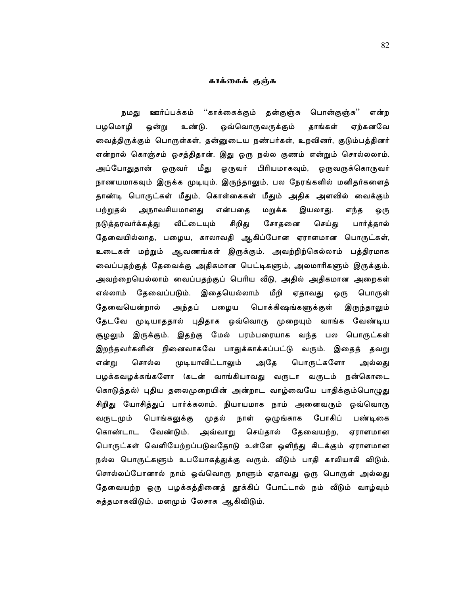#### காக்கைக் குஞ்சு

ஊர்ப்பக்கம் ''காக்கைக்கும் தன்குஞ்சு பொன்குஞ்சு'' நமது என்ற பழமொழி ஒவ்வொருவருக்கும் ஒன்று உண்டு. தாங்கள் ஏற்கனவே வைத்திருக்கும் பொருள்கள், தன்னுடைய நண்பர்கள், உறவினர், குடும்பத்தினர் என்றால் கொஞ்சம் ஒசத்திதான். இது ஒரு நல்ல குணம் என்றும் சொல்லலாம். அப்போதுதான் ஒருவர் மீது ஒருவர் பிரியமாகவும், ஒருவருக்கொருவர் நாணயமாகவும் இருக்க முடியும். இருந்தாலும், பல நேரங்களில் மனிதர்களைத் தாண்டி பொருட்கள் மீதும், கொள்கைகள் மீதும் அதிக அளவில் வைக்கும் பற்றுதல் அநாவசியமானது என்பதை மறுக்க இயலாது. எந்த ஒரு வீட்டையும் சிறிது நடுக்கரவர்க்கக்கு சோதனை செய்கு பார்த்தால் தேவையில்லாத, பழைய, காலாவதி ஆகிப்போன ஏராளமான பொருட்கள், உடைகள் மற்றும் ஆவணங்கள் இருக்கும். அவற்றிற்கெல்லாம் பத்திரமாக வைப்பதற்குத் தேவைக்கு அதிகமான பெட்டிகளும், அலமாரிகளும் இருக்கும். அவற்றையெல்லாம் வைப்பதற்குப் பெரிய வீடு, அதில் அதிகமான அறைகள் எல்லாம் தேவைப்படும். இதையெல்லாம் மீறி ஏதாவது ஒரு பொருள் தேவையென்றால் பழைய பொக்கிஷங்களுக்குள் அந்தப் இருந்தாலும் தேடவே முடியாததால் புதிதாக ஒவ்வொரு முறையும் வாங்க வேண்டிய சூழலும் இருக்கும். இதற்கு மேல் பரம்பரையாக வந்த பல பொருட்கள் இறந்தவர்களின் நினைவாகவே பாதுக்காக்கப்பட்டு வரும். இதைத் தவறு என்று சொல்ல முடியாவிட்டாலும் அதே பொருட்களோ அல்லது பழக்கவழக்கங்களோ (கடன் வாங்கியாவது வருடா வருடம் நன்கொடை கொடுத்தல்) புதிய தலைமுறையின் அன்றாட வாழ்வையே பாதிக்கும்பொழுது சிறிது யோசித்துப் பார்க்கலாம். நியாயமாக நாம் அனைவரும் ஒவ்வொரு வருடமும் பொங்கலுக்கு முதல் நாள் ஒழுங்காக போகிப் பண்டிகை கொண்டாட வேண்டும். அவ்வாறு செய்தால் தேவையற்ற, ஏராளமான பொருட்கள் வெளியேற்றப்படுவதோடு உள்ளே ஒளிந்து கிடக்கும் ஏராளமான நல்ல பொருட்களும் உபயோகத்துக்கு வரும். வீடும் பாதி காலியாகி விடும். சொல்லப்போனால் நாம் ஒவ்வொரு நாளும் ஏதாவது ஒரு பொருள் அல்லது தேவையற்ற ஒரு பழக்கத்தினைத் தூக்கிப் போட்டால் நம் வீடும் வாழ்வும் சுத்தமாகவிடும். மனமும் லேசாக ஆகிவிடும்.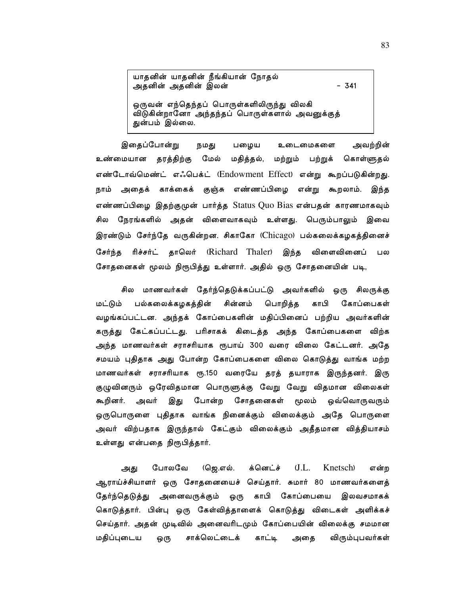யாதனின் யாதனின் நீங்கியான் நோதல் அதனின் அதனின் இலன்

ஒருவன் எந்தெந்தப் பொருள்களிலிருந்து விலகி விடுகின்றானோ அந்தந்தப் பொருள்களால் அவனுக்குத் துன்பம் இல்லை.

இதைப்போன்று பழைய அவற்றின் நமது உடைமைகளை உண்மையான தரத்திற்கு மேல் மதித்தல், மற்றும் பற்றுக் கொள்ளுதல் எண்டோவ்மெண்ட் எஃபெக்ட் (Endowment Effect) என்று கூறப்படுகின்றது. நாம் அதைக் காக்கைக் குஞ்சு எண்ணப்பிழை என்று கூறலாம். இந்த எண்ணப்பிழை இதற்குமுன் பார்த்த Status Quo Bias என்பதன் காரணமாகவும் சில நேரங்களில் அதன் விளைவாகவும் உள்ளது. பெரும்பாலும் இவை இரண்டும் சேர்ந்தே வருகின்றன. சிகாகோ (Chicago) பல்கலைக்கழகத்தினைச் சேர்ந்த ரிச்சர்ட் தாலெர் (Richard Thaler) இந்த விளைவினைப் பல சோதனைகள் மூலம் நிரூபித்து உள்ளார். அதில் ஒரு சோதனையின் படி,

சில மாணவர்கள் தேர்ந்தெடுக்கப்பட்டு அவர்களில் ஒரு சிலருக்கு பல்கலைக்கழகத்தின் சின்னம் பொறித்த காபி கோப்பைகள் மட்டும் வழங்கப்பட்டன. அந்தக் கோப்பைகளின் மதிப்பினைப் பற்றிய அவர்களின் கருத்து கேட்கப்பட்டது. பரிசாகக் கிடைத்த அந்த கோப்பைகளை விற்க அந்த மாணவர்கள் சராசரியாக ரூபாய் 300 வரை விலை கேட்டனர். அதே சமயம் புதிதாக அது போன்ற கோப்பைகளை விலை கொடுத்து வாங்க மற்ற மாணவர்கள் சராசரியாக ரூ.150 வரையே தரத் தயாராக இருந்தனர். இரு குழுவினரும் ஒரேவிதமான பொருளுக்கு வேறு வேறு விதமான விலைகள் கூறினர். அவர் இது போன்ற சோதனைகள் மூலம் ஒவ்வொருவரும் ஒருபொருளை புதிதாக வாங்க நினைக்கும் விலைக்கும் அதே பொருளை அவர் விற்பதாக இருந்தால் கேட்கும் விலைக்கும் அதீதமான வித்தியாசம் உள்ளது என்பதை நிரூபித்தார்.

 $J.L.$ போலவே (ஜெ.எல். க்னெட்ச் Knetsch) என்ற அது ஆராய்ச்சியாளர் ஒரு சோதனையைச் செய்தார். சுமார் 80 மாணவர்களைத் தேர்ந்தெடுத்து அனைவருக்கும் ஒரு காபி கோப்பையை இலவசமாகக் கொடுத்தார். பின்பு ஒரு கேள்வித்தாளைக் கொடுத்து விடைகள் அளிக்கச் செய்தார். அதன் முடிவில் அனைவரிடமும் கோப்பையின் விலைக்கு சமமான மதிப்புடைய சாக்லெட்டைக் காட்டி அதை ஒரு விரும்புபவர்கள்

 $-341$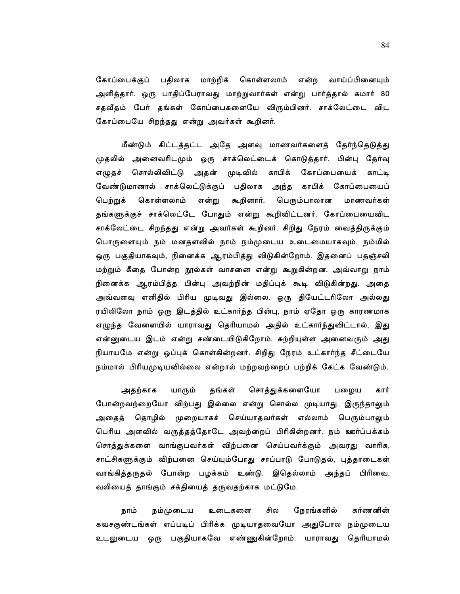கோப்பைக்குப் பதிலாக மாற்றிக் கொள்ளலாம் என்ற வாய்ப்பினையும் அளித்தார். ஒரு பாதிப்பேராவது மாற்றுவார்கள் என்று பார்த்தால் சுமார் 80 சதவீதம் பேர் தங்கள் கோப்பைகளையே விரும்பினர். சாக்லேட்டை விட கோப்பையே சிறந்தது என்று அவர்கள் கூறினர்.

மீண்டும் கிட்டத்தட்ட அதே அளவு மாணவர்களைத் தேர்ந்தெடுத்து முதலில் அனைவரிடமும் ஒரு சாக்லெட்டைக் கொடுத்தார். பின்பு தேர்வு எழுதச் சொல்லிவிட்டு அதன் முடிவில் காபிக் கோப்பையைக் காட்டி வேண்டுமானால் சாக்லெட்டுக்குப் பதிலாக அந்த காபிக் கோப்பையைப் கொள்ளலாம் என்று கூறினார். பெரும்பாலான பெற்றுக் மாணவர்கள் தங்களுக்குச் சாக்லெட்டே போதும் என்று கூறிவிட்டனர். கோப்பையைவிட சாக்லேட்டை சிறந்தது என்று அவர்கள் கூறினர். சிறிது நேரம் வைத்திருக்கும் பொருளையும் நம் மனதளவில் நாம் நம்முடைய உடைமையாகவும், நம்மில் ஒரு பகுதியாகவும், நினைக்க ஆரம்பித்து விடுகின்றோம். இதனைப் பதஞ்சலி மற்றும் கீதை போன்ற நூல்கள் வாசனை என்று கூறுகின்றன. அவ்வாறு நாம் நினைக்க ஆரம்பித்த பின்பு அவற்றின் மதிப்புக் கூடி விடுகின்றது. அதை அவ்வளவு எளிதில் பிரிய முடிவது இல்லை. ஒரு தியேட்டரிலோ அல்லது ரயிலிலோ நாம் ஒரு இடத்தில் உட்கார்ந்த பின்பு, நாம் ஏதோ ஒரு காரணமாக எழுந்த வேளையில் யாராவது தெரியாமல் அதில் உட்கார்ந்துவிட்டால், இது என்னுடைய இடம் என்று சண்டையிடுகிறோம். சுற்றியுள்ள அனைவரும் அது நியாயமே என்று ஒப்புக் கொள்கின்றனர். சிறிது நேரம் உட்கார்ந்த சீட்டையே நம்மால் பிரியமுடியவில்லை என்றால் மற்றவற்றைப் பற்றிக் கேட்க வேண்டும்.

சொத்துக்களையோ அதற்காக யாரும் தங்கள் பழைய கார் போன்றவற்றையோ விற்பது இல்லை என்று சொல்ல முடியாது. இருந்தாலும் அதைத் தொழில் முறையாகச் செய்யாதவர்கள் எல்லாம் பெரும்பாலும் பெரிய அளவில் வருத்தத்தோடே அவற்றைப் பிரிகின்றனர். நம் ஊர்ப்பக்கம் சொத்துக்களை வாங்குபவர்கள் விற்பனை செய்பவர்க்கும் அவரது வாரிசு, சாட்சிகளுக்கும் விற்பனை செய்யும்போது சாப்பாடு போடுதல், புத்தாடைகள் வாங்கித்தருதல் போன்ற பழக்கம் உண்டு. இதெல்லாம் அந்தப் பிரிவை, வலியைத் தாங்கும் சக்தியைத் தருவதற்காக மட்டுமே.

சில கர்ணனின் நாம் நம்முடைய உடைகளை நேரங்களில் கவசகுண்டங்கள் எப்படிப் பிரிக்க முடியாதவையோ அதுபோல நம்முடைய உடலுடைய ஒரு பகுதியாகவே எண்ணுகின்றோம். யாராவது தெரியாமல்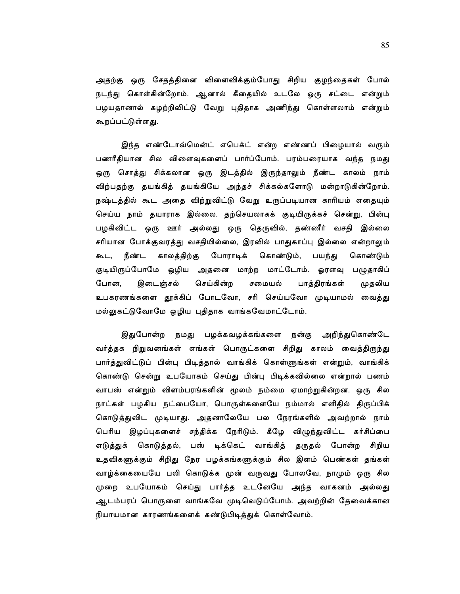அதற்கு ஒரு சேதத்தினை விளைவிக்கும்போது சிறிய குழந்தைகள் போல் நடந்து கொள்கின்றோம். ஆனால் கீதையில் உடலே ஒரு சட்டை என்றும் பழயதானால் கழற்றிவிட்டு வேறு புதிதாக அணிந்து கொள்ளலாம் என்றும் கூறப்பட்டுள்ளது.

இந்த எண்டோவ்மென்ட் எபெக்ட் என்ற எண்ணப் பிழையால் வரும் பணரீதியான சில விளைவுகளைப் பார்ப்போம். பரம்பரையாக வந்த நமது ஒரு சொத்து சிக்கலான ஒரு இடத்தில் இருந்தாலும் நீண்ட காலம் நாம் விற்பதற்கு தயங்கித் தயங்கியே அந்தச் சிக்கல்களோடு மன்றாடுகின்றோம். நஷ்டத்தில் கூட அதை விற்றுவிட்டு வேறு உருப்படியான காரியம் எதையும் செய்ய நாம் தயாராக இல்லை. தற்செயலாகக் குடியிருக்கச் சென்று, பின்பு பழகிவிட்ட ஒரு ஊர் அல்லது ஒரு தெருவில், தண்ணீர் வசதி இல்லை சரியான போக்குவரத்து வசதியில்லை, இரவில் பாதுகாப்பு இல்லை என்றாலும் கூட, நீண்ட காலத்திற்கு போராடிக் கொண்டும், பயந்து கொண்டும் குடியிருப்போமே ஒழிய அதனை மாற்ற மாட்டோம். ஓரளவு பழுதாகிப் பாத்திரங்கள் இடைஞ்சல் போன. செய்கின்ற சமையல் முதலிய உபகரணங்களை தூக்கிப் போடவோ, சரி செய்யவோ முடியாமல் வைத்து மல்லுகட்டுவோமே ஒழிய புதிதாக வாங்கவேமாட்டோம்.

இதுபோன்ற நமது பழக்கவழக்கங்களை நன்கு அறிந்துகொண்டே வர்த்தக நிறுவனங்கள் எங்கள் பொருட்களை சிறிது காலம் வைத்திருந்து பார்த்துவிட்டுப் பின்பு பிடித்தால் வாங்கிக் கொள்ளுங்கள் என்றும், வாங்கிக் கொண்டு சென்று உபயோகம் செய்து பின்பு பிடிக்கவில்லை என்றால் பணம் வாபஸ் என்றும் விளம்பரங்களின் மூலம் நம்மை ஏமாற்றுகின்றன. ஒரு சில நாட்கள் பழகிய நட்பையோ, பொருள்களையே நம்மால் எளிதில் திருப்பிக் கொடுத்துவிட முடியாது. அதனாலேயே பல நேரங்களில் அவற்றால் நாம் பெரிய இழப்புகளைச் சந்திக்க நேரிடும். கீழே விழுந்துவிட்ட கர்சிப்பை எடுத்துக் கொடுத்தல், பஸ் டிக்கெட் வாங்கித் தருதல் போன்ற சிறிய உதவிகளுக்கும் சிறிது நேர பழக்கங்களுக்கும் சில இளம் பெண்கள் தங்கள் வாழ்க்கையையே பலி கொடுக்க முன் வருவது போலவே, நாமும் ஒரு சில முறை உபயோகம் செய்து பார்த்த உடனேயே அந்த வாகனம் அல்லது ஆடம்பரப் பொருளை வாங்கவே முடிவெடுப்போம். அவற்றின் தேவைக்கான நியாயமான காரணங்களைக் கண்டுபிடித்துக் கொள்வோம்.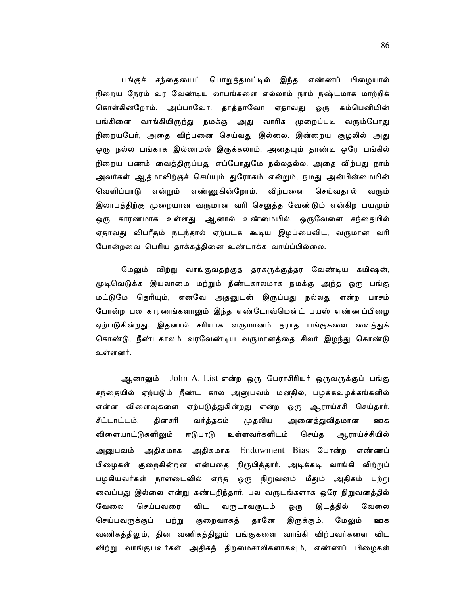பங்குச் சந்தையைப் பொறுத்தமட்டில் இந்த எண்ணப் பிழையால் நிறைய நேரம் வர வேண்டிய லாபங்களை எல்லாம் நாம் நஷ்டமாக மாற்றிக் கொள்கின்றோம். அப்பாவோ, தாத்தாவோ ஏதாவது ஒரு கம்பெனியின் பங்கினை வாங்கியிருந்து நமக்கு அது வாரிசு முறைப்படி வரும்போது நிறையபேர், அதை விற்பனை செய்வது இல்லை. இன்றைய சூழலில் அது ஒரு நல்ல பங்காக இல்லாமல் இருக்கலாம். அதையும் தாண்டி ஒரே பங்கில் நிறைய பணம் வைத்திருப்பது எப்போதுமே நல்லதல்ல. அதை விற்பது நாம் அவர்கள் ஆத்மாவிற்குச் செய்யும் துரோகம் என்றும், நமது அன்பின்மையின் வெளிப்பாடு என்றும் எண்ணுகின்றோம். விற்பனை செய்வதால் வரும் இலாபத்திற்கு முறையான வருமான வரி செலுத்த வேண்டும் என்கிற பயமும் ஒரு காரணமாக உள்ளது. ஆனால் உண்மையில், ஒருவேளை சந்தையில் ஏதாவது விபரீதம் நடந்தால் ஏற்படக் கூடிய இழப்பைவிட, வருமான வரி போன்றவை பெரிய தாக்கத்தினை உண்டாக்க வாய்ப்பில்லை.

மேலும் விற்று வாங்குவதற்குத் தரகருக்குத்தர வேண்டிய கமிஷன், முடிவெடுக்க இயலாமை மற்றும் நீண்டகாலமாக நமக்கு அந்த ஒரு பங்கு மட்டுமே தெரியும், எனவே அதனுடன் இருப்பது நல்லது என்ற பாசம் போன்ற பல காரணங்களாலும் இந்த எண்டோவ்மென்ட் பயஸ் எண்ணப்பிழை ஏற்படுகின்றது. இதனால் சரியாக வருமானம் தராத பங்குகளை வைத்துக் கொண்டு, நீண்டகாலம் வரவேண்டிய வருமானத்தை சிலர் இழந்து கொண்டு உள்ளனர்.

ஆனாலும் John A. List என்ற ஒரு பேராசிரியர் ஒருவருக்குப் பங்கு சந்தையில் ஏற்படும் நீண்ட கால அனுபவம் மனதில், பழக்கவழக்கங்களில் என்ன விளைவுகளை ஏற்படுத்துகின்றது என்ற ஒரு ஆராய்ச்சி செய்தார். அனைத்துவிதமான சீட்டாட்டம், தினசரி வர்த்தகம் முதலிய ஊக விளையாட்டுகளிலும் ஈடுபாடு உள்ளவர்களிடம் செய்த ஆராய்ச்சியில் அனுபவம் அதிகமாக அதிகமாக Endowment Bias போன்ற எண்ணப் பிழைகள் குறைகின்றன என்பதை நிரூபித்தார். அடிக்கடி வாங்கி விற்றுப் பழகியவர்கள் நாளடைவில் எந்த ஒரு நிறுவனம் மீதும் அதிகம் பற்று வைப்பது இல்லை என்று கண்டறிந்தார். பல வருடங்களாக ஒரே நிறுவனத்தில் வேலை செய்பவரை விட வருடாவருடம் இடத்தில் வேலை ஒரு தானே செய்பவருக்குப் குறைவாகத் மேலும் பற்று இருக்கும். ஊக வணிகத்திலும், தின வணிகத்திலும் பங்குகளை வாங்கி விற்பவர்களை விட விற்று வாங்குபவர்கள் அதிகத் திறமைசாலிகளாகவும், எண்ணப் பிழைகள்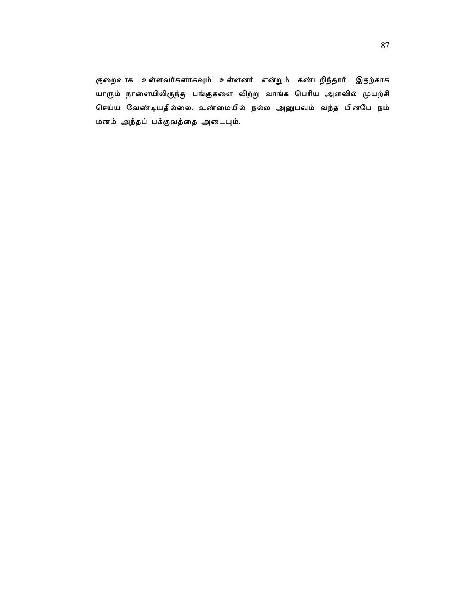குறைவாக உள்ளவர்களாகவும் உள்ளனர் என்றும் கண்டறிந்தார். இதற்காக யாரும் நாளையிலிருந்து பங்குகளை விற்று வாங்க பெரிய அளவில் முயற்சி செய்ய வேண்டியதில்லை. உண்மையில் நல்ல அனுபவம் வந்த பின்பே நம் மனம் அந்தப் பக்குவத்தை அடையும்.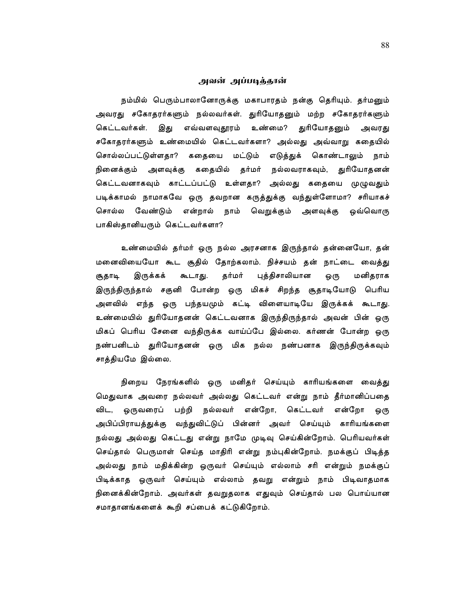# அவன் அப்படித்தான்

நம்மில் பெரும்பாலானோருக்கு மகாபாரதம் நன்கு தெரியும். தர்மனும் அவரது சகோதரர்களும் நல்லவர்கள். துரியோதனும் மற்ற சகோதரர்களும் இது எவ்வளவுதூரம் உண்மை? துரியோதனும் கெட்டவர்கள். அவரது சகோதரர்களும் உண்மையில் கெட்டவர்களா? அல்லது அவ்வாறு கதையில் சொல்லப்பட்டுள்ளதா? கதையை மட்டும் எடுத்துக் கொண்டாலும் நாம் நினைக்கும் அளவுக்கு கதையில் தர்மர் நல்லவராகவும், துரியோதனன் கெட்டவனாகவும் காட்டப்பட்டு உள்ளதா? அல்லது கதையை முழுவதும் படிக்காமல் நாமாகவே ஒரு தவறான கருத்துக்கு வந்துள்ளோமா? சரியாகச் சொல்ல வேண்டும் என்றால் நாம் வெறுக்கும் அளவுக்கு ஒவ்வொரு பாகிஸ்தானியரும் கெட்டவர்களா?

உண்மையில் தர்மர் ஒரு நல்ல அரசனாக இருந்தால் தன்னையோ, தன் மனைவியையோ கூட சூதில் தோற்கலாம். நிச்சயம் தன் நாட்டை வைத்து இருக்கக் கூடாது. தர்மர் புத்திசாலியான மனிதராக சூதாடி ஒரு இருந்திருந்தால் சகுனி போன்ற ஒரு மிகச் சிறந்த சூதாடியோடு பெரிய அளவில் எந்த ஒரு பந்தயமும் கட்டி விளையாடியே இருக்கக் கூடாது. உண்மையில் துரியோதனன் கெட்டவனாக இருந்திருந்தால் அவன் பின் ஒரு மிகப் பெரிய சேனை வந்திருக்க வாய்ப்பே இல்லை. கர்ணன் போன்ற ஒரு நண்பனிடம் துரியோதனன் ஒரு மிக நல்ல நண்பனாக இருந்திருக்கவும் சாத்தியமே இல்லை.

நிறைய நேரங்களில் ஒரு மனிதர் செய்யும் காரியங்களை வைத்து மெதுவாக அவரை நல்லவர் அல்லது கெட்டவர் என்று நாம் தீர்மானிப்பதை ஒருவரைப் பற்றி நல்லவர் என்றோ, கெட்டவர் என்றோ ஒரு விட. அபிப்பிராயத்துக்கு வந்துவிட்டுப் பின்னர் அவர் செய்யும் காரியங்களை நல்லது அல்லது கெட்டது என்று நாமே முடிவு செய்கின்றோம். பெரியவர்கள் செய்தால் பெருமாள் செய்த மாதிரி என்று நம்புகின்றோம். நமக்குப் பிடித்த அல்லது நாம் மதிக்கின்ற ஒருவர் செய்யும் எல்லாம் சரி என்றும் நமக்குப் பிடிக்காத ஒருவர் செய்யும் எல்லாம் தவறு என்றும் நாம் பிடிவாதமாக நினைக்கின்றோம். அவர்கள் தவறுதலாக எதுவும் செய்தால் பல பொய்யான சமாதானங்களைக் கூறி சப்பைக் கட்டுகிறோம்.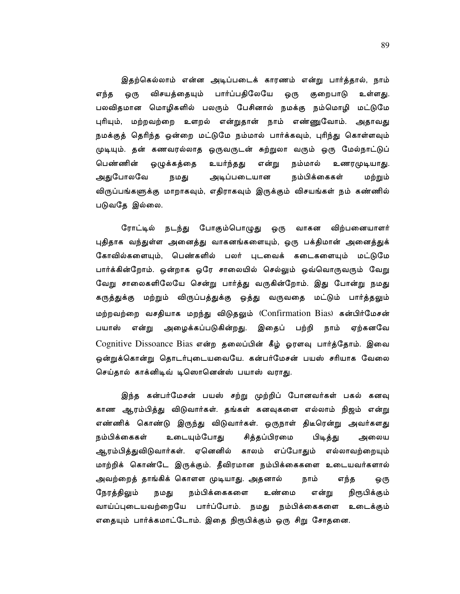இதற்கெல்லாம் என்ன அடிப்படைக் காரணம் என்று பார்த்தால், நாம் விசயத்தையும் பார்ப்பதிலேயே ஒரு குறைபாடு எந்த ஒரு உள்ளது. பலவிதமான மொழிகளில் பலரும் பேசினால் நமக்கு நம்மொழி மட்டுமே புரியும், மற்றவற்றை உளறல் என்றுதான் நாம் எண்ணுவோம். அதாவது நமக்குத் தெரிந்த ஒன்றை மட்டுமே நம்மால் பார்க்கவும், புரிந்து கொள்ளவும் முடியும். தன் கணவரல்லாத ஒருவருடன் சுற்றுலா வரும் ஒரு மேல்நாட்டுப் பெண்ணின் ஒழுக்கத்தை உயர்ந்தது என்று நம்மால் உணரமுடியாது. அதுபோலவே அடிப்படையான நம்பிக்கைகள் நமது மற்றும் விருப்பங்களுக்கு மாறாகவும், எதிராகவும் இருக்கும் விசயங்கள் நம் கண்ணில் படுவதே இல்லை.

ரோட்டில் நடந்து போகும்பொழுது ஒரு வாகன விற்பனையாளர் புதிதாக வந்துள்ள அனைத்து வாகனங்களையும், ஒரு பக்திமான் அனைத்துக் கோவில்களையும், பெண்களில் பலர் புடவைக் கடைகளையும் மட்டுமே பார்க்கின்றோம். ஒன்றாக ஒரே சாலையில் செல்லும் ஒவ்வொருவரும் வேறு வேறு சாலைகளிலேயே சென்று பார்த்து வருகின்றோம். இது போன்று நமது கருத்துக்கு மற்றும் விருப்பத்துக்கு ஒத்து வருவதை மட்டும் பார்த்தலும் மற்றவற்றை வசதியாக மறந்து விடுதலும் (Confirmation Bias) கன்பிர்மேசன் நாம் ஏற்கனவே பயாஸ் என்று அழைக்கப்படுகின்றது. இதைப் பற்றி Cognitive Dissoance Bias என்ற தலைப்பின் கீழ் ஓரளவு பார்த்தோம். இவை ஒன்றுக்கொன்று தொடர்புடையவையே. கன்பர்மேசன் பயஸ் சரியாக வேலை செய்தால் காக்னிடிவ் டிஸொனென்ஸ் பயாஸ் வராது.

இந்த கன்பர்மேசன் பயஸ் சற்று முற்றிப் போனவர்கள் பகல் கனவு காண ஆரம்பித்து விடுவார்கள். தங்கள் கனவுகளை எல்லாம் நிஜம் என்று எண்ணிக் கொண்டு இருந்து விடுவார்கள். ஒருநாள் திடீரென்று அவர்களது உடையும்போது சித்தப்பிரமை நம்பிக்கைகள் பிடித்து அலைய ஆரம்பித்துவிடுவார்கள். ஏனெனில் காலம் எப்போதும் எல்லாவற்றையும் மாற்றிக் கொண்டே இருக்கும். தீவிரமான நம்பிக்கைகளை உடையவர்களால் அவற்றைத் தாங்கிக் கொளள முடியாது. அதனால் நாம் எந்த ஒரு நம்பிக்கைகளை நிரூபிக்கும் நேரத்திலும் உண்மை என்று நமது வாய்ப்புடையவற்றையே பார்ப்போம். நமது நம்பிக்கைகளை உடைக்கும் எதையும் பார்க்கமாட்டோம். இதை நிரூபிக்கும் ஒரு சிறு சோதனை.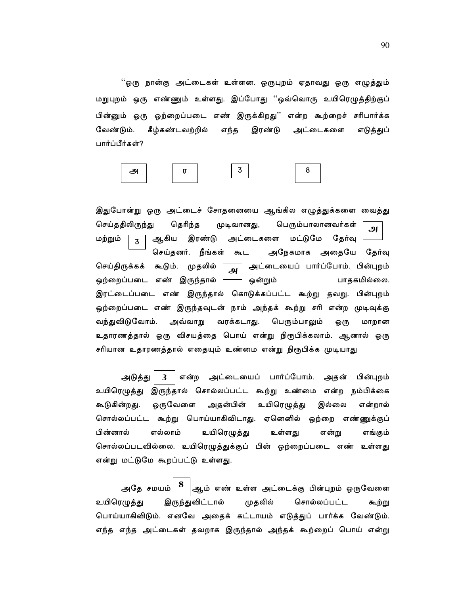''ஒரு நான்கு அட்டைகள் உள்ளன. ஒருபுறம் ஏதாவது ஒரு எழுத்தும் மறுபுறம் ஒரு எண்ணும் உள்ளது. இப்போது ''ஒவ்வொரு உயிரெழுத்திற்குப் .<br>பின்னும் ஒரு ஒற்றைப்படை எண் இருக்கிறது'' என்ற கூற்றைச் சரிபார்க்க வேண்டும். கீழ்கண்டவற்றில் எந்த இரண்டு அட்டைகளை எடுத்துப் பார்ப்பீர்கள்?

8 3 அ  $\blacksquare$ 

இதுபோன்று ஒரு அட்டைச் சோதனையை ஆங்கில எழுத்துக்களை வைத்து செய்ததிலிருந்து தெரிந்த முடிவானது, பெரும்பாலானவர்கள் அ இரண்டு மட்டுமே மற்றும் ஆகிய அட்டைகளை தேர்வு  $\overline{\mathbf{z}}$ செய்தனர். நீங்கள் கூட அநேகமாக அதையே தேர்வு முதலில் செய்திருக்கக் கூடும். அட்டையைப் பார்ப்போம். பின்புறம் அ ஒற்றைப்படை எண் இருந்தால் ஒன்றும் பாதகமில்லை. இரட்டைப்படை எண் இருந்தால் கொடுக்கப்பட்ட கூற்று தவறு. பின்புறம் ஒற்றைப்படை எண் இருந்தவுடன் நாம் அந்தக் கூற்று சரி என்ற முடிவுக்கு வந்துவிடுவோம். அவ்வாறு வரக்கடாது. பெரும்பாலும் ஒரு மாறான உதாரணத்தால் ஒரு விசயத்தை பொய் என்று நிரூபிக்கலாம். ஆனால் ஒரு சரியான உதாரணத்தால் எதையும் உண்மை என்று நிரூபிக்க முடியாது

அடுத்து என்ற அட்டையைப் பார்ப்போம். பின்புறம்  $\mathbf{3}$ அதன் உயிரெழுத்து இருந்தால் சொல்லப்பட்ட கூற்று உண்மை என்ற நம்பிக்கை கூடுகின்றது. ஒருவேளை அதன்பின் உயிரெழுத்து இல்லை என்றால் சொல்லப்பட்ட கூற்று பொய்யாகிவிடாது. ஏனெனில் ஒற்றை எண்ணுக்குப் பின்னால் எல்லாம் உயிரெழுத்து உள்ளது என்று எங்கும் சொல்லப்படவில்லை. உயிரெழுத்துக்குப் பின் ஒற்றைப்படை எண் உள்ளது என்று மட்டுமே கூறப்பட்டு உள்ளது.

அதே சமயம் $\mid 8 \mid$ |ஆம் எண் உள்ள அட்டைக்கு பின்புறம் ஒருவேளை முதலில் சொல்லப்பட்ட உயிரெழுத்து இருந்துவிட்டால் கூற்று பொய்யாகிவிடும். எனவே அதைக் கட்டாயம் எடுத்துப் பார்க்க வேண்டும். எந்த எந்த அட்டைகள் தவறாக இருந்தால் அந்தக் கூற்றைப் பொய் என்று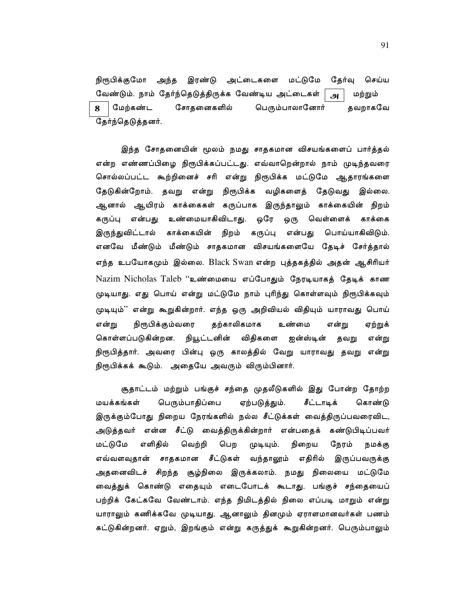நிரூபிக்குமோ அந்த இரண்டு அட்டைகளை மட்டுமே தேர்வு செய்ய வேண்டும். நாம் தேர்ந்தெடுத்திருக்க வேண்டிய அட்டைகள் மற்றும் அ சோதனைகளில் மேற்கண்ட பெரும்பாலானோர் தவறாகவே 8 தேர்ந்தெடுத்தனர்.

இந்த சோதனையின் மூலம் நமது சாதகமான விசயங்களைப் பார்த்தல் என்ற எண்ணப்பிழை நிரூபிக்கப்பட்டது. எவ்வாறென்றால் நாம் முடிந்தவரை சொல்லப்பட்ட கூற்றினைச் சரி என்று நிரூபிக்க மட்டுமே ஆதாரங்களை தேடுகின்றோம். தவறு என்று நிரூபிக்க வழிகளைத் தேடுவது இல்லை. ஆனால் ஆயிரம் காக்கைகள் கருப்பாக இருந்தாலும் காக்கையின் நிறம் என்பது உண்மையாகிவிடாது. ஒரே ஒரு வெள்ளைக் கருப்பு காக்கை இருந்துவிட்டால் காக்கையின் நிறம் கருப்பு என்பது பொய்யாகிவிடும். எனவே மீண்டும் மீண்டும் சாதகமான விசயங்களையே தேடிச் சேர்த்தால் எந்த உபயோகமும் இல்லை. Black Swan என்ற புத்தகத்தில் அதன் ஆசிரியர் Nazim Nicholas Taleb "உண்மையை எப்போதும் நேரடியாகத் தேடிக் காண முடியாது. எது பொய் என்று மட்டுமே நாம் புரிந்து கொள்ளவும் நிரூபிக்கவும் முடியும்'' என்று கூறுகின்றார். எந்த ஒரு அறிவியல் விதியும் யாராவது பொய் தற்காலிகமாக நிரூபிக்கும்வரை ஏற்றுக் என்று உண்மை என்று கொள்ளப்படுகின்றன. நியூட்டனின் விதிகளை ஐன்ஸ்டின் தவறு என்று நிரூபித்தார். அவரை பின்பு ஒரு காலத்தில் வேறு யாராவது தவறு என்று நிரூபிக்கக் கூடும். அதையே அவரும் விரும்பினார்.

சூதாட்டம் மற்றும் பங்குச் சந்தை முதலீடுகளில் இது போன்ற தோற்ற மயக்கங்கள் பெரும்பாதிப்பை ஏற்படுத்தும். சீட்டாடிக் கொண்டு இருக்கும்போது நிறைய நேரங்களில் நல்ல சீட்டுக்கள் வைத்திருப்பவரைவிட, அடுத்தவர் என்ன சீட்டு வைத்திருக்கின்றார் என்பதைக் கண்டுபிடிப்பவர் மட்டுமே எளிதில் வெற்றி பெற முடியும். நிறைய நேரம் நமக்கு எவ்வளவுதான் சாதகமான சீட்டுகள் வந்தாலூம் எதிரில் இருப்பவருக்கு அதனைவிடச் சிறந்த சூழ்நிலை இருக்கலாம். நமது நிலையை மட்டுமே வைத்துக் கொண்டு எதையும் எடைபோடக் கூடாது. பங்குச் சந்தையைப் பற்றிக் கேட்கவே வேண்டாம். எந்த நிமிடத்தில் நிலை எப்படி மாறும் என்று யாராலும் கணிக்கவே முடியாது. ஆனாலும் தினமும் ஏராளமானவர்கள் பணம் கட்டுகின்றனர். ஏறும், இறங்கும் என்று கருத்துக் கூறுகின்றனர். பெரும்பாலும்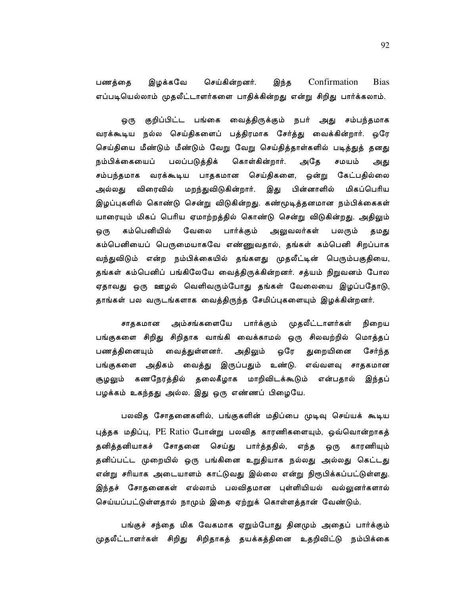Confirmation இழக்கவே செய்கின்றனர். இந்த **Bias** பணத்தை எப்படியெல்லாம் முதலீட்டாளர்களை பாதிக்கின்றது என்று சிறிது பார்க்கலாம்.

குறிப்பிட்ட பங்கை வைத்திருக்கும் நபர் அது சம்பந்தமாக ஒரு வரக்கூடிய நல்ல செய்திகளைப் பத்திரமாக சேர்த்து வைக்கின்றார். ஒரே செய்தியை மீண்டும் மீண்டும் வேறு வேறு செய்தித்தாள்களில் படித்துத் தனது கொள்கின்றார். நம்பிக்கையைப் பலப்படுத்திக் அதே சமயம் அது சம்பந்தமாக வரக்கூடிய பாதகமான செய்திகளை, ஒன்று கேட்பதில்லை அல்லது விரைவில் மறந்துவிடுகின்றார். இது பின்னாளில் மிகப்பெரிய இழப்புகளில் கொண்டு சென்று விடுகின்றது. கண்மூடித்தனமான நம்பிக்கைகள் யாரையும் மிகப் பெரிய ஏமாற்றத்தில் கொண்டு சென்று விடுகின்றது. அதிலும் கம்பெனியில் வேலை பார்க்கும் அலுவலர்கள் பலரும் ஒரு தமது கம்பெனியைப் பெருமையாகவே எண்ணுவதால், தங்கள் கம்பெனி சிறப்பாக வந்துவிடும் என்ற நம்பிக்கையில் தங்களது முதலீட்டின் பெரும்பகுதியை, தங்கள் கம்பெனிப் பங்கிலேயே வைத்திருக்கின்றனர். சத்யம் நிறுவனம் போல ஏதாவது ஒரு ஊழல் வெளிவரும்போது தங்கள் வேலையை இழப்பதோடு, தாங்கள் பல வருடங்களாக வைத்திருந்த சேமிப்புகளையும் இழக்கின்றனர்.

அம்சங்களையே பார்க்கும் முதலீட்டாளர்கள் சாதகமான நிறைய பங்குகளை சிறிது சிறிதாக வாங்கி வைக்காமல் ஒரு சிலவற்றில் மொத்தப் துறையினை பணத்தினையும் வைத்துள்ளனர். அதிலும் ஒரே சேர்ந்த பங்குகளை அதிகம் வைத்து இருப்பதும் உண்டு. எவ்வளவு சாதகமான சூழலும் கணநேரத்தில் தலைகீழாக மாறிவிடக்கூடும் என்பதால் இந்தப் பழக்கம் உகந்தது அல்ல. இது ஒரு எண்ணப் பிழையே.

பலவித சோதனைகளில், பங்குகளின் மதிப்பை முடிவு செய்யக் கூடிய புத்தக மதிப்பு, PE Ratio போன்று பலவித காரணிகளையும், ஒவ்வொன்றாகத் தனித்தனியாகச் சோதனை செய்து பார்த்ததில், எந்த ஒரு காரணியும் தனிப்பட்ட முறையில் ஒரு பங்கினை உறுதியாக நல்லது அல்லது கெட்டது என்று சரியாக அடையாளம் காட்டுவது இல்லை என்று நிரூபிக்கப்பட்டுள்ளது. இந்தச் சோதனைகள் எல்லாம் பலவிதமான புள்ளியியல் வல்லுனர்களால் செய்யப்பட்டுள்ளதால் நாமும் இதை ஏற்றுக் கொள்ளத்தான் வேண்டும்.

பங்குச் சந்தை மிக வேகமாக ஏறும்போது தினமும் அதைப் பார்க்கும் முதலீட்டாளர்கள் சிறிது சிறிதாகத் தயக்கத்தினை உதறிவிட்டு நம்பிக்கை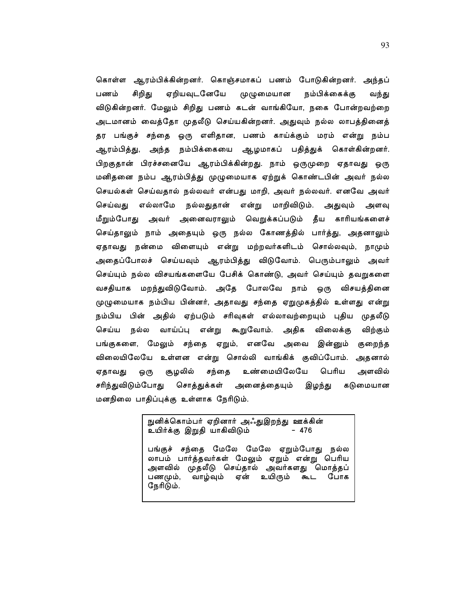கொள்ள ஆரம்பிக்கின்றனர். கொஞ்சமாகப் பணம் போடுகின்றனர். அந்தப் ஏறியவுடனேயே பணம் சிறிது முழுமையான நம்பிக்கைக்கு வந்து விடுகின்றனர். மேலும் சிறிது பணம் கடன் வாங்கியோ, நகை போன்றவற்றை அடமானம் வைத்தோ முதலீடு செய்யகின்றனர். அதுவும் நல்ல லாபத்தினைத் தர பங்குச் சந்தை ஒரு எளிதான, பணம் காய்க்கும் மரம் என்று நம்ப ஆரம்பித்து, அந்த நம்பிக்கையை ஆழமாகப் பதித்துக் கொள்கின்றனர். பிறகுதான் பிரச்சனையே ஆரம்பிக்கின்றது. நாம் ஒருமுறை ஏதாவது ஒரு மனிதனை நம்ப ஆரம்பித்து முழுமையாக ஏற்றுக் கொண்டபின் அவர் நல்ல செயல்கள் செய்வதால் நல்லவர் என்பது மாறி, அவர் நல்லவர். எனவே அவர் செய்வது எல்லாமே நல்லதுதான் என்று மாறிவிடும். அதுவும் அளவு மீறும்போது அவர் அனைவராலும் வெறுக்கப்படும் தீய காரியங்களைச் செய்தாலும் நாம் அதையும் ஒரு நல்ல கோணத்தில் பார்த்து, அதனாலும் ஏதாவது நன்மை விளையும் என்று மற்றவர்களிடம் சொல்லவும், நாமும் அதைப்போலச் செய்யவும் ஆரம்பித்து விடுவோம். பெரும்பாலும் அவர் செய்யும் நல்ல விசயங்களையே பேசிக் கொண்டு, அவர் செய்யும் தவறுகளை வசதியாக மறந்துவிடுவோம். அதே போலவே நாம் ஒரு விசயத்தினை முழுமையாக நம்பிய பின்னர், அதாவது சந்தை ஏறுமுகத்தில் உள்ளது என்று நம்பிய பின் அதில் ஏற்படும் சரிவுகள் எல்லாவற்றையும் புதிய முதலீடு வாய்ப்பு என்று கூறுவோம். அதிக செய்ய நல்ல விலைக்கு விற்கும் பங்குகளை, மேலும் சந்தை ஏறும், எனவே அவை இன்னும் குறைந்த விலையிலேயே உள்ளன என்று சொல்லி வாங்கிக் குவிப்போம். அதனால் சூழலில் சந்தை உண்மையிலேயே பெரிய அளவில் ஏதாவது ஒரு சரிந்துவிடும்போது சொத்துக்கள் அனைத்தையும் கடுமையான இழந்து மனநிலை பாதிப்புக்கு உள்ளாக நேரிடும்.

> நுனிக்கொம்பர் ஏறினார் அஃதுஇறந்து ஊக்கின் உயிர்க்கு இறுதி யாகிவிடும்  $-476$

பங்குச் சந்தை மேலே மேலே ஏறும்போது நல்ல லாபம் பார்த்தவர்கள் மேலும் ஏறும் என்று பெரிய<br>அளவில் முதலீடு செய்தால் அவர்களது மொத்தப் பணமும், வாழ்வும் ஏன் உயிரும் கூட போக நேரிடும்.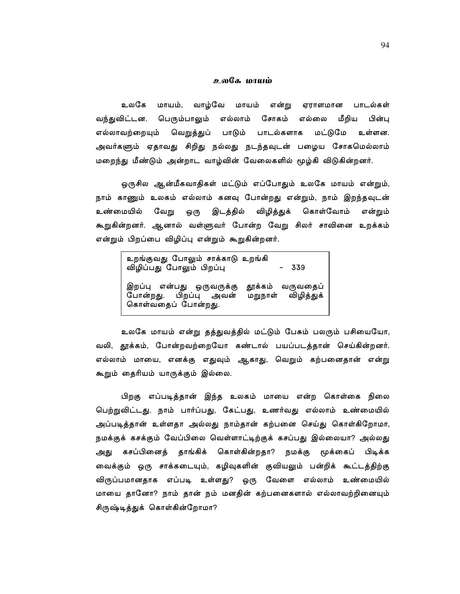## உலகே மாயம்

உலகே மாயம். வாம்வே மாயம் என்று ஏராளமான பாடல்கள் வந்துவிட்டன. பெரும்பாலும் எல்லாம் சோகம் எல்லை மீறிய பின்பு மட்டுமே எல்லாவற்றையும் வெறுத்துப் பாடும் பாடல்களாக உள்ளன. அவர்களும் ஏதாவது சிறிது நல்லது நடந்தவுடன் பழைய சோகமெல்லாம் மறைந்து மீண்டும் அன்றாட வாழ்வின் வேலைகளில் மூழ்கி விடுகின்றனர்.

ஒருசில ஆன்மீகவாதிகள் மட்டும் எப்போதும் உலகே மாயம் என்றும், நாம் காணும் உலகம் எல்லாம் கனவு போன்றது என்றும், நாம் இறந்தவுடன் இடத்தில் விழித்துக் உண்மையில் வேறு கொள்வோம் ஒரு என்றும் கூறுகின்றனர். ஆனால் வள்ளுவர் போன்ற வேறு சிலர் சாவினை உறக்கம் என்றும் பிறப்பை விழிப்பு என்றும் கூறுகின்றனர்.

| உறங்குவது போலும் சாக்காடு உறங்கி<br>விழிப்பது போலும் பிறப்பு<br>- 339                                             |  |
|-------------------------------------------------------------------------------------------------------------------|--|
| தூக்கம் வருவதைப்<br>இறப்பு என்பது ஒருவருக்கு<br>மறுநாள் விழித்துக்<br>போன்றது. பிறப்பு அவன்<br>கொள்வதைப் போன்றது. |  |

உலகே மாயம் என்று தத்துவத்தில் மட்டும் பேசும் பலரும் பசியையோ, வலி, தூக்கம், போன்றவற்றையோ கண்டால் பயப்படத்தான் செய்கின்றனர். எல்லாம் மாயை, எனக்கு எதுவும் ஆகாது, வெறும் கற்பனைதான் என்று கூறும் தைரியம் யாருக்கும் இல்லை.

பிறகு எப்படித்தான் இந்த உலகம் மாயை என்ற கொள்கை நிலை பெற்றுவிட்டது. நாம் பார்ப்பது, கேட்பது, உணர்வது எல்லாம் உண்மையில் அப்படித்தான் உள்ளதா அல்லது நாம்தான் கற்பனை செய்து கொள்கிறோமா, நமக்குக் கசக்கும் வேப்பிலை வெள்ளாட்டிற்குக் கசப்பது இல்லையா? அல்லது அது கசப்பினைத் தாங்கிக் கொள்கின்றதா? நமக்கு மூக்கைப் பிடிக்க வைக்கும் ஒரு சாக்கடையும், கழிவுகளின் குவியலும் பன்றிக் கூட்டத்திற்கு விருப்பமானதாக எப்படி உள்ளது? ஒரு வேளை எல்லாம் உண்மையில் மாயை தானோ? நாம் தான் நம் மனதின் கற்பனைகளால் எல்லாவற்றினையும் சிருஷ்டித்துக் கொள்கின்றோமா?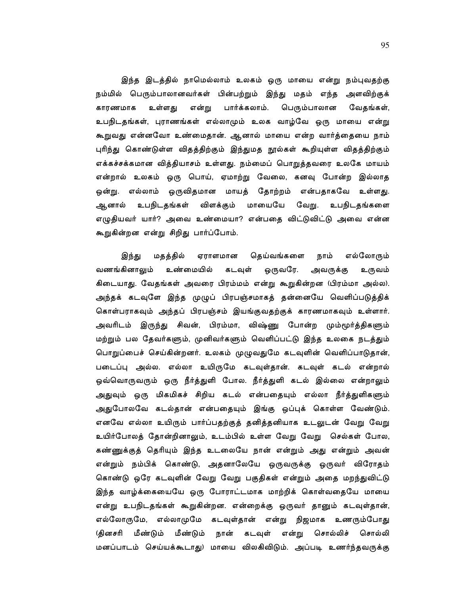இந்த இடத்தில் நாமெல்லாம் உலகம் ஒரு மாயை என்று நம்புவதற்கு நம்மில் பெரும்பாலானவர்கள் பின்பற்றும் இந்து மதம் எந்த அளவிற்குக் பார்க்கலாம். காரணமாக உள்ளது என்று பெரும்பாலான வேதங்கள், உபநிடதங்கள், புராணங்கள் எல்லாமும் உலக வாழ்வே ஒரு மாயை என்று கூறுவது என்னவோ உண்மைதான். ஆனால் மாயை என்ற வார்த்தையை ந<mark>ா</mark>ம் புரிந்து கொண்டுள்ள விதத்திற்கும் இந்துமத நூல்கள் கூறியுள்ள விதத்திற்கும் எக்கச்சக்கமான வித்தியாசம் உள்ளது. நம்மைப் பொறுத்தவரை உலகே மாயம் என்றால் உலகம் ஒரு பொய், ஏமாற்று வேலை, கனவு போன்ற இல்லாத ஒன்று. எல்லாம் ஒருவிதமான மாயத் தோற்றம் என்பதாகவே உள்ளது. ஆனால் உபநிடதங்கள் விளக்கும் மாயையே வேறு. உபநிடதங்களை எழுதியவர் யார்? அவை உண்மையா? என்பதை விட்டுவிட்டு அவை என்ன கூறுகின்றன என்று சிறிது பார்ப்போம்.

நாம் இந்து மதத்தில் ஏராளமான தெய்வங்களை எல்லோரும் ஒருவரே. வணங்கினாலும் உண்மையில் கடவுள் அவருக்கு உருவம் கிடையாது. வேதங்கள் அவரை பிரம்மம் என்று கூறுகின்றன (பிரம்மா அல்ல). அந்தக் கடவுளே இந்த முழுப் பிரபஞ்சமாகத் தன்னையே வெளிப்படுத்திக் கொள்பராகவும் அந்தப் பிரபஞ்சம் இயங்குவதற்குக் காரணமாகவும் உள்ளார். அவரிடம் இருந்து சிவன், பிரம்மா, விஷ்ணு போன்ற மும்மூர்த்திகளும் மற்றும் பல தேவர்களும், முனிவர்களும் வெளிப்பட்டு இந்த உலகை நடத்தும் பொறுப்பைச் செய்கின்றனர். உலகம் முழுவதுமே கடவுளின் வெளிப்பாடுதான், படைப்பு அல்ல. எல்லா உயிருமே கடவுள்தான். கடவுள் கடல் என்றால் ஒவ்வொருவரும் ஒரு நீர்த்துளி போல. நீர்த்துளி கடல் இல்லை என்றாலும் அதுவும் ஒரு மிகமிகச் சிறிய கடல் என்பதையும் எல்லா நீர்த்துளிகளும் அதுபோலவே கடல்தான் என்பதையும் இங்கு ஒப்புக் கொள்ள வேண்டும். எனவே எல்லா உயிரும் பார்ப்பதற்குத் தனித்தனியாக உடலுடன் வேறு வேறு உயிர்போலத் தோன்றினாலும், உடம்பில் உள்ள வேறு வேறு செல்கள் போல, கண்ணுக்குத் தெரியும் இந்த உடலையே நான் என்றும் அது என்றும் அவன் என்றும் நம்பிக் கொண்டு, அதனாலேயே ஒருவருக்கு ஒருவர் விரோதம் கொண்டு ஒரே கடவுளின் வேறு வேறு பகுதிகள் என்றும் அதை மறந்துவிட்டு இந்த வாழ்க்கையையே ஒரு போராட்டமாக மாற்றிக் கொள்வதையே மாயை என்று உபநிடதங்கள் கூறுகின்றன. என்றைக்கு ஒருவர் தானும் கடவுள்தான், எல்லோருமே, எல்லாமுமே கடவுள்தான் என்று நிஜமாக உணரும்போது மீண்டும் மீண்டும் நான் கடவுள் என்று சொல்லிச் சொல்லி (தினசரி மனப்பாடம் செய்யக்கூடாது) மாயை விலகிவிடும். அப்படி உணர்ந்தவருக்கு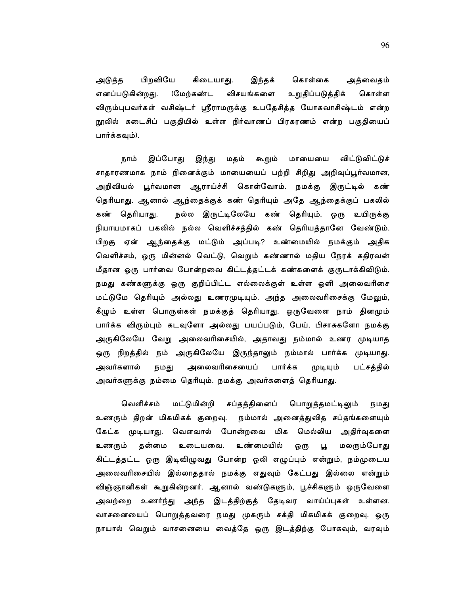பிறவியே கிடையாது. இந்தக் கொள்கை அடுத்த அத்வைதம் (மேற்கண்ட எனப்படுகின்றது. விசயங்களை உறுதிப்படுத்திக் கொள்ள விரும்புபவர்கள் வசிஷ்டர் ஸ்ரீராமருக்கு உபதேசித்த யோகவாசிஷ்டம் என்ற நூலில் கடைசிப் பகுதியில் உள்ள நிர்வாணப் பிரகரணம் என்ற பகுதியைப் பார்க்கவும்).

இப்போது கூறும் மாயையை விட்டுவிட்டுச் நாம் இந்து மதம் சாதாரணமாக நாம் நினைக்கும் மாயையைப் பற்றி சிறிது அறிவுப்பூர்வமான, அறிவியல் பூர்வமான ஆராய்ச்சி கொள்வோம். நமக்கு இருட்டில் கண் தெரியாது. ஆனால் ஆந்தைக்குக் கண் தெரியும் அதே ஆந்தைக்குப் பகலில் கண் தெரியாது. நல்ல இருட்டிலேயே கண் தெரியும். ஒரு உயிருக்கு நியாயமாகப் பகலில் நல்ல வெளிச்சத்தில் கண் தெரியத்தானே வேண்டும். பிறகு ஏன் ஆந்தைக்கு மட்டும் அப்படி? உண்மையில் நமக்கும் அதிக வெளிச்சம், ஒரு மின்னல் வெட்டு, வெறும் கண்ணால் மதிய நேரக் கதிரவன் மீதான ஒரு பார்வை போன்றவை கிட்டத்தட்டக் கண்களைக் குருடாக்கிவிடும். நமது கண்களுக்கு ஒரு குறிப்பிட்ட எல்லைக்குள் உள்ள ஒளி அலைவரிசை மட்டுமே தெரியும் அல்லது உணரமுடியும். அந்த அலைவரிசைக்கு மேலும், கீழும் உள்ள பொருள்கள் நமக்குத் தெரியாது. ஒருவேளை நாம் தினமும் பார்க்க விரும்பும் கடவுளோ அல்லது பயப்படும், பேய், பிசாசுகளோ நமக்கு அருகிலேயே வேறு அலைவரிசையில், அதாவது நம்மால் உணர முடியாத ஒரு நிறத்தில் நம் அருகிலேயே இருந்தாலும் நம்மால் பார்க்க முடியாது. அலைவரிசையைப் அவர்களால் பார்க்க பட்சத்தில் நமது முடியும் அவர்களுக்கு நம்மை தெரியும். நமக்கு அவர்களைத் தெரியாது.

வெளிச்சம் மட்டுமின்றி சப்தத்தினைப் பொறுத்தமட்டிலும் நமது உணரும் திறன் மிகமிகக் குறைவு. நம்மால் அனைத்துவித சப்தங்களையும் கேட்க முடியாது. வெளவால் போன்றவை மிக மெல்லிய அதிர்வுகளை உணரும் தன்மை உடையவை. உண்மையில் ஒரு  $\mu$ மலரும்போது கிட்டத்தட்ட ஒரு இடிவிழுவது போன்ற ஒலி எழுப்பும் என்றும், நம்முடைய அலைவரிசையில் இல்லாததால் நமக்கு எதுவும் கேட்பது இல்லை என்றும் விஞ்ஞானிகள் கூறுகின்றனர். ஆனால் வண்டுகளும், பூச்சிகளும் ஒருவேளை அவற்றை உணர்ந்து அந்த இடத்திற்குத் தேடிவர வாய்ப்புகள் உள்ளன. வாசனையைப் பொறுத்தவரை நமது முகரும் சக்தி மிகமிகக் குறைவு. ஒரு நாயால் வெறும் வாசனையை வைத்தே ஒரு இடத்திற்கு போகவும், வரவும்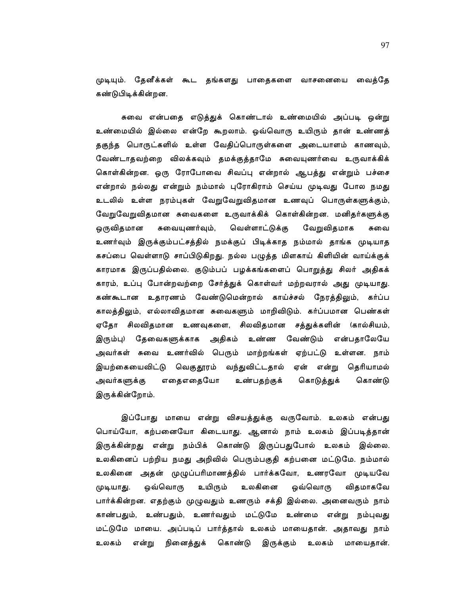முடியும். தேனீக்கள் கூட தங்களது பாதைகளை வாசனையை வைத்தே கண்டுபிடிக்கின்றன.

சுவை என்பதை எடுத்துக் கொண்டால் உண்மையில் அப்படி ஒன்று உண்மையில் இல்லை என்றே கூறலாம். ஒவ்வொரு உயிரும் தான் உண்ணத் தகுந்த பொருட்களில் உள்ள வேதிப்பொருள்களை அடையாளம் காணவும், வேண்டாதவற்றை விலக்கவும் தமக்குத்தாமே சுவையுணர்வை உருவாக்கிக் கொள்கின்றன. ஒரு ரோபோவை சிவப்பு என்றால் ஆபத்து என்றும் பச்சை என்றால் நல்லது என்றும் நம்மால் புரோகிராம் செய்ய முடிவது போல நமது உடலில் உள்ள நரம்புகள் வேறுவேறுவிதமான உணவுப் பொருள்களுக்கும், வேறுவேறுவிதமான சுவைகளை உருவாக்கிக் கொள்கின்றன. மனிதர்களுக்கு ஒருவிதமான சுவையுணர்வும், வெள்ளாட்டுக்கு வேறுவிதமாக சுவை உணர்வும் இருக்கும்பட்சத்தில் நமக்குப் பிடிக்காத நம்மால் தாங்க முடியாத கசப்பை வெள்ளாடு சாப்பிடுகிறது. நல்ல பழுத்த மிளகாய் கிளியின் வாய்க்குக் காரமாக இருப்பதில்லை. குடும்பப் பழக்கங்களைப் பொறுத்து சிலர் அதிகக் காரம், உப்பு போன்றவற்றை சேர்த்துக் கொள்வர் மற்றவரால் அது முடியாது. கண்கூடான உதாரணம் வேண்டுமென்றால் காய்ச்சல் நேரத்திலும், கர்ப்ப காலத்திலும், எல்லாவிதமான சுவைகளும் மாறிவிடும். கர்ப்பமான பெண்கள் ஏதோ சிலவிதமான உணவுகளை, சிலவிதமான சத்துக்களின் (கால்சியம், இரும்பு) தேவைகளுக்காக அதிகம் உண்ண வேண்டும் என்பதாலேயே அவர்கள் சுவை உணர்வில் பெரும் மாற்றங்கள் ஏற்பட்டு உள்ளன. நாம் இயற்கையைவிட்டு வெகுதூரம் வந்துவிட்டதால் ஏன் என்று தெரியாமல் கொண்டு எதைஎதையோ உண்பதற்குக் கொடுத்துக் அவர்களுக்கு இருக்கின்றோம்.

இப்போது மாயை என்று விசயத்துக்கு வருவோம். உலகம் என்பது பொய்யோ, கற்பனையோ கிடையாது. ஆனால் நாம் உலகம் இப்படித்தான் இருக்கின்றது என்று நம்பிக் கொண்டு இருப்பதுபோல் உலகம் இல்லை. உலகினைப் பற்றிய நமது அறிவில் பெரும்பகுதி கற்பனை மட்டுமே. நம்மால் உலகினை அதன் முழுப்பரிமாணத்தில் பார்க்கவோ, உணரவோ முடியவே ஒவ்வொரு உயிரும் உலகினை ஒவ்வொரு விதமாகவே முடியாது. பார்க்கின்றன. எதற்கும் முழுவதும் உணரும் சக்தி இல்லை. அனைவரும் நாம் காண்பதும், உண்பதும், உணர்வதும் மட்டுமே உண்மை என்று நம்புவது மட்டுமே மாயை. அப்படிப் பார்த்தால் உலகம் மாயைதான். அதாவது நாம் உலகம் என்று நினைத்துக் கொண்டு இருக்கும் உலகம் மாயைகான்.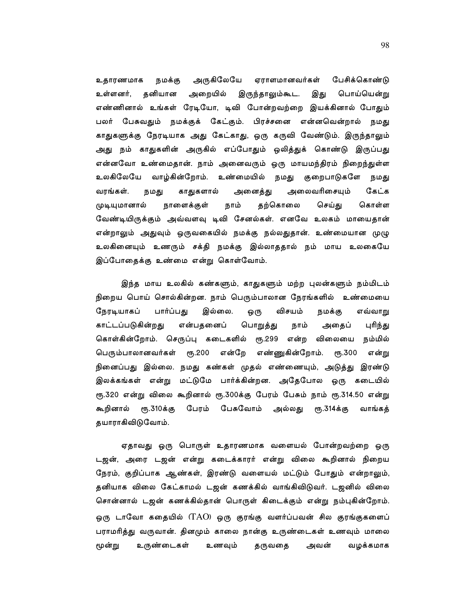அருகிலேயே ஏராளமானவர்கள் பேசிக்கொண்டு உதாரணமாக நமக்கு உள்ளனர், தனியான அறையில் இருந்தாலும்கூட. பொய்யென்று இது எண்ணினால் உங்கள் ரேடியோ, டிவி போன்றவற்றை இயக்கினால் போதும் பேசுவதும் நமக்குக் கேட்கும். பிரச்சனை என்னவென்றால் நமது பலர் காதுகளுக்கு நேரடியாக அது கேட்காது, ஒரு கருவி வேண்டும். இருந்தாலும் அது நம் காதுகளின் அருகில் எப்போதும் ஒலித்துக் கொண்டு இருப்பது என்னவோ உண்மைதான். நாம் அனைவரும் ஒரு மாயமந்திரம் நிறைந்துள்ள உலகிலேயே வாழ்கின்றோம். உண்மையில் நமது குறைபாடுகளே நமது காதுகளால் அலைவரிசையும் கேட்க வரங்கள். அனைத்து நமது முடியுமானால் நாளைக்குள் நாம் தற்கொலை செய்து கொள்ள வேண்டியிருக்கும் அவ்வளவு டிவி சேனல்கள். எனவே உலகம் மாயைதான் என்றாலும் அதுவும் ஒருவகையில் நமக்கு நல்லதுதான். உண்மையான முழு உலகினையும் உணரும் சக்தி நமக்கு இல்லாததால் நம் மாய உலகையே இப்போதைக்கு உண்மை என்று கொள்வோம்.

இந்த மாய உலகில் கண்களும், காதுகளும் மற்ற புலன்களும் நம்மிடம் நிறைய பொய் சொல்கின்றன. நாம் பெரும்பாலான நேரங்களில் உண்மையை நேரடியாகப் பார்ப்பது இல்லை. விசயம் ஒரு நமக்கு எவ்வாறு காட்டப்படுகின்றது பொறுத்து என்பதனைப் நாம் அதைப் புரிந்து கொள்கின்றோம். செருப்பு கடைகளில் ரூ.299 என்ற விலையை நம்மில் பெரும்பாலானவர்கள் ரூ.200 என்றே எண்ணுகின்றோம். ரூ.300 என்று நினைப்பது இல்லை. நமது கண்கள் முதல் எண்ணையும், அடுத்து இரண்டு இலக்கங்கள் என்று மட்டுமே பார்க்கின்றன. அதேபோல ஒரு கடையில் ரூ.320 என்று விலை கூறினால் ரூ.300க்கு பேரம் பேசும் நாம் ரூ.314.50 என்று பேரம் பேசுவோம் அல்லது ரூ.314க்கு கூறினால் ரூ.310க்கு வாங்கத் தயாராகிவிடுவோம்.

ஏதாவது ஒரு பொருள் உதாரணமாக வளையல் போன்றவற்றை ஒரு டஜன், அரை டஜன் என்று கடைக்காரர் என்று விலை கூறினால் நிறைய நேரம், குறிப்பாக ஆண்கள், இரண்டு வளையல் மட்டும் போதும் என்றாலும், தனியாக விலை கேட்காமல் டஜன் கணக்கில் வாங்கிவிடுவர். டஜனில் விலை சொன்னால் டஜன் கணக்கில்தான் பொருள் கிடைக்கும் என்று நம்புகின்றோம். ஒரு டாவோ கதையில் (TAO) ஒரு குரங்கு வளர்ப்பவன் சில குரங்குகளைப் பராமரித்து வருவான். தினமும் காலை நான்கு உருண்டைகள் உணவும் மாலை மூன்று உருண்டைகள் உணவும் வழக்கமாக தருவதை அவன்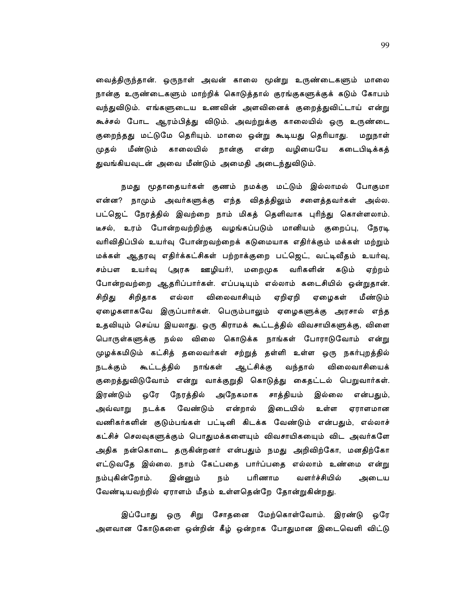வைத்திருந்தான். ஒருநாள் அவன் காலை மூன்று உருண்டைகளும் மாலை நான்கு உருண்டைகளும் மாற்றிக் கொடுத்தால் குரங்குகளுக்குக் கடும் கோபம் வந்துவிடும். எங்களுடைய உணவின் அளவினைக் குறைத்துவிட்டாய் என்று கூச்சல் போட ஆரம்பித்து விடும். அவற்றுக்கு காலையில் ஒரு உருண்டை குறைந்தது மட்டுமே தெரியும். மாலை ஒன்று கூடியது தெரியாது. மறுநாள் முதல் மீண்டும் காலையில் நான்கு என்ற வழியையே கடைபிடிக்கத் துவங்கியவுடன் அவை மீண்டும் அமைதி அடைந்துவிடும்.

நமது மூதாதையர்கள் குணம் நமக்கு மட்டும் இல்லாமல் போகுமா என்ன? நாமும் அவர்களுக்கு எந்த விதத்திலும் சளைத்தவர்கள் அல்ல. பட்ஜெட் நேரத்தில் இவற்றை நாம் மிகத் தெளிவாக புரிந்து கொள்ளலாம். டீசல், உரம் போன்றவற்றிற்கு வழங்கப்படும் மானியம் குறைப்பு, நேரடி வரிவிதிப்பில் உயர்வு போன்றவற்றைக் கடுமையாக எதிர்க்கும் மக்கள் மற்றும் மக்கள் ஆதரவு எதிர்க்கட்சிகள் பற்றாக்குறை பட்ஜெட், வட்டிவீதம் உயர்வு, சம்பள உயர்வு (அரசு ஊழியர்), மறைமுக வரிகளின் கடும் ஏற்றம் போன்றவற்றை ஆதரிப்பார்கள். எப்படியும் எல்லாம் கடைசியில் ஒன்றுதான். சிறிதாக விலைவாசியும் ஏறிஏறி சிறிது எல்லா ஏழைகள் மீண்டும் ஏழைகளாகவே இருப்பார்கள். பெரும்பாலும் ஏழைகளுக்கு அரசால் எந்த உதவியும் செய்ய இயலாது. ஒரு கிராமக் கூட்டத்தில் விவசாயிகளுக்கு, விளை பொருள்களுக்கு நல்ல விலை கொடுக்க நாங்கள் போராடுவோம் என்று முழக்கமிடும் கட்சித் தலைவர்கள் சற்றுத் தள்ளி உள்ள ஒரு நகர்புறத்தில் ஆட்சிக்கு நடக்கும் கூட்டத்தில் வந்தால் விலைவாசியைக் நாங்கள் குறைத்துவிடுவோம் என்று வாக்குறுதி கொடுத்து கைதட்டல் பெறுவார்கள். இரண்டும் ஒரே நேரத்தில் அநேகமாக சாத்தியம் இல்லை என்பதும், அவ்வாறு நடக்க வேண்டும் என்றால் இடையில் உள்ள ஏராளமான வணிகர்களின் குடும்பங்கள் பட்டினி கிடக்க வேண்டும் என்பதும், எல்லாச் கட்சிச் செலவுகளுக்கும் பொதுமக்களையும் விவசாயிகயைும் விட அவர்களே அதிக நன்கொடை தருகின்றனர் என்பதும் நமது அறிவிற்கோ, மனதிற்கோ எட்டுவதே இல்லை. நாம் கேட்பதை பார்ப்பதை எல்லாம் உண்மை என்று நம்புகின்றோம். இன்னும் பரிணாம வளர்ச்சியில் நம் அடைய வேண்டியவற்றில் ஏராளம் மீதம் உள்ளதென்றே தோன்றுகின்றது.

சிறு சோதனை மேற்கொள்வோம். இரண்டு ஒரே இப்போது ஒரு அளவான கோடுகளை ஒன்றின் கீழ் ஒன்றாக போதுமான இடைவெளி விட்டு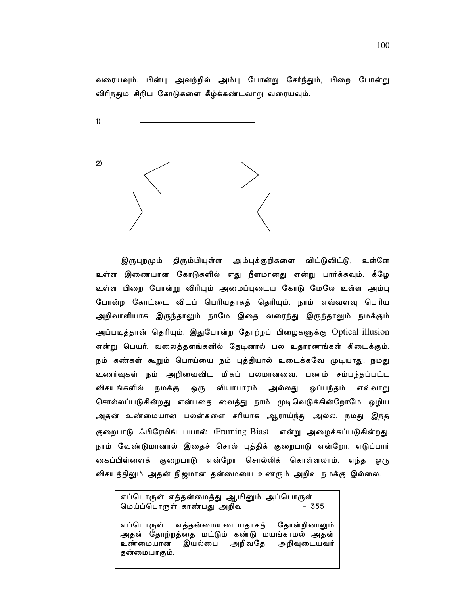வரையவும். பின்பு அவற்றில் அம்பு போன்று சேர்ந்தும், பிறை போன்று விரிந்தும் சிறிய கோடுகளை கீழ்க்கண்டவாறு வரையவும்.

 $1)$ 

 $\mathbf{2}$ 

விட்டுவிட்டு, உள்ளே இருபுறமும் திரும்பியுள்ள அம்புக்குறிகளை உள்ள இணையான கோடுகளில் எது நீளமானது என்று பார்க்கவும். கீழே உள்ள பிறை போன்று விரியும் அமைப்புடைய கோடு மேலே உள்ள அம்பு போன்ற கோட்டை விடப் பெரியதாகத் தெரியும். நாம் எவ்வளவு பெரிய அறிவாளியாக இருந்தாலும் நாமே இதை வரைந்து இருந்தாலும் நமக்கும் அப்படித்தான் தெரியும். இதுபோன்ற தோற்றப் பிழைகளுக்கு Optical illusion என்று பெயர். வலைத்தளங்களில் தேடினால் பல உதாரணங்கள் கிடைக்கும். நம் கண்கள் கூறும் பொய்யை நம் புத்தியால் உடைக்கவே முடியாது. நமது உணர்வுகள் நம் அறிவைவிட மிகப் பலமானவை. பணம் சம்பந்தப்பட்ட விசயங்களில் நமக்கு ஒரு வியாபாரம் அல்லது ஒப்பந்தம் எவ்வாறு சொல்லப்படுகின்றது என்பதை வைத்து நாம் முடிவெடுக்கின்றோமே ஒழிய அதன் உண்மையான பலன்களை சரியாக ஆராய்ந்து அல்ல. நமது இந்த குறைபாடு ஃபிரேமிங் பயாஸ் (Framing Bias) என்று அழைக்கப்படுகின்றது. நாம் வேண்டுமானால் இதைச் சொல் புத்திக் குறைபாடு என்றோ, எடுப்பார் கைப்பிள்ளைக் குறைபாடு என்றோ சொல்லிக் கொள்ளலாம். எந்த ஒரு விசயத்திலும் அதன் நிஜமான தன்மையை உணரும் அறிவு நமக்கு இல்லை.

எப்பொருள் எத்தன்மைத்து ஆயினும் அப்பொருள் மெய்ப்பொருள் காண்பது அறிவு  $-355$ 

எப்பொருள் எத்தன்மையுடையதாகத் தோன்றினாலும் அதன் தோற்றத்தை மட்டும் கண்டு மயங்காமல் அதன் உண்மையான இயல்பை அறிவதே அறிவுடையவர் தன்மையாகும்.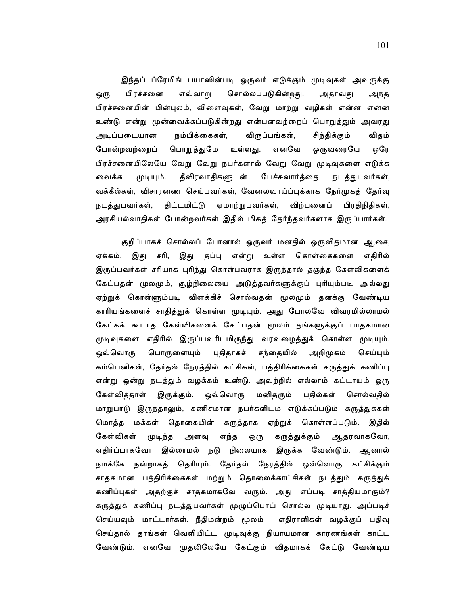இந்தப் ப்ரேமிங் பயாஸின்படி ஒருவர் எடுக்கும் முடிவுகள் அவருக்கு பிரச்சனை எவ்வாறு சொல்லப்படுகின்றது. அதாவது ஒரு அந்த பிரச்சனையின் பின்புலம், விளைவுகள், வேறு மாற்று வழிகள் என்ன என்ன உண்டு என்று முன்வைக்கப்படுகின்றது என்பனவற்றைப் பொறுத்தும் அவரது நம்பிக்கைகள், விருப்பங்கள், அடிப்படையான சிந்திக்கும் விதம் போன்றவற்றைப் பொறுத்துமே உள்ளது. எனவே ஒருவரையே ஒரே பிரச்சனையிலேயே வேறு வேறு நபர்களால் வேறு வேறு முடிவுகளை எடுக்க தீவிரவாதிகளுடன் பேச்சுவார்த்தை நடத்துபவர்கள், வைக்க முடியும். வக்கீல்கள், விசாரணை செய்பவர்கள், வேலைவாய்ப்புக்காக நேர்முகத் தேர்வு நடத்துபவர்கள், திட்டமிட்டு ஏமாற்றுபவர்கள், விற்பனைப் பிரதிநிதிகள், அரசியல்வாதிகள் போன்றவர்கள் இதில் மிகத் தேர்ந்தவர்களாக இருப்பார்கள்.

குறிப்பாகச் சொல்லப் போனால் ஒருவர் மனதில் ஒருவிதமான ஆசை, ஏக்கம், இது சரி, இது தப்பு என்று உள்ள கொள்கைகளை எதிரில் இருப்பவர்கள் சரியாக புரிந்து கொள்பவராக இருந்தால் தகுந்த கேள்விகளைக் கேட்பதன் மூலமும், சூழ்நிலையை அடுத்தவர்களுக்குப் புரியும்படி அல்லது ஏற்றுக் கொள்ளும்படி விளக்கிச் சொல்வதன் மூலமும் தனக்கு வேண்டிய காரியங்களைச் சாதித்துக் கொள்ள முடியும். அது போலவே விவரமில்லாமல் கேட்கக் கூடாத கேள்விகளைக் கேட்பதன் மூலம் தங்களுக்குப் பாதகமான முடிவுகளை எதிரில் இருப்பவரிடமிருந்து வரவழைத்துக் கொள்ள முடியும். பொருளையும் ஒவ்வொரு புதிதாகச் சந்தையில் அறிமுகம் செய்யும் கம்பெனிகள், தேர்தல் நேரத்தில் கட்சிகள், பத்திரிக்கைகள் கருத்துக் கணிப்பு என்று ஒன்று நடத்தும் வழக்கம் உண்டு. அவற்றில் எல்லாம் கட்டாயம் ஒரு கேள்வித்தாள் இருக்கும். ஒவ்வொரு மனிதரும் பதில்கள் சொல்வதில் மாறுபாடு இருந்தாலும், கணிசமான நபர்களிடம் எடுக்கப்படும் கருத்துக்கள் மொத்த மக்கள் தொகையின் கருத்தாக ஏற்றுக் கொள்ளப்படும். இதில் கேள்விகள் முடிந்த அளவு எந்த ஒரு கருத்துக்கும் ஆதரவாகவோ, எதிர்ப்பாகவோ இல்லாமல் நடு நிலையாக இருக்க வேண்டும். ஆனால் நமக்கே நன்றாகத் தெரியும். தேர்தல் நேரத்தில் ஒவ்வொரு கட்சிக்கும் சாதகமான பத்திரிக்கைகள் மற்றும் தொலைக்காட்சிகள் நடத்தும் கருத்துக் கணிப்புகள் அதற்குச் சாதகமாகவே வரும். அது எப்படி சாத்தியமாகும்? கருத்துக் கணிப்பு நடத்துபவர்கள் முழுப்பொய் சொல்ல முடியாது. அப்படிச் செய்யவும் மாட்டார்கள். நீதிமன்றம் மூலம் எதிராளிகள் வழக்குப் பதிவு செய்தால் தாங்கள் வெளியிட்ட முடிவுக்கு நியாயமான காரணங்கள் காட்ட வேண்டும். எனவே முதலிலேயே கேட்கும் விதமாகக் கேட்டு வேண்டிய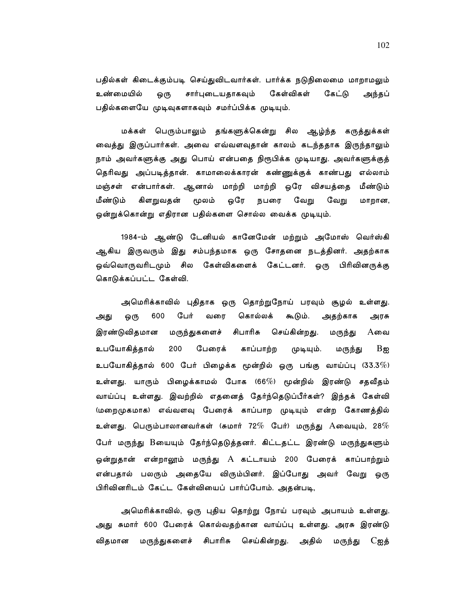பதில்கள் கிடைக்கும்படி செய்துவிடவார்கள். பார்க்க நடுநிலைமை மாறாமலும் உண்மையில் சார்புடையதாகவும் கேள்விகள் கேட்டு ஒரு அந்தப் பதில்களையே முடிவுகளாகவும் சமர்ப்பிக்க முடியும்.

மக்கள் பெரும்பாலும் தங்களுக்கென்று சில ஆழ்ந்த கருத்துக்கள் வைத்து இருப்பார்கள். அவை எவ்வளவுதான் காலம் கடந்ததாக இருந்தாலும் நாம் அவர்களுக்கு அது பொய் என்பதை நிரூபிக்க முடியாது. அவர்களுக்குத் தெரிவது அப்படித்தான். காமாலைக்காரன் கண்ணுக்குக் காண்பது எல்லாம் மஞ்சள் என்பார்கள். ஆனால் மாற்றி மாற்றி ஒரே விசயத்தை மீண்டும் மீண்டும் கிளறுவதன் மூலம் ஒரே நபரை வேறு வேறு மாறான, ஒன்றுக்கொன்று எதிரான பதில்களை சொல்ல வைக்க முடியும்.

1984-ம் ஆண்டு டேனியல் கானேமேன் மற்றும் அமோஸ் வெர்ஸ்கி ஆகிய இருவரும் இது சம்பந்தமாக ஒரு சோதனை நடத்தினர். அதற்காக ஒவ்வொருவரிடமும் சில கேள்விகளைக் கேட்டனர். ஒரு பிரிவினருக்கு கொடுக்கப்பட்ட கேள்வி.

அமெரிக்காவில் புதிதாக ஒரு தொற்றுநோய் பரவும் சூழல் உள்ளது. பேர் கொல்லக் 600 வரை கூடும். அதற்காக அது ஒரு அரசு இரண்டுவிதமான மருந்துகளைச் சிபாரிசு செய்கின்றது. மருந்து  $A$ வை உபயோகிக்கால் 200 பேரைக் காப்பாற்ற முடியும். மருந்து  $B$  කු உபயோகித்தால் 600 பேர் பிழைக்க மூன்றில் ஒரு பங்கு வாய்ப்பு (33.3 $\%$ ) உள்ளது. யாரும் பிழைக்காமல் போக (66 $\%$ ) மூன்றில் இரண்டு சதவீதம் வாய்ப்பு உள்ளது. இவற்றில் எதனைத் தேர்ந்தெடுப்பீர்கள்? இந்தக் கேள்வி (மறைமுகமாக) எவ்வளவு பேரைக் காப்பாற முடியும் என்ற கோணத்தில் உள்ளது. பெரும்பாலானவர்கள் (சுமார் 72 $\%$  பேர்) மருந்து  $\mathrm A$ வையும், 28 $\%$ பேர் மருந்து Bயையும் தேர்ந்தெடுத்தனர். கிட்டதட்ட இரண்டு மருந்துகளும் ஓன்றுதான் என்றாலூம் மருந்து A கட்டாயம் 200 பேரைக் காப்பாற்றும் என்பதால் பலரும் அதையே விரும்பினர். இப்போது அவர் வேறு ஒரு பிரிவினரிடம் கேட்ட கேள்வியைப் பார்ப்போம். அதன்படி,

அமெரிக்காவில், ஒரு புதிய தொற்று நோய் பரவும் அபாயம் உள்ளது. அது சுமார் 600 பேரைக் கொல்வதற்கான வாய்ப்பு உள்ளது. அரசு இரண்டு விதமான மருந்துகளைச் சிபாரிசு செய்கின்றது. அதில் மருந்து  $C$ ஐத்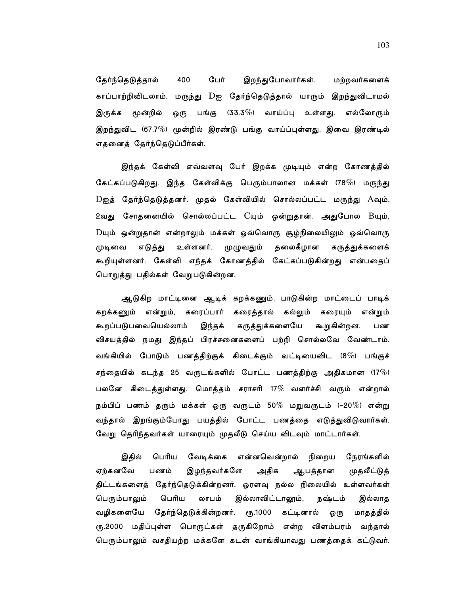பேர் இறந்துபோவார்கள். மற்றவர்களைக் தேர்ந்தெடுத்தால் 400 காப்பாற்றிவிடலாம். மருந்து Dஐ தேர்ந்தெடுத்தால் யாரும் இறந்துவிடாமல் இருக்க மூன்றில் பங்கு (33.3 $\%$ ) வாய்ப்பு உள்ளது. எல்லோரும் ஒரு இறந்துவிட (67.7%) மூன்றில் இரண்டு பங்கு வாய்ப்புள்ளது. இவை இரண்டில் எதனைத் தேர்ந்தெடுப்பீர்கள்.

இந்தக் கேள்வி எவ்வளவு பேர் இறக்க முடியும் என்ற கோணத்தில் கேட்கப்படுகிறது. இந்த கேள்விக்கு பெரும்பாலான மக்கள் (78%) மருந்து  $D$ ஐத் தேர்ந்தெடுத்தனர். முதல் கேள்வியில் சொல்லப்பட்ட மருந்து  $A$ வும், 2வது சோதனையில் சொல்லப்பட்ட Cயும் ஒன்றுதான். அதுபோல Bயும்,  $D$ யும் ஒன்றுதான் என்றாலும் மக்கள் ஒவ்வொரு சூழ்நிலையிலும் ஒவ்வொரு முழுவதும் தலைகீழான முடிவை எடுத்து உள்ளனர். கருத்துக்களைக் கூறியுள்ளனர். கேள்வி எந்தக் கோணத்தில் கேட்கப்படுகின்றது என்பதைப் பொறுத்து பதில்கள் வேறுபடுகின்றன.

ஆடுகிற மாட்டினை ஆடிக் கறக்கணும், பாடுகின்ற மாட்டைப் பாடிக் கறக்கணும் என்றும், கரைப்பார் கரைத்தால் கல்லும் கரையும் என்றும் கூறப்படுபவையெல்லாம் இந்தக் கருத்துக்களையே கூறுகின்றன. பண விசயத்தில் நமது இந்தப் பிரச்சனைகளைப் பற்றி சொல்லவே வேண்டாம். வங்கியில் போடும் பணத்திற்குக் கிடைக்கும் வட்டியைவிட (8 $\%$ ) பங்குச் சந்தையில் கடந்த 25 வருடங்களில் போட்ட பணத்திற்கு அதிகமான (17 $\%$ ) பலனே கிடைத்துள்ளது. மொத்தம் சராசரி 17 $\%$  வளர்ச்சி வரும் என்றால் நம்பிப் பணம் தரும் மக்கள் ஒரு வருடம் 50 $\%$  மறுவருடம் (–20 $\%$ ) என்று வந்தால் இறங்கும்போது பயத்தில் போட்ட பணத்தை எடுத்துவிடுவார்கள். வேறு தெரிந்தவர்கள் யாரையும் முதலீடு செய்ய விடவும் மாட்டார்கள்.

இதில் பெரிய வேடிக்கை என்னவென்றால் நிறைய நேரங்களில் ஏற்கனவே இழந்தவர்களே அதிக முதலீட்டுத் பணம் ஆபத்தான திட்டங்களைத் தேர்ந்தெடுக்கின்றனர். ஓரளவு நல்ல நிலையில் உள்ளவர்கள் பெரும்பாலும் பெரிய லாபம் இல்லாவிட்டாலூம், நஷ்டம் இல்லாத வழிகளையே தேர்ந்தெடுக்கின்றனர். ரூ.1000 கட்டினால் ஒரு மாதத்தில் ரூ.2000 மதிப்புள்ள பொருட்கள் தருகிறோம் என்ற விளம்பரம் வந்தால் பெரும்பாலும் வசதியற்ற மக்களே கடன் வாங்கியாவது பணத்தைக் கட்டுவர்.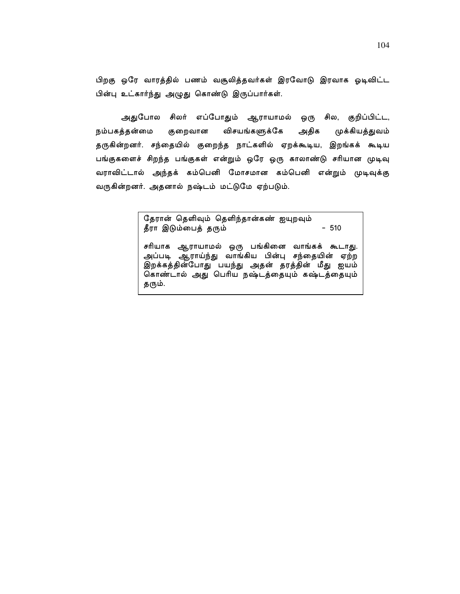பிறகு ஒரே வாரத்தில் பணம் வசூலித்தவர்கள் இரவோடு இரவாக ஓடிவிட்ட பின்பு உட்கார்ந்து அழுது கொண்டு இருப்பார்கள்.

அதுபோல சிலர் எப்போதும் ஆராயாமல் ஒரு சில, குறிப்பிட்ட, நம்பகத்தன்மை விசயங்களுக்கே அதிக முக்கியத்துவம் குறைவான தருகின்றனர். சந்தையில் குறைந்த நாட்களில் ஏறக்கூடிய, இறங்கக் கூடிய பங்குகளைச் சிறந்த பங்குகள் என்றும் ஒரே ஒரு காலாண்டு சரியான முடிவு வராவிட்டால் அந்தக் கம்பெனி மோசமான கம்பெனி என்றும் முடிவுக்கு வருகின்றனர். அதனால் நஷ்டம் மட்டுமே ஏற்படும்.

> தேரான் தெளிவும் தெளிந்தான்கண் ஐயுறவும் தீரா இடும்பைத் தரும்  $-510$

சரியாக ஆராயாமல் ஒரு பங்கினை வாங்கக் கூடாது. அப்படி ஆராய்ந்து வாங்கிய பின்பு சந்தையின் ஏற்ற இறக்கத்தின்போது பயந்து அதன் தரத்தின் மீது ஐயம் கொண்டால் அது பெரிய நஷ்டத்தையும் கஷ்டத்தையும் தரும்.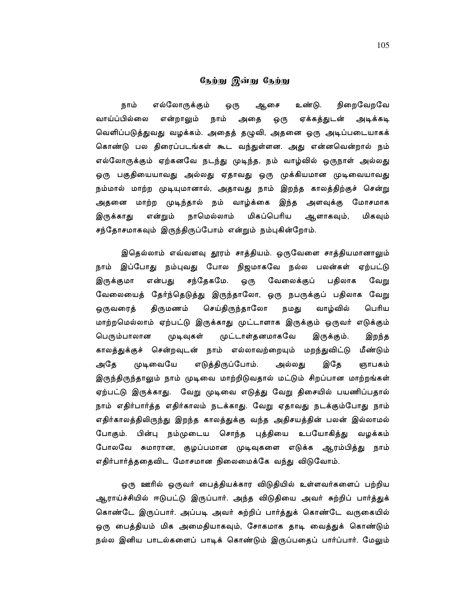# நேற்று இன்று நேற்று

நாம் எல்லோருக்கும் உண்டு. நிறைவேறவே ஒரு ஆசை வாய்ப்பில்லை நாம் என்றாலும் அதை ஏக்கத்துடன் ஒரு அடிக்கடி வெளிப்படுத்துவது வழக்கம். அதைத் தழுவி, அதனை ஒரு அடிப்படையாகக் கொண்டு பல திரைப்படங்கள் கூட வந்துள்ளன. அது என்னவென்றால் நம் எல்லோருக்கும் ஏற்கனவே நடந்து முடிந்த, நம் வாழ்வில் ஒருநாள் அல்லது ஒரு பகுதியையாவது அல்லது ஏதாவது ஒரு முக்கியமான முடிவையாவது நம்மால் மாற்ற முடியுமானால், அதாவது நாம் இறந்த காலத்திற்குச் சென்று அதனை மாற்ற முடிந்தால் நம் வாழ்க்கை இந்த அளவுக்கு மோசமாக என்றும் நாமெல்லாம் மிகப்பெரிய மிகவும் இருக்காது ஆளாகவும், சந்தோசமாகவும் இருந்திருப்போம் என்றும் நம்புகின்றோம்.

இதெல்லாம் எவ்வளவு தூரம் சாத்தியம். ஒருவேளை சாத்தியமானாலும் நாம் இப்போது நம்புவது போல நிஜமாகவே நல்ல பலன்கள் ஏற்பட்டு சந்தேகமே. ஒரு இருக்குமா என்பது வேலைக்குப் பதிலாக வேறு வேலையைத் தேர்ந்தெடுத்து இருந்தாலோ, ஒரு நபருக்குப் பதிலாக வேறு செய்திருந்தாலோ ஒருவரைத் திருமணம் நமது வாழ்வில் பெரிய மாற்றமெல்லாம் ஏற்பட்டு இருக்காது முட்டாளாக இருக்கும் ஒருவர் எடுக்கும் முட்டாள்தனமாகவே பெரும்பாலான முடிவுகள் இருக்கும். இறந்த காலத்துக்குச் சென்றவுடன் நாம் எல்லாவற்றையும் மறந்துவிட்டு மீண்டும் அதே எடுத்திருப்போம். அல்லது முடிவையே இதே ஞாபகம் இருந்திருந்தாலும் நாம் முடிவை மாற்றிடுவதால் மட்டும் சிறப்பான மாற்றங்கள் ஏற்பட்டு இருக்காது. வேறு முடிவை எடுத்து வேறு திசையில் பயணிப்பதால் நாம் எதிர்பார்த்த எதிர்காலம் நடக்காது. வேறு ஏதாவது நடக்கும்போது நாம் எதிர்காலத்திலிருந்து இறந்த காலத்துக்கு வந்த அதிசயத்தின் பலன் இல்லாமல் போகும். பின்பு நம்முடைய சொந்த புத்தியை உபயோகித்து வழக்கம் போலவே சுமாரான, குழப்பமான முடிவுகளை எடுக்க ஆரம்பித்து நாம் எதிர்பார்த்ததைவிட மோசமான நிலைமைக்கே வந்து விடுவோம்.

ஒரு ஊரில் ஒருவர் பைத்தியக்கார விடுதியில் உள்ளவர்களைப் பற்றிய ஆராய்ச்சியில் ஈடுபட்டு இருப்பார். அந்த விடுதியை அவர் சுற்றிப் பார்த்துக் கொண்டே இருப்பார். அப்படி அவர் சுற்றிப் பார்த்துக் கொண்டே வருகையில் ஒரு பைத்தியம் மிக அமைதியாகவும், சோகமாக தாடி வைத்துக் கொண்டும் நல்ல இனிய பாடல்களைப் பாடிக் கொண்டும் இருப்பதைப் பார்ப்பார். மேலும்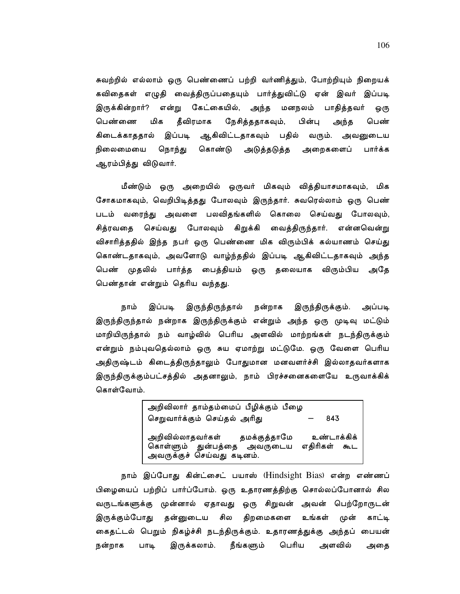சுவற்றில் எல்லாம் ஒரு பெண்ணைப் பற்றி வர்ணித்தும், போற்றியும் நிறையக் கவிதைகள் எழுதி வைத்திருப்பதையும் பார்த்துவிட்டு ஏன் இவர் இப்படி இருக்கின்றார்? என்று கேட்கையில், அந்த மனநலம் பாதித்தவர் ஒரு தீவிரமாக மிக நேசித்ததாகவும், பெண்ணை பின்பு அந்த பெண் கிடைக்காததால் இப்படி ஆகிவிட்டதாகவும் பதில் வரும். அவனுடைய நிலைமையை நொந்து கொண்டு அடுத்தடுத்த அறைகளைப் பார்க்க ஆரம்பித்து விடுவார்.

மீண்டும் ஒரு அறையில் ஒருவர் மிகவும் வித்தியாசமாகவும், மிக சோகமாகவும், வெறிபிடித்தது போலவும் இருந்தார். சுவரெல்லாம் ஒரு பெண் படம் வரைந்து அவளை பலவிதங்களில் கொலை செய்வது போலவும், சித்ரவதை செய்வது போலவும் கிறுக்கி வைத்திருந்தார். என்னவென்று விசாரித்ததில் இந்த நபர் ஒரு பெண்ணை மிக விரும்பிக் கல்யாணம் செய்து கொண்டதாகவும், அவளோடு வாழ்ந்ததில் இப்படி ஆகிவிட்டதாகவும் அந்த பெண் முதலில் பார்த்த பைத்தியம் ஒரு தலையாக விரும்பிய அதே பெண்தான் என்றும் தெரிய வந்தது.

இருந்திருந்தால் அப்படி நாம் இப்படி நன்றாக இருந்திருக்கும். இருந்திருந்தால் நன்றாக இருந்திருக்கும் என்றும் அந்த ஒரு முடிவு மட்டும் மாறியிருந்தால் நம் வாழ்வில் பெரிய அளவில் மாற்றங்கள் நடந்திருக்கும் என்றும் நம்புவதெல்லாம் ஒரு சுய ஏமாற்று மட்டுமே. ஒரு வேளை பெரிய அதிருஷ்டம் கிடைத்திருந்தாலும் போதுமான மனவளர்ச்சி இல்லாதவர்களாக இருந்திருக்கும்பட்சத்தில் அதனாலும், நாம் பிரச்சனைகளையே உருவாக்கிக் கொள்வோம்.

> அறிவிலார் தாம்தம்மைப் பீழிக்கும் பீழை செறுவார்க்கும் செய்தல் அரிது 843 அறிவில்லாதவர்கள் தமக்குத்தாமே உண்டாக்கிக் கொள்ளும் துன்பத்தை அவருடைய எதிரிகள் கூட<br>அவருக்குச் செய்வது கடினம்.

நாம் இப்போது கின்ட்சைட் பயாஸ் (Hindsight Bias) என்ற எண்ணப் பிழையைப் பற்றிப் பார்ப்போம். ஒரு உதாரணத்திற்கு சொல்லப்போனால் சில வருடங்களுக்கு முன்னால் ஏதாவது ஒரு சிறுவன் அவன் பெற்றோருடன் சில திறமைகளை இருக்கும்போது தன்னுடைய உங்கள் முன் காட்டி கைதட்டல் பெறும் நிகழ்ச்சி நடந்திருக்கும். உதாரணத்துக்கு அந்தப் பையன் நன்றாக பாடி இருக்கலாம். நீங்களும் பெரிய அளவில் அதை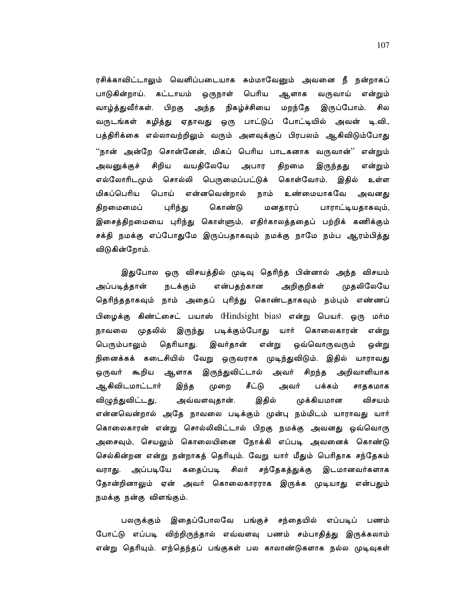ரசிக்காவிட்டாலும் வெளிப்படையாக சும்மாவேனும் அவனை நீ நன்றாகப் பாடுகின்றாய். கட்டாயம் ஒருநாள் பெரிய ஆளாக வருவாய் என்றும் வாழ்த்துவீர்கள். பிறகு அந்த நிகழ்ச்சியை மறந்தே இருப்போம். சில வருடங்கள் கழித்து ஏதாவது ஒரு பாட்டுப் போட்டியில் அவன் டி.வி., பத்திரிக்கை எல்லாவற்றிலும் வரும் அளவுக்குப் பிரபலம் ஆகிவிடும்போது ''நான் அன்றே சொன்னேன், மிகப் பெரிய பாடகனாக வருவான்'' என்றும் அவனுக்குச் சிறிய வயதிலேயே அபார திறமை என்றும் இருந்தது எல்லோரிடமும் சொல்லி பெருமைப்பட்டுக் கொள்வோம். இதில் உள்ள பொய் என்னவென்றால் மிகப்பெரிய நாம் உண்மையாகவே அவனது புரிந்து திறமைமைப் கொண்டு மனதாரப் பாராட்டியதாகவும், இசைத்திறமையை புரிந்து கொள்ளும், எதிர்காலத்ததைப் பற்றிக் கணிக்கும் சக்தி நமக்கு எப்போதுமே இருப்பதாகவும் நமக்கு நாமே நம்ப ஆரம்பித்து விடுகின்றோம்.

இதுபோல ஒரு விசயத்தில் முடிவு தெரிந்த பின்னால் அந்த விசயம் அறிகுறிகள் அப்படித்தான் நடக்கும் என்பதற்கான முதலிலேயே தெரிந்ததாகவும் நாம் அதைப் புரிந்து கொண்டதாகவும் நம்பும் எண்ணப் பிழைக்கு கிண்ட்சைட் பயாஸ் (Hindsight bias) என்று பெயர். ஒரு மர்ம நாவலை முதலில் இருந்து படிக்கும்போது யார் கொலைகாரன் என்று தெரியாது. பெரும்பாலும் இவர்தான் என்று ஒவ்வொருவரும் ஒன்று நினைக்கக் கடைசியில் வேறு ஒருவராக முடிந்துவிடும். இதில் யாராவது ஒருவர் கூறிய ஆளாக இருந்துவிட்டால் அவர் சிறந்த அறிவாளியாக ஆகிவிடமாட்டார் இந்த முறை சீட்டு பக்கம் அவர் சாதகமாக முக்கியமான விழுந்துவிட்டது, அவ்வளவுதான். இதில் விசயம் என்னவென்றால் அதே நாவலை படிக்கும் முன்பு நம்மிடம் யாராவது யார் கொலைகாரன் என்று சொல்லிவிட்டால் பிறகு நமக்கு அவனது ஒவ்வொரு அசைவும், செயலும் கொலையினை நோக்கி எப்படி அவனைக் கொண்டு செல்கின்றன என்று நன்றாகத் தெரியும். வேறு யார் மீதும் பெரிதாக சந்தேகம் வராது. அப்படியே கதைப்படி சிலர் சந்தேகத்துக்கு இடமானவர்களாக தோன்றினாலும் ஏன் அவர் கொலைகாரராக இருக்க முடியாது என்பதும் நமக்கு நன்கு விளங்கும்.

பலருக்கும் இதைப்போலவே பங்குச் சந்தையில் எப்படிப் பணம் போட்டு எப்படி விற்றிருந்தால் எவ்வளவு பணம் சம்பாதித்து இருக்கலாம் என்று தெரியும். எந்தெந்தப் பங்குகள் பல காலாண்டுகளாக நல்ல முடிவுகள்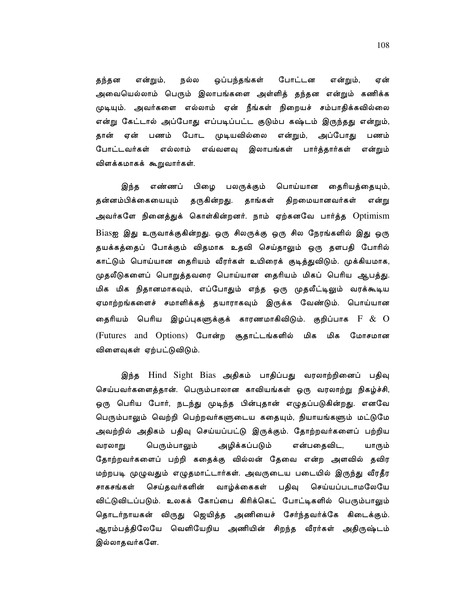நல்ல ஒப்பந்தங்கள் போட்டன என்றும், என்றும், என் தந்தன அவையெல்லாம் பெரும் இலாபங்களை அள்ளித் தந்தன என்றும் கணிக்க முடியும். அவர்களை எல்லாம் ஏன் நீங்கள் நிறையச் சம்பாதிக்கவில்லை என்று கேட்டால் அப்போது எப்படிப்பட்ட குடும்ப கஷ்டம் இருந்தது என்றும், போட முடியவில்லை என்றும், தான் ஏன் பணம் அப்போது பணம் போட்டவர்கள் எல்லாம் எவ்வளவு இலாபங்கள் பார்த்தார்கள் என்றும் விளக்கமாகக் கூறுவார்கள்.

எண்ணப் பிழை பலருக்கும் பொய்யான தைரியத்தையும், இந்த தன்னம்பிக்கையையும் திறமையானவர்கள் தருகின்றது. தாங்கள் என்று அவர்களே நினைத்துக் கொள்கின்றனர். நாம் ஏற்கனவே பார்த்த Optimism Biasஐ இது உருவாக்குகின்றது. ஒரு சிலருக்கு ஒரு சில நேரங்களில் இது ஒரு தயக்கத்தைப் போக்கும் விதமாக உதவி செய்தாலும் ஒரு தளபதி போரில் காட்டும் பொய்யான தைரியம் வீரர்கள் உயிரைக் குடித்துவிடும். முக்கியமாக, முதலீடுகளைப் பொறுத்தவரை பொய்யான தைரியம் மிகப் பெரிய ஆபத்து. மிக மிக நிதானமாகவும், எப்போதும் எந்த ஒரு முதலீட்டிலும் வரக்கூடிய ஏமாற்றங்களைச் சமாளிக்கத் தயாராகவும் இருக்க வேண்டும். பொய்யான தைரியம் பெரிய இழப்புகளுக்குக் காரணமாகிவிடும். குறிப்பாக  $\rm F~\&~O$ (Futures and Options) போன்ற சூதாட்டங்களில் மிக மிக மோசமான விளைவுகள் ஏற்பட்டுவிடும்.

இந்த Hind Sight Bias அதிகம் பாதிப்பது வரலாற்றினைப் பதிவு செய்பவர்களைத்தான். பெரும்பாலான காவியங்கள் ஒரு வரலாற்று நிகழ்ச்சி, ஒரு பெரிய போர், நடந்து முடிந்த பின்புதான் எழுதப்படுகின்றது. எனவே பெரும்பாலும் வெற்றி பெற்றவர்களுடைய கதையும், நியாயங்களும் மட்டுமே அவற்றில் அதிகம் பதிவு செய்யப்பட்டு இருக்கும். தோற்றவர்களைப் பற்றிய பெரும்பாலும் அழிக்கப்படும் என்பதைவிட, வரலாறு யாரும் தோற்றவர்களைப் பற்றி கதைக்கு வில்லன் தேவை என்ற அளவில் தவிர மற்றபடி முழுவதும் எழுதமாட்டார்கள். அவருடைய படையில் இருந்து வீரதீர சாகசங்கள் செய்தவர்களின் வாழ்க்கைகள் பதிவு செய்யப்படாமலேயே விட்டுவிடப்படும். உலகக் கோப்பை கிரிக்கெட் போட்டிகளில் பெரும்பாலும் தொடர்நாயகன் விருது ஜெயித்த அணியைச் சேர்ந்தவர்க்கே கிடைக்கும். ஆரம்பத்திலேயே வெளியேறிய அணியின் சிறந்த வீரர்கள் அதிருஷ்டம் இல்லாதவர்களே.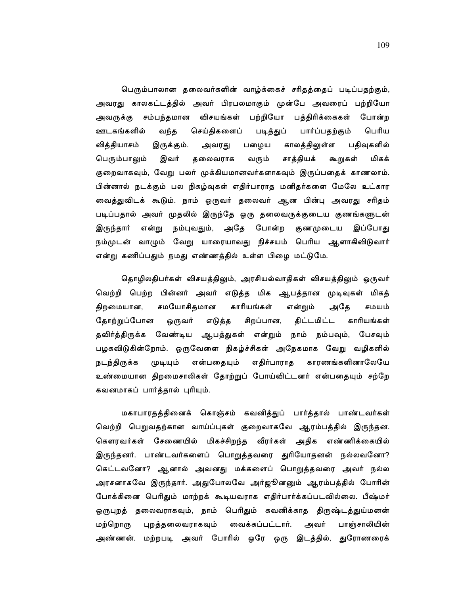பெரும்பாலான தலைவர்களின் வாழ்க்கைச் சரிதத்தைப் படிப்பதற்கும், அவரது காலகட்டத்தில் அவர் பிரபலமாகும் முன்பே அவரைப் பற்றியோ அவருக்கு சம்பந்தமான விசயங்கள் பற்றியோ பத்திரிக்கைகள் போன்ற ஊடகங்களில் வந்த செய்திகளைப் படித்துப் பார்ப்பதற்கும் பெரிய வித்தியாசம் காலத்திலுள்ள இருக்கும். அவரது பழைய பதிவுகளில் சாத்தியக் பெரும்பாலும் இவர் தலைவராக வரும் கூறுகள் மிகக் குறைவாகவும், வேறு பலர் முக்கியமானவர்களாகவும் இருப்பதைக் காணலாம். பின்னால் நடக்கும் பல நிகழ்வுகள் எதிர்பாராத மனிதர்களை மேலே உட்கார வைத்துவிடக் கூடும். நாம் ஒருவர் தலைவர் ஆன பின்பு அவரது சரிதம் படிப்பதால் அவர் முதலில் இருந்தே ஒரு தலைவருக்குடைய குணங்களுடன் இருந்தார் என்று நம்புவதும், அதே போன்ற குணமுடைய இப்போது நம்முடன் வாழும் வேறு யாரையாவது நிச்சயம் பெரிய ஆளாகிவிடுவார் என்று கணிப்பதும் நமது எண்ணத்தில் உள்ள பிழை மட்டுமே.

தொழிலதிபர்கள் விசயத்திலும், அரசியல்வாதிகள் விசயத்திலும் ஒருவர் வெற்றி பெற்ற பின்னர் அவர் எடுத்த மிக ஆபத்தான முடிவுகள் மிகத் சமயோசிதமான காரியங்கள் திறமையான, என்றும் அதே சமயம் தோற்றுப்போன ஒருவர் எடுத்த சிறப்பான, திட்டமிட்ட காரியங்கள் தவிர்த்திருக்க வேண்டிய ஆபத்துகள் என்றும் நாம் நம்பவும், பேசவும் பழகவிடுகின்றோம். ஒருவேளை நிகழ்ச்சிகள் அநேகமாக வேறு வழிகளில் நடந்திருக்க முடியும் என்பதையும் எதிர்பாராத காரணங்களினாலேயே உண்மையான திறமைசாலிகள் தோற்றுப் போய்விட்டனர் என்பதையும் சற்றே கவனமாகப் பார்த்தால் புரியும்.

மகாபாரதத்தினைக் கொஞ்சம் கவனித்துப் பார்த்தால் பாண்டவர்கள் வெற்றி பெறுவதற்கான வாய்ப்புகள் குறைவாகவே ஆரம்பத்தில் இருந்தன. கௌரவர்கள் சேணையில் மிகச்சிறந்த வீரர்கள் அதிக எண்ணிக்கையில் இருந்தனர். பாண்டவர்களைப் பொறுத்தவரை துரியோதனன் நல்லவனோ? கெட்டவனோ? ஆனால் அவனது மக்களைப் பொறுத்தவரை அவர் நல்ல அரசனாகவே இருந்தார். அதுபோலவே அர்ஜூனனும் ஆரம்பத்தில் போரின் போக்கினை பெரிதும் மாற்றக் கூடியவராக எதிர்பார்க்கப்படவில்லை. பீஷ்மர் ஒருபுறத் தலைவராகவும், நாம் பெரிதும் கவனிக்காத திருஷ்டத்துய்மனன் மற்றொரு புறத்தலைவராகவும் வைக்கப்பட்டார். அவர் பாஞ்சாலியின் அண்ணன். மற்றபடி அவர் போரில் ஒரே ஒரு இடத்தில், துரோணரைக்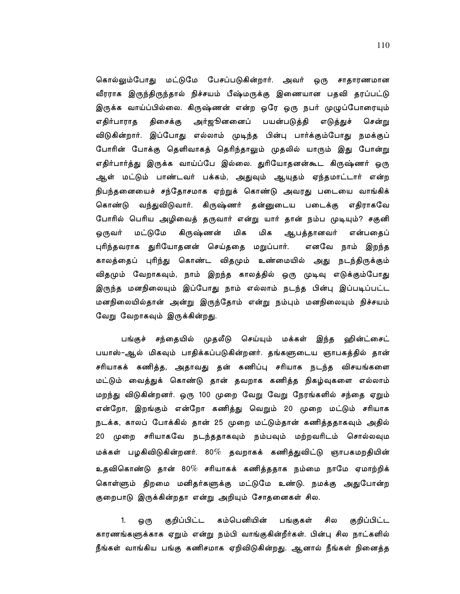கொல்லும்போது மட்டுமே பேசப்படுகின்றார். அவர் ஒரு சாதாரணமான வீரராக இருந்திருந்தால் நிச்சயம் பீஷ்மருக்கு இணையான பதவி தரப்பட்டு இருக்க வாய்ப்பில்லை. கிருஷ்ணன் என்ற ஒரே ஒரு நபர் முழுப்போரையும் அர்ஜூனனைப் பயன்படுத்தி எதிர்பாராத திசைக்கு எடுத்துச் சென்று விடுகின்றார். இப்போது எல்லாம் முடிந்த பின்பு பார்க்கும்போது நமக்குப் போரின் போக்கு தெளிவாகத் தெரிந்தாலும் முதலில் யாரும் இது போன்று எதிர்பார்த்து இருக்க வாய்ப்பே இல்லை. துரியோதனன்கூட கிருஷ்ணர் ஒரு ஆள் மட்டும் பாண்டவர் பக்கம், அதுவும் ஆயுதம் ஏந்தமாட்டார் என்ற நிபந்தனையைச் சந்தோசமாக ஏற்றுக் கொண்டு அவரது படையை வாங்கிக் கொண்டு வந்துவிடுவார். கிருஷ்ணர் தன்னுடைய படைக்கு எதிராகவே போரில் பெரிய அழிவைத் தருவார் என்று யார் தான் நம்ப முடியும்? சகுனி மட்டுமே கிருஷ்ணன் மிக மிக ஒருவர் ஆபத்தானவர் என்பதைப் புரிந்தவராக துரியோதனன் செய்ததை மறுப்பார். எனவே நாம் இறந்த காலத்தைப் புரிந்து கொண்ட விதமும் உண்மையில் அது நடந்திருக்கும் விதமும் வேறாகவும், நாம் இறந்த காலத்தில் ஒரு முடிவு எடுக்கும்போது இருந்த மனநிலையும் இப்போது நாம் எல்லாம் நடந்த பின்பு இப்படிப்பட்ட மனநிலையில்தான் அன்று இருந்தோம் என்று நம்பும் மனநிலையும் நிச்சயம் வேறு வேறாகவும் இருக்கின்றது.

பங்குச் சந்தையில் முதலீடு செய்யும் மக்கள் இந்த ஹின்ட்சைட் பயாஸ்–ஆல் மிகவும் பாதிக்கப்படுகின்றனர். தங்களுடைய ஞாபகத்தில் தான் சரியாகக் கணித்த, அதாவது தன் கணிப்பு சரியாக நடந்த விசயங்களை மட்டும் வைத்துக் கொண்டு தான் தவறாக கணித்த நிகழ்வுகளை எல்லாம் மறந்து விடுகின்றனர். ஒரு 100 முறை வேறு வேறு நேரங்களில் சந்தை ஏறும் என்றோ, இறங்கும் என்றோ கணித்து வெறும் 20 முறை மட்டும் சரியாக நடக்க, காலப் போக்கில் தான் 25 முறை மட்டும்தான் கணித்ததாகவும் அதில் முறை சரியாகவே நடந்ததாகவும் நம்பவும் மற்றவரிடம் சொல்லவும  $20<sup>-2</sup>$ மக்கள் பழகிவிடுகின்றனர். 80 $\%$  தவறாகக் கணித்துவிட்டு ஞாபகமறதியின் உதவிகொண்டு தான் 80% சரியாகக் கணித்ததாக நம்மை நாமே ஏமாற்றிக் கொள்ளும் திறமை மனிதர்களுக்கு மட்டுமே உண்டு. நமக்கு அதுபோன்ற குறைபாடு இருக்கின்றதா என்று அறியும் சோதனைகள் சில.

குறிப்பிட்ட கம்பெனியின் சில குறிப்பிட்ட 1. பங்குகள் ஒ(ந காரணங்களுக்காக ஏறும் என்று நம்பி வாங்குகின்றீர்கள். பின்பு சில நாட்களில் நீங்கள் வாங்கிய பங்கு கணிசமாக ஏறிவிடுகின்றது. ஆனால் நீங்கள் நினைத்த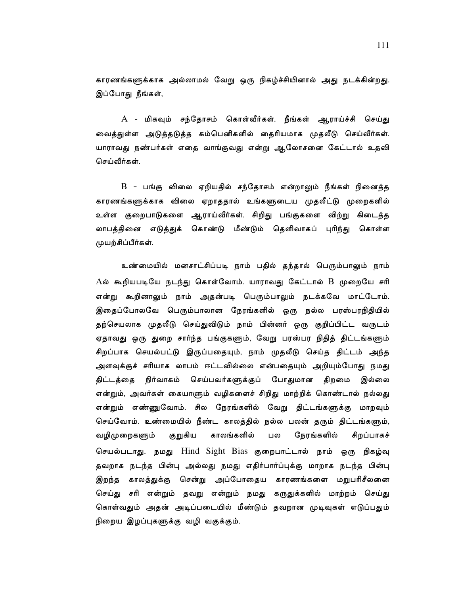காரணங்களுக்காக அல்லாமல் வேறு ஒரு நிகழ்ச்சியினால் அது நடக்கின்றது. இப்போது நீங்கள்,

 $A$  - மிகவும் சந்தோசம் கொள்வீர்கள். நீங்கள் ஆராய்ச்சி செய்து வைத்துள்ள அடுத்தடுத்த கம்பெனிகளில் தைரியமாக முதலீடு செய்வீர்கள். யாராவது நண்பர்கள் எதை வாங்குவது என்று ஆலோசனை கேட்டால் உதவி செய்வீர்கள்.

B - பங்கு விலை ஏறியதில் சந்தோசம் என்றாலும் நீங்கள் நினைத்த காரணங்களுக்காக விலை ஏறாததால் உங்களுடைய முதலீட்டு முறைகளில் உள்ள குறைபாடுகளை ஆராய்வீர்கள். சிறிது பங்குகளை விற்று கிடைத்த லாபத்தினை எடுத்துக் கொண்டு மீண்டும் தெளிவாகப் புரிந்து கொள்ள முயற்சிப்பீர்கள்.

உண்மையில் மனசாட்சிப்படி நாம் பதில் தந்தால் பெரும்பாலும் நாம்  $A$ ல் கூறியபடியே நடந்து கொள்வோம். யாராவது கேட்டால்  $\rm{B}$  முறையே சரி என்று கூறினாலும் நாம் அதன்படி பெரும்பாலும் நடக்கவே மாட்டோம். இதைப்போலவே பெரும்பாலான நேரங்களில் ஒரு நல்ல பரஸ்பரநிதியில் தற்செயலாக முதலீடு செய்துவிடும் நாம் பின்னர் ஒரு குறிப்பிட்ட வருடம் ஏதாவது ஒரு துறை சார்ந்த பங்குகளும், வேறு பரஸ்பர நிதித் திட்டங்களும் சிறப்பாக செயல்பட்டு இருப்பதையும், நாம் முதலீடு செய்த திட்டம் அந்த அளவுக்குச் சரியாக லாபம் ஈட்டவில்லை என்பதையும் அறியும்போது நமது திட்டத்தை நிர்வாகம் செய்பவர்களுக்குப் போதுமான திறமை இல்லை என்றும், அவர்கள் கையாளும் வழிகளைச் சிறிது மாற்றிக் கொண்டால் நல்லது என்றும் எண்ணுவோம். சில நேரங்களில் வேறு திட்டங்களுக்கு மாறவும் செய்வோம். உண்மையில் நீண்ட காலத்தில் நல்ல பலன் தரும் திட்டங்களும், குறுகிய காலங்களில் நேரங்களில் சிறப்பாகச் வழிமுறைகளும் பல செயல்படாது. நமது Hind Sight Bias குறைபாட்டால் நாம் ஒரு நிகழ்வு தவறாக நடந்த பின்பு அல்லது நமது எதிர்பார்ப்புக்கு மாறாக நடந்த பின்பு இறந்த காலத்துக்கு சென்று அப்போதைய காரணங்களை மறுபரிசீலனை செய்து சரி என்றும் தவறு என்றும் நமது கருதுக்களில் மாற்றம் செய்து கொள்வதும் அதன் அடிப்படையில் மீண்டும் தவறான முடிவுகள் எடுப்பதும் நிறைய இழப்புகளுக்கு வழி வகுக்கும்.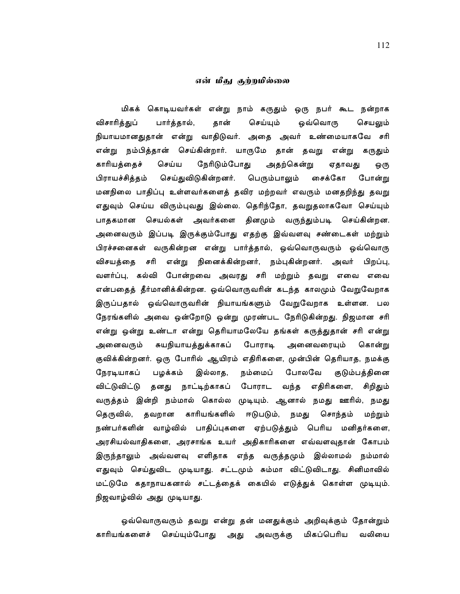### என் மீகு குற்றமில்லை

மிகக் கொடியவர்கள் என்று நாம் கருதும் ஒரு நபர் கூட நன்றாக விசாரித்துப் பார்த்தால், தான் செய்யும் ஒவ்வொரு செயலும் நியாயமானதுதான் என்று வாதிடுவர். அதை அவர் உண்மையாகவே சரி என்று நம்பித்தான் செய்கின்றார். யாருமே தான் தவறு என்று கருதும் காரியத்தைச் செய்ய நேரிடும்போது அதற்கென்று ஏதாவது ஒரு பிராயச்சித்தம் செய்துவிடுகின்றனர். பெரும்பாலும் சைக்கோ போன்று மனநிலை பாதிப்பு உள்ளவர்களைத் தவிர மற்றவர் எவரும் மனதறிந்து தவறு எதுவும் செய்ய விரும்புவது இல்லை. தெரிந்தோ, தவறுதலாகவோ செய்யும் பாதகமான செயல்கள் அவர்களை தினமும் வருந்தும்படி செய்கின்றன. அனைவரும் இப்படி இருக்கும்போது எதற்கு இவ்வளவு சண்டைகள் மற்றும் பிரச்சனைகள் வருகின்றன என்று பார்த்தால், ஒவ்வொருவரும் ஒவ்வொரு விசயத்தை சரி என்று நினைக்கின்றனர், நம்புகின்றனர். அவர் பிறப்பு, வளர்ப்பு, கல்வி போன்றவை அவரது சரி மற்றும் தவறு எவை எவை என்பதைத் தீர்மானிக்கின்றன. ஒவ்வொருவரின் கடந்த காலமும் வேறுவேறாக இருப்பதால் ஒவ்வொருவரின் நியாயங்களும் வேறுவேறாக உள்ளன. பல நேரங்களில் அவை ஒன்றோடு ஒன்று முரண்பட நேரிடுகின்றது. நிஜமான சரி என்று ஒன்று உண்டா என்று தெரியாமலேயே தங்கள் கருத்துதான் சரி என்று சுயநியாயத்துக்காகப் போராடி அனைவரையும் அனைவரும் கொன்று குவிக்கின்றனர். ஒரு போரில் ஆயிரம் எதிரிகளை, முன்பின் தெரியாத, நமக்கு பழக்கம் இல்லாத, நம்மைப் போலவே நேரடியாகப் குடும்பத்தினை விட்டுவிட்டு தனது நாட்டிற்காகப் போராட வந்த எதிரிகளை, சிறிதும் வருத்தம் இன்றி நம்மால் கொல்ல முடியும். ஆனால் நமது ஊரில், நமது தெருவில், தவறான காரியங்களில் ஈடுபடும், நமது சொந்தம் மற்றும் நண்பர்களின் வாழ்வில் பாதிப்புகளை ஏற்படுத்தும் பெரிய மனிதர்களை, அரசியல்வாதிகளை, அரசாங்க உயர் அதிகாரிகளை எவ்வளவுதான் கோபம் இருந்தாலும் அவ்வளவு எளிதாக எந்த வருத்தமும் இல்லாமல் நம்மால் எதுவும் செய்துவிட முடியாது. சட்டமும் சும்மா விட்டுவிடாது. சினிமாவில் மட்டுமே கதாநாயகனால் சட்டத்தைக் கையில் எடுத்துக் கொள்ள முடியும். நிஜவாழ்வில் அது முடியாது.

ஒவ்வொருவரும் தவறு என்று தன் மனதுக்கும் அறிவுக்கும் தோன்றும் செய்யும்போது அது மிகப்பெரிய காரியங்களைச் அவருக்கு வலியை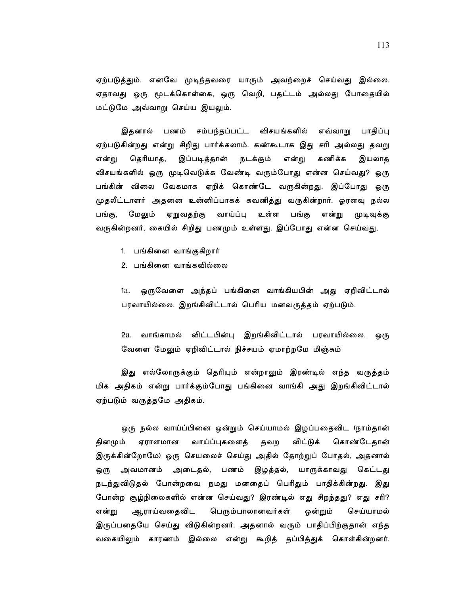ஏற்படுத்தும். எனவே முடிந்தவரை யாரும் அவற்றைச் செய்வது இல்லை. ஏதாவது ஒரு மூடக்கொள்கை, ஒரு வெறி, பதட்டம் அல்லது போதையில் மட்டுமே அவ்வாறு செய்ய இயலும்.

இதனால் பணம் சம்பந்தப்பட்ட விசயங்களில் எவ்வாறு பாதிப்பு ஏற்படுகின்றது என்று சிறிது பார்க்கலாம். கண்கூடாக இது சரி அல்லது தவறு தெரியாத, இப்படித்தான் நடக்கும் கணிக்க என்று என்று இயலாத விசயங்களில் ஒரு முடிவெடுக்க வேண்டி வரும்போது என்ன செய்வது? ஒரு பங்கின் விலை வேகமாக ஏறிக் கொண்டே வருகின்றது. இப்போது ஒரு முதலீட்டாளர் அதனை உன்னிப்பாகக் கவனித்து வருகின்றார். ஓரளவு நல்ல மேலும் ஏறுவதற்கு வாய்ப்பு உள்ள பங்கு என்று பங்கு, முடிவுக்கு வருகின்றனர், கையில் சிறிது பணமும் உள்ளது. இப்போது என்ன செய்வது,

- 1. பங்கினை வாங்குகிறார்
- 2. பங்கினை வாங்கவில்லை

ஒருவேளை அந்தப் பங்கினை வாங்கியபின் அது ஏறிவிட்டால் 1a. பரவாயில்லை. இறங்கிவிட்டால் பெரிய மனவருத்தம் ஏற்படும்.

2a. வாங்காமல் விட்டபின்பு இறங்கிவிட்டால் பரவாயில்லை. ஒரு வேளை மேலும் ஏறிவிட்டால் நிச்சயம் ஏமாற்றமே மிஞ்சும்

இது எல்லோருக்கும் தெரியும் என்றாலும் இரண்டில் எந்த வருத்தம் மிக அதிகம் என்று பார்க்கும்போது பங்கினை வாங்கி அது இறங்கிவிட்டால் ஏற்படும் வருத்தமே அதிகம்.

ஒரு நல்ல வாய்ப்பினை ஒன்றும் செய்யாமல் இழப்பதைவிட (நாம்தான் தினமும் ஏராளமான வாய்ப்புகளைத் தவற விட்டுக் கொண்டேதான் இருக்கின்றோமே) ஒரு செயலைச் செய்து அதில் தோற்றுப் போதல், அதனால் அவமானம் அடைதல், பணம் இழத்தல், யாருக்காவது கெட்டது ஒரு நடந்துவிடுதல் போன்றவை நமது மனதைப் பெரிதும் பாதிக்கின்றது. இது போன்ற சூழ்நிலைகளில் என்ன செய்வது? இரண்டில் எது சிறந்தது? எது சரி? என்று ஆராய்வதைவிட பெரும்பாலானவர்கள் ஒன்றும் செய்யாமல் இருப்பதையே செய்து விடுகின்றனர். அதனால் வரும் பாதிப்பிற்குதான் எந்த வகையிலும் காரணம் இல்லை என்று கூறித் தப்பித்துக் கொள்கின்றனர்.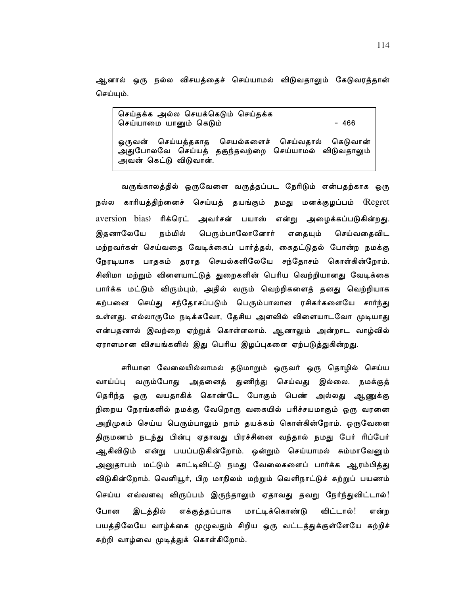ஆனால் ஒரு நல்ல விசயத்தைச் செய்யாமல் விடுவதாலும் கேடுவரத்தான் செய்யும்.

```
செய்தக்க அல்ல செயக்கெடும் செய்தக்க
                                            -466செய்யாமை யானும் கெடும்
ஒருவன் செய்யத்தகாத செயல்களைச் செய்வதால்
                                            கெடுவான்
அதுபோலவே செய்யத் தகுந்தவற்றை செய்யாமல் விடுவதாலும்
அவன் கெட்டு விடுவான்.
```
வருங்காலத்தில் ஒருவேளை வருத்தப்பட நேரிடும் என்பதற்காக ஒரு நல்ல காரியத்திற்னைச் செய்யத் தயங்கும் நமது மனக்குழப்பம் (Regret aversion bias) ரிக்ரெட் அவர்சன் பயாஸ் என்று அழைக்கப்படுகின்றது. இதனாலேயே நம்மில் பெரும்பாலோனோர் எதையும் செய்வதைவிட மற்றவர்கள் செய்வதை வேடிக்கைப் பார்த்தல், கைதட்டுதல் போன்ற நமக்கு நேரடியாக பாதகம் தராத செயல்களிலேயே சந்தோசம் கொள்கின்றோம். சினிமா மற்றும் விளையாட்டுத் துறைகளின் பெரிய வெற்றியானது வேடிக்கை பார்க்க மட்டும் விரும்பும், அதில் வரும் வெற்றிகளைத் தனது வெற்றியாக கற்பனை செய்து சந்தோசப்படும் பெரும்பாலான ரசிகர்களையே சார்ந்து உள்ளது. எல்லாருமே நடிக்கவோ, தேசிய அளவில் விளையாடவோ முடியாது என்பதனால் இவற்றை ஏற்றுக் கொள்ளலாம். ஆனாலும் அன்றாட வாழ்வில் ஏராளமான விசயங்களில் இது பெரிய இழப்புகளை ஏற்படுத்துகின்றது.

சரியான வேலையில்லாமல் தடுமாறும் ஒருவர் ஒரு தொழில் செய்ய வாய்ப்பு வரும்போது அதனைத் துணிந்து செய்வது இல்லை. நமக்குத் தெரிந்த ஒரு வயதாகிக் கொண்டே போகும் பெண் அல்லது ஆணுக்கு நிறைய நேரங்களில் நமக்கு வேறொரு வகையில் பரிச்சயமாகும் ஒரு வரனை அறிமுகம் செய்ய பெரும்பாலும் நாம் தயக்கம் கொள்கின்றோம். ஒருவேளை திருமணம் நடந்து பின்பு ஏதாவது பிரச்சினை வந்தால் நமது பேர் ரிப்பேர் ஆகிவிடும் என்று பயப்படுகின்றோம். ஒன்றும் செய்யாமல் சும்மாவேனும் அனுதாபம் மட்டும் காட்டிவிட்டு நமது வேலைகளைப் பார்க்க ஆரம்பித்து விடுகின்றோம். வெளியூர், பிற மாநிலம் மற்றும் வெளிநாட்டுச் சுற்றுப் பயணம் செய்ய எவ்வளவு விருப்பம் இருந்தாலும் ஏதாவது தவறு நேர்ந்துவிட்டால்! போன இடத்தில் எக்குத்தப்பாக மாட்டிக்கொண்டு விட்டால்! என்ற பயத்திலேயே வாழ்க்கை முழுவதும் சிறிய ஒரு வட்டத்துக்குள்ளேயே சுற்றிச் சுற்றி வாழ்வை முடித்துக் கொள்கிறோம்.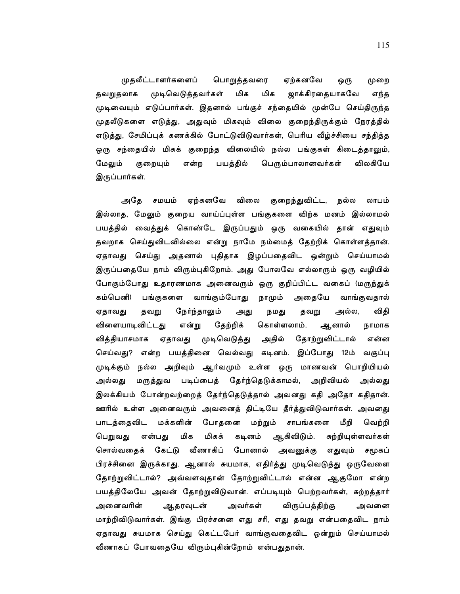முதலீட்டாளர்களைப் பொறுத்தவரை ஏற்கனவே ஒரு முறை முடிவெடுத்தவர்கள் மிக மிக ஜாக்கிரதையாகவே தவறுதலாக எந்த முடிவையும் எடுப்பார்கள். இதனால் பங்குச் சந்தையில் முன்பே செய்திருந்த முதலீடுகளை எடுத்து, அதுவும் மிகவும் விலை குறைந்திருக்கும் நேரத்தில் எடுத்து, சேமிப்புக் கணக்கில் போட்டுவிடுவார்கள், பெரிய வீழ்ச்சியை சந்தித்த ஒரு சந்தையில் மிகக் குறைந்த விலையில் நல்ல பங்குகள் கிடைத்தாலும், பயத்தில் பெரும்பாலானவர்கள் விலகியே மேலும் குறையும் என்ற இருப்பார்கள்.

அதே சமயம் ஏற்கனவே விலை குறைந்துவிட்ட, நல்ல லாபம் இல்லாத, மேலும் குறைய வாய்ப்புள்ள பங்குகளை விற்க மனம் இல்லாமல் பயத்தில் வைத்துக் கொண்டே இருப்பதும் ஒரு வகையில் தான் எதுவும் தவறாக செய்துவிடவில்லை என்று நாமே நம்மைத் தேற்றிக் கொள்ளத்தான். ஏதாவது செய்து அதனால் புதிதாக இழப்பதைவிட ஒன்றும் செய்யாமல் இருப்பதையே நாம் விரும்புகிறோம். அது போலவே எல்லாரும் ஒரு வழியில் போகும்போது உதாரணமாக அனைவரும் ஒரு குறிப்பிட்ட வகைப் (மருந்துக் கம்பெனி) பங்குகளை வாங்கும்போது நாமும் அதையே வாங்குவதால் ஏதாவது தவறு நேர்ந்தாலும் நமது தவறு அல்ல, விதி அது விளையாடிவிட்டது தேற்றிக் கொள்ளலாம். ஆனால் என்று நாமாக தோற்றுவிட்டால் வித்தியாசமாக ஏதாவது முடிவெடுத்து அதில் என்ன செய்வது? என்ற பயத்தினை வெல்வது கடினம். இப்போது 12ம் வகுப்பு முடிக்கும் நல்ல அறிவும் ஆர்வமும் உள்ள ஒரு மாணவன் பொறியியல் மருத்துவ படிப்பைத் தேர்ந்தெடுக்காமல், அறிவியல் அல்லகு அல்லகு இலக்கியம் போன்றவற்றைத் தேர்ந்தெடுத்தால் அவனது கதி அதோ கதிதான். ஊரில் உள்ள அனைவரும் அவனைத் திட்டியே தீர்த்துவிடுவார்கள். அவனது பாடத்தைவிட மக்களின் போதனை மற்றும் சாபங்களை மீறி வெற்றி பெறுவது மிகக் என்பது மிக கடினம் ஆகிவிடும். சுற்றியுள்ளவர்கள் சொல்வதைக் கேட்டு வீணாகிப் போனால் அவனுக்கு எதுவும் சமூகப் பிரச்சினை இருக்காது. ஆனால் சுயமாக, எதிர்த்து முடிவெடுத்து ஒருவேளை தோற்றுவிட்டால்? அவ்வளவுதான் தோற்றுவிட்டால் என்ன ஆகுமோ என்ற பயத்திலேயே அவன் தோற்றுவிடுவான். எப்படியும் பெற்றவர்கள், சுற்றத்தார் அனைவரின் ஆதரவுடன் அவர்கள் விருப்பத்திற்கு அவனை மாற்றிவிடுவார்கள். இங்கு பிரச்சனை எது சரி, எது தவறு என்பதைவிட நாம் ஏதாவது சுயமாக செய்து கெட்டபேர் வாங்குவதைவிட ஒன்றும் செய்யாமல் வீணாகப் போவதையே விரும்புகின்றோம் என்பதுதான்.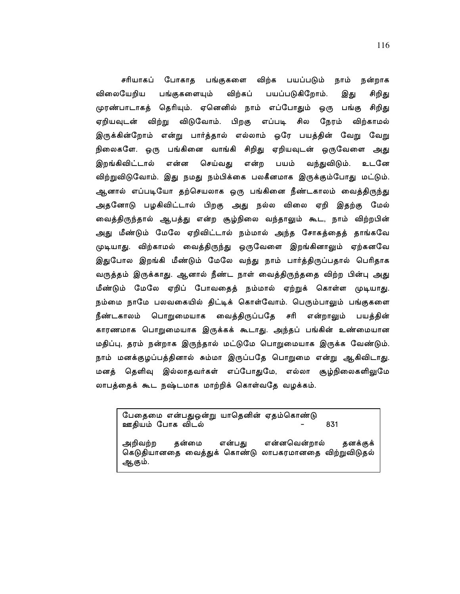சரியாகப் போகாத பங்குகளை விற்க பயப்படும் நாம் நன்றாக விலையேறிய பங்குகளையும் விற்கப் பயப்படுகிறோம். இது சிறிது முரண்பாடாகத் தெரியும். ஏனெனில் நாம் எப்போதும் ஒரு பங்கு சிறிது ஏறியவுடன் விற்று விடுவோம். பிறகு எப்படி சில நேரம் விற்காமல் இருக்கின்றோம் என்று பார்த்தால் எல்லாம் ஒரே பயத்தின் வேறு வேறு நிலைகளே. ஒரு பங்கினை வாங்கி சிறிது ஏறியவுடன் ஒருவேளை அது இறங்கிவிட்டால் என்ன செய்வது என்ற பயம் வந்துவிடும். உடனே விற்றுவிடுவோம். இது நமது நம்பிக்கை பலகீனமாக இருக்கும்போது மட்டும். ஆனால் எப்படியோ தற்செயலாக ஒரு பங்கினை நீண்டகாலம் வைத்திருந்து அதனோடு பழகிவிட்டால் பிறகு அது நல்ல விலை ஏறி இதற்கு மேல் வைத்திருந்தால் ஆபத்து என்ற சூழ்நிலை வந்தாலும் கூட, நாம் விற்றபின் அது மீண்டும் மேலே ஏறிவிட்டால் நம்மால் அந்த சோகத்தைத் தாங்கவே முடியாது. விற்காமல் வைத்திருந்து ஒருவேளை இறங்கினாலும் ஏற்கனவே இதுபோல இறங்கி மீண்டும் மேலே வந்து நாம் பார்த்திருப்பதால் பெரிதாக வருத்தம் இருக்காது. ஆனால் நீண்ட நாள் வைத்திருந்ததை விற்ற பின்பு அது மீண்டும் மேலே ஏறிப் போவதைத் நம்மால் ஏற்றுக் கொள்ள முடியாது. நம்மை நாமே பலவகையில் திட்டிக் கொள்வோம். பெரும்பாலும் பங்குகளை நீண்டகாலம் பொறுமையாக வைத்திருப்பதே சரி என்றாலும் பயத்தின் காரணமாக பொறுமையாக இருக்கக் கூடாது. அந்தப் பங்கின் உண்மையான மதிப்பு, தரம் நன்றாக இருந்தால் மட்டுமே பொறுமையாக இருக்க வேண்டும். நாம் மனக்குழப்பத்தினால் சும்மா இருப்பதே பொறுமை என்று ஆகிவிடாது. மனத் தெளிவு இல்லாதவர்கள் எப்போதுமே, எல்லா சூழ்நிலைகளிலுமே லாபத்தைக் கூட நஷ்டமாக மாற்றிக் கொள்வதே வழக்கம்.

பேதைமை என்பதுஒன்று யாதெனின் ஏதம்கொண்டு ஊதியம் போக விடல் 831

அறிவற்ற என்னவென்றால் கன்மை என்பகு **கனக்குக்** கெடுதியானதை வைத்துக் கொண்டு லாபகரமானதை விற்றுவிடுதல் ஆகும்.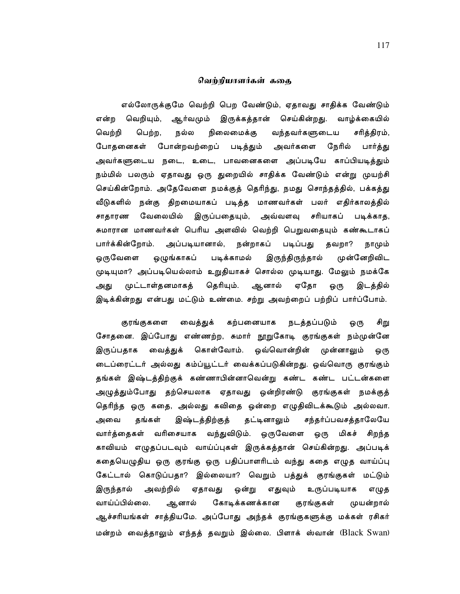### வெற்றியாளர்கள் ககை

எல்லோருக்குமே வெற்றி பெற வேண்டும், ஏதாவது சாதிக்க வேண்டும் என்ற வெறியும், ஆர்வமும் இருக்கத்தான் செய்கின்றது. வாழ்க்கையில் வெற்றி பெற்ற, நல்ல நிலைமைக்கு வந்தவர்களுடைய சரித்திரம், போதனைகள் போன்றவற்றைப் படித்தும் அவர்களை நேரில் பார்த்து அவர்களுடைய நடை, உடை, பாவனைகளை அப்படியே காப்பியடித்தும் நம்மில் பலரும் ஏதாவது ஒரு துறையில் சாதிக்க வேண்டும் என்று முயற்சி செய்கின்றோம். அதேவேளை நமக்குத் தெரிந்து, நமது சொந்தத்தில், பக்கத்து வீடுகளில் நன்கு திறமையாகப் படித்த மாணவர்கள் பலர் எதிர்காலத்தில் சாதாரண வேலையில் இருப்பதையும், அவ்வளவு சரியாகப் படிக்காத, சுமாரான மாணவர்கள் பெரிய அளவில் வெற்றி பெறுவதையும் கண்கூடாகப் படிப்பது பார்க்கின்றோம். அப்படியானால், நன்றாகப் தவறா? நாமும் முன்னேறிவிட ஒழுங்காகப் படிக்காமல் இருந்திருந்தால் ஒருவேளை முடியுமா? அப்படியெல்லாம் உறுதியாகச் சொல்ல முடியாது. மேலும் நமக்கே முட்டாள்தனமாகத் தெரியும். ஆனால் ஏதோ স্বাস্থা இடத்தில் ஒரு இடிக்கின்றது என்பது மட்டும் உண்மை. சற்று அவற்றைப் பற்றிப் பார்ப்போம்.

குரங்குகளை வைத்துக் கற்பனையாக நடத்தப்படும் ஒரு சிறு சோதனை. இப்போது எண்ணற்ற, சுமார் நூறுகோடி குரங்குகள் நம்முன்னே வைத்துக் கொள்வோம். ஒவ்வொன்றின் இருப்பதாக முன்னாலும் ஒரு டைப்ரைட்டர் அல்லது கம்ப்யூட்டர் வைக்கப்படுகின்றது. ஒவ்வொரு குரங்கும் தங்கள் இஷ்டத்திற்குக் கண்ணாபின்னாவென்று கண்ட கண்ட பட்டன்களை அழுத்தும்போது தற்செயலாக ஏதாவது ஒன்றிரண்டு குரங்குகள் நமக்குத் தெரிந்த ஒரு கதை, அல்லது கவிதை ஒன்றை எழுதிவிடக்கூடும் அல்லவா. தங்கள் இஷ்டத்திற்குத் தட்டினாலும் சந்தர்ப்பவசத்தாலேயே அவை வார்த்தைகள் வரிசையாக வந்துவிடும். ஒருவேளை ஒரு மிகச் சிறந்த காவியம் எழுதப்படவும் வாய்ப்புகள் இருக்கத்தான் செய்கின்றது. அப்படிக் கதையெழுதிய ஒரு குரங்கு ஒரு பதிப்பாளரிடம் வந்து கதை எழுத வாய்ப்பு கேட்டால் கொடுப்பதா? இல்லையா? வெறும் பத்துக் குரங்குகள் மட்டும் இருந்தால் அவற்றில் ஏதாவது ஒன்று எதுவும் உருப்படியாக எழுத ஆளால் கோடிக்கணக்கான வாய்ப்பில்லை. குரங்குகள் முயன்றால் ஆச்சரியங்கள் சாத்தியமே. அப்போது அந்தக் குரங்குகளுக்கு மக்கள் ரசிகர் மன்றம் வைத்தாலும் எந்தத் தவறும் இல்லை. பிளாக் ஸ்வான் (Black Swan)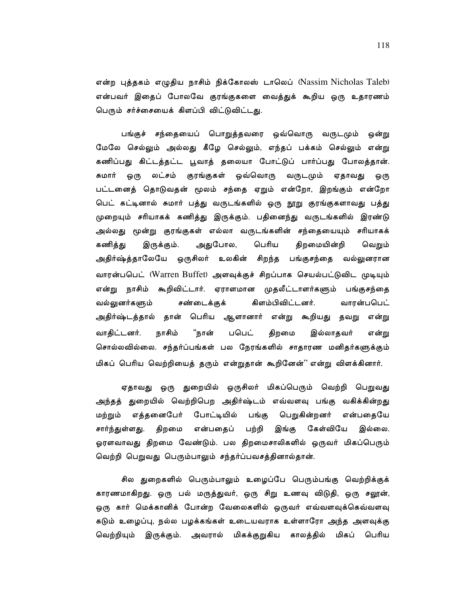என்ற புத்தகம் எழுதிய நாசிம் நிக்கோலஸ் டாலெப் (Nassim Nicholas Taleb) என்பவர் இதைப் போலவே குரங்குகளை வைக்குக் கூறிய ஒரு உகாரணம் பெரும் சர்ச்சையைக் கிளப்பி விட்டுவிட்டது.

பங்குச் சந்தையைப் பொறுத்தவரை ஒவ்வொரு வருடமும் ஒன்று மேலே செல்லும் அல்லது கீழே செல்லும், எந்தப் பக்கம் செல்லும் என்று கணிப்பது கிட்டத்தட்ட பூவாத் தலையா போட்டுப் பார்ப்பது போலத்தான். ஒரு லட்சம் குரங்குகள் ஒவ்வொரு வருடமும் ஏதாவது சுமார் ஒரு பட்டனைத் தொடுவதன் மூலம் சந்தை ஏறும் என்றோ, இறங்கும் என்றோ பெட் கட்டினால் சுமார் பத்து வருடங்களில் ஒரு நூறு குரங்குகளாவது பத்து முறையும் சரியாகக் கணித்து இருக்கும். பதினைந்து வருடங்களில் இரண்டு அல்லது மூன்று குரங்குகள் எல்லா வருடங்களின் சந்தையையும் சரியாகக் கணித்து இருக்கும். அதுபோல, பெரிய திறமையின்றி வெறும் அதிர்ஷ்த்தாலேயே ஒருசிலர் உலகின் சிறந்த பங்குசந்தை வல்லுனரான வாரன்பபெட் (Warren Buffet) அளவுக்குச் சிறப்பாக செயல்பட்டுவிட முடியும் என்று நாசிம் கூறிவிட்டார். ஏராளமான முதலீட்டாளர்களும் பங்குசந்தை கிளம்பிவிட்டனர். சண்டைக்குக் வாான்பபெட் வல்லுனர்களும் அதிர்ஷ்டத்தால் தான் பெரிய ஆளானார் என்று கூறியது தவறு என்று பபெட் என்று வாகிட்டனர். நாசிம் "நான் திறமை இல்லாகவர் சொல்லவில்லை. சந்தர்ப்பங்கள் பல நேரங்களில் சாதாரண மனிதர்களுக்கும் மிகப் பெரிய வெற்றியைத் தரும் என்றுதான் கூறினேன்'' என்று விளக்கினார்.

ஏதாவது ஒரு துறையில் ஒருசிலர் மிகப்பெரும் வெற்றி பெறுவது அந்தத் துறையில் வெற்றிபெற அதிர்ஷ்டம் எவ்வளவு பங்கு வகிக்கின்றது மற்றும் எத்தனைபேர் போட்டியில் பெறுகின்றனர் பங்கு என்பதையே கேள்வியே சார்ந்துள்ளது. திறமை என்பதைப் பற்றி இங்கு இல்லை. ஓரளவாவது திறமை வேண்டும். பல திறமைசாலிகளில் ஒருவர் மிகப்பெரும் வெற்றி பெறுவது பெரும்பாலும் சந்தர்ப்பவசத்தினால்தான்.

சில துறைகளில் பெரும்பாலும் உழைப்பே பெரும்பங்கு வெற்றிக்குக் காரணமாகிறது. ஒரு பல் மருத்துவர், ஒரு சிறு உணவு விடுதி, ஒரு சலூன், ஒரு கார் மெக்கானிக் போன்ற வேலைகளில் ஒருவர் எவ்வளவுக்கெவ்வளவு கடும் உழைப்பு, நல்ல பழக்கங்கள் உடையவராக உள்ளாரோ அந்த அளவுக்கு வெற்றியும் இருக்கும். அவரால் மிகக்குறுகிய காலத்தில் மிகப் பெரிய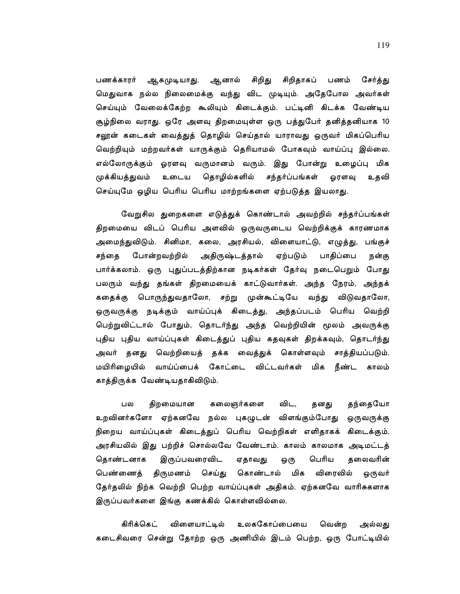சிறிது சிறிதாகப் பணம் ஆகமுடியாது. ஆனால் பணக்காரர் சேர்த்து மெதுவாக நல்ல நிலைமைக்கு வந்து விட முடியும். அதேபோல அவர்கள் செய்யும் வேலைக்கேற்ற கூலியும் கிடைக்கும். பட்டினி கிடக்க வேண்டிய சூழ்நிலை வராது. ஒரே அளவு திறமையுள்ள ஒரு பத்துபேர் தனித்தனியாக 10 சலூன் கடைகள் வைத்துத் தொழில் செய்தால் யாராவது ஒருவர் மிகப்பெரிய வெற்றியும் மற்றவர்கள் யாருக்கும் தெரியாமல் போகவும் வாய்ப்பு இல்லை. எல்லோருக்கும் ஓரளவு வருமானம் வரும். இது போன்று உழைப்பு மிக முக்கியத்துவம் உடைய தொழில்களில் சந்தர்ப்பங்கள் ஓரளவு உதவி செய்யுமே ஒழிய பெரிய பெரிய மாற்றங்களை ஏற்படுத்த இயலாது.

வேறுசில துறைகளை எடுத்துக் கொண்டால் அவற்றில் சந்தர்ப்பங்கள் திறமையை விடப் பெரிய அளவில் ஒருவருடைய வெற்றிக்குக் காரணமாக அமைந்துவிடும். சினிமா, கலை, அரசியல், விளையாட்டு, எழுத்து, பங்குச் சந்தை போன்றவற்றில் அதிருஷ்டத்தால் ஏற்படும் பாதிப்பை நன்கு பார்க்கலாம். ஒரு புதுப்படத்திற்கான நடிகர்கள் தேர்வு நடைபெறும் போது பலரும் வந்து தங்கள் திறமையைக் காட்டுவார்கள். அந்த நேரம், அந்தக் கதைக்கு பொருந்துவதாலோ, சற்று முன்கூட்டியே வந்து விடுவதாலோ, ஒருவருக்கு நடிக்கும் வாய்ப்புக் கிடைத்து, அந்தப்படம் பெரிய வெற்றி பெற்றுவிட்டால் போதும், தொடர்ந்து அந்த வெற்றியின் மூலம் அவருக்கு புதிய புதிய வாய்ப்புகள் கிடைத்துப் புதிய கதவுகள் திறக்கவும், தொடர்ந்து அவர் தனது வெற்றியைத் தக்க வைத்துக் கொள்ளவும் சாத்தியப்படும். மயிரிழையில் வாய்ப்பைக் கோட்டை விட்டவர்கள் மிக நீண்ட காலம் காத்திருக்க வேண்டியதாகிவிடும்.

பல திறமையான கலைஞர்களை விட, தந்தையோ தனது உறவினர்களோ ஏற்கனவே நல்ல புகமுடன் விளங்கும்போது ஒருவருக்கு நிறைய வாய்ப்புகள் கிடைத்துப் பெரிய வெற்றிகள் எளிதாகக் கிடைக்கும். அரசியலில் இது பற்றிச் சொல்லவே வேண்டாம். காலம் காலமாக அடிமட்டத் இருப்பவரைவிட கொண்டனாக பெரிய ஏதாவது கலைவரின் ஒரு விரைவில் ஒருவர் செய்து கொண்டால் மிக பெண்ணைத் திருமணம் தேர்தலில் நிற்க வெற்றி பெற்ற வாய்ப்புகள் அதிகம். ஏற்கனவே வாரிசுகளாக இருப்பவர்களை இங்கு கணக்கில் கொள்ளவில்லை.

கிரிக்கெட் விளையாட்டில் உலககோப்பையை வென்ற அல்லது கடைசிவரை சென்று தோற்ற ஒரு அணியில் இடம் பெற்ற, ஒரு போட்டியில்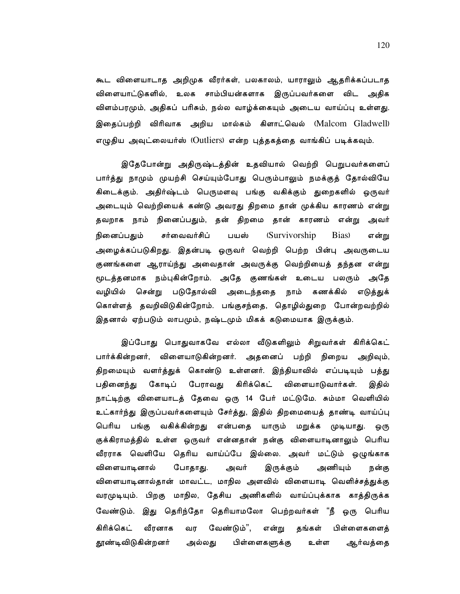கூட விளையாடாத அறிமுக வீரர்கள், பலகாலம், யாராலும் ஆதரிக்கப்படாத விளையாட்டுகளில், உலக சாம்பியன்களாக இருப்பவர்களை விட அதிக விளம்பரமும், அதிகப் பரிசும், நல்ல வாழ்க்கையும் அடைய வாய்ப்பு உள்ளது. இதைப்பற்றி விரிவாக அறிய மால்கம் கிளாட்வெல் (Malcom Gladwell) எழுதிய அவுட்லையர்ஸ் (Outliers) என்ற புத்தகத்தை வாங்கிப் படிக்கவும்.

இதேபோன்று அதிருஷ்டத்தின் உதவியால் வெற்றி பெறுபவர்களைப் பார்த்து நாமும் முயற்சி செய்யும்போது பெரும்பாலும் நமக்குத் தோல்வியே கிடைக்கும். அதிர்ஷ்டம் பெருமளவு பங்கு வகிக்கும் துறைகளில் ஒருவர் அடையும் வெற்றியைக் கண்டு அவரது திறமை தான் முக்கிய காரணம் என்று தவறாக நாம் நினைப்பதும், தன் திறமை தான் காரணம் என்று அவர் (Survivorship) நினைப்பதும் சர்வைவர்சிப் பயஸ் Bias) என்று அழைக்கப்படுகிறது. இதன்படி ஒருவர் வெற்றி பெற்ற பின்பு அவருடைய குணங்களை ஆராய்ந்து அவைதான் அவருக்கு வெற்றியைத் தந்தன என்று மூடத்தனமாக நம்புகின்றோம். அதே குணங்கள் உடைய பலரும் அதே வழியில் சென்று படுதோல்வி அடைந்ததை நாம் கணக்கில் எடுத்துக் கொள்ளத் தவறிவிடுகின்றோம். பங்குசந்தை, தொழில்துறை போன்றவற்றில் இதனால் ஏற்படும் லாபமும், நஷ்டமும் மிகக் கடுமையாக இருக்கும்.

இப்போது பொதுவாகவே எல்லா வீடுகளிலும் சிறுவர்கள் கிரிக்கெட் பார்க்கின்றனர், விளையாடுகின்றனர். அதனைப் பற்றி நிறைய அறிவும், திறமையும் வளர்த்துக் கொண்டு உள்ளனர். இந்தியாவில் எப்படியும் பத்து கிரிக்கெட் பதினைந்து கோடிப் பேராவது விளையாடுவார்கள். இதில் நாட்டிற்கு விளையாடத் தேவை ஒரு 14 பேர் மட்டுமே. சும்மா வெளியில் உட்கார்ந்து இருப்பவர்களையும் சேர்த்து, இதில் திறமையைத் தாண்டி வாய்ப்பு பெரிய பங்கு வகிக்கின்றது என்பதை யாரும் மறுக்க முடியாது. ஒரு குக்கிராமத்தில் உள்ள ஒருவர் என்னதான் நன்கு விளையாடினாலும் பெரிய வீரராக வெளியே தெரிய வாய்ப்பே இல்லை. அவர் மட்டும் ஒழுங்காக விளையாடினால் போதாது. அவர் இருக்கும் அணியும் நன்கு விளையாடினால்தான் மாவட்ட, மாநில அளவில் விளையாடி வெளிச்சத்துக்கு வரமுடியும். பிறகு மாநில, தேசிய அணிகளில் வாய்ப்புக்காக காத்திருக்க வேண்டும். இது தெரிந்தோ தெரியாமலோ பெற்றவர்கள் "நீ ஒரு பெரிய கிரிக்கெட் வேண்டும்", என்று தங்கள் பிள்ளைகளைத் வீரனாக வர தூண்டிவிடுகின்றனர் அல்லது பிள்ளைகளுக்கு உள்ள ஆர்வத்தை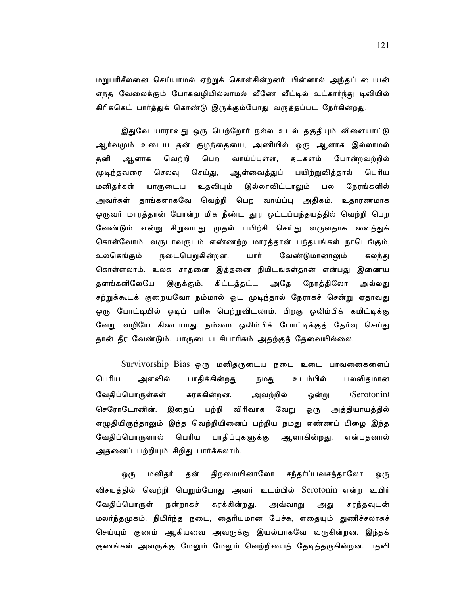மறுபரிசீலனை செய்யாமல் ஏற்றுக் கொள்கின்றனர். பின்னால் அந்தப் பையன் எந்த வேலைக்கும் போகவழியில்லாமல் வீணே வீட்டில் உட்கார்ந்து டிவியில் கிரிக்கெட் பார்த்துக் கொண்டு இருக்கும்போது வருத்தப்பட நேர்கின்றது.

இதுவே யாராவது ஒரு பெற்றோர் நல்ல உடல் தகுதியும் விளையாட்டு ஆர்வமும் உடைய தன் குழந்தையை, அணியில் ஒரு ஆளாக இல்லாமல் தனி வெற்றி பெற வாய்ப்புள்ள, தடகளம் போன்றவற்றில் ஆளாக முடிந்தவரை செலவு செய்து, ஆள்வைத்துப் பயிற்றுவித்தால் பெரிய இல்லாவிட்டாலும் மனிதர்கள் யாருடைய உதவியும் நேரங்களில் பல அவர்கள் தாங்களாகவே வெற்றி பெற வாய்ப்பு அதிகம். உதாரணமாக ஒருவர் மாரத்தான் போன்ற மிக நீண்ட தூர ஓட்டப்பந்தயத்தில் வெற்றி பெற வேண்டும் என்று சிறுவயது முதல் பயிற்சி செய்து வருவதாக வைத்துக் கொள்வோம். வருடாவருடம் எண்ணற்ற மாரத்தான் பந்தயங்கள் நாடெங்கும், உலகெங்கும் நடைபெறுகின்றன. யார் வேண்டுமானாலும் கலந்து கொள்ளலாம். உலக சாதனை இத்தனை நிமிடங்கள்தான் என்பது இணைய தளங்களிலேயே இருக்கும். கிட்டத்தட்ட அதே நேரத்திலோ அல்லது சற்றுக்கூடக் குறையவோ நம்மால் ஓட முடிந்தால் நேராகச் சென்று ஏதாவது ஒரு போட்டியில் ஓடிப் பரிசு பெற்றுவிடலாம். பிறகு ஒலிம்பிக் கமிட்டிக்கு வேறு வழியே கிடையாது. நம்மை ஒலிம்பிக் போட்டிக்குத் தேர்வு செய்து தான் தீர வேண்டும். யாருடைய சிபாரிசும் அதற்குத் தேவையில்லை.

Survivorship Bias ஒரு மனிதருடைய நடை உடை பாவனைகளைப் பெரிய அளவில் பாதிக்கின்றது. நமது உடம்பில் பலவிதமான வேதிப்பொருள்கள் சுரக்கின்றன. அவற்றில் ஒன்று (Serotonin) செரோடோனின். இதைப் பற்றி விரிவாக வேறு ஒரு அத்தியாயத்தில் எழுதியிருந்தாலும் இந்த வெற்றியினைப் பற்றிய நமது எண்ணப் பிழை இந்த பெரிய வேதிப்பொருளால் பாதிப்புகளுக்கு ஆளாகின்றது. என்பதனால் அதனைப் பற்றியும் சிறிது பார்க்கலாம்.

மனிதர் திறமையினாலோ சந்தர்ப்பவசத்தாலோ ஒரு தன் ஒரு விசயத்தில் வெற்றி பெறும்போது அவர் உடம்பில் Serotonin என்ற உயிர் வேதிப்பொருள் நன்றாகச் சுரக்கின்றது. அவ்வாறு சுரந்தவுடன் அது மலர்ந்தமுகம், நிமிர்ந்த நடை, தைரியமான பேச்சு, எதையும் துணிச்சலாகச் செய்யும் குணம் ஆகியவை அவருக்கு இயல்பாகவே வருகின்றன. இந்தக் குணங்கள் அவருக்கு மேலும் மேலும் வெற்றியைத் தேடித்தருகின்றன. பதவி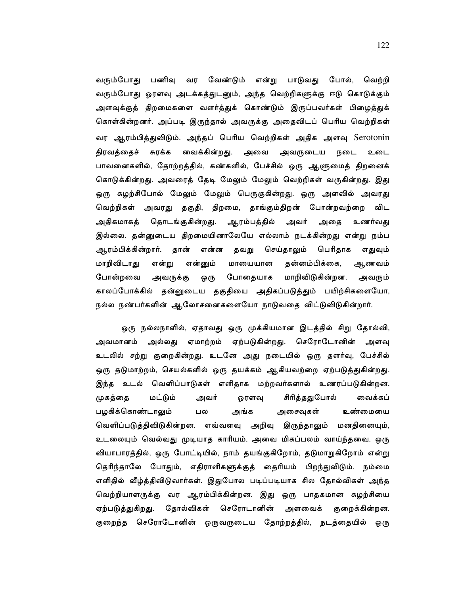வரும்போது பணிவு வர வேண்டும் என்று பாடுவது போல், வெற்றி வரும்போது ஓரளவு அடக்கத்துடனும், அந்த வெற்றிகளுக்கு ஈடு கொடுக்கும் அளவுக்குத் திறமைகளை வளர்த்துக் கொண்டும் இருப்பவர்கள் பிழைத்துக் கொள்கின்றனர். அப்படி இருந்தால் அவருக்கு அதைவிடப் பெரிய வெற்றிகள் வர ஆரம்பித்துவிடும். அந்தப் பெரிய வெற்றிகள் அதிக அளவு Serotonin திரவத்தைச் சுரக்க வைக்கின்றது. அவை அவருடைய நடை உடை பாவனைகளில், தோற்றத்தில், கண்களில், பேச்சில் ஒரு ஆளுமைத் திறனைக் கொடுக்கின்றது. அவரைத் தேடி மேலும் மேலும் வெற்றிகள் வருகின்றது. இது ஒரு சுழற்சிபோல் மேலும் மேலும் பெருகுகின்றது. ஒரு அளவில் அவரது வெற்றிகள் அவரது தகுதி, திறமை, தாங்கும்திறன் போன்றவற்றை விட அதிகமாகத் தொடங்குகின்றது. ஆரம்பத்தில் அவர் அதை உணர்வது இல்லை. தன்னுடைய திறமையினாலேயே எல்லாம் நடக்கின்றது என்று நம்ப பெரிதாக ஆரம்பிக்கின்றார். தான் என்ன தவறு செய்தாலும் எதுவும் தன்னம்பிக்கை, மாறிவிடாது என்று என்னும் மாயையான ஆணவம் போதையாக மாறிவிடுகின்றன. போன்றவை அவருக்கு ஒரு அவரும் காலப்போக்கில் தன்னுடைய தகுதியை அதிகப்படுத்தும் பயிற்சிகளையோ, நல்ல நண்பர்களின் ஆலோசனைகளையோ நாடுவதை விட்டுவிடுகின்றார்.

ஒரு நல்லநாளில், ஏதாவது ஒரு முக்கியமான இடத்தில் சிறு தோல்வி, அல்லது ஏமாற்றம் ஏற்படுகின்றது. செரோடோனின் அவமானம் அளவு உடலில் சற்று குறைகின்றது. உடனே அது நடையில் ஒரு தளர்வு, பேச்சில் ஒரு தடுமாற்றம், செயல்களில் ஒரு தயக்கம் ஆகியவற்றை ஏற்படுத்துகின்றது. இந்த உடல் வெளிப்பாடுகள் எளிதாக மற்றவர்களால் உணரப்படுகின்றன. மட்டும் சிரித்ததுபோல் முகத்தை அவர் ஓரளவு வைக்கப் பழகிக்கொண்டாலும் பல அங்க அசைவுகள் உண்மையை வெளிப்படுத்திவிடுகின்றன. எவ்வளவு அறிவு இருந்தாலும் மனதினையும், உடலையும் வெல்வது முடியாத காரியம். அவை மிகப்பலம் வாய்ந்தவை. ஒரு வியாபாரத்தில், ஒரு போட்டியில், நாம் தயங்குகிறோம், தடுமாறுகிறோம் என்று தெரிந்தாலே போதும், எதிராளிகளுக்குத் தைரியம் பிறந்துவிடும். நம்மை எளிதில் வீழ்த்திவிடுவார்கள். இதுபோல படிப்படியாக சில தோல்விகள் அந்த வெற்றியாளருக்கு வர ஆரம்பிக்கின்றன. இது ஒரு பாதகமான சுழற்சியை ஏற்படுத்துகிறது. தோல்விகள் செரோடானின் அளவைக் குறைக்கின்றன. குறைந்த செரோடோனின் ஒருவருடைய தோற்றத்தில், நடத்தையில் ஒரு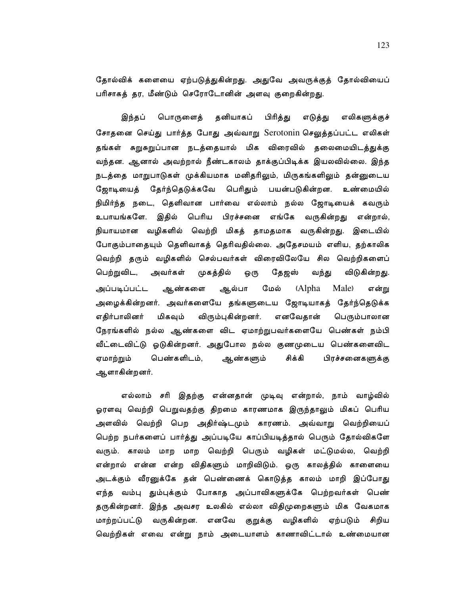தோல்விக் களையை ஏற்படுத்துகின்றது. அதுவே அவருக்குத் தோல்வியைப் பரிசாகத் தர, மீண்டும் செரோடோனின் அளவு குறைகின்றது.

பொருளைத் தனியாகப் எலிகளுக்குச் இந்தப் பிரித்து எடுத்து சோதனை செய்து பார்த்த போது அவ்வாறு Serotonin செலுத்தப்பட்ட எலிகள் தங்கள் சுறுசுறுப்பான நடத்தையால் மிக விரைவில் தலைமையிடத்துக்கு வந்தன. ஆனால் அவற்றால் நீண்டகாலம் தாக்குப்பிடிக்க இயலவில்லை. இந்த நடத்தை மாறுபாடுகள் முக்கியமாக மனிதரிலும், மிருகங்களிலும் தன்னுடைய ஜோடியைத் தேர்ந்தெடுக்கவே பெரிதும் பயன்படுகின்றன. உண்மையில் நிமிர்ந்த நடை, தெளிவான பார்வை எல்லாம் நல்ல ஜோடியைக் கவரும் உபாயங்களே. இதில் பெரிய பிரச்சனை எங்கே வருகின்றது என்றால், நியாயமான வழிகளில் வெற்றி மிகத் தாமதமாக வருகின்றது. இடையில் போகும்பாதையும் தெளிவாகத் தெரிவதில்லை. அதேசமயம் எளிய, தற்காலிக வெற்றி தரும் வழிகளில் செல்பவர்கள் விரைவிலேயே சில வெற்றிகளைப் பெற்றுவிட, முகத்தில் அவர்கள் ஒரு தேஜஸ் வந்து விடுகின்றது. ஆல்பா ஆண்களை மேல் (Alpha Male) அப்படிப்பட்ட என்று அழைக்கின்றனர். அவர்களையே தங்களுடைய ஜோடியாகத் தேர்ந்தெடுக்க எனவேதான் எதிர்பாலினர் மிகவும் விரும்புகின்றனர். பெரும்பாலான நேரங்களில் நல்ல ஆண்களை விட ஏமாற்றுபவர்களையே பெண்கள் நம்பி வீட்டைவிட்டு ஓடுகின்றனர். அதுபோல நல்ல குணமுடைய பெண்களைவிட சிக்கி ஏமாற்றும் பெண்களிடம், ஆண்களும் பிரச்சனைகளுக்கு ஆளாகின்றனர்.

எல்லாம் சரி இதற்கு என்னதான் முடிவு என்றால், நாம் வாழ்வில் ஓரளவு வெற்றி பெறுவதற்கு திறமை காரணமாக இருந்தாலும் மிகப் பெரிய அளவில் வெற்றி பெற அதிர்ஷ்டமும் காரணம். அவ்வாறு வெற்றியைப் பெற்ற நபர்களைப் பார்த்து அப்படியே காப்பியடித்தால் பெரும் தோல்விகளே வரும். காலம் மாற மாற வெற்றி பெரும் வழிகள் மட்டுமல்ல, வெற்றி என்றால் என்ன என்ற விதிகளும் மாறிவிடும். ஒரு காலத்தில் காளையை அடக்கும் வீரனுக்கே தன் பெண்ணைக் கொடுத்த காலம் மாறி இப்போது எந்த வம்பு தும்புக்கும் போகாத அப்பாவிகளுக்கே பெற்றவர்கள் பெண் தருகின்றனர். இந்த அவசர உலகில் எல்லா விதிமுறைகளும் மிக வேகமாக மாற்றப்பட்டு வருகின்றன. எனவே குறுக்கு வழிகளில் ஏற்படும் சிறிய வெற்றிகள் எவை என்று நாம் அடையாளம் காணாவிட்டால் உண்மையான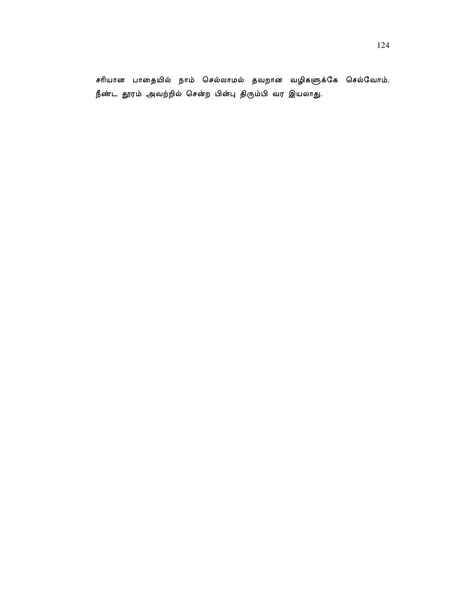சரியான பாதையில் நாம் செல்லாமல் தவறான வழிகளுக்கே செல்வோம். நீண்ட தூரம் அவற்றில் சென்ற பின்பு திரும்பி வர இயலாது.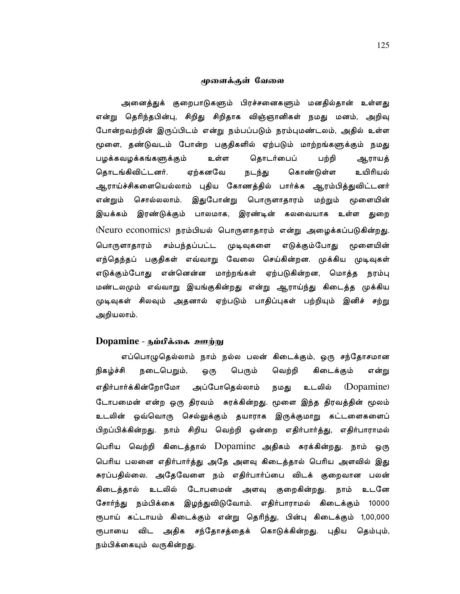#### முளைக்குள் வேலை

அனைத்துக் குறைபாடுகளும் பிரச்சனைகளும் மனதில்தான் உள்ளது என்று தெரிந்தபின்பு, சிறிது சிறிதாக விஞ்ஞானிகள் நமது மனம், அறிவு போன்றவற்றின் இருப்பிடம் என்று நம்பப்படும் நரம்புமண்டலம், அதில் உள்ள மூளை, தண்டுவடம் போன்ற பகுதிகளில் ஏற்படும் மாற்றங்களுக்கும் நமது பழக்கவழக்கங்களுக்கும் தொடர்பைப் உள்ள பற்றி ஆராயத் ஏற்கனவே தொடங்கிவிட்டனர். நடந்து கொண்டுள்ள உயிரியல் ஆராய்ச்சிகளையெல்லாம் புதிய கோணத்தில் பார்க்க ஆரம்பித்துவிட்டனர் சொல்லலாம். இதுபோன்று பொருளாதாரம் மற்றும் மூளையின் என்றும் இயக்கம் இரண்டுக்கும் பாலமாக, இரண்டின் கலவையாக உள்ள துறை (Neuro economics) நரம்பியல் பொருளாதாரம் என்று அழைக்கப்படுகின்றது. பொருளாதாரம் சம்பந்தப்பட்ட முடிவுகளை எடுக்கும்போது மூளையின் எந்தெந்தப் பகுதிகள் எவ்வாறு வேலை செய்கின்றன. முக்கிய முடிவுகள் எடுக்கும்போது என்னென்ன மாற்றங்கள் ஏற்படுகின்றன, மொத்த நரம்பு மண்டலமும் எவ்வாறு இயங்குகின்றது என்று ஆராய்ந்து கிடைத்த முக்கிய முடிவுகள் சிலவும் அதனால் ஏற்படும் பாதிப்புகள் பற்றியும் இனிச் சற்று அறியலாம்.

# Dopamine - நம்பீக்கை ஊற்று

எப்பொழுதெல்லாம் நாம் நல்ல பலன் கிடைக்கும், ஒரு சந்தோசமான கிடைக்கும் நிகழ்ச்சி நடைபெறும், பெரும் வெற்றி ஒரு என்று எதிர்பார்க்கின்றோமோ அப்போதெல்லாம் உடலில் (Dopamine) நமது டோபமைன் என்ற ஒரு திரவம் சுரக்கின்றது. மூளை இந்த திரவத்தின் மூலம் உடலின் ஒவ்வொரு செல்லுக்கும் தயாராக இருக்குமாறு கட்டளைகளைப் பிறப்பிக்கின்றது. நாம் சிறிய வெற்றி ஒன்றை எதிர்பார்த்து, எதிர்பாராமல் பெரிய வெற்றி கிடைத்தால் Dopamine அதிகம் சுரக்கின்றது. நாம் ஒரு பெரிய பலனை எதிர்பார்த்து அதே அளவு கிடைத்தால் பெரிய அளவில் இது சுரப்பதில்லை. அதேவேளை நம் எதிர்பார்ப்பை விடக் குறைவான பலன் கிடைத்தால் உடலில் டோபமைன் அளவு குறைகின்றது. நாம் உடனே சோர்ந்து நம்பிக்கை இழந்துவிடுவோம். எதிர்பாராமல் கிடைக்கும் 10000 ரூபாய் கட்டாயம் கிடைக்கும் என்று தெரிந்து, பின்பு கிடைக்கும் 1,00,000 ரூபாயை விட அதிக சந்தோசத்தைக் கொடுக்கின்றது. புதிய தெம்பும், நம்பிக்கையும் வருகின்றது.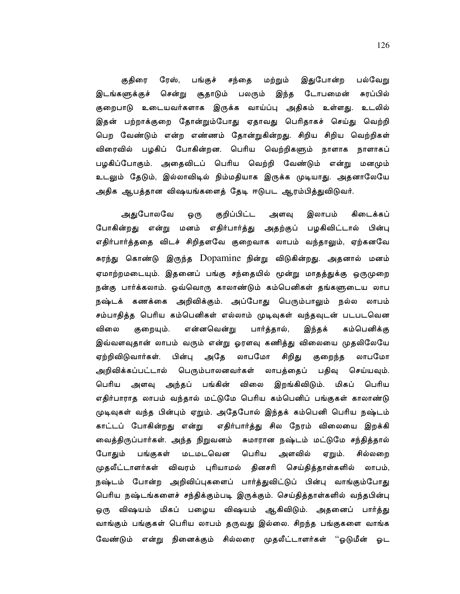குதிரை ரேஸ், பங்குச் சந்தை மற்றும் இதுபோன்ற பல்வேறு இடங்களுக்குச் சென்று சூதாடும் பலரும் இந்த டோபமைன் சுரப்பில் குறைபாடு உடையவர்களாக இருக்க வாய்ப்பு அதிகம் உள்ளது. உடலில் இதன் பற்றாக்குறை தோன்றும்போது ஏதாவது பெரிதாகச் செய்து வெற்றி பெற வேண்டும் என்ற எண்ணம் தோன்றுகின்றது. சிறிய சிறிய வெற்றிகள் விரைவில் பழகிப் போகின்றன. பெரிய வெற்றிகளும் நாளாக நாளாகப் பழகிப்போகும். அதைவிடப் பெரிய வெற்றி வேண்டும் என்று மனமும் உடலும் தேடும், இல்லாவிடில் நிம்மதியாக இருக்க முடியாது. அதனாலேயே அதிக ஆபத்தான விஷயங்களைத் தேடி ஈடுபட ஆரம்பித்துவிடுவர்.

அகுபோலவே குறிப்பிட்ட அளவு இலாபம் கிடைக்கப் ஒரு போகின்றது என்று மனம் எதிர்பார்த்து அதற்குப் பழகிவிட்டால் பின்பு எதிர்பார்த்ததை விடச் சிறிதளவே குறைவாக லாபம் வந்தாலும், ஏற்கனவே சுரந்து கொண்டு இருந்த Dopamine நின்று விடுகின்றது. அதனால் மனம் ஏமாற்றமடையும். இதனைப் பங்கு சந்தையில் மூன்று மாதத்துக்கு ஒருமுறை நன்கு பார்க்கலாம். ஒவ்வொரு காலாண்டும் கம்பெனிகள் தங்களுடைய லாப நஷ்டக் கணக்கை அறிவிக்கும். அப்போது பெரும்பாலும் நல்ல லாபம் சம்பாதித்த பெரிய கம்பெனிகள் எல்லாம் முடிவுகள் வந்தவுடன் படபடவென விலை குறையும். என்னவென்று பார்த்தால், இந்தக் கம்பெனிக்கு இவ்வளவுதான் லாபம் வரும் என்று ஓரளவு கணித்து விலையை முதலிலேயே ஏற்றிவிடுவார்கள். பின்பு அதே லாபமோ சிறிது குறைந்த லாபமோ அறிவிக்கப்பட்டால் பெரும்பாலனவர்கள் லாபத்தைப் பதிவு செய்யவும். பெரிய அளவு அந்தப் பங்கின் விலை இறங்கிவிடும். மிகப் பெரிய எதிர்பாராத லாபம் வந்தால் மட்டுமே பெரிய கம்பெனிப் பங்குகள் காலாண்டு முடிவுகள் வந்த பின்பும் ஏறும். அதேபோல் இந்தக் கம்பெனி பெரிய நஷ்டம் காட்டப் போகின்றது என்று எதிர்பார்த்து சில நேரம் விலையை இறக்கி வைத்திருப்பார்கள். அந்த நிறுவனம் சுமாரான நஷ்டம் மட்டுமே சந்தித்தால் மடமடவென பெரிய அளவில் போதும் பங்குகள் ஏறும். சில்லறை முதலீட்டாளர்கள் விவரம் புரியாமல் தினசரி செய்தித்தாள்களில் லாபம், நஷ்டம் போன்ற அறிவிப்புகளைப் பார்த்துவிட்டுப் பின்பு வாங்கும்போது பெரிய நஷ்டங்களைச் சந்திக்கும்படி இருக்கும். செய்தித்தாள்களில் வந்தபின்பு ஒரு விஷயம் மிகப் பழைய விஷயம் ஆகிவிடும். அதனைப் பார்த்து வாங்கும் பங்குகள் பெரிய லாபம் தருவது இல்லை. சிறந்த பங்குகளை வாங்க வேண்டும் என்று நினைக்கும் சில்லரை முதலீட்டாளர்கள் ''ஓடுமீன் ஓட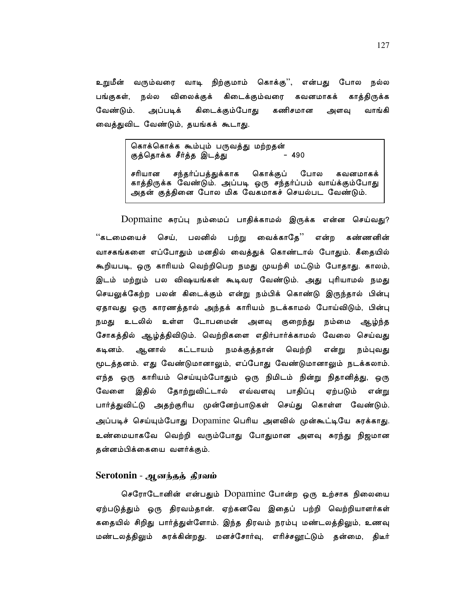உறுமீன் வரும்வரை வாடி நிற்குமாம் கொக்கு'', என்பது போல நல்ல பங்குகள், நல்ல விலைக்குக் கிடைக்கும்வரை கவனமாகக் காக்கிருக்க வேண்டும். அப்படிக் கிடைக்கும்போது கணிசமான வாங்கி அளவு வைத்துவிட வேண்டும், தயங்கக் கூடாது.

> கொக்கொக்க கூம்பும் பருவக்கு மற்றதன்  $-490$ குத்தொக்க சீர்த்த இடத்து

சரியான சந்தர்ப்பத்துக்காக கொக்குப் போல கவனமாகக் காத்திருக்க வேண்டும். அப்படி ஒரு சந்தர்ப்பம் வாய்க்கும்போது அதன் குத்தினை போல மிக வேகமாகச் செயல்பட வேண்டும்.

Dopmaine சுரப்பு நம்மைப் பாதிக்காமல் இருக்க என்ன செய்வது? பலனில் பற்று வைக்காதே'' என்ற "கடமையைச் செய், கண்ணனின் வாசகங்களை எப்போதும் மனதில் வைத்துக் கொண்டால் போதும். கீதையில் கூறியபடி, ஒரு காரியம் வெற்றிபெற நமது முயற்சி மட்டும் போதாது. காலம், இடம் மற்றும் பல விஷயங்கள் கூடிவர வேண்டும். அது புரியாமல் நமது செயலுக்கேற்ற பலன் கிடைக்கும் என்று நம்பிக் கொண்டு இருந்தால் பின்பு ஏதாவது ஒரு காரணத்தால் அந்தக் காரியம் நடக்காமல் போய்விடும், பின்பு நமது உடலில் உள்ள டோபமைன் அளவு குறைந்து நம்மை ஆழ்ந்த சோகத்தில் ஆழ்த்திவிடும். வெற்றிகளை எதிர்பார்க்காமல் வேலை செய்வது ஆனால் கட்டாயம் நமக்குத்தான் கடினம். வெற்றி என்று நம்புவது மூடத்தனம். எது வேண்டுமானாலும், எப்போது வேண்டுமானாலும் நடக்கலாம். எந்த ஒரு காரியம் செய்யும்போதும் ஒரு நிமிடம் நின்று நிதானித்து, ஒரு வேளை இதில் தோற்றுவிட்டால் எவ்வளவு பாதிப்பு ஏற்படும் என்று பார்த்துவிட்டு அதற்குரிய முன்னேற்பாடுகள் செய்து கொள்ள வேண்டும். அப்படிச் செய்யும்போது Dopamine பெரிய அளவில் முன்கூட்டியே சுரக்காது. உண்மையாகவே வெற்றி வரும்போது போதுமான அளவு சுரந்து நிஜமான தன்னம்பிக்கையை வளர்க்கும்.

## Serotonin - ஆனந்தத் தீரவம்

செரோடோனின் என்பதும் Dopamine போன்ற ஒரு உற்சாக நிலையை ஏற்படுத்தும் ஒரு திரவம்தான். ஏற்கனவே இதைப் பற்றி வெற்றியாளர்கள் கதையில் சிறிது பார்த்துள்ளோம். இந்த திரவம் நரம்பு மண்டலத்திலும், உணவு மண்டலத்திலும் சுரக்கின்றது. மனச்சோர்வு, எரிச்சலூட்டும் தன்மை, திடீர்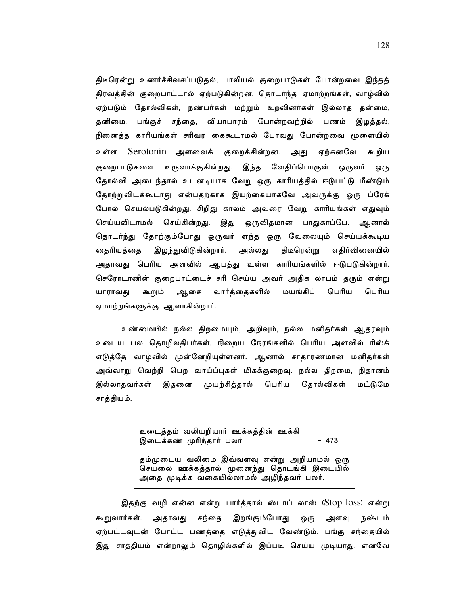திடீரென்று உணர்ச்சிவசப்படுதல், பாலியல் குறைபாடுகள் போன்றவை இந்தத் திரவத்தின் குறைபாட்டால் ஏற்படுகின்றன. தொடர்ந்த ஏமாற்றங்கள், வாழ்வில் ஏற்படும் தோல்விகள், நண்பர்கள் மற்றும் உறவினர்கள் இல்லாத தன்மை, தனிமை, பங்குச் சந்தை, வியாபாரம் போன்றவற்றில் பணம் இழத்தல், நினைத்த காரியங்கள் சரிவர கைகூடாமல் போவது போன்றவை மூளையில் உள்ள Serotonin அளவைக் குறைக்கின்றன. ஏற்கனவே கூறிய அது குறைபாடுகளை உருவாக்குகின்றது. இந்த வேதிப்பொருள் ஒருவர் ஒரு தோல்வி அடைந்தால் உடனடியாக வேறு ஒரு காரியத்தில் ஈடுபட்டு மீண்டும் தோற்றுவிடக்கூடாது என்பதற்காக இயற்கையாகவே அவருக்கு ஒரு ப்ரேக் போல் செயல்படுகின்றது. சிறிது காலம் அவரை வேறு காரியங்கள் எதுவும் செய்யவிடாமல் செய்கின்றது. இது ஒருவிதமான பாதுகாப்பே. ஆனால் தொடர்ந்து தோற்கும்போது ஒருவர் எந்த ஒரு வேலையும் செய்யக்கூடிய இழந்துவிடுகின்றார். திடீரென்று தைரியத்தை அல்லது எதிர்வினையில் அதாவது பெரிய அளவில் ஆபத்து உள்ள காரியங்களில் ஈடுபடுகின்றார். செரோடானின் குறைபாட்டைச் சரி செய்ய அவர் அதிக லாபம் தரும் என்று யாராவது கூறும் ஆசை வார்த்தைகளில் மயங்கிப் பெரிய பெரிய ஏமாற்றங்களுக்கு ஆளாகின்றார்.

உண்மையில் நல்ல திறமையும், அறிவும், நல்ல மனிதர்கள் ஆதரவும் உடைய பல தொழிலதிபர்கள், நிறைய நேரங்களில் பெரிய அளவில் ரிஸ்க் எடுத்தே வாழ்வில் முன்னேறியுள்ளனர். ஆனால் சாதாரணமான மனிதர்கள் அவ்வாறு வெற்றி பெற வாய்ப்புகள் மிகக்குறைவு. நல்ல திறமை, நிதானம் தோல்விகள் இதனை முயற்சித்தால் பெரிய மட்டுமே இல்லாகவர்கள் சாத்தியம்.

> உடைத்தம் வலியறியார் ஊக்கத்தின் ஊக்கி இடைக்கண் முரிந்தார் பலர்  $-473$

தம்முடைய வலிமை இவ்வளவு என்று அறியாமல் ஒரு செயலை ஊக்கத்தால் முனைந்து தொடங்கி இடையில் அதை முடிக்க வகையில்லாமல் அழிந்தவர் பலர்.

இதற்கு வழி என்ன என்று பார்த்தால் ஸ்டாப் லாஸ் (Stop loss) என்று கூறுவார்கள். இறங்கும்போது அதாவது சந்தை ஒரு அளவு நஷ்டம் ஏற்பட்டவுடன் போட்ட பணத்தை எடுத்துவிட வேண்டும். பங்கு சந்தையில் இது சாத்தியம் என்றாலும் தொழில்களில் இப்படி செய்ய முடியாது. எனவே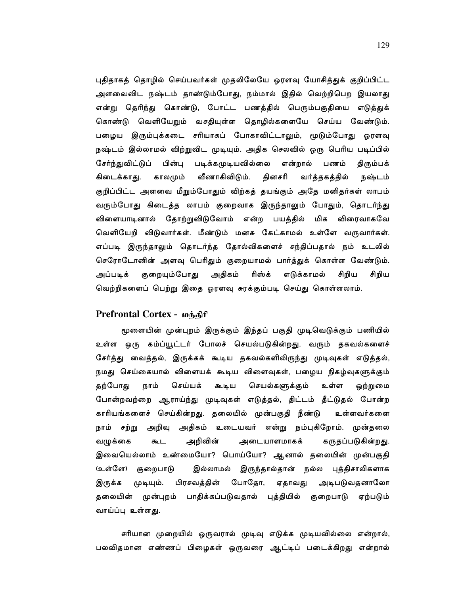புதிதாகத் தொழில் செய்பவர்கள் முதலிலேயே ஓரளவு யோசித்துக் குறிப்பிட்ட அளவைவிட நஷ்டம் தாண்டும்போது, நம்மால் இதில் வெற்றிபெற இயலாது என்று தெரிந்து கொண்டு, போட்ட பணத்தில் பெரும்பகுதியை எடுத்துக் கொண்டு வெளியேறும் வசதியுள்ள தொழில்களையே செய்ய வேண்டும். பழைய இரும்புக்கடை சரியாகப் போகாவிட்டாலும், மூடும்போது ஓரளவு நஷ்டம் இல்லாமல் விற்றுவிட முடியும். அதிக செலவில் ஒரு பெரிய படிப்பில் சேர்ந்துவிட்டுப் பின்பு படிக்கமுடியவில்லை என்றால் பணம் திரும்பக் கிடைக்காது. காலமும் வீணாகிவிடும். தினசரி வர்த்தகத்தில் நஷ்டம் குறிப்பிட்ட அளவை மீறும்போதும் விற்கத் தயங்கும் அதே மனிதர்கள் லாபம் வரும்போது கிடைத்த லாபம் குறைவாக இருந்தாலும் போதும், தொடர்ந்து விளையாடினால் தோற்றுவிடுவோம் என்ற பயத்தில் மிக விரைவாகவே வெளியேறி விடுவார்கள். மீண்டும் மனசு கேட்காமல் உள்ளே வருவார்கள். எப்படி இருந்தாலும் தொடர்ந்த தோல்விகளைச் சந்திப்பதால் நம் உடலில் செரோடோனின் அளவு பெரிதும் குறையாமல் பார்த்துக் கொள்ள வேண்டும். அதிகம் குறையும்போது ரிஸ்க் எடுக்காமல் சிறிய அப்படிக் சிறிய வெற்றிகளைப் பெற்று இதை ஓரளவு சுரக்கும்படி செய்து கொள்ளலாம்.

# Prefrontal Cortex - மந்திரி

மூளையின் முன்புறம் இருக்கும் இந்தப் பகுதி முடிவெடுக்கும் பணியில் உள்ள ஒரு கம்ப்யூட்டர் போலச் செயல்படுகின்றது. வரும் தகவல்களைச் சேர்த்து வைத்தல், இருக்கக் கூடிய தகவல்களிலிருந்து முடிவுகள் எடுத்தல், நமது செய்கையால் விளையக் கூடிய விளைவுகள், பழைய நிகழ்வுகளுக்கும் செய்யக் செயல்களுக்கும் தற்போது நாம் கூடிய உள்ள ஒற்றுமை போன்றவற்றை ஆராய்ந்து முடிவுகள் எடுத்தல், திட்டம் தீட்டுதல் போன்ற காரியங்களைச் செய்கின்றது. தலையில் முன்பகுதி நீண்டு உள்ளவர்களை நாம் சற்று அறிவு அதிகம் உடையவர் என்று நம்புகிறோம். முன்தலை வழுக்கை கூட அறிவின் அடையாளமாகக் கருதப்படுகின்றது. இவையெல்லாம் உண்மையோ? பொய்யோ? ஆனால் தலையின் முன்பகுதி (உள்ளே) குறைபாடு இல்லாமல் இருந்தால்தான் நல்ல புத்திசாலிகளாக அடிபடுவதனாலோ இருக்க முடியும். பிரசவத்தின் போதோ, ஏதாவது தலையின் முன்புறம் பாதிக்கப்படுவதால் புத்தியில் குறைபாடு ஏற்படும் வாய்ப்பு உள்ளது.

சரியான முறையில் ஒருவரால் முடிவு எடுக்க முடியவில்லை என்றால், பலவிதமான எண்ணப் பிழைகள் ஒருவரை ஆட்டிப் படைக்கிறது என்றால்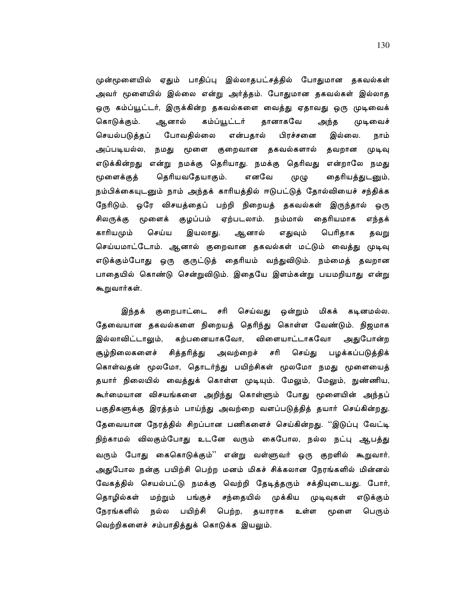முன்மூளையில் ஏதும் பாதிப்பு இல்லாதபட்சத்தில் போதுமான தகவல்கள் அவர் மூளையில் இல்லை என்று அர்த்தம். போதுமான தகவல்கள் இல்லாத ஒரு கம்ப்யூட்டர், இருக்கின்ற தகவல்களை வைத்து ஏதாவது ஒரு முடிவைக் கொடுக்கும். ஆனால் கம்ப்யூட்டர் தானாகவே அந்த முடிவைச் செயல்படுத்தப் போவதில்லை பிரச்சனை இல்லை. என்பதால் நாம் அப்படியல்ல, நமது மூளை குறைவான தகவல்களால் தவறான முடிவு எடுக்கின்றது என்று நமக்கு தெரியாது. நமக்கு தெரிவது என்றாலே நமது தெரியவதேயாகும். எனவே மூளைக்குத் (ゆ (LP தைரியத்துடனும், நம்பிக்கையுடனும் நாம் அந்தக் காரியத்தில் ஈடுபட்டுத் தோல்வியைச் சந்திக்க நேரிடும். ஒரே விசயத்தைப் பற்றி நிறையத் தகவல்கள் இருந்தால் ஒரு சிலருக்கு மூளைக் குழப்பம் ஏற்படலாம். நம்மால் தைரியமாக எந்தக் காரியமும் செய்ய இயலாது. ஆனால் எதுவும் பெரிதாக தவறு செய்யமாட்டோம். ஆனால் குறைவான தகவல்கள் மட்டும் வைத்து முடிவு எடுக்கும்போது ஒரு குருட்டுத் தைரியம் வந்துவிடும். நம்மைத் தவறான பாதையில் கொண்டு சென்றுவிடும். இதையே இளம்கன்று பயமறியாது என்று கூறுவார்கள்.

குறைபாட்டை சரி செய்வது இந்தக் ஒன்றும் மிகக் கடினமல்ல. தேவையான தகவல்களை நிறையத் தெரிந்து கொள்ள வேண்டும். நிஜமாக கற்பனையாகவோ, விளையாட்டாகவோ இல்லாவிட்டாலும், அதுபோன்ற சித்தரித்து சூழ்நிலைகளைச் அவற்றைச் சரி செய்து பழக்கப்படுத்திக் கொள்வதன் மூலமோ, தொடர்ந்து பயிற்சிகள் மூலமோ நமது மூளையைத் தயார் நிலையில் வைத்துக் கொள்ள முடியும். மேலும், மேலும், நுண்ணிய, கூர்மையான விசயங்களை அறிந்து கொள்ளும் போது மூளையின் அந்தப் பகுதிகளுக்கு இரத்தம் பாய்ந்து அவற்றை வளப்படுத்தித் தயார் செய்கின்றது. தேவையான நேரத்தில் சிறப்பான பணிகளைச் செய்கின்றது. ''இடுப்பு வேட்டி நிற்காமல் விலகும்போது உடனே வரும் கைபோல, நல்ல நட்பு ஆபத்து வரும் போது கைகொடுக்கும்'' என்று வள்ளுவர் ஒரு குறளில் கூறுவார். அதுபோல நன்கு பயிற்சி பெற்ற மனம் மிகச் சிக்கலான நேரங்களில் மின்னல் வேகத்தில் செயல்பட்டு நமக்கு வெற்றி தேடித்தரும் சக்தியுடையது. போர், முக்கிய தொழில்கள் மற்றும் பங்குச் சந்தையில் முடிவுகள் எடுக்கும் நேரங்களில் நல்ல பயிற்சி பெற்ற, தயாராக உள்ள மூளை பெரும் வெற்றிகளைச் சம்பாதித்துக் கொடுக்க இயலும்.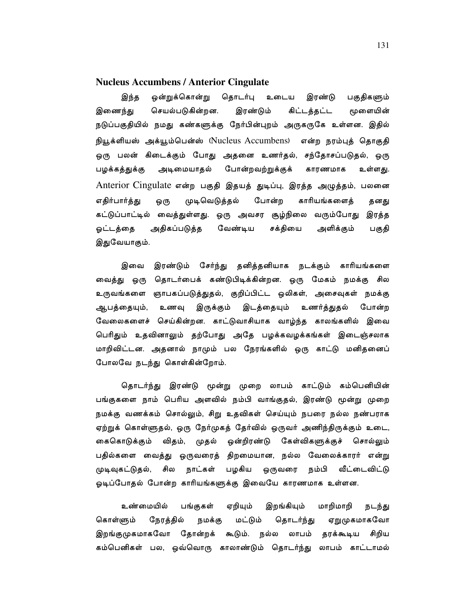# **Nucleus Accumbens / Anterior Cingulate**

ஒன்றுக்கொன்று இந்த தொடர்பு உடைய இரண்டு பகுதிகளும் கிட்டத்தட்ட இணைந்து செயல்படுகின்றன. இரண்டும் மூளையின் நடுப்பகுதியில் நமது கண்களுக்கு நேர்பின்புறம் அருகருகே உள்ளன. இதில் நியூக்ளியஸ் அக்யூம்பென்ஸ் (Nucleus Accumbens) என்ற நரம்புத் தொகுதி ஒரு பலன் கிடைக்கும் போது அதனை உணர்தல், சந்தோசப்படுதல், ஒரு அடிமையாதல் போன்றவற்றுக்குக் காரணமாக பழக்கத்துக்கு உள்ளது. Anterior Cingulate என்ற பகுதி இதயத் துடிப்பு, இரத்த அழுத்தம், பலனை முடிவெடுத்தல் போன்ற காரியங்களைத் எதிர்பார்த்து ஒரு தனது கட்டுப்பாட்டில் வைத்துள்ளது. ஒரு அவசர சூழ்நிலை வரும்போது இரத்த அதிகப்படுத்த வேண்டிய சக்தியை ஓட்டத்தை அளிக்கும் பகுதி இதுவேயாகும்.

இரண்டும் சேர்ந்து தனித்தனியாக நடக்கும் காரியங்களை இவை வைத்து ஒரு தொடர்பைக் கண்டுபிடிக்கின்றன. ஒரு மேகம் நமக்கு சில உருவங்களை ஞாபகப்படுத்துதல், குறிப்பிட்ட ஒலிகள், அசைவுகள் நமக்கு இருக்கும் இடத்தையும் உணர்த்துதல் போன்ற ஆபத்தையும், உணவு வேலைகளைச் செய்கின்றன. காட்டுவாசியாக வாழ்ந்த காலங்களில் இவை பெரிதும் உதவினாலும் தற்போது அதே பழக்கவழக்கங்கள் இடைஞ்சலாக மாறிவிட்டன. அதனால் நாமும் பல நேரங்களில் ஒரு காட்டு மனிதனைப் போலவே நடந்து கொள்கின்றோம்.

தொடர்ந்து இரண்டு மூன்று முறை லாபம் காட்டும் கம்பெனியின் பங்குகளை நாம் பெரிய அளவில் நம்பி வாங்குதல், இரண்டு மூன்று முறை நமக்கு வணக்கம் சொல்லும், சிறு உதவிகள் செய்யும் நபரை நல்ல நண்பராக ஏற்றுக் கொள்ளுதல், ஒரு நேர்முகத் தேர்வில் ஒருவர் அணிந்திருக்கும் உடை, கைகொடுக்கும் விதம், முதல் ஒன்றிரண்டு கேள்விகளுக்குச் சொல்லும் பதில்களை வைத்து ஒருவரைத் திறமையான, நல்ல வேலைக்காரர் என்று பழகிய ஒருவரை முடிவுகட்டுதல், சில நாட்கள் நம்பி வீட்டைவிட்டு ஓடிப்போதல் போன்ற காரியங்களுக்கு இவையே காரணமாக உள்ளன.

உண்மையில் பங்குகள் ஏறியும் இறங்கியும் மாறிமாறி நடந்து கொள்ளும் நேரத்தில் நமக்கு மட்டும் தொடர்ந்து ஏறுமுகமாகவோ இறங்குமுகமாகவோ தோன்றக் கூடும். நல்ல லாபம் தரக்கூடிய சிறிய கம்பெனிகள் பல, ஒவ்வொரு காலாண்டும் தொடர்ந்து லாபம் காட்டாமல்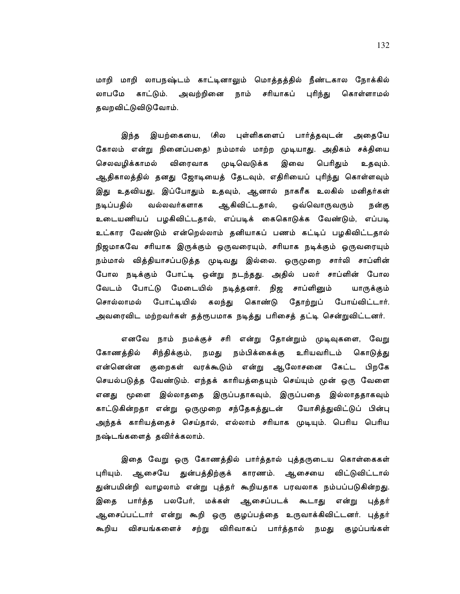மாறி மாறி லாபநஷ்டம் காட்டினாலும் மொத்தத்தில் நீண்டகால நோக்கில் லாபமே காட்டும். அவற்றினை நாம் சரியாகப் புரிந்து கொள்ளாமல் தவறவிட்டுவிடுவோம்.

இயற்கையை, (சில புள்ளிகளைப் பார்த்தவுடன் அதையே இந்த கோலம் என்று நினைப்பதை) நம்மால் மாற்ற முடியாது. அதிகம் சக்தியை செலவழிக்காமல் விரைவாக முடிவெடுக்க இவை பெரிதும் உதவும். ஆதிகாலத்தில் தனது ஜோடியைத் தேடவும், எதிரியைப் புரிந்து கொள்ளவும் இது உதவியது, இப்போதும் உதவும், ஆனால் நாகரீக உலகில் மனிதர்கள் ஆகிவிட்டதால், நடிப்பதில் வல்லவர்களாக ஒவ்வொருவரும் நன்கு உடையணியப் பழகிவிட்டதால், எப்படிக் கைகொடுக்க வேண்டும், எப்படி உட்கார வேண்டும் என்றெல்லாம் தனியாகப் பணம் கட்டிப் பழகிவிட்டதால் நிஜமாகவே சரியாக இருக்கும் ஒருவரையும், சரியாக நடிக்கும் ஒருவரையும் நம்மால் வித்தியாசப்படுத்த முடிவது இல்லை. ஒருமுறை சார்லி சாப்ளின் போல நடிக்கும் போட்டி ஒன்று நடந்தது. அதில் பலர் சாப்ளின் போல வேடம் போட்டு மேடையில் நடித்தனர். நிஜ சாப்ளினும் யாருக்கும் போட்டியில் கலந்து கொண்டு தோற்றுப் போய்விட்டார். சொல்லாமல் அவரைவிட மற்றவர்கள் தத்ரூபமாக நடித்து பரிசைத் தட்டி சென்றுவிட்டனர்.

எனவே நாம் நமக்குச் சரி என்று தோன்றும் முடிவுகளை, வேறு கோணத்தில் சிந்திக்கும், நமது நம்பிக்கைக்கு உரியவரிடம் கொடுத்து என்னென்ன குறைகள் வரக்கூடும் என்று ஆகோசனை கேட்ட பிறகே செயல்படுத்த வேண்டும். எந்தக் காரியத்தையும் செய்யும் முன் ஒரு வேளை எனது மூளை இல்லாததை இருப்பதாகவும், இருப்பதை இல்லாததாகவும் காட்டுகின்றதா என்று ஒருமுறை சந்தேகத்துடன் யோசித்துவிட்டுப் பின்பு அந்தக் காரியத்தைச் செய்தால், எல்லாம் சரியாக முடியும். பெரிய பெரிய நஷ்டங்களைத் தவிர்க்கலாம்.

இதை வேறு ஒரு கோணத்தில் பார்த்தால் புத்தருடைய கொள்கைகள் புரியும். ஆசையே துன்பத்திற்குக் காரணம். ஆசையை விட்டுவிட்டால் துன்பமின்றி வாழலாம் என்று புத்தர் கூறியதாக பரவலாக நம்பப்படுகின்றது. பார்த்த பலபேர், மக்கள் ஆசைப்படக் கூடாது என்று புத்தர் இகை ஆசைப்பட்டார் என்று கூறி ஒரு குழப்பத்தை உருவாக்கிவிட்டனர். புத்தர் கூறிய விசயங்களைச் சற்று விரிவாகப் பார்த்தால் நமது குழப்பங்கள்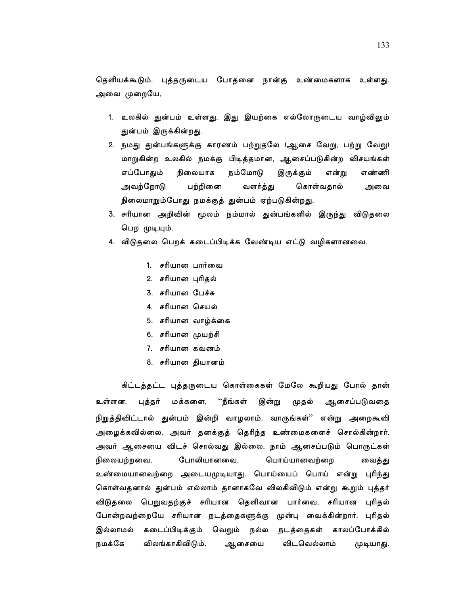தெளியக்கூடும். புத்தருடைய போதனை நான்கு உண்மைகளாக உள்ளது. அவை முறையே,

- 1. உலகில் துன்பம் உள்ளது. இது இயற்கை எல்லோருடைய வாழ்விலும் துன்பம் இருக்கின்றது.
- 2. நமது துன்பங்களுக்கு காரணம் பற்றுதலே (ஆசை வேறு, பற்று வேறு) மாறுகின்ற உலகில் நமக்கு பிடித்தமான, ஆசைப்படுகின்ற விசயங்கள் எப்போதும் நிலையாக நம்மோடு இருக்கும் என்று எண்ணி பற்றினை அவற்றோடு வளர்த்து கொள்வதால் அவை நிலைமாறும்போது நமக்குத் துன்பம் ஏற்படுகின்றது.
- 3. சரியான அறிவின் மூலம் நம்மால் துன்பங்களில் இருந்து விடுதலை பெற முடியும்.
- 4. விடுதலை பெறக் கடைப்பிடிக்க வேண்டிய எட்டு வழிகளானவை.
	- 1. சரியான பார்வை
	- 2. சரியான பரிகல்
	- 3. சரியான பேச்சு
	- 4. சரியான செயல்
	- 5. சரியான வாழ்க்கை
	- 6. சரியான முயற்சி
	- 7. சரியான கவனம்
	- 8. சரியான தியானம்

கிட்டத்தட்ட புத்தருடைய கொள்கைகள் மேலே கூறியது போல் தான் ''நீங்கள் உள்ளன. புத்தர் மக்களை, இன்று முதல் ஆசைப்படுவதை நிறுத்திவிட்டால் துன்பம் இன்றி வாழலாம், வாருங்கள்'' என்று அறைகூவி அழைக்கவில்லை. அவர் தனக்குத் தெரிந்த உண்மைகளைச் சொல்கின்றார். அவர் ஆசையை விடச் சொல்வது இல்லை. நாம் ஆசைப்படும் பொருட்கள் போலியானவை. பொய்யானவற்றை நிலையற்றவை, வைத்து உண்மையானவற்றை அடையமுடியாது. பொய்யைப் பொய் என்று புரிந்து கொள்வதனால் துன்பம் எல்லாம் தானாகவே விலகிவிடும் என்று கூறும் புத்தர் விடுதலை பெறுவதற்குச் சரியான தெளிவான பார்வை, சரியான புரிதல் போன்றவற்றையே சரியான நடத்தைகளுக்கு முன்பு வைக்கின்றார். புரிதல் இல்லாமல் கடைப்பிடிக்கும் வெறும் நல்ல நடத்தைகள் காலப்போக்கில் நமக்கே விலங்காகிவிடும். ஆசையை விடவெல்லாம் முடியாது.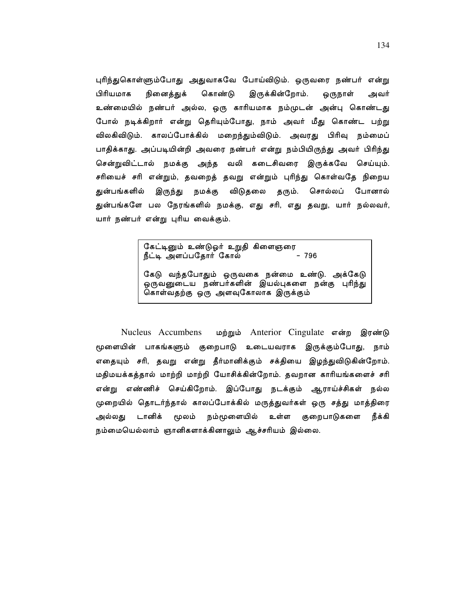புரிந்துகொள்ளும்போது அதுவாகவே போய்விடும். ஒருவரை நண்பர் என்று பிரியமாக நினைத்துக் கொண்டு இருக்கின்றோம். ஒருநாள் அவர் உண்மையில் நண்பர் அல்ல, ஒரு காரியமாக நம்முடன் அன்பு கொண்டது போல் நடிக்கிறார் என்று தெரியும்போது, நாம் அவர் மீது கொண்ட பற்று விலகிவிடும். காலப்போக்கில் மறைந்தும்விடும். அவரது பிரிவு நம்மைப் பாதிக்காது. அப்படியின்றி அவரை நண்பர் என்று நம்பியிருந்து அவர் பிரிந்து சென்றுவிட்டால் நமக்கு அந்த வலி கடைசிவரை இருக்கவே செய்யும். சரியைச் சரி என்றும், தவறைத் தவறு என்றும் புரிந்து கொள்வதே நிறைய குன்பங்களில் இருந்து நமக்கு விடுதலை தரும். சொல்லப் போனால் துன்பங்களே பல நேரங்களில் நமக்கு, எது சரி, எது தவறு, யார் நல்லவர், யார் நண்பர் என்று புரிய வைக்கும்.

> கேட்டினும் உண்டுஓர் உறுதி கிளைஞரை  $-796$ நீட்டி அளப்பதோர் கோல் கேடு வந்தபோதும் ஒருவகை நன்மை உண்டு. அக்கேடு ஒருவனுடைய நண்பர்களின் இயல்புகளை நன்கு புரிந்து கொள்வதற்கு ஒரு அளவுகோலாக இருக்கும்

Nucleus Accumbens மற்றும் Anterior Cingulate என்ற இரண்டு மூளையின் பாகங்களும் குறைபாடு உடையவராக இருக்கும்போது, நாம் எதையும் சரி, தவறு என்று தீர்மானிக்கும் சக்தியை இழந்துவிடுகின்றோம். மதிமயக்கத்தால் மாற்றி மாற்றி யோசிக்கின்றோம். தவறான காரியங்களைச் சரி என்று எண்ணிச் செய்கிறோம். இப்போது நடக்கும் ஆராய்ச்சிகள் நல்ல முறையில் தொடர்ந்தால் காலப்போக்கில் மருத்துவர்கள் ஒரு சத்து மாத்திரை அல்லது டானிக் மூலம் நம்மூளையில் உள்ள குறைபாடுகளை நீக்கி நம்மையெல்லாம் ஞானிகளாக்கினாலும் ஆச்சரியம் இல்லை.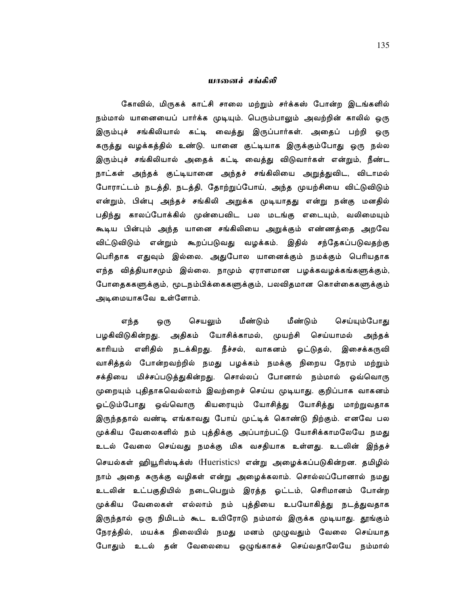#### யானைச் சங்கீலி

கோவில், மிருகக் காட்சி சாலை மற்றும் சர்க்கஸ் போன்ற இடங்களில் நம்மால் யானையைப் பார்க்க முடியும். பெரும்பாலும் அவற்றின் காலில் ஒரு இரும்புச் சங்கிலியால் கட்டி வைத்து இருப்பார்கள். அதைப் பற்றி ஒரு கருத்து வழக்கத்தில் உண்டு. யானை குட்டியாக இருக்கும்போது ஒரு நல்ல இரும்புச் சங்கிலியால் அதைக் கட்டி வைத்து விடுவார்கள் என்றும், நீண்ட நாட்கள் அந்தக் குட்டியானை அந்தச் சங்கிலியை அறுத்துவிட, விடாமல் போராட்டம் நடத்தி, நடத்தி, தோற்றுப்போய், அந்த முயற்சியை விட்டுவிடும் என்றும், பின்பு அந்தச் சங்கிலி அறுக்க முடியாதது என்று நன்கு மனதில் பதிந்து காலப்போக்கில் முன்பைவிட பல மடங்கு எடையும், வலிமையும் கூடிய பின்பும் அந்த யானை சங்கிலியை அறுக்கும் எண்ணத்தை அறவே விட்டுவிடும் என்றும் கூறப்படுவது வழக்கம். இதில் சந்தேகப்படுவதற்கு பெரிதாக எதுவும் இல்லை. அதுபோல யானைக்கும் நமக்கும் பெரியதாக எந்த வித்தியாசமும் இல்லை. நாமும் ஏராளமான பழக்கவழக்கங்களுக்கும், போதைககளுக்கும், மூடநம்பிக்கைகளுக்கும், பலவிதமான கொள்கைகளுக்கும் அடிமையாகவே உள்ளோம்.

மீண்டும் மீண்டும் எந்த செயலும் செய்யும்போது ஒரு பழகிவிடுகின்றது. அதிகம் யோசிக்காமல், முயற்சி செய்யாமல் அந்தக் காரியம் எளிதில் நடக்கிறது. நீச்சல், வாகனம் ஓட்டுதல், இசைக்கருவி வாசித்தல் போன்றவற்றில் நமது பழக்கம் நமக்கு நிறைய நேரம் மற்றும் சக்தியை மிச்சப்படுத்துகின்றது. சொல்லப் போனால் நம்மால் ஒவ்வொரு முறையும் புதிதாகவெல்லாம் இவற்றைச் செய்ய முடியாது. குறிப்பாக வாகனம் ஓட்டும்போது ஒவ்வொரு கியரையும் யோசித்து யோசித்து மாற்றுவதாக இருந்ததால் வண்டி எங்காவது போய் முட்டிக் கொண்டு நிற்கும். எனவே பல முக்கிய வேலைகளில் நம் புத்திக்கு அப்பாற்பட்டு யோசிக்காமலேயே நமது உடல் வேலை செய்வது நமக்கு மிக வசதியாக உள்ளது. உடலின் இந்தச் செயல்கள் ஹியூரிஸ்டிக்ஸ் (Hueristics) என்று அழைக்கப்படுகின்றன. தமிழில் நாம் அதை சுருக்கு வழிகள் என்று அழைக்கலாம். சொல்லப்போனால் நமது உடலின் உட்பகுதியில் நடைபெறும் இரத்த ஓட்டம், செரிமானம் போன்ற முக்கிய வேலைகள் எல்லாம் நம் புத்தியை உபயோகித்து நடத்துவதாக இருந்தால் ஒரு நிமிடம் கூட உயிரோடு நம்மால் இருக்க முடியாது. தூங்கும் நேரத்தில், மயக்க நிலையில் நமது மனம் முழுவதும் வேலை செய்யாத போதும் உடல் தன் வேலையை ஒழுங்காகச் செய்வதாலேயே நம்மால்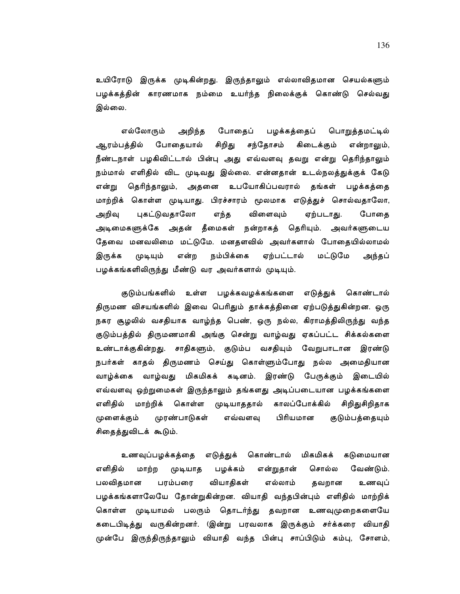உயிரோடு இருக்க முடிகின்றது. இருந்தாலும் எல்லாவிதமான செயல்களும் பழக்கத்தின் காரணமாக நம்மை உயர்ந்த நிலைக்குக் கொண்டு செல்வது இல்லை.

பொறுத்தமட்டில் எல்லோரும் அறிந்த போதைப் பழக்கத்தைப் சிறிது சந்தோசம் ஆரம்பத்தில் போதையால் கிடைக்கும் என்றாலும், நீண்டநாள் பழகிவிட்டால் பின்பு அது எவ்வளவு தவறு என்று தெரிந்தாலும் நம்மால் எளிதில் விட முடிவது இல்லை. என்னதான் உடல்நலத்துக்குக் கேடு தெரிந்தாலும், அதனை உபயோகிப்பவரால் தங்கள் பழக்கத்தை என்று மாற்றிக் கொள்ள முடியாது. பிரச்சாரம் மூலமாக எடுத்துச் சொல்வதாலோ, அறிவு புகட்டுவதாலோ எந்த விளைவும் ஏற்படாது. போதை அடிமைகளுக்கே அதன் தீமைகள் நன்றாகத் தெரியும். அவர்களுடைய தேவை மனவலிமை மட்டுமே. மனதளவில் அவர்களால் போதையில்லாமல் இருக்க முடியும் என்ற நம்பிக்கை ஏற்பட்டால் மட்டுமே அந்தப் பழக்கங்களிலிருந்து மீண்டு வர அவர்களால் முடியும்.

குடும்பங்களில் உள்ள பழக்கவழக்கங்களை எடுத்துக் கொண்டால் திருமண விசயங்களில் இவை பெரிதும் தாக்கத்தினை ஏற்படுத்துகின்றன. ஒரு நகர சூழலில் வசதியாக வாழ்ந்த பெண், ஒரு நல்ல, கிராமத்திலிருந்து வந்த குடும்பத்தில் திருமணமாகி அங்கு சென்று வாழ்வது ஏகப்பட்ட சிக்கல்களை உண்டாக்குகின்றது. சாதிகளும், குடும்ப வசதியும் வேறுபாடான இரண்டு நபர்கள் காதல் திருமணம் செய்து கொள்ளும்போது நல்ல அமைதியான மிகமிகக் கடினம். இரண்டு பேருக்கும் இடையில் வாழ்க்கை வாழ்வது எவ்வளவு ஒற்றுமைகள் இருந்தாலும் தங்களது அடிப்படையான பழக்கங்களை எளிதில் மாற்றிக் கொள்ள முடியாததால் காலப்போக்கில் சிறிதுசிறிதாக முரண்பாடுகள் பிரியமான குடும்பத்தையும் முளைக்கும் எவ்வளவு சிதைத்துவிடக் கூடும்.

உணவுப்பழக்கத்தை எடுத்துக் கொண்டால் மிகமிகக் கடுமையான எளிதில் மாற்ற முடியாத பழக்கம் என்றுதான் சொல்ல வேண்டும். வியாதிகள் பலவிதமான பரம்பரை எல்லாம் தவறான உணவுப் பழக்கங்களாலேயே தோன்றுகின்றன. வியாதி வந்தபின்பும் எளிதில் மாற்றிக் கொள்ள முடியாமல் பலரும் தொடர்ந்து தவறான உணவுமுறைகளையே கடைபிடித்து வருகின்றனர். (இன்று பரவலாக இருக்கும் சர்க்கரை வியாதி முன்பே இருந்திருந்தாலும் வியாதி வந்த பின்பு சாப்பிடும் கம்பு, சோளம்,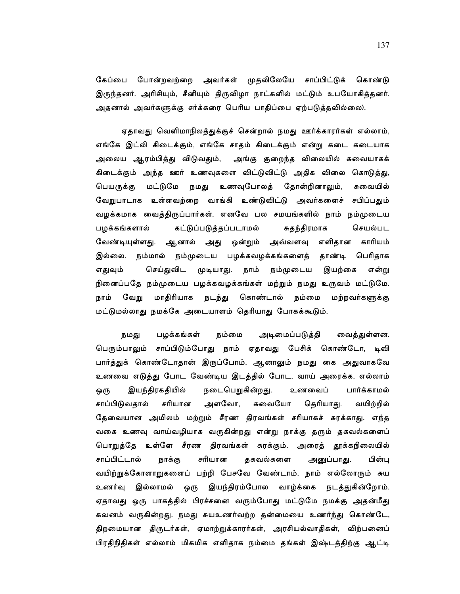கேப்பை போன்றவற்றை அவர்கள் முதலிலேயே சாப்பிட்டுக் கொண்டு இருந்தனர். அரிசியும், சீனியும் திருவிழா நாட்களில் மட்டும் உபயோகித்தனர். அதனால் அவர்களுக்கு சர்க்கரை பெரிய பாதிப்பை ஏற்படுத்தவில்லை).

ஏதாவது வெளிமாநிலத்துக்குச் சென்றால் நமது ஊர்க்காரர்கள் எல்லாம், எங்கே இட்லி கிடைக்கும், எங்கே சாதம் கிடைக்கும் என்று கடை கடையாக அலைய ஆரம்பித்து விடுவதும், அங்கு குறைந்த விலையில் சுவையாகக் கிடைக்கும் அந்த ஊர் உணவுகளை விட்டுவிட்டு அதிக விலை கொடுத்து, பெயருக்கு மட்டுமே நமது உணவுபோலத் தோன்றினாலும், சுவையில் வேறுபாடாக உள்ளவற்றை வாங்கி உண்டுவிட்டு அவர்களைச் சபிப்பதும் வழக்கமாக வைத்திருப்பார்கள். எனவே பல சமயங்களில் நாம் நம்முடைய பழக்கங்களால் கட்டுப்படுத்தப்படாமல் சுதந்திரமாக செயல்பட வேண்டியுள்ளது. ஆனால் அது ஒன்றும் அவ்வளவு எளிதான காரியம் இல்லை. நம்மால் நம்முடைய பழக்கவழக்கங்களைத் தாண்டி பெரிதாக எதுவும் செய்துவிட முடியாது. நாம் நம்முடைய இயற்கை என்று நினைப்பதே நம்முடைய பழக்கவழக்கங்கள் மற்றும் நமது உருவம் மட்டுமே. வேறு மாதிரியாக நடந்து கொண்டால் நம்மை மற்றவர்களுக்கு நாம் மட்டுமல்லாது நமக்கே அடையாளம் தெரியாது போகக்கூடும்.

நமது பழக்கங்கள் நம்மை அடிமைப்படுத்தி வைத்துள்ளன. பெரும்பாலும் சாப்பிடும்போது நாம் ஏதாவது பேசிக் கொண்டோ, டிவி பார்த்துக் கொண்டோதான் இருப்போம். ஆனாலும் நமது கை அதுவாகவே உணவை எடுத்து போட வேண்டிய இடத்தில் போட, வாய் அரைக்க, எல்லாம் இயந்திரகதியில் நடைபெறுகின்றது. ஒரு உணவைப் பார்க்காமல் அளவோ, சுவையோ தெரியாது. சாப்பிடுவதால் சரியான வயிற்றில் தேவையான அமிலம் மற்றும் சீரண திரவங்கள் சரியாகச் சுரக்காது. எந்த வகை உணவு வாய்வழியாக வருகின்றது என்று நாக்கு தரும் தகவல்களைப் பொறுத்தே உள்ளே சீரண திரவங்கள் சுரக்கும். அரைத் தூக்கநிலையில் தகவல்களை சாப்பிட்டால் நாக்கு சரியான அனுப்பாது. பின்பு வயிற்றுக்கோளாறுகளைப் பற்றி பேசவே வேண்டாம். நாம் எல்லோரும் சுய இல்லாமல் ஒரு இயந்திரம்போல வாழ்க்கை நடத்துகின்றோம். உணர்வு ஏதாவது ஒரு பாகத்தில் பிரச்சனை வரும்போது மட்டுமே நமக்கு அதன்மீது கவனம் வருகின்றது. நமது சுயஉணர்வற்ற தன்மையை உணர்ந்து கொண்டே, திறமையான திருடர்கள், ஏமாற்றுக்காரர்கள், அரசியல்வாதிகள், விற்பனைப் பிரதிநிதிகள் எல்லாம் மிகமிக எளிதாக நம்மை தங்கள் இஷ்டத்திற்கு ஆட்டி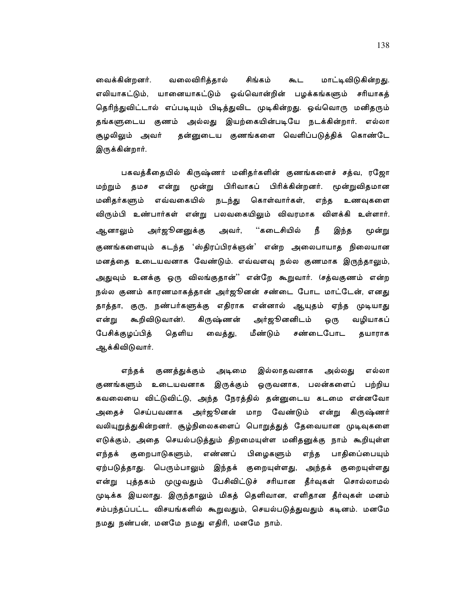வைக்கின்றனர். வலைவிரித்தால் சிங்கம் மாட்டிவிடுகின்றது. கூட எலியாகட்டும், யானையாகட்டும் ஒவ்வொன்றின் பழக்கங்களும் சரியாகத் தெரிந்துவிட்டால் எப்படியும் பிடித்துவிட முடிகின்றது. ஒவ்வொரு மனிதரும் தங்களுடைய குணம் அல்லது இயற்கையின்படியே நடக்கின்றார். எல்லா சூழலிலும் அவர் தன்னுடைய குணங்களை வெளிப்படுத்திக் கொண்டே இருக்கின்றார்.

பகவத்கீதையில் கிருஷ்ணர் மனிதர்களின் குணங்களைச் சத்வ, ரஜோ பிரிவாகப் பிரிக்கின்றனர். மூன்றுவிதமான மற்றும் தமச என்று மூன்று மனிதர்களும் எவ்வகையில் நடந்து கொள்வார்கள், எந்த உணவுகளை விரும்பி உண்பார்கள் என்று பலவகையிலும் விவரமாக விளக்கி உள்ளார். ஆனாலும் அர்ஜூனனுக்கு அவர், ''கடைசியில் நீ இந்த மூன்று குணங்களையும் கடந்த 'ஸ்திரப்பிரக்ஞன்' என்ற அலைபாயாத நிலையான மனத்தை உடையவனாக வேண்டும். எவ்வளவு நல்ல குணமாக இருந்தாலும், அதுவும் உனக்கு ஒரு விலங்குதான்'' என்றே கூறுவார். (சத்வகுணம் என்ற நல்ல குணம் காரணமாகத்தான் அர்ஜூனன் சண்டை போட மாட்டேன், எனது தாத்தா, குரு, நண்பர்களுக்கு எதிராக என்னால் ஆயுதம் ஏந்த முடியாது அர்ஜூனனிடம் கூறிவிடுவான்). என்று கிருஷ்ணன் ஒரு வழியாகப் பேசிக்குழப்பித் தெளிய மீண்டும் சண்டைபோட வைத்து, தயாராக ஆக்கிவிடுவார்.

இல்லாதவனாக எந்தக் குணத்துக்கும் அடிமை அல்லது எல்லா குணங்களும் உடையவனாக இருக்கும் ஒருவனாக, பலன்களைப் பற்றிய கவலையை விட்டுவிட்டு, அந்த நேரத்தில் தன்னுடைய கடமை என்னவோ அதைச் செய்பவனாக அர்ஜூனன் மாற வேண்டும் என்று கிருஷ்ணர் வலியுறுத்துகின்றனர். சூழ்நிலைகளைப் பொறுத்துத் தேவையான முடிவுகளை எடுக்கும், அதை செயல்படுத்தும் திறமையுள்ள மனிதனுக்கு நாம் கூறியுள்ள எண்ணப் குறைபாடுகளும், பிழைகளும் எந்த பாதிபை்பையும் எந்தக் ஏற்படுத்தாது. பெரும்பாலும் இந்தக் குறையுள்ளது, அந்தக் குறையுள்ளது என்று புத்தகம் முழுவதும் பேசிவிட்டுச் சரியான தீர்வுகள் சொல்லாமல் முடிக்க இயலாது. இருந்தாலும் மிகத் தெளிவான, எளிதான தீர்வுகள் மனம் சம்பந்தப்பட்ட விசயங்களில் கூறுவதும், செயல்படுத்துவதும் கடினம். மனமே நமது நண்பன், மனமே நமது எதிரி, மனமே நாம்.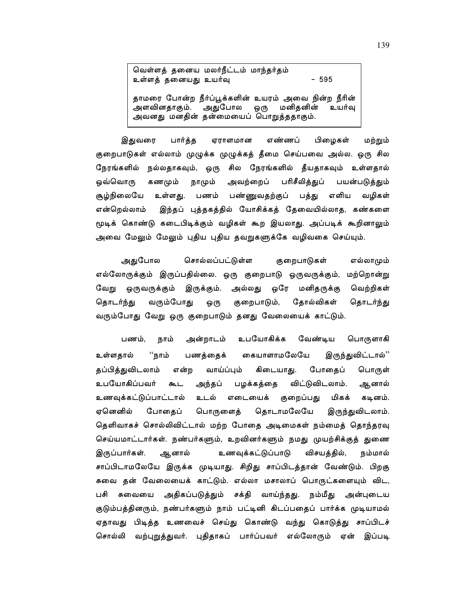வெள்ளத் தனைய மலர்நீட்டம் மாந்தர்தம் உள்ளத் தனையது உயர்வு  $-595$ தாமரை போன்ற நீர்ப்பூக்களின் உயரம் அவை நின்ற நீரின் அளவினதாகும். அதுபோல மனிதனின் ஒரு உயர்வு அவனது மனதின் தன்மையைப் பொறுத்ததாகும்.

இதுவரை பார்த்த ஏராளமான எண்ணப் பிழைகள் மற்றும் குறைபாடுகள் எல்லாம் முழுக்க முழுக்கத் தீமை செய்பவை அல்ல. ஒரு சில நேரங்களில் நல்லதாகவும், ஒரு சில நேரங்களில் தீயதாகவும் உள்ளதால் ஒவ்வொரு கணமும் நாமும் அவற்றைப் பரிசீலித்துப் பயன்படுத்தும் சூழ்நிலையே எளிய உள்ளது. பணம் பண்ணுவதற்குப் பத்து வழிகள் இந்தப் புத்தகத்தில் யோசிக்கத் தேவையில்லாத, கண்களை என்றெல்லாம் மூடிக் கொண்டு கடைபிடிக்கும் வழிகள் கூற இயலாது. அப்படிக் கூறினாலும் அவை மேலும் மேலும் புதிய புதிய தவறுகளுக்கே வழிவகை செய்யும்.

அதுபோல சொல்லப்பட்டுள்ள குறைபாடுகள் எல்லாமும் எல்லோருக்கும் இருப்பதில்லை. ஒரு குறைபாடு ஒருவருக்கும், மற்றொன்று வேறு ஒருவருக்கும் இருக்கும். அல்லது ஒரே மனிதருக்கு வெற்றிகள் தோல்விகள் தொடர்ந்து வரும்போது குறைபாடும், தொடர்ந்து ஒரு வரும்போது வேறு ஒரு குறைபாடும் தனது வேலையைக் காட்டும்.

அன்றாடம் உபயோகிக்க வேண்டிய பொருளாகி பணம். நாம் கையாளாமலேயே இருந்துவிட்டால்'' உள்ளதால் ''நாம் பணத்தைக் தப்பித்துவிடலாம் வாய்ப்பும் கிடையாது. போதைப் என்ற பொருள் உபயோகிப்பவர் விட்டுவிடலாம். அந்தப் பழக்கத்தை கூட ஆனால் உணவுக்கட்டுப்பாட்டால் உடல் எடையைக் குறைப்பது மிகக் கடினம். ஏனெனில் தொடாமலேயே போதைப் பொருளைத் இருந்துவிடலாம். தெளிவாகச் சொல்லிவிட்டால் மற்ற போதை அடிமைகள் நம்மைத் தொந்தரவு செய்யமாட்டார்கள். நண்பர்களும், உறவினர்களும் நமது முயற்சிக்குத் துணை இருப்பார்கள். ஆனால் உணவுக்கட்டுப்பாடு விசயத்தில், நம்மால் சாப்பிடாமலேயே இருக்க முடியாது. சிறிது சாப்பிடத்தான் வேண்டும். பிறகு சுவை தன் வேலையைக் காட்டும். எல்லா மசாலாப் பொருட்களையும் விட, பசி சுவையை அதிகப்படுத்தும் சக்தி வாய்ந்தது. நம்மீது அன்புடைய குடும்பத்தினரும், நண்பர்களும் நாம் பட்டினி கிடப்பதைப் பார்க்க முடியாமல் ஏதாவது பிடித்த உணவைச் செய்து கொண்டு வந்து கொடுத்து சாப்பிடச் சொல்லி வற்புறுத்துவர். புதிதாகப் பார்ப்பவர் எல்லோரும் ஏன் இப்படி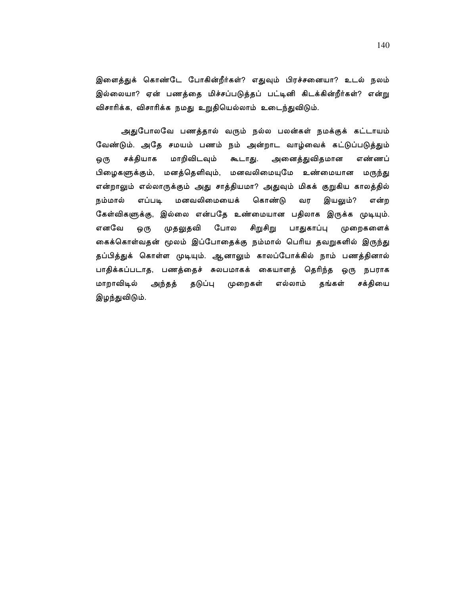இளைத்துக் கொண்டே போகின்றீர்கள்? எதுவும் பிரச்சனையா? உடல் நலம் இல்லையா? ஏன் பணத்தை மிச்சப்படுத்தப் பட்டினி கிடக்கின்றீர்கள்? என்று விசாரிக்க, விசாரிக்க நமது உறுதியெல்லாம் உடைந்துவிடும்.

அதுபோலவே பணத்தால் வரும் நல்ல பலன்கள் நமக்குக் கட்டாயம் வேண்டும். அதே சமயம் பணம் நம் அன்றாட வாழ்வைக் கட்டுப்படுத்தும் சக்தியாக மாறிவிடவும் கூடாது. அனைத்துவிதமான எண்ணப் ஒரு பிழைகளுக்கும், மனத்தெளிவும், மனவலிமையுமே உண்மையான மருந்து என்றாலும் எல்லாருக்கும் அது சாத்தியமா? அதுவும் மிகக் குறுகிய காலத்தில் மனவலிமையைக் கொண்டு நம்மால் எப்படி வர இயலும்? என்ற கேள்விகளுக்கு, இல்லை என்பதே உண்மையான பதிலாக இருக்க முடியும். எனவே ஒரு முதலுதவி போல சிறுசிறு பாதுகாப்பு முறைகளைக் கைக்கொள்வதன் மூலம் இப்போதைக்கு நம்மால் பெரிய தவறுகளில் இருந்து தப்பித்துக் கொள்ள முடியும். ஆனாலும் காலப்போக்கில் நாம் பணத்தினால் பாதிக்கப்படாத, பணத்தைச் சுலபமாகக் கையாளத் தெரிந்த ஒரு நபராக எல்லாம் தங்கள் மாறாவிடில் அந்தத் தடுப்பு முறைகள் சக்தியை இழந்துவிடும்.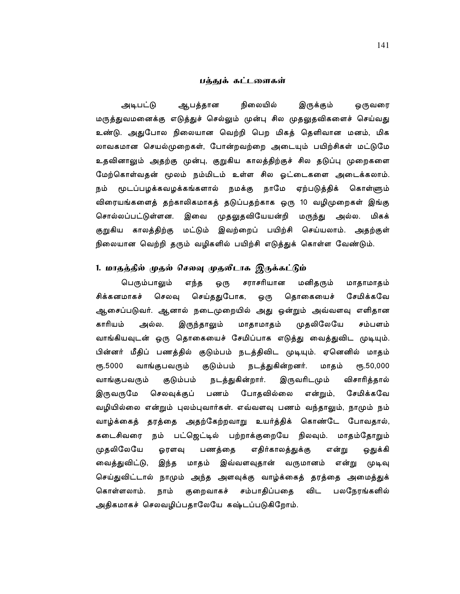### பக்குக் கட்டளைகள்

ஆபத்தான நிலையில் அடிபட்டு இருக்கும் ஒருவரை மருத்துவமனைக்கு எடுத்துச் செல்லும் முன்பு சில முதலுதவிகளைச் செய்வது உண்டு. அதுபோல நிலையான வெற்றி பெற மிகத் தெளிவான மனம், மிக லாவகமான செயல்முறைகள், போன்றவற்றை அடையும் பயிற்சிகள் மட்டுமே உதவினாலும் அதற்கு முன்பு, குறுகிய காலத்திற்குச் சில தடுப்பு முறைகள<mark>ை</mark> மேற்கொள்வதன் மூலம் நம்மிடம் உள்ள சில ஓட்டைகளை அடைக்கலாம். நம் மூடப்பழக்கவழக்கங்களால் நமக்கு நாமே ஏற்படுத்திக் கொள்ளும் விரையங்களைத் தற்காலிகமாகத் தடுப்பதற்காக ஒரு 10 வழிமுறைகள் இங்கு சொல்லப்பட்டுள்ளன. இவை முதலுதவியேயன்றி மருந்து அல்ல. மிகக் குறுகிய காலத்திற்கு மட்டும் இவற்றைப் பயிற்சி செய்யலாம். அதற்குள் நிலையான வெற்றி தரும் வழிகளில் பயிற்சி எடுத்துக் கொள்ள வேண்டும்.

### 1. மாதத்தில் முதல் செலவு முதலீடாக இருக்கட்டும்

பெரும்பாலும் சராசரியான மனிதரும் எந்த ஒரு மாதாமாதம் செய்ததுபோக, சிக்கனமாகச் செலவு ஒரு தொகையைச் சேமிக்கவே ஆசைப்படுவர். ஆனால் நடைமுறையில் அது ஒன்றும் அவ்வளவு எளிதான முதலிலேயே காரியம் அல்ல. இருந்தாலும் மாதாமாதம் சம்பளம் வாங்கியவுடன் ஒரு தொகையைச் சேமிப்பாக எடுத்து வைத்துவிட முடியும். பின்னர் மீதிப் பணத்தில் குடும்பம் நடத்திவிட முடியும். ஏனெனில் மாதம் நடத்துகின்றனர். மாதம் ონ.5000 வாங்குபவரும் குடும்பம்  $\epsilon$ m<sub>5</sub>.50,000 வாங்குபவரும் குடும்பம் நடத்துகின்றார். இருவரிடமும் விசாரித்தால் இருவருமே செலவுக்குப் பணம் போதவில்லை என்றும், சேமிக்கவே வழியில்லை என்றும் புலம்புவார்கள். எவ்வளவு பணம் வந்தாலும், நாமும் நம் வாழ்க்கைத் தரத்தை அதற்கேற்றவாறு உயர்த்திக் கொண்டே போவதால், கடைசிவரை நம் பட்ஜெட்டில் பற்றாக்குறையே நிலவும். மாதம்தோறும் முதலிலேயே பணத்தை எதிர்காலத்துக்கு என்று ஓரளவு ஒதுக்கி வைத்துவிட்டு, இந்த மாதம் இவ்வளவுதான் வருமானம் என்று முடிவு செய்துவிட்டால் நாமும் அந்த அளவுக்கு வாழ்க்கைத் தரத்தை அமைத்துக் குறைவாகச் சம்பாதிப்பதை விட கொள்ளலாம். நாம் பலநேரங்களில் அதிகமாகச் செலவழிப்பதாலேயே கஷ்டப்படுகிறோம்.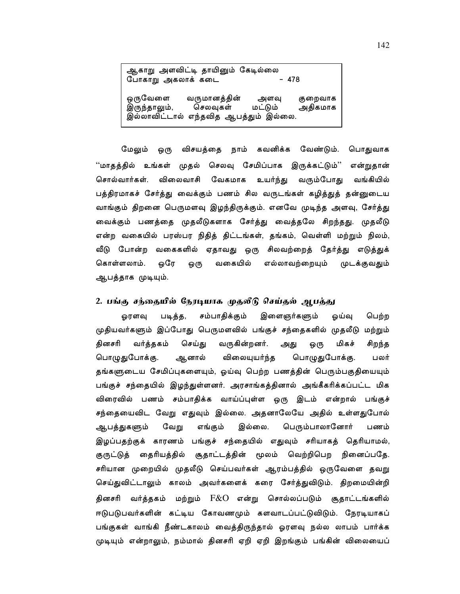| ஆகாறு அளவிட்டி தாயினும் கேடில்லை<br>போகாறு அகலாக் கடை<br>- 478 |                                                                   |                 |                    |
|----------------------------------------------------------------|-------------------------------------------------------------------|-----------------|--------------------|
| ஒருவேளை<br>இருந்தாலும்,                                        | வருமானத்தின்<br>செலவுகள்<br>இல்லாவிட்டால் எந்தவித ஆபத்தும் இல்லை. | அளவு<br>மட்டும் | குறைவாக<br>அதிகமாக |

மேலும் ஒரு விசயத்தை நாம் கவனிக்க வேண்டும். பொதுவாக ''மாதத்தில் உங்கள் முதல் செலவு சேமிப்பாக இருக்கட்டும்'' என்றுதான் சொல்வார்கள். விலைவாசி வேகமாக உயர்ந்து வரும்போகு வங்கியில் பத்திரமாகச் சேர்த்து வைக்கும் பணம் சில வருடங்கள் கழித்துத் தன்னுடைய வாங்கும் திறனை பெருமளவு இழந்திருக்கும். எனவே முடிந்த அளவு, சேர்த்து வைக்கும் பணத்தை முதலீடுகளாக சேர்த்து வைத்தலே சிறந்தது. முதலீடு என்ற வகையில் பரஸ்பர நிதித் திட்டங்கள், தங்கம், வெள்ளி மற்றும் நிலம், வீடு போன்ற வகைகளில் ஏதாவது ஒரு சிலவற்றைத் த<mark>ேர்த்து எடுத்துக்</mark> எல்லாவற்றையும் கொள்ளலாம். ஒரே ஒரு வகையில் முடக்குவதும் ஆபத்தாக முடியும்.

## 2. பங்கு சந்தையில் நேரடியாக முதலீடு செய்தல் ஆபத்து

சம்பாதிக்கும் இளைஞர்களும் பெற்ற படித்த, ஓய்வு ஓரளவு முதியவர்களும் இப்போது பெருமளவில் பங்குச் சந்தைகளில் முதலீடு மற்றும் வர்த்தகம் வருகின்றனர். மிகச் தினசரி செய்து சிறந்த அது ஒரு பொழுதுபோக்கு. பொழுதுபோக்கு. ஆனால் விலையுயர்ந்த பலர் தங்களுடைய சேமிப்புகளையும், ஓய்வு பெற்ற பணத்தின் பெரும்பகுதியையும் பங்குச் சந்தையில் இழந்துள்ளனர். அரசாங்கத்தினால் அங்கீகரிக்கப்பட்ட மிக விரைவில் பணம் சம்பாதிக்க வாய்ப்புள்ள ஒரு இடம் என்றால் பங்குச் சந்தையைவிட வேறு எதுவும் இல்லை. அதனாலேயே அதில் உள்ளதுபோல் ஆபத்துகளும் வேறு எங்கும் இல்லை. பெரும்பாலானோர் பணம் இழப்பதற்குக் காரணம் பங்குச் சந்தையில் எதுவும் சரியாகத் தெரியாமல், குருட்டுத் தைரியத்தில் சூதாட்டத்தின் மூலம் வெற்றிபெற நினைப்பதே. சரியான முறையில் முதலீடு செய்பவர்கள் ஆரம்பத்தில் ஒருவேளை தவறு செய்துவிட்டாலும் காலம் அவர்களைக் கரை சேர்த்துவிடும். திறமையின்றி தினசரி வர்த்தகம் மற்றும்  $\rm{F\&O}$  என்று சொல்லப்படும் சூதாட்டங்களில் ஈடுபடுபவர்களின் கட்டிய கோவணமும் களவாடப்பட்டுவிடும். நேரடியாகப் பங்குகள் வாங்கி நீண்டகாலம் வைத்திருந்தால் ஓரளவு நல்ல லாபம் பார்க்க முடியும் என்றாலும், நம்மால் தினசரி ஏறி ஏறி இறங்கும் பங்கின் விலையைப்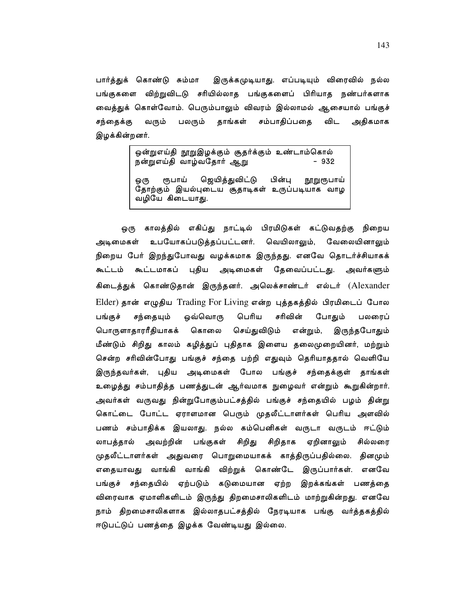பார்த்துக் கொண்டு சும்மா இருக்கமுடியாது. எப்படியும் விரைவில் நல்ல பங்குகளை விற்றுவிடடு சரியில்லாத பங்குகளைப் பிரியாத நண்பர்களாக வைத்துக் கொள்வோம். பெரும்பாலும் விவரம் இல்லாமல் ஆசையால் பங்குச் சம்பாதிப்பதை விட அதிகமாக சந்தைக்கு வரும் பலரும் தாங்கள் இழக்கின்றனர்.

> ஒன்றுஎய்தி நூறுஇழக்கும் சூதர்க்கும் உண்டாம்கொல் நன்றுஎய்தி வாழ்வதோர் ஆறு  $-932$ ரூபாய் ஜெயித்துவிட்டு பின்ப ஒ(ந நாறுரூபாய் தோற்கும் இயல்புடைய சூதாடிகள் உருப்படியாக வாழ வழியே கிடையாது.

ஒரு காலத்தில் எகிப்து நாட்டில் பிரமிடுகள் கட்டுவதற்கு நிறைய அடிமைகள் உபயோகப்படுத்தப்பட்டனர். வெயிலாலும், வேலையினாலும் நிறைய பேர் இறந்துபோவது வழக்கமாக இருந்தது. எனவே தொடர்ச்சியாகக் கூட்டம் கூட்டமாகப் புதிய அடிமைகள் தேவைப்பட்டது. அவர்களும் கிடைத்துக் கொண்டுதான் இருந்தனர். அலெக்சாண்டர் எல்டர் (Alexander Elder) தான் எழுதிய Trading For Living என்ற புத்தகத்தில் பிரமிடைப் போல போதும் பங்குச் சந்தையும் ஒவ்வொரு பெரிய சரிவின் பலரைப் இருந்தபோதும் பொருளாதாரரீதியாகக் கொலை செய்துவிடும் என்றும், மீண்டும் சிறிது காலம் கழித்துப் புதிதாக இளைய தலைமுறையினர், மற்றும் சென்ற சரிவின்போது பங்குச் சந்தை பற்றி எதுவும் தெரியாததால் வெளியே இருந்தவர்கள், புதிய அடிமைகள் போல பங்குச் சந்தைக்குள் தாங்கள் உழைத்து சம்பாதித்த பணத்துடன் ஆர்வமாக நுழைவர் என்றும் கூறுகின்றார். அவர்கள் வருவது நின்றுபோகும்பட்சத்தில் பங்குச் சந்தையில் பழம் தின்று கொட்டை போட்ட ஏராளமான பெரும் முதலீட்டாளர்கள் பெரிய அளவில் பணம் சம்பாதிக்க இயலாது. நல்ல கம்பெனிகள் வருடா வருடம் ஈட்டும் லாபத்தால் அவற்றின் பங்குகள் சிறிது சிறிதாக ஏறினாலும் சில்லரை முதலீட்டாளர்கள் அதுவரை பொறுமையாகக் காத்திருப்பதில்லை. தினமும் எதையாவது வாங்கி வாங்கி விற்றுக் கொண்டே இருப்பார்கள். எனவே பங்குச் சந்தையில் ஏற்படும் கடுமையான ஏற்ற இறக்கங்கள் பணத்தை விரைவாக ஏமாளிகளிடம் இருந்து திறமைசாலிகளிடம் மாற்றுகின்றது. எனவே நாம் திறமைசாலிகளாக இல்லாதபட்சத்தில் நேரடியாக பங்கு வர்த்தகத்தில் ஈடுபட்டுப் பணத்தை இழக்க வேண்டியது இல்லை.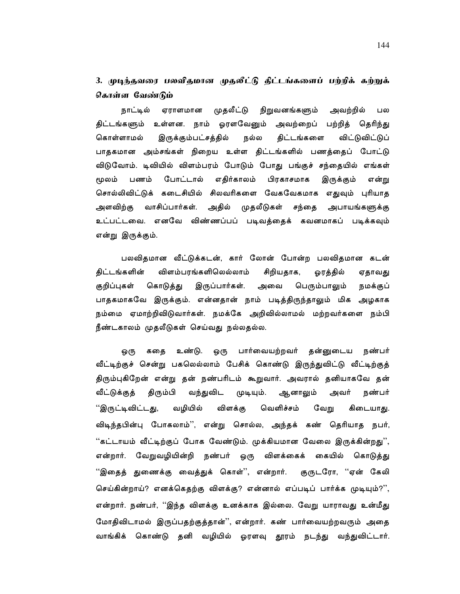# 3. முடிந்தவரை பலவிதமான முதலீட்டு திட்டங்களைப் பற்றிக் கற்றுக் கொள்ள வேண்டும்

நாட்டில் ஏராளமான முதலீட்டு நிறுவனங்களும் அவற்றில் பல திட்டங்களும் உள்ளன. நாம் ஓரளவேனும் அவற்றைப் பற்றித் தெரிந்து கொள்ளாமல் இருக்கும்பட்சத்தில் நல்ல திட்டங்களை விட்டுவிட்டுப் பாதகமான அம்சங்கள் நிறைய உள்ள திட்டங்களில் பணத்தைப் போட்டு விடுவோம். டிவியில் விளம்பரம் போடும் போது பங்குச் சந்தையில் எங்கள் எதிர்காலம் மூலம் பணம் போட்டால் பிரகாசமாக இருக்கும் என்று சொல்லிவிட்டுக் கடைசியில் சிலவரிகளை வேகவேகமாக எதுவும் புரியாத அளவிற்கு வாசிப்பார்கள். அதில் முதலீடுகள் சந்தை அபாயங்களுக்கு உட்பட்டவை. எனவே விண்ணப்பப் படிவத்தைக் கவனமாகப் படிக்கவும் என்று இருக்கும்.

பலவிதமான வீட்டுக்கடன், கார் லோன் போன்ற பலவிதமான கடன் விளம்பரங்களிலெல்லாம் திட்டங்களின் சிறியதாக, ஓரத்தில் ஏதாவது குறிப்புகள் கொடுத்து இருப்பார்கள். அவை பெரும்பாலும் நமக்குப் பாதகமாகவே இருக்கும். என்னதான் நாம் படித்திருந்தாலும் மிக அழகாக நம்மை ஏமாற்றிவிடுவார்கள். நமக்கே அறிவில்லாமல் மற்றவர்களை நம்பி நீண்டகாலம் முதலீடுகள் செய்வது நல்லதல்ல.

உண்டு. ஒரு பார்வையற்றவர் தன்னுடைய நண்பர் ஒரு கதை வீட்டிற்குச் சென்று பகலெல்லாம் பேசிக் கொண்டு இருந்துவிட்டு வீட்டிற்குத் திரும்புகிறேன் என்று தன் நண்பரிடம் கூறுவார். அவரால் தனியாகவே தன் வந்துவிட வீட்டுக்குத் திரும்பி முடியும். ஆனாலும் அவர் நண்பர் ''இருட்டிவிட்டது, வழியில் விளக்கு வெளிச்சம் வேறு கிடையாது. விடிந்தபின்பு போகலாம்'', என்று சொல்ல, அந்தக் கண் தெரியாத நபர், ''கட்டாயம் வீட்டிற்குப் போக வேண்டும். முக்கியமான வேலை இருக்கின்றது'', என்றார். வேறுவழியின்றி நண்பர் ஒரு விளக்கைக் கையில் கொடுத்து ''இதைத் துணைக்கு வைத்துக் கொள்'', என்றார். குருடரோ, ''ஏன் கேலி செய்கின்றாய்? எனக்கெகற்கு விளக்கு? என்னால் எப்படிப் பார்க்க முடியும்?'', என்றார். நண்பர், ''இந்த விளக்கு உனக்காக இல்லை. வேறு யாராவது உன்மீது மோதிவிடாமல் இருப்பதற்குத்தான்'', என்றார். கண் பார்வையற்றவரும் அதை வாங்கிக் கொண்டு தனி வழியில் ஓரளவு தூரம் நடந்து வந்துவிட்டார்.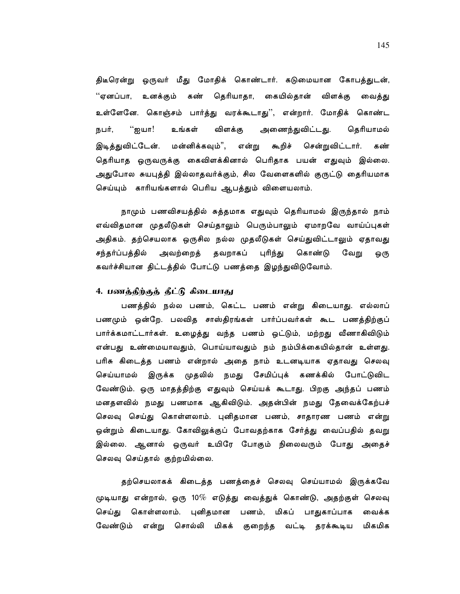திடீரென்று ஒருவர் மீது மோதிக் கொண்டார். கடுமையான கோபத்துடன், ''ஏனப்பா, உனக்கும் கண் தெரியாதா, கையில்தான் விளக்கு வைத்து உள்ளேனே. கொஞ்சம் பார்த்து வரக்கூடாது'', என்றார். மோதிக் கொண்ட "ஐயா! உங்கள் விளக்கு அணைந்துவிட்டது. தெரியாமல் நபர், சென்றுவிட்டார். இடித்துவிட்டேன். மன்னிக்கவும்", என்று கூறிச் கண் தெரியாத ஒருவருக்கு கைவிளக்கினால் பெரிதாக பயன் எதுவும் இல்லை. அதுபோல சுயபுத்தி இல்லாதவர்க்கும், சில வேளைகளில் குருட்டு தைரியமாக செய்யும் காரியங்களால் பெரிய ஆபத்தும் விளையலாம்.

நாமும் பணவிசயத்தில் சுத்தமாக எதுவும் தெரியாமல் இருந்தால் நாம் எவ்விதமான முதலீடுகள் செய்தாலும் பெரும்பாலும் ஏமாறவே வாய்ப்புகள் அதிகம். தற்செயலாக ஒருசில நல்ல முதலீடுகள் செய்துவிட்டாலும் ஏதாவது சந்தர்ப்பத்தில் அவற்றைத் தவறாகப் புரிந்து கொண்டு வேறு ஒரு கவர்ச்சியான திட்டத்தில் போட்டு பணத்தை இழந்துவிடுவோம்.

#### 4. பணத்திற்குத் தீட்டு கிடையாது

பணத்தில் நல்ல பணம், கெட்ட பணம் என்று கிடையாது. எல்லாப் பணமும் ஒன்றே. பலவித சாஸ்திரங்கள் பார்ப்பவர்கள் கூட பணத்திற்குப் பார்க்கமாட்டார்கள். உழைத்து வந்த பணம் ஒட்டும், மற்றது வீணாகிவிடும் என்பது உண்மையாவதும், பொய்யாவதும் நம் நம்பிக்கையில்தான் உள்ளது. பரிசு கிடைத்த பணம் என்றால் அதை நாம் உடனடியாக ஏதாவது செலவு செய்யாமல் இருக்க முதலில் நமது சேமிப்புக் கணக்கில் போட்டுவிட வேண்டும். ஒரு மாதத்திற்கு எதுவும் செய்யக் கூடாது. பிறகு அந்தப் பணம் மனதளவில் நமது பணமாக ஆகிவிடும். அதன்பின் நமது தேவைக்கேற்பச் செலவு செய்து கொள்ளலாம். புனிதமான பணம், சாதாரண பணம் என்று ஒன்றும் கிடையாது. கோவிலுக்குப் போவதற்காக சேர்த்து வைப்பதில் தவறு இல்லை. ஆனால் ஒருவர் உயிரே போகும் நிலைவரும் போது அதைச் செலவு செய்தால் குற்றமில்லை.

தற்செயலாகக் கிடைத்த பணத்தைச் செலவு செய்யாமல் இருக்கவே முடியாது என்றால், ஒரு 10 $\%$  எடுத்து வைத்துக் கொண்டு, அதற்குள் செலவு செய்து கொள்ளலாம். புனிதமான பணம், மிகப் பாதுகாப்பாக வைக்க வேண்டும் என்று சொல்லி மிகக் குறைந்த வட்டி தரக்கூடிய மிகமிக

145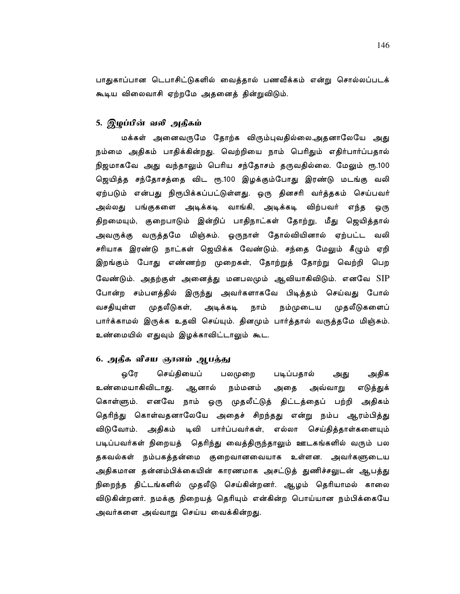பாதுகாப்பான டெபாசிட்டுகளில் வைத்தால் பணவீக்கம் என்று சொல்லப்படக் கூடிய விலைவாசி ஏற்றமே அதனைத் தின்றுவிடும்.

# 5. இழப்பின் வலி அதிகம்

மக்கள் அனைவருமே தோற்க விரும்புவதில்லை.அதனாலேயே அது நம்மை அதிகம் பாதிக்கின்றது. வெற்றியை நாம் பெரிதும் எதிர்பார்ப்பதால் நிஜமாகவே அது வந்தாலும் பெரிய சந்தோசம் தருவதில்லை. மேலும் ரூ.100 ஜெயித்த சந்தோசத்தை விட ரூ.100 இழக்கும்போது இரண்டு மடங்கு வலி ஏற்படும் என்பது நிரூபிக்கப்பட்டுள்ளது. ஒரு தினசரி வர்த்தகம் செய்பவர் அல்லது பங்குகளை அடிக்கடி வாங்கி, அடிக்கடி விற்பவர் எந்த ஒரு திறமையும், குறைபாடும் இன்றிப் பாதிநாட்கள் தோற்று, மீது ஜெயித்தால் அவருக்கு வருத்தமே மிஞ்சும். ஒருநாள் தோல்வியினால் ஏற்பட்ட வலி சரியாக இரண்டு நாட்கள் ஜெயிக்க வேண்டும். சந்தை மேலும் கீழும் ஏறி இறங்கும் போது எண்ணற்ற முறைகள், தோற்றுத் தோற்று வெற்றி பெற வேண்டும். அதற்குள் அனைத்து மனபலமும் ஆவியாகிவிடும். எனவே SIP போன்ற சம்பளத்தில் இருந்து அவர்களாகவே பிடித்தம் செய்வது போல் அடிக்கடி முதலீடுகளைப் வசதியுள்ள முதலீடுகள், நாம் நம்முடைய பார்க்காமல் இருக்க உதவி செய்யும். தினமும் பார்த்தால் வருத்தமே மிஞ்சும். உண்மையில் எதுவும் இழக்காவிட்டாலும் கூட.

# 6. அதீக வீசய ஞானம் அபத்து

அதிக ஒரே செய்தியைப் பலமுறை படிப்பதால் அது உண்மையாகிவிடாது. ஆனால் நம்மனம் அதை அவ்வாறு எடுத்துக் கொள்ளும். எனவே நாம் ஒரு முதலீட்டுத் திட்டத்தைப் பற்றி அதிகம் தெரிந்து கொள்வதனாலேயே அதைச் சிறந்தது என்று நம்ப ஆரம்பித்து டிவி பார்ப்பவர்கள், எல்லா செய்தித்தாள்களையும் விடுவோம். அதிகம் படிப்பவர்கள் நிறையத் .தெரிந்து வைத்திருந்தாலும் ஊடகங்களில் வரும் பல தகவல்கள் நம்பகத்தன்மை குறைவானவையாக உள்ளன. அவர்களுடைய அதிகமான தன்னம்பிக்கையின் காரணமாக அசட்டுத் துணிச்சலுடன் ஆபத்து நிறைந்த திட்டங்களில் முதலீடு செய்கின்றனர். ஆழம் தெரியாமல் காலை விடுகின்றனர். நமக்கு நிறையத் தெரியும் என்கின்ற பொய்யான நம்பிக்கையே அவர்களை அவ்வாறு செய்ய வைக்கின்றது.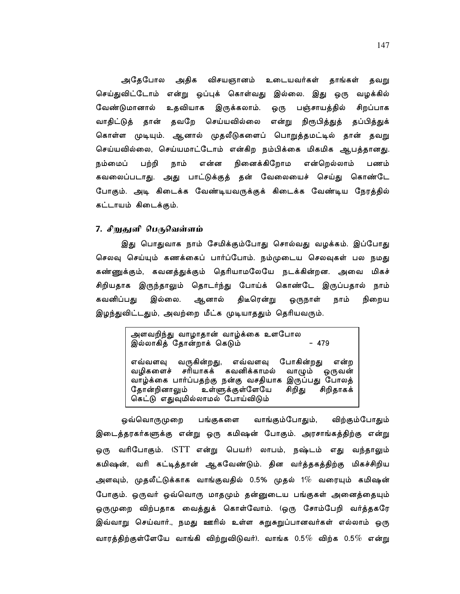அதேபோல அதிக விசயஞானம் உடையவர்கள் தாங்கள் தவறு செய்துவிட்டோம் என்று ஒப்புக் கொள்வது இல்லை. இது ஒரு வழக்கில் உதவியாக இருக்கலாம். வேண்டுமானால் பஞ்சாயத்தில் ஒரு சிறப்பாக வாதிட்டுத் தான் தவறே செய்யவில்லை என்று நிரூபித்துத் தப்பித்துக் கொள்ள முடியும். ஆனால் முதலீடுகளைப் பொறுத்தமட்டில் தான் தவறு செய்யவில்லை, செய்யமாட்டோம் என்கிற நம்பிக்கை மிகமிக ஆபத்தானது. பற்றி என்ன நினைக்கிறோம என்றெல்லாம் நம்மைப் நாம் பணம் கவலைப்படாது. அது பாட்டுக்குத் தன் வேலையைச் செய்து கொண்டே போகும். அடி கிடைக்க வேண்டியவருக்குக் கிடைக்க வேண்டிய நேரத்தில் கட்டாயம் கிடைக்கும்.

### 7. சிறுதுளி பெருவெள்ளம்

இது பொதுவாக நாம் சேமிக்கும்போது சொல்வது வழக்கம். இப்போது செலவு செய்யும் கணக்கைப் பார்ப்போம். நம்முடைய செலவுகள் பல நமது கண்ணுக்கும், கவனத்துக்கும் தெரியாமலேயே நடக்கின்றன. அவை மிகச் சிறியதாக இருந்தாலும் தொடர்ந்து போய்க் கொண்டே இருப்பதால் நாம் கவனிப்பது இல்லை. ஆனால் திடீரென்று ஒருநாள் நாம் நிறைய இழந்துவிட்டதும், அவற்றை மீட்க முடியாததும் தெரியவரும்.

> அளவறிந்து வாழாதான் வாழ்க்கை உளபோல இல்லாகித் தோன்றாக் கெடும்  $-479$ எவ்வளவு வருகின்றது, எவ்வளவு போகின்றது என்ற வமிகளைச் சரியாகக் கவனிக்காமல் வாழும் ஒருவன் வாழ்க்கை பார்ப்பதற்கு நன்கு வசதியாக இருப்பது போலத் தோன்றினாலும் உள்ளுக்குள்ளேயே சிறிது சிறிதாகக் கெட்டு எதுவுமில்லாமல் போய்விடும்

ஒவ்வொருமுறை பங்குகளை வாங்கும்போதும், விற்கும்போதும் இடைத்தரகர்களுக்கு என்று ஒரு கமிஷன் போகும். அரசாங்கத்திற்கு என்று ஒரு வரிபோகும். (STT என்று பெயர்) லாபம், நஷ்டம் எது வந்தாலும் கமிஷன், வரி கட்டித்தான் ஆகவேண்டும். தின வர்த்தகத்திற்கு மிகச்சிறிய அளவும், முதலீட்டுக்காக வாங்குவதில் 0.5% முதல் 1 $\%$  வரையும் கமிஷன் போகும். ஒருவர் ஒவ்வொரு மாதமும் தன்னுடைய பங்குகள் அனைத்தையும் ஒருமுறை விற்பதாக வைத்துக் கொள்வோம். (ஒரு சோம்பேறி வர்த்தகரே இவ்வாறு செய்வார்., நமது ஊரில் உள்ள சுறுசுறுப்பானவர்கள் எல்லாம் ஒரு வாரத்திற்குள்ளேயே வாங்கி விற்றுவிடுவர்). வாங்க 0.5 $\%$  விற்க 0.5 $\%$  என்று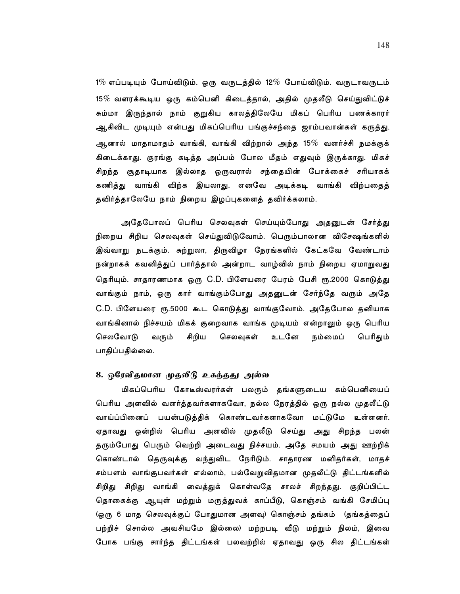$1\%$  எப்படியும் போய்விடும். ஒரு வருடத்தில் 12 $\%$  போய்விடும். வருடாவருடம்  $15\%$  வளரக்கூடிய ஒரு கம்பெனி கிடைத்தால், அதில் முதலீடு செய்துவிட்டுச் சும்மா இருந்தால் நாம் குறுகிய காலத்திலேயே மிகப் பெரிய பணக்காரர் ஆகிவிட முடியும் என்பது மிகப்பெரிய பங்குச்சந்தை ஜாம்பவான்கள் கருத்து. ஆனால் மாதாமாதம் வாங்கி, வாங்கி விற்றால் அந்த 15 $\%$  வளர்ச்சி நமக்குக் கிடைக்காது. குரங்கு கடித்த அப்பம் போல மீதம் எதுவும் இருக்காது. மிகச் சிறந்த சூதாடியாக இல்லாத ஒருவரால் சந்தையின் போக்கைச் சரியாகக் கணித்து வாங்கி விற்க இயலாது. எனவே அடிக்கடி வாங்கி விற்பதைத் தவிர்த்தாலேயே நாம் நிறைய இழப்புகளைத் தவிர்க்கலாம்.

அதேபோலப் பெரிய செலவுகள் செய்யும்போது அதனுடன் சேர்த்து நிறைய சிறிய செலவுகள் செய்துவிடுவோம். பெரும்பாலான விசேஷங்களில் இவ்வாறு நடக்கும். சுற்றுலா, திருவிழா நேரங்களில் கேட்கவே வேண்டாம் நன்றாகக் கவனித்துப் பார்த்தால் அன்றாட வாழ்வில் நாம் நிறைய ஏமாறுவது தெரியும். சாதாரணமாக ஒரு C.D. பிளேயரை பேரம் பேசி ரூ.2000 கொடுத்து வாங்கும் நாம், ஒரு கார் வாங்கும்போது அதனுடன் சேர்ந்தே வரும் அதே C.D. பிளேயரை ரூ.5000 கூட கொடுத்து வாங்குவோம். அதேபோல தனியாக வாங்கினால் நிச்சயம் மிகக் குறைவாக வாங்க முடியம் என்றாலும் ஒரு பெரிய செலவோடு சிறிய வரும் செலவுகள் உடனே நம்மைப் பெரிதும் பாதிப்பதில்லை.

### 8. ஒரேவிதமான முதலீடு உகந்தது அல்ல

மிகப்பெரிய கோடீஸ்வரர்கள் பலரும் தங்களுடைய கம்பெனியைப் பெரிய அளவில் வளர்த்தவர்களாகவோ, நல்ல நேரத்தில் ஒரு நல்ல முதலீட்டு வாய்ப்பினைப் பயன்படுத்திக் கொண்டவர்களாகவோ மட்டுமே உள்ளனர். ஏதாவது ஒன்றில் பெரிய அளவில் முதலீடு செய்து அது சிறந்த பலன் தரும்போது பெரும் வெற்றி அடைவது நிச்சயம். அதே சமயம் அது ஊற்றிக் கொண்டால் தெருவுக்கு வந்துவிட நேரிடும். சாதாரண மனிதர்கள், மாதச் சம்பளம் வாங்குபவர்கள் எல்லாம், பல்வேறுவிதமான முதலீட்டு திட்டங்களில் சிறிது சிறிது வாங்கி வைத்துக் கொள்வதே சாலச் சிறந்த<u>து</u>. குறிப்பிட்ட தொகைக்கு ஆயுள் மற்றும் மருத்துவக் காப்பீடு, கொஞ்சம் வங்கி சேமிப்பு (ஒரு 6 மாத செலவுக்குப் போதுமான அளவு) கொஞ்சம் தங்கம் (தங்கத்தைப் பற்றிச் சொல்ல அவசியமே இல்லை) மற்றபடி வீடு மற்றும் நிலம், இவை போக பங்கு சார்ந்த திட்டங்கள் பலவற்றில் ஏதாவது ஒரு சில திட்டங்கள்

148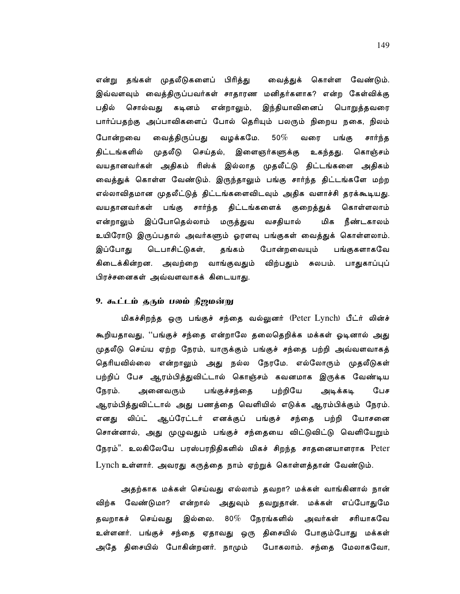என்று தங்கள் முதலீடுகளைப் பிரித்து வைத்துக் கொள்ள வேண்டும். இவ்வளவும் வைத்திருப்பவர்கள் சாதாரண மனிதர்களாக? என்ற கேள்விக்கு சொல்வது கடினம் என்றாலும், இந்தியாவினைப் பொறுத்தவரை பதில் பார்ப்பதற்கு அப்பாவிகளைப் போல் தெரியும் பலரும் நிறைய நகை, நிலம் போன்றவை வைத்திருப்பது வழக்கமே.  $50\%$ வரை பங்கு சார்ந்த திட்டங்களில் முதலீடு செய்தல், இளைஞர்களுக்கு உகந்தது. கொஞ்சம் வயதானவர்கள் அதிகம் ரிஸ்க் இல்லாத முதலீட்டு திட்டங்களை அதிகம் வைத்துக் கொள்ள வேண்டும். இருந்தாலும் பங்கு சார்ந்த திட்டங்களே மற்ற எல்லாவிதமான முதலீட்டுத் திட்டங்களைவிடவும் அதிக வளாச்சி தரக்கூடியது. வயதானவர்கள் பங்கு சார்ந்த திட்டங்களைக் குறைத்துக் கொள்ளலாம் என்றாலும் இப்போதெல்லாம் மருத்துவ வசதியால் மிக நீண்டகாலம் உயிரோடு இருப்பதால் அவர்களும் ஓரளவு பங்குகள் வைத்துக் கொள்ளலாம். டெபாசிட்டுகள், தங்கம் இப்போது போன்றவையும் பங்குகளாகவே கிடைக்கின்றன. அவற்றை வாங்குவதும் விற்பதும் சுலபம். பாதுகாப்புப் பிரச்சனைகள் அவ்வளவாகக் கிடையாகு.

# 9. கூட்டம் தரும் பலம் நிஜமன்று

மிகச்சிறந்த ஒரு பங்குச் சந்தை வல்லுனர் (Peter Lynch) பீட்ர் லின்ச் கூறியதாவது, ''பங்குச் சந்தை என்றாலே தலைதெறிக்க மக்கள் ஓடினால் அது முதலீடு செய்ய ஏற்ற நேரம், யாருக்கும் பங்குச் சந்தை பற்றி அவ்வளவாகத் தெரியவில்லை என்றாலும் அது நல்ல நேரமே. எல்லோரும் முதலீடுகள் பற்றிப் பேச ஆரம்பித்துவிட்டால் கொஞ்சம் கவனமாக இருக்க வேண்டிய நேரம். அனைவரும் பங்குச்சந்தை பற்றியே அடிக்கடி பேச ஆரம்பித்துவிட்டால் அது பணத்தை வெளியில் எடுக்க ஆரம்பிக்கும் நேரம். எனது லிப்ட் ஆப்ரேட்டர் எனக்குப் பங்குச் சந்தை பற்றி யோசனை சொன்னால், அது முழுவதும் பங்குச் சந்தையை விட்டுவிட்டு வெளியேறும் நேரம்". உலகிலேயே பரஸ்பரநிதிகளில் மிகச் சிறந்த சாதனையாளராக Peter Lynch உள்ளார். அவரது கருத்தை நாம் ஏற்றுக் கொள்ளத்தான் வேண்டும்.

அதற்காக மக்கள் செய்வது எல்லாம் தவறா? மக்கள் வாங்கினால் நான் விற்க வேண்டுமா? என்றால் அதுவும் தவறுதான். மக்கள் எப்போதுமே செய்வது இல்லை.  $80\%$  நேரங்களில் அவர்கள் சரியாகவே தவறாகச் உள்ளனர். பங்குச் சந்தை ஏதாவது ஒரு திசையில் போகும்போது மக்கள் அதே திசையில் போகின்றனர். நாமும் போகலாம். சந்தை மேலாகவோ,

149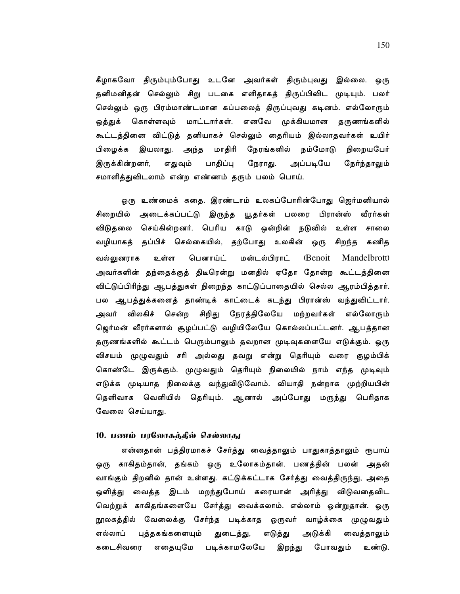கீழாகவோ திரும்பும்போது உடனே அவர்கள் திரும்புவது இல்லை. ஒரு தனிமனிதன் செல்லும் சிறு படகை எளிதாகத் திருப்பிவிட முடியும். பலர் செல்லும் ஒரு பிரம்மாண்டமான கப்பலைத் திருப்புவது கடினம். எல்லோரும் ஒத்துக் கொள்ளவும் மாட்டார்கள். எனவே முக்கியமான தருணங்களில் கூட்டத்தினை விட்டுத் தனியாகச் செல்லும் தைரியம் இல்லாதவர்கள் உயிர் பிழைக்க இயலாது. அந்த மாதிரி நேரங்களில் நம்மோடு நிறையபேர் இருக்கின்றனர், எதுவும் பாதிப்பு நேராது. அப்படியே நேர்ந்தாலும் சமாளித்துவிடலாம் என்ற எண்ணம் தரும் பலம் பொய்.

ஒரு உண்மைக் கதை. இரண்டாம் உலகப்போரின்போது ஜெர்மனியால் சிறையில் அடைக்கப்பட்டு இருந்த யூதர்கள் பலரை பிரான்ஸ் வீரர்கள் விடுதலை செய்கின்றனர். பெரிய காடு ஒன்றின் நடுவில் உள்ள சாலை வழியாகத் தப்பிச் செல்கையில், தற்போது உலகின் ஒரு சிறந்த கணித வல்லுனராக பௌாய்ட் மன்டல்பிாாட் (Benoit உள்ள **Mandelbrott** அவர்களின் தந்தைக்குத் திடீரென்று மனதில் ஏதோ தோன்ற கூட்டத்தினை விட்டுப்பிரிந்து ஆபத்துகள் நிறைந்த காட்டுப்பாதையில் செல்ல ஆரம்பித்தார். பல ஆபத்துக்களைத் தாண்டிக் காட்டைக் கடந்து பிரான்ஸ் வந்துவிட்டார். அவர் விலகிச் சென்ற சிறிது நேரத்திலேயே மற்றவர்கள் எல்லோரும் ஜெர்மன் வீரர்களால் சூழப்பட்டு வழியிலேயே கொல்லப்பட்டனர். ஆபத்தான தருணங்களில் கூட்டம் பெரும்பாலும் தவறான முடிவுகளையே எடுக்கும். ஒரு விசயம் முழுவதும் சரி அல்லது தவறு என்று தெரியும் வரை குழம்பிக் கொண்டே இருக்கும். முழுவதும் தெரியும் நிலையில் நாம் எந்த முடிவும் எடுக்க முடியாத நிலைக்கு வந்துவிடுவோம். வியாதி நன்றாக முற்றியபின் தெளிவாக வெளியில் தெரியும். ஆனால் அப்போது மருந்து பெரிதாக வேலை செய்யாது.

#### 10. பணம் பரலோகக்கில் செல்லாகு

என்னதான் பத்திரமாகச் சேர்த்து வைத்தாலும் பாதுகாத்தாலும் ரூபாய் ஒரு காகிதம்தான், தங்கம் ஒரு உலோகம்தான். பணத்தின் பலன் அதன் வாங்கும் திறனில் தான் உள்ளது. கட்டுக்கட்டாக சேர்த்து வைத்திருந்து, அதை ஒளித்து வைத்த இடம் மறந்துபோய் கரையான் அரித்து விடுவதைவிட வெற்றுக் காகிதங்களையே சேர்த்து வைக்கலாம். எல்லாம் ஒன்றுதான். ஒரு நூலகத்தில் வேலைக்கு சேர்ந்த படிக்காத ஒருவர் வாழ்க்கை முழுவதும் புத்தகங்களையும் எல்லாப் துடைத்து, எடுத்து அடுக்கி வைத்தாலும் கடைசிவரை எதையுமே படிக்காமலேயே இறந்து போவதும் உண்டு.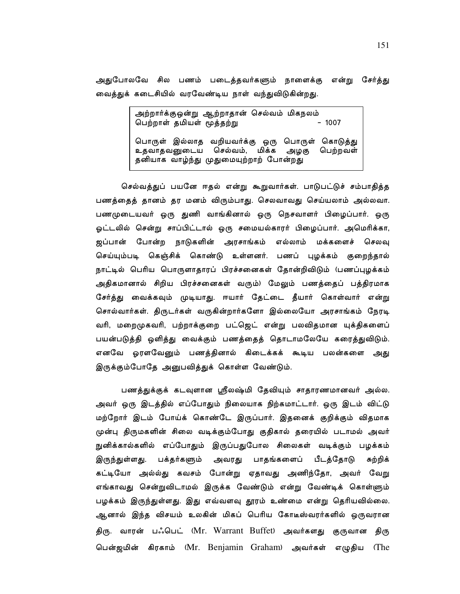அதுபோலவே சில பணம் படைத்தவர்களும் நாளைக்கு என்று சேர்த்து வைத்துக் கடைசியில் வரவேண்டிய நாள் வந்துவிடுகின்றது.

> அற்றார்க்குஒன்று ஆற்றாதான் செல்வம் மிகநலம் பெற்றாள் தமியள் மூத்தற்று  $-1007$ பொருள் இல்லாத வறியவர்க்கு ஒரு பொருள் கொடுத்து உதவாதவனுடைய செல்வம், மிக்க அழகு பெற்றவள் தனியாக வாழ்ந்து முதுமையுற்றாற் போன்றது

செல்வத்துப் பயனே ஈதல் என்று கூறுவார்கள். பாடுபட்டுச் சம்பாதித்த பணத்தைத் தானம் தர மனம் விரும்பாது. செலவாவது செய்யலாம் அல்லவா. பணமுடையவர் ஒரு துணி வாங்கினால் ஒரு நெசவாளர் பிழைப்பார். ஒரு ஓட்டலில் சென்று சாப்பிட்டால் ஒரு சமையல்காரர் பிழைப்பார். அமெரிக்கா, ஜப்பான் போன்ற நாடுகளின் அரசாங்கம் எல்லாம் மக்களைச் செலவு செய்யும்படி கெஞ்சிக் கொண்டு உள்ளனர். பணப் புழக்கம் குறைந்தால் நாட்டில் பெரிய பொருளாதாரப் பிரச்சனைகள் தோன்றிவிடும் (பணப்புழக்கம் அதிகமானால் சிறிய பிரச்சனைகள் வரும்) மேலும் பணத்தைப் பத்திரமாக சேர்த்து வைக்கவும் முடியாது. ஈயார் தேட்டை தீயார் கொள்வார் என்று சொல்வார்கள். திருடர்கள் வருகின்றார்களோ இல்லையோ அரசாங்கம் நேரடி வரி, மறைமுகவரி, பற்றாக்குறை பட்ஜெட் என்று பலவிதமான யுக்திகளைப் பயன்படுத்தி ஒளித்து வைக்கும் பணத்தைத் தொடாமலேயே கரைத்துவிடும். எனவே ஓரளவேனும் பணத்தினால் கிடைக்கக் கூடிய பலன்களை அது இருக்கும்போதே அனுபவித்துக் கொள்ள வேண்டும்.

பணத்துக்குக் கடவுளான ஸ்ரீலஷ்மி தேவியும் சாதாரணமானவர் அல்ல. அவர் ஒரு இடத்தில் எப்போதும் நிலையாக நிற்கமாட்டார். ஒரு இடம் விட்டு மற்றோர் இடம் போய்க் கொண்டே இருப்பார். இதனைக் குறிக்கும் விதமாக முன்பு திருமகளின் சிலை வடிக்கும்போது குதிகால் தரையில் படாமல் அவர் நுனிக்கால்களில் எப்போதும் இருப்பதுபோல சிலைகள் வடிக்கும் பழக்கம் இருந்துள்ளது. பக்தர்களும் அவரது பாதங்களைப் பீடத்தோடு சுற்றிக் கட்டியோ அல்ல்து கவசம் போன்று ஏதாவது அணிந்தோ, அவர் வேறு எங்காவது சென்றுவிடாமல் இருக்க வேண்டும் என்று வேண்டிக் கொள்ளும் பழக்கம் இருந்துள்ளது. இது எவ்வளவு தூரம் உண்மை என்று தெரியவில்லை. ஆனால் இந்த விசயம் உலகின் மிகப் பெரிய கோடீஸ்வரர்களில் ஒருவரான திரு. வாரன் பஃபெட் (Mr. Warrant Buffet) அவர்களது குருவான திரு பென்ஜமின் கிரகாம் (Mr. Benjamin Graham) அவர்கள் எழுதிய (The